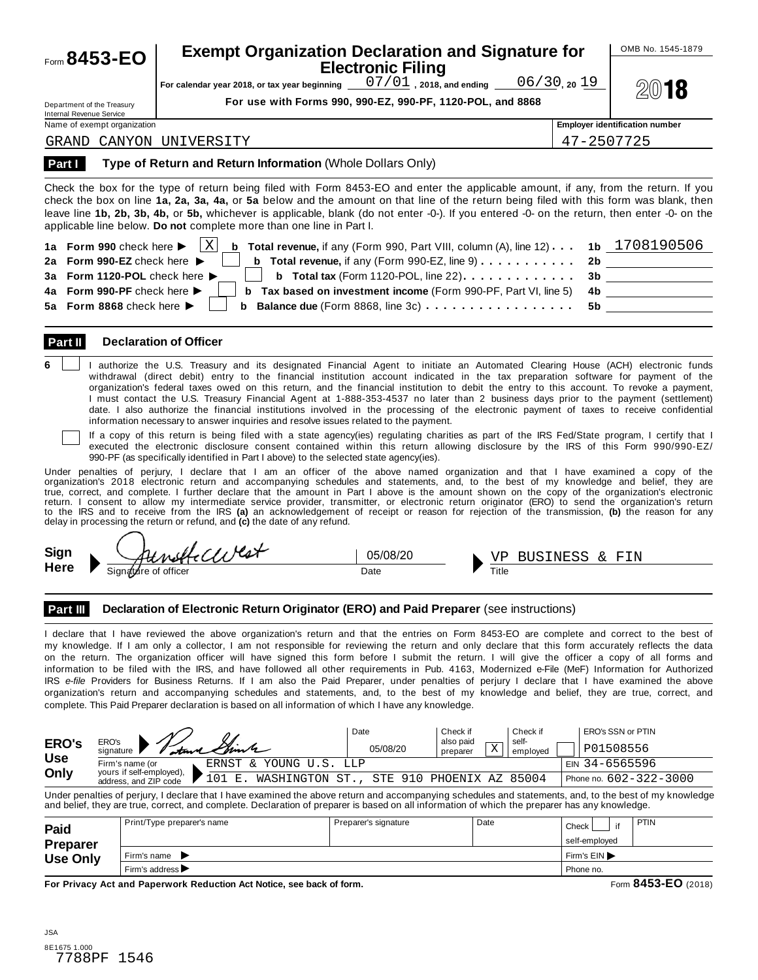| Form $8453 - EO$                                              | <b>Exempt Organization Declaration and Signature for</b><br><b>Electronic Filing</b><br>$07/01$ , 2018, and ending $06/30$ , 20 19<br>For calendar year 2018, or tax year beginning __                                                                                                                                                                                                                                        |            | OMB No. 1545-1879<br>2018             |
|---------------------------------------------------------------|-------------------------------------------------------------------------------------------------------------------------------------------------------------------------------------------------------------------------------------------------------------------------------------------------------------------------------------------------------------------------------------------------------------------------------|------------|---------------------------------------|
| Department of the Treasury<br><b>Internal Revenue Service</b> | For use with Forms 990, 990-EZ, 990-PF, 1120-POL, and 8868                                                                                                                                                                                                                                                                                                                                                                    |            |                                       |
| Name of exempt organization                                   |                                                                                                                                                                                                                                                                                                                                                                                                                               |            | <b>Employer identification number</b> |
| GRAND                                                         | CANYON UNIVERSITY                                                                                                                                                                                                                                                                                                                                                                                                             | 47-2507725 |                                       |
|                                                               | Check the box for the type of return being filed with Form 8453-EO and enter the applicable amount, if any, from the return. If you<br>check the box on line 1a, 2a, 3a, 4a, or 5a below and the amount on that line of the return being filed with this form was blank, then<br>leave line 1b, 2b, 3b, 4b, or 5b, whichever is applicable, blank (do not enter -0-). If you entered -0- on the return, then enter -0- on the |            |                                       |
|                                                               | applicable line below. Do not complete more than one line in Part I.                                                                                                                                                                                                                                                                                                                                                          |            |                                       |

#### **Part II Declaration of Officer**

**6** | | authorize the U.S. Treasury and its designated Financial Agent to initiate an Automated Clearing House (ACH) electronic funds withdrawal (direct debit) entry to the financial institution account indicated in the tax preparation software for payment of the organization's federal taxes owed on this return, and the financial institution to debit the entry to this account. To revoke a payment, I must contact the U.S. Treasury Financial Agent at 1-888-353-4537 no later than 2 business days prior to the payment (settlement) date. I also authorize the financial institutions involved in the processing of the electronic payment of taxes to receive confidential information necessary to answer inquiries and resolve issues related to the payment.

If a copy of this return is being filed with a state agency(ies) regulating charities as part of the IRS Fed/State program, I certify that I executed the electronic disclosure consent contained within this return allowing disclosure by the IRS of this Form 990/990-EZ/ 990-PF (as specifically identified in Part I above) to the selected state agency(ies).

Under penalties of perjury, I declare that I am an officer of the above named organization and that I have examined a copy of the organization's 2018 electronic return and accompanying schedules and statements, and, to the best of my knowledge and belief, they are true, correct, and complete. I further declare that the amount in Part I above is the amount shown on the copy of the organization's electronic return. I consent to allow my intermediate service provider, transmitter, or electronic return originator (ERO) to send the organization's return to the IRS and to receive from the IRS **(a)** an acknowledgement of receipt or reason for rejection of the transmission, **(b)** the reason for any delay in processing the return or refund, and **(c)** the date of any refund.

**Sign**

**Here** M Signature of officer Date M Title 05/08/20

BUSINESS & FIN

**Part III** Declaration of Electronic Return Originator (ERO) and Paid Preparer (see instructions)

I declare that I have reviewed the above organization's return and that the entries on Form 8453-EO are complete and correct to the best of my knowledge. If I am only a collector, I am not responsible for reviewing the return and only declare that this form accurately reflects the data on the return. The organization officer will have signed this form before I submit the return. I will give the officer a copy of all forms and information to be filed with the IRS, and have followed all other requirements in Pub. 4163, Modernized e-File (MeF) Information for Authorized IRS *e-file* Providers for Business Returns. If I am also the Paid Preparer, under penalties of perjury I declare that I have examined the above organization's return and accompanying schedules and statements, and, to the best of my knowledge and belief, they are true, correct, and complete. This Paid Preparer declaration is based on all information of which I have any knowledge.

| <b>ERO's</b> | ERO's                                                    | Date                                     | Check if<br>also paid   | Check if<br>self- | ERO's SSN or PTIN      |
|--------------|----------------------------------------------------------|------------------------------------------|-------------------------|-------------------|------------------------|
|              | - Tatana Simb<br>sianature                               | 05/08/20                                 | $\tau$<br>A<br>preparer | emploved          | P01508556              |
| <b>Use</b>   | Firm's name (or<br>ERNST & YOUNG U.S.                    | T.T.D                                    |                         |                   | EIN 34-6565596         |
| Only         | yours if self-employed).<br>n 1<br>address, and ZIP code | WASHINGTON ST., STE 910 PHOENIX AZ 85004 |                         |                   | Phone no. 602-322-3000 |

| ᆈ៶୰                     | I atana Sim<br>signature $\blacksquare$                                                                                                                                                                                                                                                                   | 05/08/20<br>preparer     | Χ<br>employed | P01508556                                   |  |
|-------------------------|-----------------------------------------------------------------------------------------------------------------------------------------------------------------------------------------------------------------------------------------------------------------------------------------------------------|--------------------------|---------------|---------------------------------------------|--|
| <b>Use</b>              | Firm's name (or<br>ERNST<br>& YOUNG U.S. LLP                                                                                                                                                                                                                                                              |                          |               | EIN 34-6565596                              |  |
| Only                    | yours if self-employed),<br>101 E.<br>WASHINGTON ST.,<br>address, and ZIP code                                                                                                                                                                                                                            | STE 910 PHOENIX AZ 85004 |               | Phone no. $602 - 322 - 3000$                |  |
|                         | Under penalties of perjury, I declare that I have examined the above return and accompanying schedules and statements, and, to the best of my knowledge<br>and belief, they are true, correct, and complete. Declaration of preparer is based on all information of which the preparer has any knowledge. |                          |               |                                             |  |
| Paid<br><b>Preparer</b> | Print/Type preparer's name                                                                                                                                                                                                                                                                                | Preparer's signature     | Date          | <b>PTIN</b><br>if<br>Check<br>self-employed |  |
| <b>Use Only</b>         | Firm's name $\blacktriangleright$                                                                                                                                                                                                                                                                         | Firm's EIN               |               |                                             |  |
|                         | Firm's address $\blacktriangleright$                                                                                                                                                                                                                                                                      |                          |               | Phone no.                                   |  |
|                         | For Privacy Act and Paperwork Reduction Act Notice, see back of form.                                                                                                                                                                                                                                     |                          |               | Form 8453-EO (2018)                         |  |
| <b>JSA</b>              |                                                                                                                                                                                                                                                                                                           |                          |               |                                             |  |
| 8E1675 1.000<br>7788PF  | 1546                                                                                                                                                                                                                                                                                                      |                          |               |                                             |  |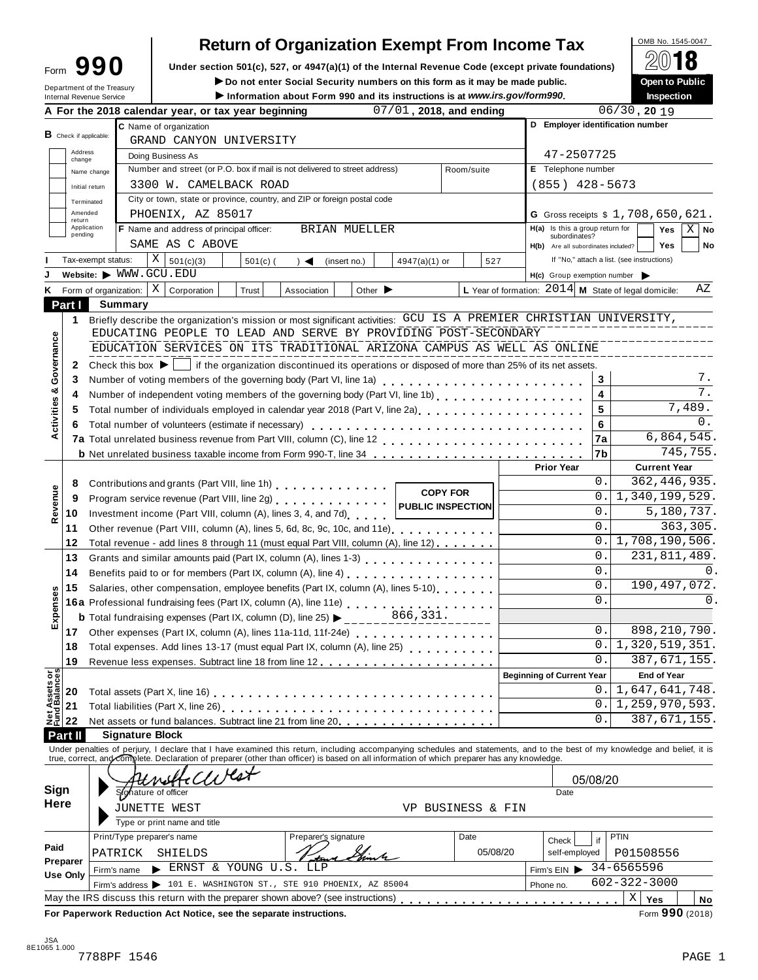| ∙orm | ומג |  |
|------|-----|--|
|      |     |  |

# **Return of Organization Exempt From Income Tax**<br>section 501(c), 527, or 4947(a)(1) of the Internal Revenue Code (except private foundations)

Form  $\mathbf{990}$  Under section 501(c), 527, or 4947(a)(1) of the Internal Revenue Code (except private foundations)  $\boxed{2018}$ 

|                                        |                   | Form フフリ                                               |                                                                                                                                                                            |                                                                           | Under section 501(c), 527, or 4947(a)(1) of the internal Revenue Code (except private foundations)<br>Do not enter Social Security numbers on this form as it may be made public. |                             |                          |                 |            |                |                                                        |          |                                            | (C) IV<br>Open to Public |             |
|----------------------------------------|-------------------|--------------------------------------------------------|----------------------------------------------------------------------------------------------------------------------------------------------------------------------------|---------------------------------------------------------------------------|-----------------------------------------------------------------------------------------------------------------------------------------------------------------------------------|-----------------------------|--------------------------|-----------------|------------|----------------|--------------------------------------------------------|----------|--------------------------------------------|--------------------------|-------------|
|                                        |                   | Department of the Treasury<br>Internal Revenue Service |                                                                                                                                                                            |                                                                           | Information about Form 990 and its instructions is at www.irs.gov/form990.                                                                                                        |                             |                          |                 |            |                |                                                        |          |                                            | Inspection               |             |
|                                        |                   |                                                        | A For the 2018 calendar year, or tax year beginning                                                                                                                        |                                                                           |                                                                                                                                                                                   |                             | 07/01, 2018, and ending  |                 |            |                |                                                        |          | $06/30$ , 20 19                            |                          |             |
|                                        |                   |                                                        | C Name of organization                                                                                                                                                     |                                                                           |                                                                                                                                                                                   |                             |                          |                 |            |                | D Employer identification number                       |          |                                            |                          |             |
|                                        |                   | $B$ Check if applicable:                               | GRAND CANYON UNIVERSITY                                                                                                                                                    |                                                                           |                                                                                                                                                                                   |                             |                          |                 |            |                |                                                        |          |                                            |                          |             |
|                                        | Address<br>change |                                                        | Doing Business As                                                                                                                                                          |                                                                           |                                                                                                                                                                                   |                             |                          |                 |            |                | 47-2507725                                             |          |                                            |                          |             |
|                                        |                   | Name change                                            | Number and street (or P.O. box if mail is not delivered to street address)                                                                                                 |                                                                           |                                                                                                                                                                                   |                             |                          |                 | Room/suite |                | E Telephone number                                     |          |                                            |                          |             |
|                                        |                   | Initial return                                         | 3300 W. CAMELBACK ROAD                                                                                                                                                     |                                                                           |                                                                                                                                                                                   |                             |                          |                 |            |                | $(855)$ 428-5673                                       |          |                                            |                          |             |
|                                        |                   | Terminated                                             | City or town, state or province, country, and ZIP or foreign postal code                                                                                                   |                                                                           |                                                                                                                                                                                   |                             |                          |                 |            |                |                                                        |          |                                            |                          |             |
|                                        | Amended<br>return |                                                        | PHOENIX, AZ 85017                                                                                                                                                          |                                                                           |                                                                                                                                                                                   |                             |                          |                 |            |                | G Gross receipts \$ 1,708,650,621.                     |          |                                            |                          |             |
|                                        | pending           | Application                                            | <b>F</b> Name and address of principal officer:                                                                                                                            |                                                                           | <b>BRIAN MUELLER</b>                                                                                                                                                              |                             |                          |                 |            |                | H(a) Is this a group return for<br>subordinates?       |          |                                            | Yes                      | $X \mid$ No |
|                                        |                   |                                                        | SAME AS C ABOVE                                                                                                                                                            |                                                                           |                                                                                                                                                                                   |                             |                          |                 |            |                | H(b) Are all subordinates included?                    |          |                                            | <b>Yes</b>               | No          |
|                                        |                   | Tax-exempt status:                                     | Χ<br>501(c)(3)                                                                                                                                                             | $501(c)$ (                                                                | $\rightarrow$ $\blacktriangleleft$                                                                                                                                                | (insert no.)                | $4947(a)(1)$ or          |                 |            | 527            |                                                        |          | If "No," attach a list. (see instructions) |                          |             |
|                                        |                   | Website: WWW.GCU.EDU                                   |                                                                                                                                                                            |                                                                           |                                                                                                                                                                                   |                             |                          |                 |            |                | $H(c)$ Group exemption number $\triangleright$         |          |                                            |                          |             |
| Κ                                      |                   | Form of organization:                                  | $\vert$ X<br>Corporation                                                                                                                                                   | Trust                                                                     | Association                                                                                                                                                                       | Other $\blacktriangleright$ |                          |                 |            |                | L Year of formation: $2014$ M State of legal domicile: |          |                                            |                          | ΑZ          |
|                                        | Part I            | Summary                                                |                                                                                                                                                                            |                                                                           |                                                                                                                                                                                   |                             |                          |                 |            |                |                                                        |          |                                            |                          |             |
|                                        | 1                 |                                                        | Briefly describe the organization's mission or most significant activities: GCU IS A PREMIER CHRISTIAN UNIVERSITY,                                                         |                                                                           |                                                                                                                                                                                   |                             |                          |                 |            |                |                                                        |          |                                            |                          |             |
|                                        |                   |                                                        | EDUCATING PEOPLE TO LEAD AND SERVE BY PROVIDING POST-SECONDARY                                                                                                             |                                                                           |                                                                                                                                                                                   |                             |                          |                 |            |                |                                                        |          |                                            |                          |             |
| Governance                             |                   |                                                        | EDUCATION SERVICES ON ITS TRADITIONAL ARIZONA CAMPUS AS WELL AS ONLINE                                                                                                     |                                                                           |                                                                                                                                                                                   |                             |                          |                 |            |                |                                                        |          |                                            |                          |             |
|                                        | 2                 |                                                        | Check this box $\blacktriangleright$   if the organization discontinued its operations or disposed of more than 25% of its net assets.                                     |                                                                           |                                                                                                                                                                                   |                             |                          |                 |            |                |                                                        |          |                                            |                          |             |
|                                        | 3                 |                                                        |                                                                                                                                                                            |                                                                           |                                                                                                                                                                                   |                             |                          |                 |            |                |                                                        | 3        |                                            |                          | 7.          |
|                                        | 4                 |                                                        | Number of independent voting members of the governing body (Part VI, line 1b)                                                                                              |                                                                           |                                                                                                                                                                                   |                             |                          |                 |            |                |                                                        | 4        |                                            |                          | 7.          |
|                                        | 5                 |                                                        | Total number of individuals employed in calendar year 2018 (Part V, line 2a)                                                                                               |                                                                           |                                                                                                                                                                                   |                             |                          |                 |            |                |                                                        | 5        |                                            |                          | 7,489.      |
|                                        | 6                 |                                                        | Total number of volunteers (estimate if necessary)                                                                                                                         |                                                                           |                                                                                                                                                                                   |                             |                          |                 |            |                |                                                        | 6        |                                            |                          | 0.          |
| Activities &                           |                   |                                                        |                                                                                                                                                                            |                                                                           |                                                                                                                                                                                   |                             |                          |                 |            |                |                                                        | 7a       |                                            | 6,864,545.               |             |
|                                        |                   |                                                        |                                                                                                                                                                            |                                                                           |                                                                                                                                                                                   |                             |                          |                 |            |                |                                                        | 7b       |                                            |                          | 745,755.    |
|                                        |                   |                                                        |                                                                                                                                                                            |                                                                           |                                                                                                                                                                                   |                             |                          |                 |            |                | <b>Prior Year</b>                                      |          |                                            | <b>Current Year</b>      |             |
|                                        | 8                 |                                                        | Contributions and grants (Part VIII, line 1h)                                                                                                                              |                                                                           |                                                                                                                                                                                   |                             |                          |                 |            |                |                                                        | $0$ .    |                                            | 362, 446, 935.           |             |
|                                        | 9                 |                                                        | Program service revenue (Part VIII, line 2g)                                                                                                                               |                                                                           |                                                                                                                                                                                   |                             |                          | <b>COPY FOR</b> |            |                |                                                        | 0        | 1,340,199,529.                             |                          |             |
| Revenue                                | 10                |                                                        | Investment income (Part VIII, column (A), lines 3, 4, and 7d)                                                                                                              |                                                                           |                                                                                                                                                                                   |                             | <b>PUBLIC INSPECTION</b> |                 |            |                |                                                        | 0.       |                                            | 5,180,737.               |             |
|                                        | 11                |                                                        | Other revenue (Part VIII, column (A), lines 5, 6d, 8c, 9c, 10c, and 11e)                                                                                                   |                                                                           |                                                                                                                                                                                   |                             |                          |                 |            |                |                                                        | 0.       |                                            |                          | 363,305.    |
|                                        | 12                |                                                        |                                                                                                                                                                            |                                                                           |                                                                                                                                                                                   |                             |                          |                 |            |                |                                                        | 0.       | 1,708,190,506.                             |                          |             |
|                                        |                   |                                                        | Total revenue - add lines 8 through 11 (must equal Part VIII, column (A), line 12)                                                                                         |                                                                           |                                                                                                                                                                                   |                             |                          |                 |            |                |                                                        | 0.       |                                            | 231,811,489.             |             |
|                                        | 13                |                                                        | Grants and similar amounts paid (Part IX, column (A), lines 1-3)<br><sub>11111</sub> , 11 <sub>11111</sub> , 11 <sub>1111</sub> , 11 <sub>111</sub>                        |                                                                           |                                                                                                                                                                                   |                             |                          |                 |            |                |                                                        | 0.       |                                            |                          | 0.          |
|                                        | 14                |                                                        |                                                                                                                                                                            |                                                                           |                                                                                                                                                                                   |                             |                          |                 |            |                |                                                        | 0.       |                                            | 190, 497, 072.           |             |
|                                        | 15                |                                                        | Salaries, other compensation, employee benefits (Part IX, column (A), lines 5-10)                                                                                          |                                                                           |                                                                                                                                                                                   |                             |                          |                 |            |                |                                                        | $\Omega$ |                                            |                          | 0.          |
| xpenses                                |                   |                                                        | 16a Professional fundraising fees (Part IX, column (A), line 11e)                                                                                                          |                                                                           |                                                                                                                                                                                   |                             |                          |                 |            |                |                                                        |          |                                            |                          |             |
| ш                                      |                   |                                                        | <b>b</b> Total fundraising expenses (Part IX, column (D), line 25)                                                                                                         |                                                                           |                                                                                                                                                                                   |                             | 866,331.                 |                 |            |                |                                                        |          |                                            |                          |             |
|                                        | 17                |                                                        | Other expenses (Part IX, column (A), lines 11a-11d, 11f-24e)                                                                                                               |                                                                           |                                                                                                                                                                                   |                             |                          |                 |            |                |                                                        | $0$ .    |                                            | 898, 210, 790.           |             |
|                                        | 18                |                                                        |                                                                                                                                                                            | Total expenses. Add lines 13-17 (must equal Part IX, column (A), line 25) |                                                                                                                                                                                   |                             |                          |                 | 0          | 1,320,519,351. |                                                        |          |                                            |                          |             |
|                                        | 19                |                                                        |                                                                                                                                                                            |                                                                           |                                                                                                                                                                                   |                             |                          |                 |            |                |                                                        | 0        |                                            | 387, 671, 155.           |             |
|                                        |                   |                                                        |                                                                                                                                                                            |                                                                           |                                                                                                                                                                                   |                             |                          |                 |            |                | <b>Beginning of Current Year</b>                       |          |                                            | <b>End of Year</b>       |             |
|                                        | 20                |                                                        |                                                                                                                                                                            |                                                                           |                                                                                                                                                                                   |                             |                          |                 |            |                |                                                        | О.       | 1,647,641,748.                             |                          |             |
|                                        | 21                |                                                        |                                                                                                                                                                            |                                                                           |                                                                                                                                                                                   |                             |                          |                 |            |                |                                                        | 0        | 1,259,970,593.                             |                          |             |
| <b>Net Assets or<br/>Fund Balances</b> | 22                |                                                        | Net assets or fund balances. Subtract line 21 from line 20 [11]                                                                                                            |                                                                           |                                                                                                                                                                                   |                             |                          |                 |            |                |                                                        | 0        |                                            | 387, 671, 155.           |             |
|                                        | Part II           | <b>Signature Block</b>                                 |                                                                                                                                                                            |                                                                           |                                                                                                                                                                                   |                             |                          |                 |            |                |                                                        |          |                                            |                          |             |
|                                        |                   |                                                        | Under penalties of perjury, I declare that I have examined this return, including accompanying schedules and statements, and to the best of my knowledge and belief, it is |                                                                           |                                                                                                                                                                                   |                             |                          |                 |            |                |                                                        |          |                                            |                          |             |
|                                        |                   |                                                        | true, correct, and complete. Declaration of preparer (other than officer) is based on all information of which preparer has any knowledge.                                 |                                                                           |                                                                                                                                                                                   |                             |                          |                 |            |                |                                                        |          |                                            |                          |             |

|                         |                            | Attreffellvest                                                                    |                                                  |                |               | 05/08/20           |        |  |
|-------------------------|----------------------------|-----------------------------------------------------------------------------------|--------------------------------------------------|----------------|---------------|--------------------|--------|--|
| Sign                    |                            | Sighature of officer                                                              |                                                  |                | Date          |                    |        |  |
| Here                    |                            | JUNETTE WEST                                                                      | VP.                                              | BUSINESS & FIN |               |                    |        |  |
|                         |                            | Type or print name and title                                                      |                                                  |                |               |                    |        |  |
|                         | Print/Type preparer's name |                                                                                   | Preparer's signature                             | Date           | Check         | PTIN<br>if         |        |  |
| Paid                    | PATRICK                    | SHIELDS                                                                           |                                                  | 05/08/20       | self-employed | P01508556          |        |  |
| Preparer<br>Use Only    | Firm's name                | ERNST & YOUNG U.S. LLP<br>►                                                       |                                                  |                | Firm's $EIN$  | 34-6565596         |        |  |
|                         | Firm's address l           |                                                                                   | 101 E. WASHINGTON ST., STE 910 PHOENIX, AZ 85004 |                | Phone no.     | $602 - 322 - 3000$ |        |  |
|                         |                            | May the IRS discuss this return with the preparer shown above? (see instructions) |                                                  |                |               | Χ<br>Yes           | No     |  |
|                         |                            | For Paperwork Reduction Act Notice, see the separate instructions.                |                                                  |                |               | Form 990 (2018)    |        |  |
|                         |                            |                                                                                   |                                                  |                |               |                    |        |  |
| <b>JSA</b><br>065 1.000 |                            |                                                                                   |                                                  |                |               |                    |        |  |
|                         | 7788PF 1546                |                                                                                   |                                                  |                |               |                    | PAGE 1 |  |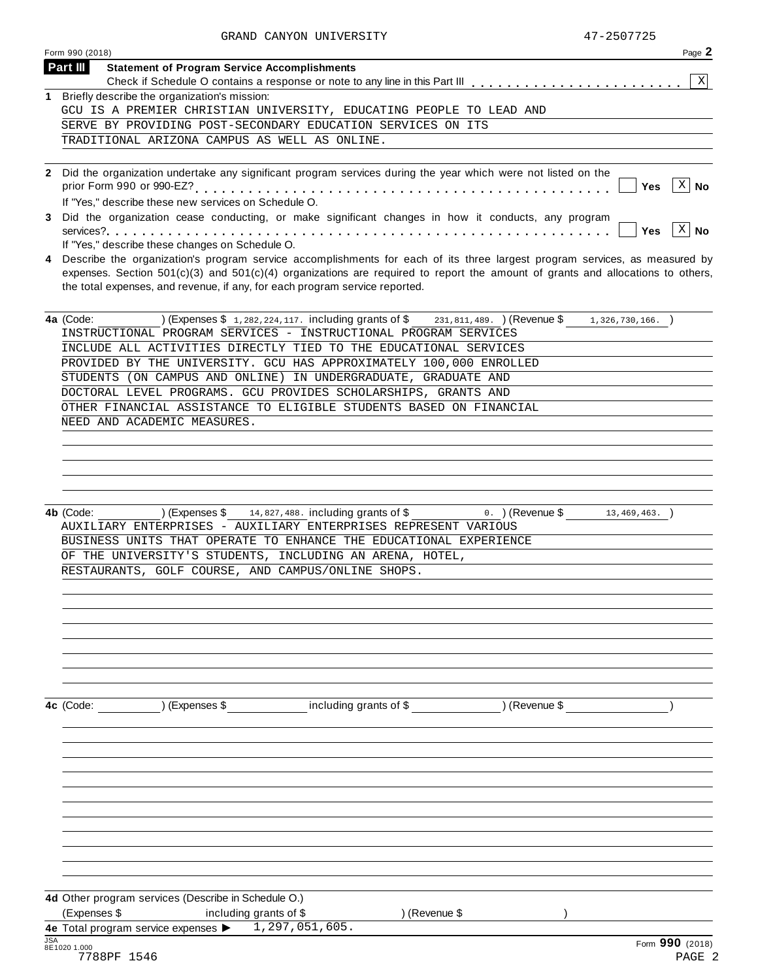|                 | Page 2<br>Form 990 (2018)                                                                                                          |
|-----------------|------------------------------------------------------------------------------------------------------------------------------------|
| <b>Part III</b> | <b>Statement of Program Service Accomplishments</b>                                                                                |
|                 | $\mathbf{X}$<br>Check if Schedule O contains a response or note to any line in this Part III                                       |
|                 | Briefly describe the organization's mission:                                                                                       |
|                 | GCU IS A PREMIER CHRISTIAN UNIVERSITY, EDUCATING PEOPLE TO LEAD AND                                                                |
|                 | SERVE BY PROVIDING POST-SECONDARY EDUCATION SERVICES ON ITS<br>TRADITIONAL ARIZONA CAMPUS AS WELL AS ONLINE.                       |
|                 |                                                                                                                                    |
|                 |                                                                                                                                    |
|                 | 2 Did the organization undertake any significant program services during the year which were not listed on the<br>X<br>Yes<br>No   |
|                 | If "Yes," describe these new services on Schedule O.                                                                               |
| 3               | Did the organization cease conducting, or make significant changes in how it conducts, any program                                 |
|                 | $\vert$ $\mathbb{X}\vert$ No<br><b>Yes</b>                                                                                         |
|                 | If "Yes," describe these changes on Schedule O.                                                                                    |
|                 | 4 Describe the organization's program service accomplishments for each of its three largest program services, as measured by       |
|                 | expenses. Section $501(c)(3)$ and $501(c)(4)$ organizations are required to report the amount of grants and allocations to others, |
|                 | the total expenses, and revenue, if any, for each program service reported.                                                        |
|                 |                                                                                                                                    |
|                 | 4a (Code:<br>) (Expenses $$1, 282, 224, 117$ . including grants of $$231, 811, 489$ . (Revenue $$$<br>$1,326,730,166.$ )           |
|                 | INSTRUCTIONAL PROGRAM SERVICES - INSTRUCTIONAL PROGRAM SERVICES                                                                    |
|                 | INCLUDE ALL ACTIVITIES DIRECTLY TIED TO THE EDUCATIONAL SERVICES                                                                   |
|                 | PROVIDED BY THE UNIVERSITY. GCU HAS APPROXIMATELY 100,000 ENROLLED                                                                 |
|                 | STUDENTS (ON CAMPUS AND ONLINE) IN UNDERGRADUATE, GRADUATE AND                                                                     |
|                 | DOCTORAL LEVEL PROGRAMS. GCU PROVIDES SCHOLARSHIPS, GRANTS AND                                                                     |
|                 | OTHER FINANCIAL ASSISTANCE TO ELIGIBLE STUDENTS BASED ON FINANCIAL                                                                 |
|                 | NEED AND ACADEMIC MEASURES.                                                                                                        |
|                 |                                                                                                                                    |
|                 |                                                                                                                                    |
|                 |                                                                                                                                    |
|                 |                                                                                                                                    |
|                 | ) (Expenses $$14,827,488$ . including grants of $$$<br>4b (Code:<br>o. )(Revenue \$<br>$13,469,463.$ )                             |
|                 | AUXILIARY ENTERPRISES - AUXILIARY ENTERPRISES REPRESENT VARIOUS                                                                    |
|                 | BUSINESS UNITS THAT OPERATE TO ENHANCE THE EDUCATIONAL EXPERIENCE                                                                  |
|                 | OF THE UNIVERSITY'S STUDENTS, INCLUDING AN ARENA, HOTEL,                                                                           |
|                 | RESTAURANTS, GOLF COURSE, AND CAMPUS/ONLINE SHOPS.                                                                                 |
|                 |                                                                                                                                    |
|                 |                                                                                                                                    |
|                 |                                                                                                                                    |
|                 |                                                                                                                                    |
|                 |                                                                                                                                    |
|                 |                                                                                                                                    |
|                 |                                                                                                                                    |
|                 |                                                                                                                                    |
|                 | ) (Expenses \$<br>including grants of \$<br>) (Revenue \$<br>4c (Code:                                                             |
|                 |                                                                                                                                    |
|                 |                                                                                                                                    |
|                 |                                                                                                                                    |
|                 |                                                                                                                                    |
|                 |                                                                                                                                    |
|                 |                                                                                                                                    |
|                 |                                                                                                                                    |
|                 |                                                                                                                                    |
|                 |                                                                                                                                    |
|                 |                                                                                                                                    |
|                 |                                                                                                                                    |
|                 |                                                                                                                                    |
|                 |                                                                                                                                    |
|                 | 4d Other program services (Describe in Schedule O.)                                                                                |
|                 | (Expenses \$<br>) (Revenue \$<br>including grants of \$<br>1,297,051,605.<br>4e Total program service expenses >                   |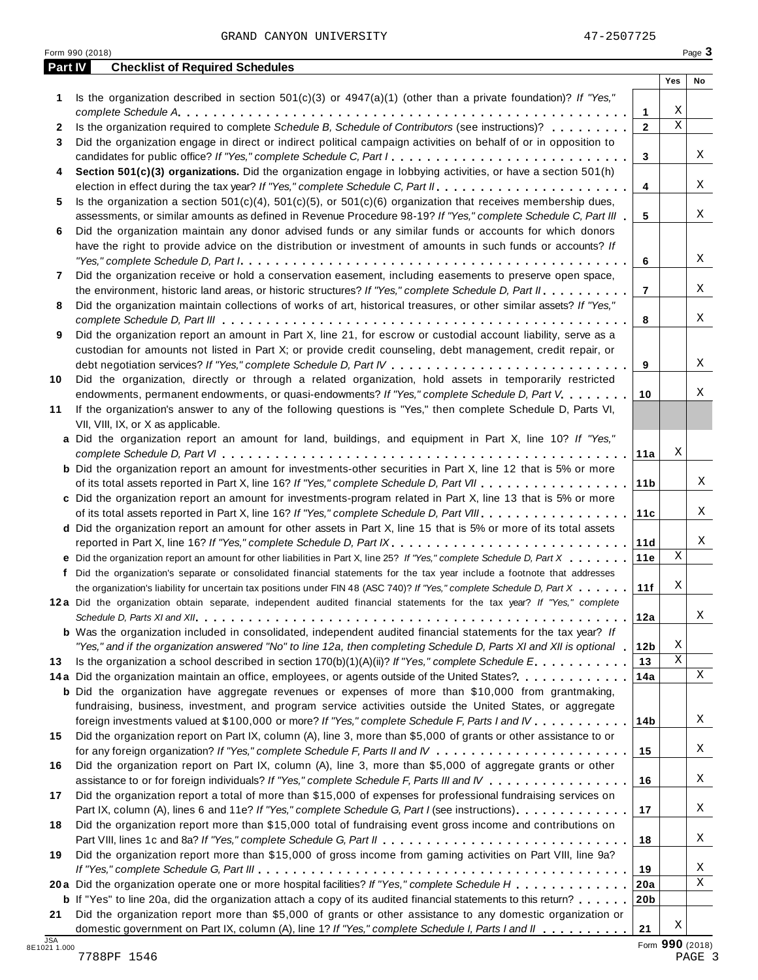GRAND CANYON UNIVERSITY 47-2507725

|              | Part IV<br><b>Checklist of Required Schedules</b>                                                                                                                                                                            |                        |             |    |
|--------------|------------------------------------------------------------------------------------------------------------------------------------------------------------------------------------------------------------------------------|------------------------|-------------|----|
|              |                                                                                                                                                                                                                              |                        | Yes         | No |
| 1            | Is the organization described in section $501(c)(3)$ or $4947(a)(1)$ (other than a private foundation)? If "Yes,"                                                                                                            |                        |             |    |
|              |                                                                                                                                                                                                                              | 1                      | Χ           |    |
| $\mathbf{2}$ | Is the organization required to complete Schedule B, Schedule of Contributors (see instructions)?                                                                                                                            | $\overline{2}$         | $\mathbf X$ |    |
| 3            | Did the organization engage in direct or indirect political campaign activities on behalf of or in opposition to                                                                                                             |                        |             |    |
|              | candidates for public office? If "Yes," complete Schedule C, Part I.                                                                                                                                                         | 3                      |             | Χ  |
| 4            | Section 501(c)(3) organizations. Did the organization engage in lobbying activities, or have a section 501(h)                                                                                                                |                        |             |    |
|              |                                                                                                                                                                                                                              | 4                      |             | X  |
| 5            | Is the organization a section $501(c)(4)$ , $501(c)(5)$ , or $501(c)(6)$ organization that receives membership dues,                                                                                                         |                        |             |    |
|              | assessments, or similar amounts as defined in Revenue Procedure 98-19? If "Yes," complete Schedule C, Part III                                                                                                               | 5                      |             | Χ  |
| 6            | Did the organization maintain any donor advised funds or any similar funds or accounts for which donors                                                                                                                      |                        |             |    |
|              | have the right to provide advice on the distribution or investment of amounts in such funds or accounts? If                                                                                                                  |                        |             | X  |
|              |                                                                                                                                                                                                                              | 6                      |             |    |
| 7            | Did the organization receive or hold a conservation easement, including easements to preserve open space,                                                                                                                    | $\overline{7}$         |             | Χ  |
|              | the environment, historic land areas, or historic structures? If "Yes," complete Schedule D, Part II.<br>Did the organization maintain collections of works of art, historical treasures, or other similar assets? If "Yes," |                        |             |    |
| 8            |                                                                                                                                                                                                                              | 8                      |             | Χ  |
| 9            | Did the organization report an amount in Part X, line 21, for escrow or custodial account liability, serve as a                                                                                                              |                        |             |    |
|              | custodian for amounts not listed in Part X; or provide credit counseling, debt management, credit repair, or                                                                                                                 |                        |             |    |
|              |                                                                                                                                                                                                                              | 9                      |             | X  |
| 10           | Did the organization, directly or through a related organization, hold assets in temporarily restricted                                                                                                                      |                        |             |    |
|              | endowments, permanent endowments, or quasi-endowments? If "Yes," complete Schedule D, Part V.                                                                                                                                | 10                     |             | Χ  |
| 11           | If the organization's answer to any of the following questions is "Yes," then complete Schedule D, Parts VI,                                                                                                                 |                        |             |    |
|              | VII, VIII, IX, or X as applicable.                                                                                                                                                                                           |                        |             |    |
|              | a Did the organization report an amount for land, buildings, and equipment in Part X, line 10? If "Yes,"                                                                                                                     |                        |             |    |
|              |                                                                                                                                                                                                                              | 11a                    | Χ           |    |
|              | <b>b</b> Did the organization report an amount for investments-other securities in Part X, line 12 that is 5% or more                                                                                                        |                        |             |    |
|              |                                                                                                                                                                                                                              | 11 <sub>b</sub>        |             | Χ  |
|              | c Did the organization report an amount for investments-program related in Part X, line 13 that is 5% or more                                                                                                                |                        |             |    |
|              |                                                                                                                                                                                                                              | 11c                    |             | Χ  |
|              | d Did the organization report an amount for other assets in Part X, line 15 that is 5% or more of its total assets                                                                                                           |                        |             |    |
|              | reported in Part X, line 16? If "Yes," complete Schedule D, Part IX.                                                                                                                                                         | 11d                    |             | Χ  |
|              | e Did the organization report an amount for other liabilities in Part X, line 25? If "Yes," complete Schedule D, Part X                                                                                                      | 11e                    | Χ           |    |
| f            | Did the organization's separate or consolidated financial statements for the tax year include a footnote that addresses                                                                                                      |                        |             |    |
|              | the organization's liability for uncertain tax positions under FIN 48 (ASC 740)? If "Yes," complete Schedule D, Part X                                                                                                       | 11f                    | Χ           |    |
|              | 12a Did the organization obtain separate, independent audited financial statements for the tax year? If "Yes," complete                                                                                                      |                        |             |    |
|              |                                                                                                                                                                                                                              | 12a                    |             | Χ  |
|              | <b>b</b> Was the organization included in consolidated, independent audited financial statements for the tax year? If                                                                                                        |                        |             |    |
|              | "Yes," and if the organization answered "No" to line 12a, then completing Schedule D, Parts XI and XII is optional                                                                                                           | 12 <sub>b</sub>        | Χ           |    |
| 13           | Is the organization a school described in section $170(b)(1)(A)(ii)?$ If "Yes," complete Schedule E.                                                                                                                         | 13                     | Χ           |    |
|              | 14a Did the organization maintain an office, employees, or agents outside of the United States?                                                                                                                              | 14a                    |             | X  |
|              | <b>b</b> Did the organization have aggregate revenues or expenses of more than \$10,000 from grantmaking,                                                                                                                    |                        |             |    |
|              | fundraising, business, investment, and program service activities outside the United States, or aggregate                                                                                                                    |                        |             |    |
|              | foreign investments valued at \$100,000 or more? If "Yes," complete Schedule F, Parts I and IV                                                                                                                               | 14b                    |             | Χ  |
| 15           | Did the organization report on Part IX, column (A), line 3, more than \$5,000 of grants or other assistance to or                                                                                                            |                        |             |    |
|              |                                                                                                                                                                                                                              | 15                     |             | Χ  |
| 16           | Did the organization report on Part IX, column (A), line 3, more than \$5,000 of aggregate grants or other                                                                                                                   |                        |             |    |
|              | assistance to or for foreign individuals? If "Yes," complete Schedule F, Parts III and IV                                                                                                                                    | 16                     |             | Χ  |
| 17           | Did the organization report a total of more than \$15,000 of expenses for professional fundraising services on                                                                                                               |                        |             |    |
|              | Part IX, column (A), lines 6 and 11e? If "Yes," complete Schedule G, Part I (see instructions)                                                                                                                               | 17                     |             | Χ  |
| 18           | Did the organization report more than \$15,000 total of fundraising event gross income and contributions on                                                                                                                  |                        |             |    |
|              |                                                                                                                                                                                                                              | 18                     |             | Χ  |
| 19           | Did the organization report more than \$15,000 of gross income from gaming activities on Part VIII, line 9a?                                                                                                                 |                        |             | Χ  |
|              |                                                                                                                                                                                                                              | 19                     |             | X  |
|              | 20a Did the organization operate one or more hospital facilities? If "Yes," complete Schedule H<br><b>b</b> If "Yes" to line 20a, did the organization attach a copy of its audited financial statements to this return?     | 20a<br>20 <sub>b</sub> |             |    |
|              |                                                                                                                                                                                                                              |                        |             |    |
| 21           | Did the organization report more than \$5,000 of grants or other assistance to any domestic organization or                                                                                                                  |                        |             |    |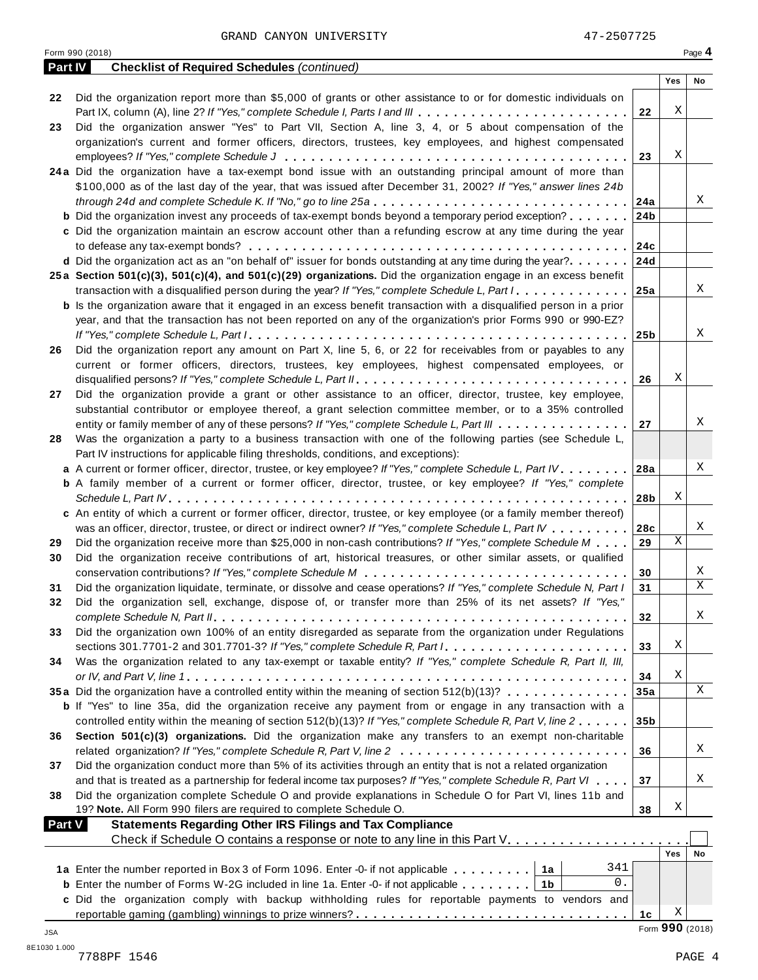GRAND CANYON UNIVERSITY 47-2507725

|               | Form 990 (2018)                                                                                                                                                                    |                 |                      | Page 4 |
|---------------|------------------------------------------------------------------------------------------------------------------------------------------------------------------------------------|-----------------|----------------------|--------|
| Part IV       | <b>Checklist of Required Schedules (continued)</b>                                                                                                                                 |                 |                      |        |
|               |                                                                                                                                                                                    |                 | Yes                  | No     |
| 22            | Did the organization report more than \$5,000 of grants or other assistance to or for domestic individuals on                                                                      |                 | Χ                    |        |
| 23            | Part IX, column (A), line 2? If "Yes," complete Schedule I, Parts I and III<br>Did the organization answer "Yes" to Part VII, Section A, line 3, 4, or 5 about compensation of the | 22              |                      |        |
|               | organization's current and former officers, directors, trustees, key employees, and highest compensated                                                                            |                 |                      |        |
|               |                                                                                                                                                                                    | 23              | Χ                    |        |
|               | 24a Did the organization have a tax-exempt bond issue with an outstanding principal amount of more than                                                                            |                 |                      |        |
|               | \$100,000 as of the last day of the year, that was issued after December 31, 2002? If "Yes," answer lines 24b                                                                      |                 |                      |        |
|               | through 24d and complete Schedule K. If "No," go to line 25a                                                                                                                       | 24a             |                      | Χ      |
|               | <b>b</b> Did the organization invest any proceeds of tax-exempt bonds beyond a temporary period exception?                                                                         | 24 <sub>b</sub> |                      |        |
|               | c Did the organization maintain an escrow account other than a refunding escrow at any time during the year                                                                        |                 |                      |        |
|               |                                                                                                                                                                                    | 24c             |                      |        |
|               | d Did the organization act as an "on behalf of" issuer for bonds outstanding at any time during the year?                                                                          | 24d             |                      |        |
|               | 25a Section 501(c)(3), 501(c)(4), and 501(c)(29) organizations. Did the organization engage in an excess benefit                                                                   |                 |                      |        |
|               | transaction with a disqualified person during the year? If "Yes," complete Schedule L, Part I                                                                                      | 25a             |                      | X      |
|               | <b>b</b> Is the organization aware that it engaged in an excess benefit transaction with a disqualified person in a prior                                                          |                 |                      |        |
|               | year, and that the transaction has not been reported on any of the organization's prior Forms 990 or 990-EZ?                                                                       |                 |                      |        |
|               |                                                                                                                                                                                    | 25b             |                      | X      |
| 26            | Did the organization report any amount on Part X, line 5, 6, or 22 for receivables from or payables to any                                                                         |                 |                      |        |
|               | current or former officers, directors, trustees, key employees, highest compensated employees, or                                                                                  | 26              | Χ                    |        |
| 27            | Did the organization provide a grant or other assistance to an officer, director, trustee, key employee,                                                                           |                 |                      |        |
|               | substantial contributor or employee thereof, a grant selection committee member, or to a 35% controlled                                                                            |                 |                      |        |
|               | entity or family member of any of these persons? If "Yes," complete Schedule L, Part III                                                                                           | 27              |                      | X      |
| 28            | Was the organization a party to a business transaction with one of the following parties (see Schedule L,                                                                          |                 |                      |        |
|               | Part IV instructions for applicable filing thresholds, conditions, and exceptions):                                                                                                |                 |                      |        |
|               | a A current or former officer, director, trustee, or key employee? If "Yes," complete Schedule L, Part IV.                                                                         | 28a             |                      | X      |
|               | <b>b</b> A family member of a current or former officer, director, trustee, or key employee? If "Yes," complete                                                                    |                 |                      |        |
|               |                                                                                                                                                                                    | 28b             | Χ                    |        |
|               | c An entity of which a current or former officer, director, trustee, or key employee (or a family member thereof)                                                                  |                 |                      |        |
|               | was an officer, director, trustee, or direct or indirect owner? If "Yes," complete Schedule L, Part IV                                                                             | 28c             |                      | Χ      |
| 29            | Did the organization receive more than \$25,000 in non-cash contributions? If "Yes," complete Schedule M                                                                           | 29              | Χ                    |        |
| 30            | Did the organization receive contributions of art, historical treasures, or other similar assets, or qualified                                                                     |                 |                      |        |
|               |                                                                                                                                                                                    | 30              |                      | X      |
| 31            | Did the organization liquidate, terminate, or dissolve and cease operations? If "Yes," complete Schedule N, Part I                                                                 | 31              |                      | X      |
|               | Did the organization sell, exchange, dispose of, or transfer more than 25% of its net assets? If "Yes,"                                                                            |                 |                      |        |
|               |                                                                                                                                                                                    | 32              |                      | Χ      |
| 33            | Did the organization own 100% of an entity disregarded as separate from the organization under Regulations                                                                         |                 | Χ                    |        |
| 34            | Was the organization related to any tax-exempt or taxable entity? If "Yes," complete Schedule R, Part II, III,                                                                     | 33              |                      |        |
|               |                                                                                                                                                                                    | 34              | Χ                    |        |
|               | 35a Did the organization have a controlled entity within the meaning of section 512(b)(13)?                                                                                        | 35a             |                      | Χ      |
|               | <b>b</b> If "Yes" to line 35a, did the organization receive any payment from or engage in any transaction with a                                                                   |                 |                      |        |
|               | controlled entity within the meaning of section 512(b)(13)? If "Yes," complete Schedule R, Part V, line 2                                                                          | 35 <sub>b</sub> |                      |        |
| 36            | Section 501(c)(3) organizations. Did the organization make any transfers to an exempt non-charitable                                                                               |                 |                      |        |
|               |                                                                                                                                                                                    | 36              |                      | Χ      |
| 37            | Did the organization conduct more than 5% of its activities through an entity that is not a related organization                                                                   |                 |                      |        |
|               | and that is treated as a partnership for federal income tax purposes? If "Yes," complete Schedule R, Part VI                                                                       | 37              |                      | Χ      |
| 38            | Did the organization complete Schedule O and provide explanations in Schedule O for Part VI, lines 11b and                                                                         |                 |                      |        |
|               | 19? Note. All Form 990 filers are required to complete Schedule O.                                                                                                                 | 38              | Χ                    |        |
| <b>Part V</b> | <b>Statements Regarding Other IRS Filings and Tax Compliance</b>                                                                                                                   |                 |                      |        |
|               | Check if Schedule O contains a response or note to any line in this Part V.                                                                                                        |                 |                      |        |
|               |                                                                                                                                                                                    |                 | Yes                  | No     |
|               | 341<br>1a Enter the number reported in Box 3 of Form 1096. Enter -0- if not applicable<br>1a                                                                                       |                 |                      |        |
|               | 0.<br><b>b</b> Enter the number of Forms W-2G included in line 1a. Enter -0- if not applicable $\ldots$ ,,,,,<br>1b                                                                |                 |                      |        |
|               | c Did the organization comply with backup withholding rules for reportable payments to vendors and                                                                                 |                 |                      |        |
|               |                                                                                                                                                                                    | 1c              | Χ<br>Form 990 (2018) |        |
| JSA           |                                                                                                                                                                                    |                 |                      |        |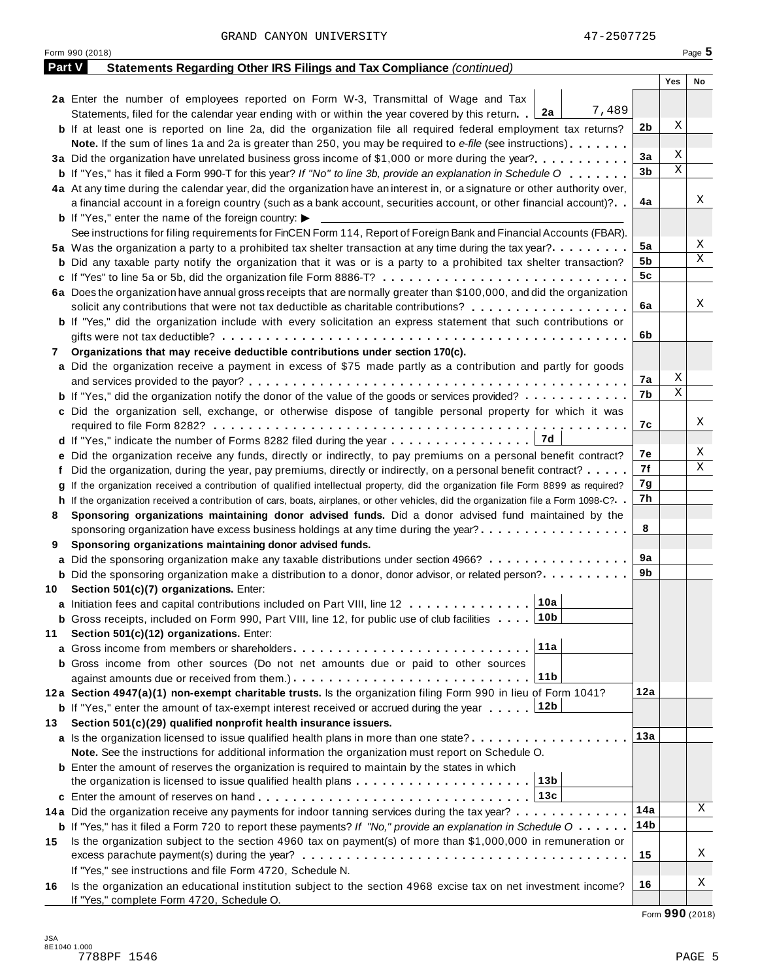|        | Form 990 (2018)                                                                                                                                              |     |     | Page 5 |
|--------|--------------------------------------------------------------------------------------------------------------------------------------------------------------|-----|-----|--------|
| Part V | Statements Regarding Other IRS Filings and Tax Compliance (continued)                                                                                        |     |     |        |
|        |                                                                                                                                                              |     | Yes | No     |
|        | 2a Enter the number of employees reported on Form W-3, Transmittal of Wage and Tax                                                                           |     |     |        |
|        | 7,489<br>Statements, filed for the calendar year ending with or within the year covered by this return. 2a                                                   |     |     |        |
|        | <b>b</b> If at least one is reported on line 2a, did the organization file all required federal employment tax returns?                                      | 2b  | Χ   |        |
|        | <b>Note.</b> If the sum of lines 1a and 2a is greater than 250, you may be required to e-file (see instructions).                                            |     |     |        |
|        | 3a Did the organization have unrelated business gross income of \$1,000 or more during the year?                                                             | 3a  | Χ   |        |
|        | <b>b</b> If "Yes," has it filed a Form 990-T for this year? If "No" to line 3b, provide an explanation in Schedule O                                         | 3b  | Χ   |        |
|        | 4a At any time during the calendar year, did the organization have an interest in, or a signature or other authority over,                                   |     |     |        |
|        | a financial account in a foreign country (such as a bank account, securities account, or other financial account)?                                           | 4a  |     | Χ      |
|        | <b>b</b> If "Yes," enter the name of the foreign country: $\blacktriangleright$                                                                              |     |     |        |
|        | See instructions for filing requirements for FinCEN Form 114, Report of Foreign Bank and Financial Accounts (FBAR).                                          |     |     |        |
|        | 5a Was the organization a party to a prohibited tax shelter transaction at any time during the tax year?                                                     | 5a  |     | Χ      |
|        | <b>b</b> Did any taxable party notify the organization that it was or is a party to a prohibited tax shelter transaction?                                    | 5b  |     | Χ      |
|        | c If "Yes" to line 5a or 5b, did the organization file Form 8886-T?                                                                                          | 5c  |     |        |
|        | 6a Does the organization have annual gross receipts that are normally greater than \$100,000, and did the organization                                       |     |     |        |
|        | solicit any contributions that were not tax deductible as charitable contributions?                                                                          | 6a  |     | Χ      |
|        | <b>b</b> If "Yes," did the organization include with every solicitation an express statement that such contributions or                                      |     |     |        |
|        |                                                                                                                                                              | 6b  |     |        |
|        | Organizations that may receive deductible contributions under section 170(c).                                                                                |     |     |        |
| 7      |                                                                                                                                                              |     |     |        |
|        | a Did the organization receive a payment in excess of \$75 made partly as a contribution and partly for goods                                                | 7а  | Χ   |        |
|        |                                                                                                                                                              | 7b  | Χ   |        |
|        | <b>b</b> If "Yes," did the organization notify the donor of the value of the goods or services provided?                                                     |     |     |        |
|        | c Did the organization sell, exchange, or otherwise dispose of tangible personal property for which it was                                                   |     |     | Χ      |
|        |                                                                                                                                                              | 7с  |     |        |
|        | 17d<br><b>d</b> If "Yes," indicate the number of Forms 8282 filed during the year $\dots \dots \dots \dots \dots$                                            |     |     | Χ      |
|        | e Did the organization receive any funds, directly or indirectly, to pay premiums on a personal benefit contract?                                            | 7е  |     | Χ      |
|        | f Did the organization, during the year, pay premiums, directly or indirectly, on a personal benefit contract?                                               | 7f  |     |        |
|        | If the organization received a contribution of qualified intellectual property, did the organization file Form 8899 as required?                             | 7g  |     |        |
|        | h If the organization received a contribution of cars, boats, airplanes, or other vehicles, did the organization file a Form 1098-C?                         | 7h  |     |        |
| 8      | Sponsoring organizations maintaining donor advised funds. Did a donor advised fund maintained by the                                                         |     |     |        |
|        | sponsoring organization have excess business holdings at any time during the year?                                                                           | 8   |     |        |
| 9      | Sponsoring organizations maintaining donor advised funds.                                                                                                    |     |     |        |
|        | a Did the sponsoring organization make any taxable distributions under section 4966?                                                                         | 9а  |     |        |
|        | <b>b</b> Did the sponsoring organization make a distribution to a donor, donor advisor, or related person?                                                   | 9b  |     |        |
|        | 10 Section 501(c)(7) organizations. Enter:                                                                                                                   |     |     |        |
|        |                                                                                                                                                              |     |     |        |
|        | <b>b</b> Gross receipts, included on Form 990, Part VIII, line 12, for public use of club facilities 10b                                                     |     |     |        |
| 11     | Section 501(c)(12) organizations. Enter:                                                                                                                     |     |     |        |
|        | 11a                                                                                                                                                          |     |     |        |
|        | b Gross income from other sources (Do not net amounts due or paid to other sources                                                                           |     |     |        |
|        | 11b                                                                                                                                                          |     |     |        |
|        | 12a Section 4947(a)(1) non-exempt charitable trusts. Is the organization filing Form 990 in lieu of Form 1041?                                               | 12a |     |        |
|        | 12b<br><b>b</b> If "Yes," enter the amount of tax-exempt interest received or accrued during the year                                                        |     |     |        |
| 13     | Section 501(c)(29) qualified nonprofit health insurance issuers.                                                                                             |     |     |        |
|        | a Is the organization licensed to issue qualified health plans in more than one state?                                                                       | 13а |     |        |
|        | Note. See the instructions for additional information the organization must report on Schedule O.                                                            |     |     |        |
|        | <b>b</b> Enter the amount of reserves the organization is required to maintain by the states in which                                                        |     |     |        |
|        | 13b<br>the organization is licensed to issue qualified health plans $\ldots \ldots \ldots \ldots \ldots \ldots \ldots$                                       |     |     |        |
|        | 13c                                                                                                                                                          |     |     |        |
|        | 14a Did the organization receive any payments for indoor tanning services during the tax year?                                                               | 14a |     | Χ      |
|        | <b>b</b> If "Yes," has it filed a Form 720 to report these payments? If "No," provide an explanation in Schedule $0 \cdot \cdot \cdot \cdot$                 | 14b |     |        |
| 15     | Is the organization subject to the section 4960 tax on payment(s) of more than \$1,000,000 in remuneration or                                                |     |     |        |
|        |                                                                                                                                                              | 15  |     | Χ      |
|        | If "Yes," see instructions and file Form 4720, Schedule N.                                                                                                   |     |     |        |
|        |                                                                                                                                                              | 16  |     | Χ      |
| 16     | Is the organization an educational institution subject to the section 4968 excise tax on net investment income?<br>If "Yes," complete Form 4720, Schedule O. |     |     |        |

Form **990** (2018)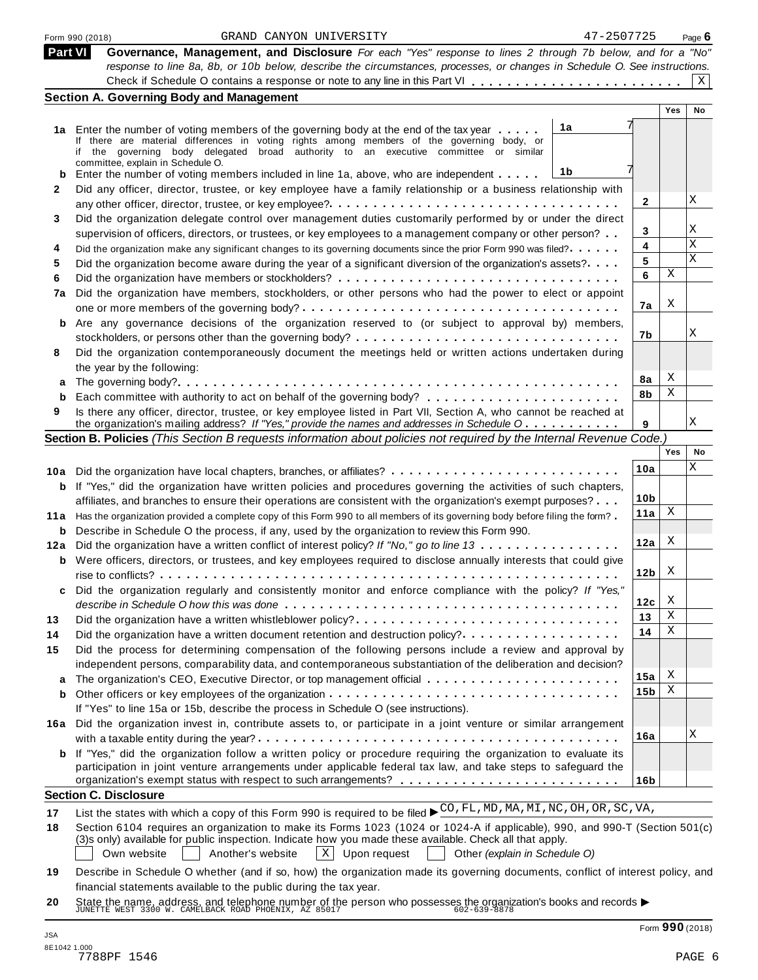|                | GRAND CANYON UNIVERSITY<br>Form 990 (2018)                                                                                                                                                                      | 47-2507725      |     | Page $6$ |
|----------------|-----------------------------------------------------------------------------------------------------------------------------------------------------------------------------------------------------------------|-----------------|-----|----------|
| <b>Part VI</b> | Governance, Management, and Disclosure For each "Yes" response to lines 2 through 7b below, and for a "No"                                                                                                      |                 |     |          |
|                | response to line 8a, 8b, or 10b below, describe the circumstances, processes, or changes in Schedule O. See instructions.                                                                                       |                 |     |          |
|                |                                                                                                                                                                                                                 |                 |     | X        |
|                | <b>Section A. Governing Body and Management</b>                                                                                                                                                                 |                 |     |          |
|                |                                                                                                                                                                                                                 |                 | Yes | No       |
|                | 1a<br>1a Enter the number of voting members of the governing body at the end of the tax year                                                                                                                    |                 |     |          |
|                | If there are material differences in voting rights among members of the governing body, or<br>if the governing body delegated broad authority to an executive committee or similar                              |                 |     |          |
|                | committee, explain in Schedule O.                                                                                                                                                                               |                 |     |          |
|                | 1b<br>Enter the number of voting members included in line 1a, above, who are independent                                                                                                                        |                 |     |          |
| 2              | Did any officer, director, trustee, or key employee have a family relationship or a business relationship with                                                                                                  |                 |     |          |
|                |                                                                                                                                                                                                                 | 2               |     | Χ        |
| 3              | Did the organization delegate control over management duties customarily performed by or under the direct                                                                                                       |                 |     |          |
|                | supervision of officers, directors, or trustees, or key employees to a management company or other person?                                                                                                      | 3               |     | Χ        |
| 4              | Did the organization make any significant changes to its governing documents since the prior Form 990 was filed?                                                                                                | 4               |     | Χ<br>X   |
| 5              | Did the organization become aware during the year of a significant diversion of the organization's assets?                                                                                                      | 5               | Χ   |          |
| 6              |                                                                                                                                                                                                                 | 6               |     |          |
| 7a             | Did the organization have members, stockholders, or other persons who had the power to elect or appoint                                                                                                         |                 |     |          |
|                |                                                                                                                                                                                                                 | 7a              | X   |          |
| b              | Are any governance decisions of the organization reserved to (or subject to approval by) members,                                                                                                               |                 |     |          |
|                |                                                                                                                                                                                                                 | 7b              |     | Χ        |
| 8              | Did the organization contemporaneously document the meetings held or written actions undertaken during                                                                                                          |                 |     |          |
|                | the year by the following:                                                                                                                                                                                      |                 | Χ   |          |
|                |                                                                                                                                                                                                                 | 8a              | Χ   |          |
| b              |                                                                                                                                                                                                                 | 8b              |     |          |
| 9              | Is there any officer, director, trustee, or key employee listed in Part VII, Section A, who cannot be reached at<br>the organization's mailing address? If "Yes," provide the names and addresses in Schedule O | 9               |     | Χ        |
|                | Section B. Policies (This Section B requests information about policies not required by the Internal Revenue Code.)                                                                                             |                 |     |          |
|                |                                                                                                                                                                                                                 |                 | Yes | No       |
|                | 10a Did the organization have local chapters, branches, or affiliates?                                                                                                                                          | 10a             |     | Χ        |
| b              | If "Yes," did the organization have written policies and procedures governing the activities of such chapters,                                                                                                  |                 |     |          |
|                | affiliates, and branches to ensure their operations are consistent with the organization's exempt purposes?                                                                                                     | 10 <sub>b</sub> |     |          |
| 11 a           | Has the organization provided a complete copy of this Form 990 to all members of its governing body before filing the form?                                                                                     | 11a             | X   |          |
| b              | Describe in Schedule O the process, if any, used by the organization to review this Form 990.                                                                                                                   |                 |     |          |
| 12a            | Did the organization have a written conflict of interest policy? If "No," go to line 13                                                                                                                         | 12a             | X   |          |
|                | <b>b</b> Were officers, directors, or trustees, and key employees required to disclose annually interests that could give                                                                                       |                 |     |          |
|                |                                                                                                                                                                                                                 | 12 <sub>b</sub> | X   |          |
| c              | Did the organization regularly and consistently monitor and enforce compliance with the policy? If "Yes,"                                                                                                       |                 |     |          |
|                |                                                                                                                                                                                                                 | 12c             | X   |          |
| 13             | Did the organization have a written whistleblower policy?                                                                                                                                                       | 13              | Χ   |          |
| 14             | Did the organization have a written document retention and destruction policy?                                                                                                                                  | 14              | Χ   |          |
| 15             | Did the process for determining compensation of the following persons include a review and approval by                                                                                                          |                 |     |          |
|                | independent persons, comparability data, and contemporaneous substantiation of the deliberation and decision?                                                                                                   |                 |     |          |
| a              |                                                                                                                                                                                                                 | 15a             | X   |          |
| b              |                                                                                                                                                                                                                 | 15 <sub>b</sub> | Χ   |          |
|                | If "Yes" to line 15a or 15b, describe the process in Schedule O (see instructions).                                                                                                                             |                 |     |          |
| 16а            | Did the organization invest in, contribute assets to, or participate in a joint venture or similar arrangement                                                                                                  |                 |     |          |
|                |                                                                                                                                                                                                                 | 16a             |     | Χ        |
|                | <b>b</b> If "Yes," did the organization follow a written policy or procedure requiring the organization to evaluate its                                                                                         |                 |     |          |
|                | participation in joint venture arrangements under applicable federal tax law, and take steps to safeguard the                                                                                                   |                 |     |          |
|                |                                                                                                                                                                                                                 | 16 <sub>b</sub> |     |          |
|                | <b>Section C. Disclosure</b>                                                                                                                                                                                    |                 |     |          |
| 17             | List the states with which a copy of this Form 990 is required to be filed ▶ CO, FL, MD, MA, MT, NC, OH, OR, SC, VA,                                                                                            |                 |     |          |
| 18             | Section 6104 requires an organization to make its Forms 1023 (1024 or 1024-A if applicable), 990, and 990-T (Section 501(c)                                                                                     |                 |     |          |
|                | (3)s only) available for public inspection. Indicate how you made these available. Check all that apply.                                                                                                        |                 |     |          |
|                | $\vert x \vert$<br>Own website<br>Another's website<br>Upon request<br>Other (explain in Schedule O)                                                                                                            |                 |     |          |
| 19             | Describe in Schedule O whether (and if so, how) the organization made its governing documents, conflict of interest policy, and                                                                                 |                 |     |          |
|                | financial statements available to the public during the tax year.                                                                                                                                               |                 |     |          |

**20** Inflaticial statements available to the public during the tax year.<br>State the name, address, and telephone number of the person who possesses the organization's books and records<br>JUNETTE WEST 3300 W. CAMELBACK ROAD PHOENIX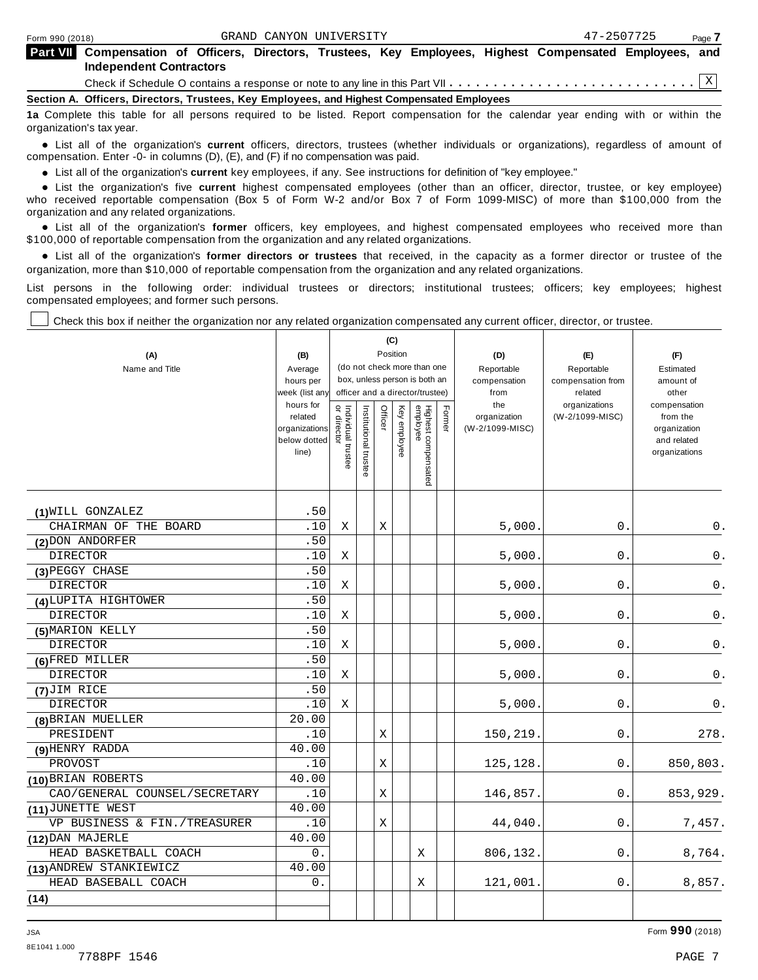| <b>Part VIII</b> Compensation of Officers, Directors, Trustees, Key Employees, Highest Compensated Employees, and<br>Independent Contractors |
|----------------------------------------------------------------------------------------------------------------------------------------------|
|                                                                                                                                              |
| Section A. Officers, Directors, Trustees, Key Employees, and Highest Compensated Employees                                                   |

**1a** Complete this table for all persons required to be listed. Report compensation for the calendar year ending with or within the organization's tax year.

anization's lax year.<br>● List all of the organization's **current** officers, directors, trustees (whether individuals or organizations), regardless of amount of<br>nnensation Enter -0- in columns (D) (E) and (E) if no compensa compensation. Enter -0- in columns (D), (E), and (F) if no compensation was paid.

• List all of the organization's **current** key employees, if any. See instructions for definition of "key employee."<br>● List the experientials five expect highest expressed explores (other than an efficer director of

**Example in the organization's current** key employees, if any. See instructions for definition of key employee.<br>• List the organization's five **current** highest compensated employees (other than an officer, director, trust who received reportable compensation (Box 5 of Form W-2 and/or Box 7 of Form 1099-MISC) of more than \$100,000 from the

organization and any related organizations.<br>• List all of the organization's **former** officers, key employees, and highest compensated employees who received more than<br>\$1.00.000 of reportable componention from the erganiza \$100,000 of reportable compensation from the organization and any related organizations.

% List all of the organization's **former directors or trustees** that received, in the capacity as a former director or trustee of the organization, more than \$10,000 of reportable compensation from the organization and any related organizations.

List persons in the following order: individual trustees or directors; institutional trustees; officers; key employees; highest compensated employees; and former such persons.

Check this box if neither the organization nor any related organization compensated any current officer, director, or trustee.

| (A)<br>Name and Title         | (B)<br>Average<br>hours per<br>week (list an <sub>'</sub><br>hours for<br>related<br>organizations<br>below dotted<br>line) | Individual trustee<br>or director | (C)<br>Position<br>(do not check more than one<br>box, unless person is both an<br>officer and a director/trustee)<br>Highest compensated<br>employee<br>Former<br>Officer<br>Key employee<br>Institutional trustee |   | (D)<br>Reportable<br>compensation<br>from<br>the<br>organization<br>(W-2/1099-MISC) | (E)<br>Reportable<br>compensation from<br>related<br>organizations<br>(W-2/1099-MISC) | (F)<br>Estimated<br>amount of<br>other<br>compensation<br>from the<br>organization<br>and related<br>organizations |       |               |
|-------------------------------|-----------------------------------------------------------------------------------------------------------------------------|-----------------------------------|---------------------------------------------------------------------------------------------------------------------------------------------------------------------------------------------------------------------|---|-------------------------------------------------------------------------------------|---------------------------------------------------------------------------------------|--------------------------------------------------------------------------------------------------------------------|-------|---------------|
| (1) WILL GONZALEZ             | .50                                                                                                                         |                                   |                                                                                                                                                                                                                     |   |                                                                                     |                                                                                       |                                                                                                                    |       |               |
| CHAIRMAN OF THE BOARD         | .10                                                                                                                         | X                                 |                                                                                                                                                                                                                     | Χ |                                                                                     |                                                                                       | 5,000.                                                                                                             | 0.    | 0.            |
| (2) DON ANDORFER              | .50                                                                                                                         |                                   |                                                                                                                                                                                                                     |   |                                                                                     |                                                                                       |                                                                                                                    |       |               |
| <b>DIRECTOR</b>               | .10                                                                                                                         | Χ                                 |                                                                                                                                                                                                                     |   |                                                                                     |                                                                                       | 5,000                                                                                                              | 0.    | 0.            |
| (3) PEGGY CHASE               | .50                                                                                                                         |                                   |                                                                                                                                                                                                                     |   |                                                                                     |                                                                                       |                                                                                                                    |       |               |
| <b>DIRECTOR</b>               | .10                                                                                                                         | Χ                                 |                                                                                                                                                                                                                     |   |                                                                                     |                                                                                       | 5,000.                                                                                                             | 0.    | 0.            |
| (4) LUPITA HIGHTOWER          | .50                                                                                                                         |                                   |                                                                                                                                                                                                                     |   |                                                                                     |                                                                                       |                                                                                                                    |       |               |
| <b>DIRECTOR</b>               | .10                                                                                                                         | Χ                                 |                                                                                                                                                                                                                     |   |                                                                                     |                                                                                       | 5,000.                                                                                                             | $0$ . | $\mathsf 0$ . |
| (5) MARION KELLY              | .50                                                                                                                         |                                   |                                                                                                                                                                                                                     |   |                                                                                     |                                                                                       |                                                                                                                    |       |               |
| <b>DIRECTOR</b>               | .10                                                                                                                         | Χ                                 |                                                                                                                                                                                                                     |   |                                                                                     |                                                                                       | 5,000                                                                                                              | 0.    | $\mathsf 0$ . |
| (6)FRED MILLER                | .50                                                                                                                         |                                   |                                                                                                                                                                                                                     |   |                                                                                     |                                                                                       |                                                                                                                    |       |               |
| <b>DIRECTOR</b>               | .10                                                                                                                         | Χ                                 |                                                                                                                                                                                                                     |   |                                                                                     |                                                                                       | 5,000.                                                                                                             | 0.    | 0.            |
| $(7)$ JIM RICE                | .50                                                                                                                         |                                   |                                                                                                                                                                                                                     |   |                                                                                     |                                                                                       |                                                                                                                    |       |               |
| <b>DIRECTOR</b>               | .10                                                                                                                         | Χ                                 |                                                                                                                                                                                                                     |   |                                                                                     |                                                                                       | 5,000.                                                                                                             | 0.    | 0.            |
| (8) BRIAN MUELLER             | 20.00                                                                                                                       |                                   |                                                                                                                                                                                                                     |   |                                                                                     |                                                                                       |                                                                                                                    |       |               |
| PRESIDENT                     | .10                                                                                                                         |                                   |                                                                                                                                                                                                                     | Χ |                                                                                     |                                                                                       | 150,219.                                                                                                           | 0.    | 278.          |
| (9) HENRY RADDA               | 40.00                                                                                                                       |                                   |                                                                                                                                                                                                                     |   |                                                                                     |                                                                                       |                                                                                                                    |       |               |
| PROVOST                       | .10                                                                                                                         |                                   |                                                                                                                                                                                                                     | Х |                                                                                     |                                                                                       | 125,128.                                                                                                           | 0.    | 850,803.      |
| (10) BRIAN ROBERTS            | 40.00                                                                                                                       |                                   |                                                                                                                                                                                                                     |   |                                                                                     |                                                                                       |                                                                                                                    |       |               |
| CAO/GENERAL COUNSEL/SECRETARY | .10                                                                                                                         |                                   |                                                                                                                                                                                                                     | X |                                                                                     |                                                                                       | 146,857.                                                                                                           | 0.    | 853,929.      |
| (11) JUNETTE WEST             | 40.00                                                                                                                       |                                   |                                                                                                                                                                                                                     |   |                                                                                     |                                                                                       |                                                                                                                    |       |               |
| VP BUSINESS & FIN./TREASURER  | .10                                                                                                                         |                                   |                                                                                                                                                                                                                     | Χ |                                                                                     |                                                                                       | 44,040.                                                                                                            | 0.    | 7,457.        |
| (12) DAN MAJERLE              | 40.00                                                                                                                       |                                   |                                                                                                                                                                                                                     |   |                                                                                     |                                                                                       |                                                                                                                    |       |               |
| HEAD BASKETBALL COACH         | 0.                                                                                                                          |                                   |                                                                                                                                                                                                                     |   | Χ                                                                                   |                                                                                       | 806,132.                                                                                                           | 0.    | 8,764.        |
| (13) ANDREW STANKIEWICZ       | 40.00                                                                                                                       |                                   |                                                                                                                                                                                                                     |   |                                                                                     |                                                                                       |                                                                                                                    |       |               |
| HEAD BASEBALL COACH           | 0.                                                                                                                          |                                   |                                                                                                                                                                                                                     |   | Χ                                                                                   |                                                                                       | 121,001.                                                                                                           | 0.    | 8,857.        |
| (14)                          |                                                                                                                             |                                   |                                                                                                                                                                                                                     |   |                                                                                     |                                                                                       |                                                                                                                    |       |               |
|                               |                                                                                                                             |                                   |                                                                                                                                                                                                                     |   |                                                                                     |                                                                                       |                                                                                                                    |       |               |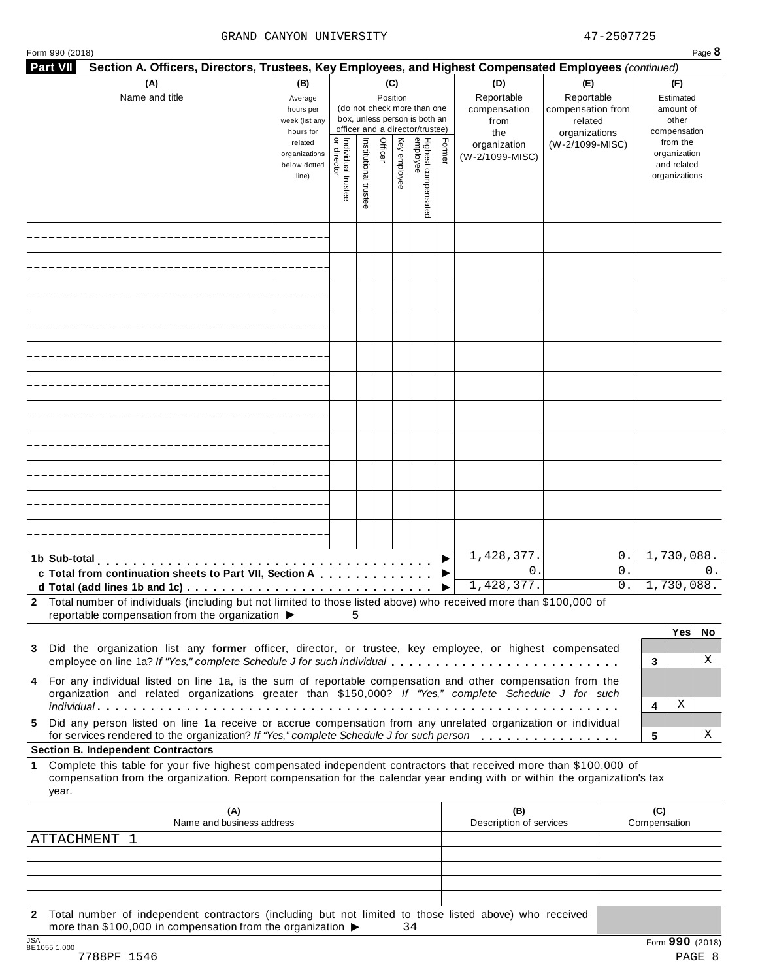#### GRAND CANYON UNIVERSITY 47-2507725

| <b>Part VII</b><br>Section A. Officers, Directors, Trustees, Key Employees, and Highest Compensated Employees (continued)                                                                                                                                                |                                                            |                                   |                       |                 |              |                                                                                                 |        |                                           |                                                   |                     |                                                          |     |
|--------------------------------------------------------------------------------------------------------------------------------------------------------------------------------------------------------------------------------------------------------------------------|------------------------------------------------------------|-----------------------------------|-----------------------|-----------------|--------------|-------------------------------------------------------------------------------------------------|--------|-------------------------------------------|---------------------------------------------------|---------------------|----------------------------------------------------------|-----|
| (A)<br>Name and title                                                                                                                                                                                                                                                    | (B)<br>Average<br>hours per<br>week (list any<br>hours for |                                   |                       | (C)<br>Position |              | (do not check more than one<br>box, unless person is both an<br>officer and a director/trustee) |        | (D)<br>Reportable<br>compensation<br>from | (E)<br>Reportable<br>compensation from<br>related |                     | (F)<br>Estimated<br>amount of<br>other<br>compensation   |     |
|                                                                                                                                                                                                                                                                          | related<br>organizations<br>below dotted<br>line)          | Individual trustee<br>or director | Institutional trustee | Officer         | Key employee | Highest compensated<br>employee                                                                 | Former | the<br>organization<br>(W-2/1099-MISC)    | organizations<br>(W-2/1099-MISC)                  |                     | from the<br>organization<br>and related<br>organizations |     |
|                                                                                                                                                                                                                                                                          |                                                            |                                   |                       |                 |              |                                                                                                 |        |                                           |                                                   |                     |                                                          |     |
|                                                                                                                                                                                                                                                                          |                                                            |                                   |                       |                 |              |                                                                                                 |        |                                           |                                                   |                     |                                                          |     |
|                                                                                                                                                                                                                                                                          |                                                            |                                   |                       |                 |              |                                                                                                 |        |                                           |                                                   |                     |                                                          |     |
|                                                                                                                                                                                                                                                                          |                                                            |                                   |                       |                 |              |                                                                                                 |        |                                           |                                                   |                     |                                                          |     |
|                                                                                                                                                                                                                                                                          |                                                            |                                   |                       |                 |              |                                                                                                 |        |                                           |                                                   |                     |                                                          |     |
|                                                                                                                                                                                                                                                                          |                                                            |                                   |                       |                 |              |                                                                                                 |        |                                           |                                                   |                     |                                                          |     |
|                                                                                                                                                                                                                                                                          |                                                            |                                   |                       |                 |              |                                                                                                 |        |                                           |                                                   |                     |                                                          |     |
|                                                                                                                                                                                                                                                                          |                                                            |                                   |                       |                 |              |                                                                                                 |        |                                           |                                                   |                     |                                                          |     |
|                                                                                                                                                                                                                                                                          |                                                            |                                   |                       |                 |              |                                                                                                 |        |                                           |                                                   |                     |                                                          |     |
|                                                                                                                                                                                                                                                                          |                                                            |                                   |                       |                 |              |                                                                                                 |        |                                           |                                                   |                     |                                                          |     |
|                                                                                                                                                                                                                                                                          |                                                            |                                   |                       |                 |              |                                                                                                 |        |                                           |                                                   |                     |                                                          |     |
| 1b Sub-total                                                                                                                                                                                                                                                             |                                                            |                                   |                       |                 |              |                                                                                                 |        | 1,428,377.                                | 0.                                                |                     | 1,730,088.                                               |     |
| c Total from continuation sheets to Part VII, Section A                                                                                                                                                                                                                  |                                                            |                                   |                       |                 |              |                                                                                                 |        | $0$ .                                     | 0.                                                |                     |                                                          | 0.  |
| 2 Total number of individuals (including but not limited to those listed above) who received more than \$100,000 of                                                                                                                                                      |                                                            |                                   |                       |                 |              |                                                                                                 |        | 1,428,377.                                | 0.                                                |                     | 1,730,088.                                               |     |
| reportable compensation from the organization $\blacktriangleright$                                                                                                                                                                                                      |                                                            | 5.                                |                       |                 |              |                                                                                                 |        |                                           |                                                   |                     | Yes                                                      | No. |
| Did the organization list any former officer, director, or trustee, key employee, or highest compensated<br>3<br>employee on line 1a? If "Yes," complete Schedule J for such individual                                                                                  |                                                            |                                   |                       |                 |              |                                                                                                 |        |                                           |                                                   | 3                   |                                                          | Χ   |
| 4 For any individual listed on line 1a, is the sum of reportable compensation and other compensation from the<br>organization and related organizations greater than \$150,000? If "Yes," complete Schedule J for such                                                   |                                                            |                                   |                       |                 |              |                                                                                                 |        |                                           |                                                   |                     |                                                          |     |
| Did any person listed on line 1a receive or accrue compensation from any unrelated organization or individual<br>5.                                                                                                                                                      |                                                            |                                   |                       |                 |              |                                                                                                 |        |                                           |                                                   | 4                   | Χ                                                        |     |
| for services rendered to the organization? If "Yes," complete Schedule J for such person<br><b>Section B. Independent Contractors</b>                                                                                                                                    |                                                            |                                   |                       |                 |              |                                                                                                 |        |                                           |                                                   | 5                   |                                                          | х   |
| Complete this table for your five highest compensated independent contractors that received more than \$100,000 of<br>$\mathbf 1$<br>compensation from the organization. Report compensation for the calendar year ending with or within the organization's tax<br>year. |                                                            |                                   |                       |                 |              |                                                                                                 |        |                                           |                                                   |                     |                                                          |     |
| (A)<br>Name and business address                                                                                                                                                                                                                                         |                                                            |                                   |                       |                 |              |                                                                                                 |        | (B)<br>Description of services            |                                                   | (C)<br>Compensation |                                                          |     |
| <b>ATTACHMENT</b><br>-1                                                                                                                                                                                                                                                  |                                                            |                                   |                       |                 |              |                                                                                                 |        |                                           |                                                   |                     |                                                          |     |
|                                                                                                                                                                                                                                                                          |                                                            |                                   |                       |                 |              |                                                                                                 |        |                                           |                                                   |                     |                                                          |     |
|                                                                                                                                                                                                                                                                          |                                                            |                                   |                       |                 |              |                                                                                                 |        |                                           |                                                   |                     |                                                          |     |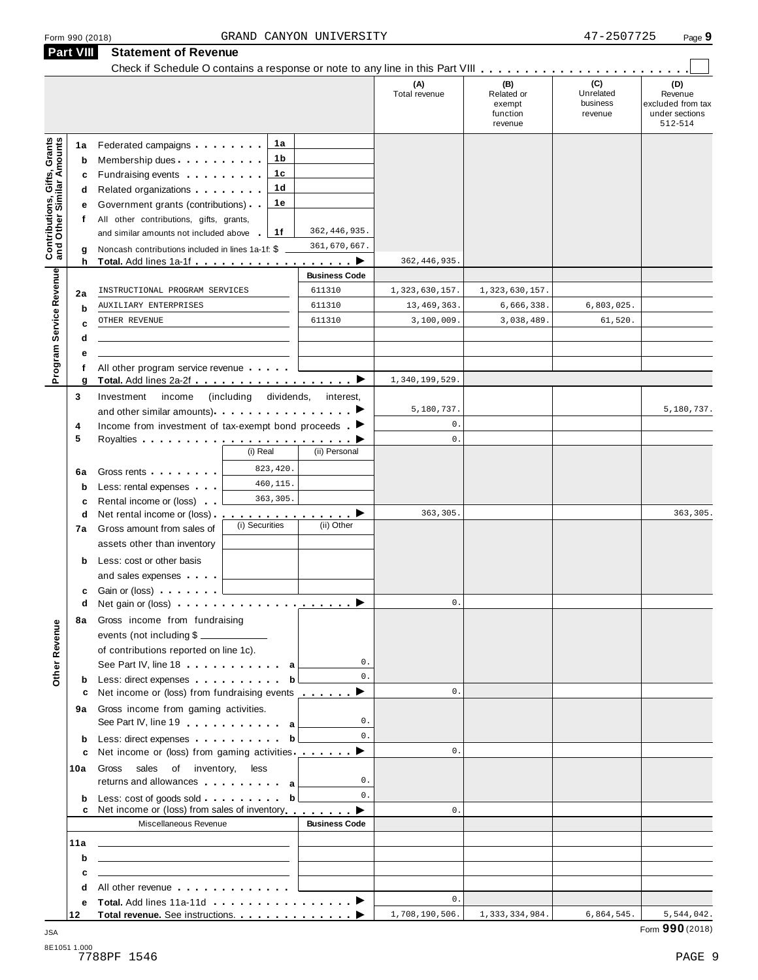| (C)<br>(B)<br>(A)<br>Total revenue<br>Related or<br>Unrelated<br>business<br>exempt<br>function<br>revenue<br>revenue<br><b>Contributions, Gifts, Grants</b><br>and Other Similar Amounts<br>1а<br>Federated campaigns <b>Federated</b><br>1a<br>1 b<br>Membership dues<br>b<br>1c<br>Fundraising events <b>Fundraising</b><br>c<br>1 <sub>d</sub><br>Related organizations <b>and the set of the set of the set of the set of the set of the set of the set of the set of the set of the set of the set of the set of the set of the set of the set of the set of the set of the set </b><br>d<br>1е<br>Government grants (contributions)<br>е<br>All other contributions, gifts, grants,<br>f<br>362, 446, 935.<br>1f<br>and similar amounts not included above<br>361,670,667.<br>Noncash contributions included in lines 1a-1f: \$<br>g<br>362, 446, 935.<br>h<br>. <b>.</b><br>Program Service Revenue<br><b>Business Code</b><br>611310<br>INSTRUCTIONAL PROGRAM SERVICES<br>1,323,630,157.<br>1,323,630,157.<br>2a<br>611310<br>13, 469, 363.<br>6,666,338.<br>6,803,025.<br>AUXILIARY ENTERPRISES<br>b<br>611310<br>3,100,009.<br>3,038,489.<br>61,520.<br>OTHER REVENUE<br>C<br>d<br>е<br>All other program service revenue<br>1,340,199,529<br>g<br>(including dividends,<br>Investment<br>income<br>3<br>interest,<br>5,180,737.<br>and other similar amounts) $\cdots$ $\cdots$ $\cdots$ $\cdots$<br>$\mathbb O$ .<br>Income from investment of tax-exempt bond proceeds $\blacktriangleright$<br>4<br>5<br>$\mathbb O$ .<br>(i) Real<br>(ii) Personal<br>823,420.<br>Gross rents<br>6a<br>460,115.<br>Less: rental expenses<br>b<br>363,305.<br>Rental income or (loss)<br>c<br>363,305.<br>Net rental income or (loss).<br><u>.</u> D<br>d<br>(i) Securities<br>(ii) Other<br>Gross amount from sales of<br>7a<br>assets other than inventory<br>Less: cost or other basis<br>b<br>and sales expenses<br>Gain or (loss)<br>c<br>$0$ .<br>d<br>8a Gross income from fundraising<br>Other Revenue<br>events (not including \$<br>of contributions reported on line 1c).<br>$0$ .<br>See Part IV, line 18 and a set of the set of the set of the set of the set of the set of the set of the set of the set of the set of the set of the set of the set of the set of the set of the set of the set of the set of t<br>$\mathbf{0}$ .<br>Less: direct expenses b<br>b<br>Net income or (loss) from fundraising events _________<br>$\mathbf{0}$ .<br>с<br>9a Gross income from gaming activities.<br>$\mathbf{0}$ .<br>See Part IV, line 19 and the Lines of Allen and Allen and Allen and Allen and Allen and Allen and Allen and Allen<br>$\mathbf{0}$ .<br>Less: direct expenses b<br>b<br>Net income or (loss) from gaming activities ▶<br>$\mathbf{0}$ .<br>c<br>Gross sales of inventory, less<br>10a<br>$\mathbf{0}$ .<br>returns and allowances entertainment as<br>$\mathbf{0}$ .<br>Less: cost of goods sold b<br>b<br>Net income or (loss) from sales of inventory <b>endom</b> ■<br>0.<br>Miscellaneous Revenue<br><b>Business Code</b><br><u> 1989 - Andrea State Barbara, amerikan personal (h. 1989).</u><br>11a<br>b<br><u> 1989 - Johann Harry Harry Harry Harry Harry Harry Harry Harry Harry Harry Harry Harry Harry Harry Harry Harry</u><br>C<br>the contract of the contract of the contract of the contract of the contract of<br>All other revenue experience and the set of the set of the set of the set of the set of the set of the set of the set of the set of the set of the set of the set of the set of the set of the set of the set of the set of th<br>d<br>0.<br>е | <b>Part VIII</b> | <b>Statement of Revenue</b> |  |  |                                                                  |
|--------------------------------------------------------------------------------------------------------------------------------------------------------------------------------------------------------------------------------------------------------------------------------------------------------------------------------------------------------------------------------------------------------------------------------------------------------------------------------------------------------------------------------------------------------------------------------------------------------------------------------------------------------------------------------------------------------------------------------------------------------------------------------------------------------------------------------------------------------------------------------------------------------------------------------------------------------------------------------------------------------------------------------------------------------------------------------------------------------------------------------------------------------------------------------------------------------------------------------------------------------------------------------------------------------------------------------------------------------------------------------------------------------------------------------------------------------------------------------------------------------------------------------------------------------------------------------------------------------------------------------------------------------------------------------------------------------------------------------------------------------------------------------------------------------------------------------------------------------------------------------------------------------------------------------------------------------------------------------------------------------------------------------------------------------------------------------------------------------------------------------------------------------------------------------------------------------------------------------------------------------------------------------------------------------------------------------------------------------------------------------------------------------------------------------------------------------------------------------------------------------------------------------------------------------------------------------------------------------------------------------------------------------------------------------------------------------------------------------------------------------------------------------------------------------------------------------------------------------------------------------------------------------------------------------------------------------------------------------------------------------------------------------------------------------------------------------------------------------------------------------------------------------------------------------------------------------------------------------------------------------------------------------------------------------------------------------------------------------------------------------------------------------------------------------------------------------------------------------------------------------------------------------------------------------------------------------------------------------------------|------------------|-----------------------------|--|--|------------------------------------------------------------------|
|                                                                                                                                                                                                                                                                                                                                                                                                                                                                                                                                                                                                                                                                                                                                                                                                                                                                                                                                                                                                                                                                                                                                                                                                                                                                                                                                                                                                                                                                                                                                                                                                                                                                                                                                                                                                                                                                                                                                                                                                                                                                                                                                                                                                                                                                                                                                                                                                                                                                                                                                                                                                                                                                                                                                                                                                                                                                                                                                                                                                                                                                                                                                                                                                                                                                                                                                                                                                                                                                                                                                                                                                                    |                  |                             |  |  | (D)<br>Revenue<br>excluded from tax<br>under sections<br>512-514 |
|                                                                                                                                                                                                                                                                                                                                                                                                                                                                                                                                                                                                                                                                                                                                                                                                                                                                                                                                                                                                                                                                                                                                                                                                                                                                                                                                                                                                                                                                                                                                                                                                                                                                                                                                                                                                                                                                                                                                                                                                                                                                                                                                                                                                                                                                                                                                                                                                                                                                                                                                                                                                                                                                                                                                                                                                                                                                                                                                                                                                                                                                                                                                                                                                                                                                                                                                                                                                                                                                                                                                                                                                                    |                  |                             |  |  |                                                                  |
|                                                                                                                                                                                                                                                                                                                                                                                                                                                                                                                                                                                                                                                                                                                                                                                                                                                                                                                                                                                                                                                                                                                                                                                                                                                                                                                                                                                                                                                                                                                                                                                                                                                                                                                                                                                                                                                                                                                                                                                                                                                                                                                                                                                                                                                                                                                                                                                                                                                                                                                                                                                                                                                                                                                                                                                                                                                                                                                                                                                                                                                                                                                                                                                                                                                                                                                                                                                                                                                                                                                                                                                                                    |                  |                             |  |  |                                                                  |
|                                                                                                                                                                                                                                                                                                                                                                                                                                                                                                                                                                                                                                                                                                                                                                                                                                                                                                                                                                                                                                                                                                                                                                                                                                                                                                                                                                                                                                                                                                                                                                                                                                                                                                                                                                                                                                                                                                                                                                                                                                                                                                                                                                                                                                                                                                                                                                                                                                                                                                                                                                                                                                                                                                                                                                                                                                                                                                                                                                                                                                                                                                                                                                                                                                                                                                                                                                                                                                                                                                                                                                                                                    |                  |                             |  |  |                                                                  |
|                                                                                                                                                                                                                                                                                                                                                                                                                                                                                                                                                                                                                                                                                                                                                                                                                                                                                                                                                                                                                                                                                                                                                                                                                                                                                                                                                                                                                                                                                                                                                                                                                                                                                                                                                                                                                                                                                                                                                                                                                                                                                                                                                                                                                                                                                                                                                                                                                                                                                                                                                                                                                                                                                                                                                                                                                                                                                                                                                                                                                                                                                                                                                                                                                                                                                                                                                                                                                                                                                                                                                                                                                    |                  |                             |  |  |                                                                  |
|                                                                                                                                                                                                                                                                                                                                                                                                                                                                                                                                                                                                                                                                                                                                                                                                                                                                                                                                                                                                                                                                                                                                                                                                                                                                                                                                                                                                                                                                                                                                                                                                                                                                                                                                                                                                                                                                                                                                                                                                                                                                                                                                                                                                                                                                                                                                                                                                                                                                                                                                                                                                                                                                                                                                                                                                                                                                                                                                                                                                                                                                                                                                                                                                                                                                                                                                                                                                                                                                                                                                                                                                                    |                  |                             |  |  |                                                                  |
|                                                                                                                                                                                                                                                                                                                                                                                                                                                                                                                                                                                                                                                                                                                                                                                                                                                                                                                                                                                                                                                                                                                                                                                                                                                                                                                                                                                                                                                                                                                                                                                                                                                                                                                                                                                                                                                                                                                                                                                                                                                                                                                                                                                                                                                                                                                                                                                                                                                                                                                                                                                                                                                                                                                                                                                                                                                                                                                                                                                                                                                                                                                                                                                                                                                                                                                                                                                                                                                                                                                                                                                                                    |                  |                             |  |  |                                                                  |
|                                                                                                                                                                                                                                                                                                                                                                                                                                                                                                                                                                                                                                                                                                                                                                                                                                                                                                                                                                                                                                                                                                                                                                                                                                                                                                                                                                                                                                                                                                                                                                                                                                                                                                                                                                                                                                                                                                                                                                                                                                                                                                                                                                                                                                                                                                                                                                                                                                                                                                                                                                                                                                                                                                                                                                                                                                                                                                                                                                                                                                                                                                                                                                                                                                                                                                                                                                                                                                                                                                                                                                                                                    |                  |                             |  |  |                                                                  |
|                                                                                                                                                                                                                                                                                                                                                                                                                                                                                                                                                                                                                                                                                                                                                                                                                                                                                                                                                                                                                                                                                                                                                                                                                                                                                                                                                                                                                                                                                                                                                                                                                                                                                                                                                                                                                                                                                                                                                                                                                                                                                                                                                                                                                                                                                                                                                                                                                                                                                                                                                                                                                                                                                                                                                                                                                                                                                                                                                                                                                                                                                                                                                                                                                                                                                                                                                                                                                                                                                                                                                                                                                    |                  |                             |  |  |                                                                  |
|                                                                                                                                                                                                                                                                                                                                                                                                                                                                                                                                                                                                                                                                                                                                                                                                                                                                                                                                                                                                                                                                                                                                                                                                                                                                                                                                                                                                                                                                                                                                                                                                                                                                                                                                                                                                                                                                                                                                                                                                                                                                                                                                                                                                                                                                                                                                                                                                                                                                                                                                                                                                                                                                                                                                                                                                                                                                                                                                                                                                                                                                                                                                                                                                                                                                                                                                                                                                                                                                                                                                                                                                                    |                  |                             |  |  |                                                                  |
|                                                                                                                                                                                                                                                                                                                                                                                                                                                                                                                                                                                                                                                                                                                                                                                                                                                                                                                                                                                                                                                                                                                                                                                                                                                                                                                                                                                                                                                                                                                                                                                                                                                                                                                                                                                                                                                                                                                                                                                                                                                                                                                                                                                                                                                                                                                                                                                                                                                                                                                                                                                                                                                                                                                                                                                                                                                                                                                                                                                                                                                                                                                                                                                                                                                                                                                                                                                                                                                                                                                                                                                                                    |                  |                             |  |  |                                                                  |
|                                                                                                                                                                                                                                                                                                                                                                                                                                                                                                                                                                                                                                                                                                                                                                                                                                                                                                                                                                                                                                                                                                                                                                                                                                                                                                                                                                                                                                                                                                                                                                                                                                                                                                                                                                                                                                                                                                                                                                                                                                                                                                                                                                                                                                                                                                                                                                                                                                                                                                                                                                                                                                                                                                                                                                                                                                                                                                                                                                                                                                                                                                                                                                                                                                                                                                                                                                                                                                                                                                                                                                                                                    |                  |                             |  |  |                                                                  |
|                                                                                                                                                                                                                                                                                                                                                                                                                                                                                                                                                                                                                                                                                                                                                                                                                                                                                                                                                                                                                                                                                                                                                                                                                                                                                                                                                                                                                                                                                                                                                                                                                                                                                                                                                                                                                                                                                                                                                                                                                                                                                                                                                                                                                                                                                                                                                                                                                                                                                                                                                                                                                                                                                                                                                                                                                                                                                                                                                                                                                                                                                                                                                                                                                                                                                                                                                                                                                                                                                                                                                                                                                    |                  |                             |  |  |                                                                  |
|                                                                                                                                                                                                                                                                                                                                                                                                                                                                                                                                                                                                                                                                                                                                                                                                                                                                                                                                                                                                                                                                                                                                                                                                                                                                                                                                                                                                                                                                                                                                                                                                                                                                                                                                                                                                                                                                                                                                                                                                                                                                                                                                                                                                                                                                                                                                                                                                                                                                                                                                                                                                                                                                                                                                                                                                                                                                                                                                                                                                                                                                                                                                                                                                                                                                                                                                                                                                                                                                                                                                                                                                                    |                  |                             |  |  |                                                                  |
|                                                                                                                                                                                                                                                                                                                                                                                                                                                                                                                                                                                                                                                                                                                                                                                                                                                                                                                                                                                                                                                                                                                                                                                                                                                                                                                                                                                                                                                                                                                                                                                                                                                                                                                                                                                                                                                                                                                                                                                                                                                                                                                                                                                                                                                                                                                                                                                                                                                                                                                                                                                                                                                                                                                                                                                                                                                                                                                                                                                                                                                                                                                                                                                                                                                                                                                                                                                                                                                                                                                                                                                                                    |                  |                             |  |  |                                                                  |
|                                                                                                                                                                                                                                                                                                                                                                                                                                                                                                                                                                                                                                                                                                                                                                                                                                                                                                                                                                                                                                                                                                                                                                                                                                                                                                                                                                                                                                                                                                                                                                                                                                                                                                                                                                                                                                                                                                                                                                                                                                                                                                                                                                                                                                                                                                                                                                                                                                                                                                                                                                                                                                                                                                                                                                                                                                                                                                                                                                                                                                                                                                                                                                                                                                                                                                                                                                                                                                                                                                                                                                                                                    |                  |                             |  |  |                                                                  |
|                                                                                                                                                                                                                                                                                                                                                                                                                                                                                                                                                                                                                                                                                                                                                                                                                                                                                                                                                                                                                                                                                                                                                                                                                                                                                                                                                                                                                                                                                                                                                                                                                                                                                                                                                                                                                                                                                                                                                                                                                                                                                                                                                                                                                                                                                                                                                                                                                                                                                                                                                                                                                                                                                                                                                                                                                                                                                                                                                                                                                                                                                                                                                                                                                                                                                                                                                                                                                                                                                                                                                                                                                    |                  |                             |  |  |                                                                  |
|                                                                                                                                                                                                                                                                                                                                                                                                                                                                                                                                                                                                                                                                                                                                                                                                                                                                                                                                                                                                                                                                                                                                                                                                                                                                                                                                                                                                                                                                                                                                                                                                                                                                                                                                                                                                                                                                                                                                                                                                                                                                                                                                                                                                                                                                                                                                                                                                                                                                                                                                                                                                                                                                                                                                                                                                                                                                                                                                                                                                                                                                                                                                                                                                                                                                                                                                                                                                                                                                                                                                                                                                                    |                  |                             |  |  |                                                                  |
|                                                                                                                                                                                                                                                                                                                                                                                                                                                                                                                                                                                                                                                                                                                                                                                                                                                                                                                                                                                                                                                                                                                                                                                                                                                                                                                                                                                                                                                                                                                                                                                                                                                                                                                                                                                                                                                                                                                                                                                                                                                                                                                                                                                                                                                                                                                                                                                                                                                                                                                                                                                                                                                                                                                                                                                                                                                                                                                                                                                                                                                                                                                                                                                                                                                                                                                                                                                                                                                                                                                                                                                                                    |                  |                             |  |  | 5,180,737.                                                       |
|                                                                                                                                                                                                                                                                                                                                                                                                                                                                                                                                                                                                                                                                                                                                                                                                                                                                                                                                                                                                                                                                                                                                                                                                                                                                                                                                                                                                                                                                                                                                                                                                                                                                                                                                                                                                                                                                                                                                                                                                                                                                                                                                                                                                                                                                                                                                                                                                                                                                                                                                                                                                                                                                                                                                                                                                                                                                                                                                                                                                                                                                                                                                                                                                                                                                                                                                                                                                                                                                                                                                                                                                                    |                  |                             |  |  |                                                                  |
|                                                                                                                                                                                                                                                                                                                                                                                                                                                                                                                                                                                                                                                                                                                                                                                                                                                                                                                                                                                                                                                                                                                                                                                                                                                                                                                                                                                                                                                                                                                                                                                                                                                                                                                                                                                                                                                                                                                                                                                                                                                                                                                                                                                                                                                                                                                                                                                                                                                                                                                                                                                                                                                                                                                                                                                                                                                                                                                                                                                                                                                                                                                                                                                                                                                                                                                                                                                                                                                                                                                                                                                                                    |                  |                             |  |  |                                                                  |
|                                                                                                                                                                                                                                                                                                                                                                                                                                                                                                                                                                                                                                                                                                                                                                                                                                                                                                                                                                                                                                                                                                                                                                                                                                                                                                                                                                                                                                                                                                                                                                                                                                                                                                                                                                                                                                                                                                                                                                                                                                                                                                                                                                                                                                                                                                                                                                                                                                                                                                                                                                                                                                                                                                                                                                                                                                                                                                                                                                                                                                                                                                                                                                                                                                                                                                                                                                                                                                                                                                                                                                                                                    |                  |                             |  |  |                                                                  |
|                                                                                                                                                                                                                                                                                                                                                                                                                                                                                                                                                                                                                                                                                                                                                                                                                                                                                                                                                                                                                                                                                                                                                                                                                                                                                                                                                                                                                                                                                                                                                                                                                                                                                                                                                                                                                                                                                                                                                                                                                                                                                                                                                                                                                                                                                                                                                                                                                                                                                                                                                                                                                                                                                                                                                                                                                                                                                                                                                                                                                                                                                                                                                                                                                                                                                                                                                                                                                                                                                                                                                                                                                    |                  |                             |  |  |                                                                  |
|                                                                                                                                                                                                                                                                                                                                                                                                                                                                                                                                                                                                                                                                                                                                                                                                                                                                                                                                                                                                                                                                                                                                                                                                                                                                                                                                                                                                                                                                                                                                                                                                                                                                                                                                                                                                                                                                                                                                                                                                                                                                                                                                                                                                                                                                                                                                                                                                                                                                                                                                                                                                                                                                                                                                                                                                                                                                                                                                                                                                                                                                                                                                                                                                                                                                                                                                                                                                                                                                                                                                                                                                                    |                  |                             |  |  |                                                                  |
|                                                                                                                                                                                                                                                                                                                                                                                                                                                                                                                                                                                                                                                                                                                                                                                                                                                                                                                                                                                                                                                                                                                                                                                                                                                                                                                                                                                                                                                                                                                                                                                                                                                                                                                                                                                                                                                                                                                                                                                                                                                                                                                                                                                                                                                                                                                                                                                                                                                                                                                                                                                                                                                                                                                                                                                                                                                                                                                                                                                                                                                                                                                                                                                                                                                                                                                                                                                                                                                                                                                                                                                                                    |                  |                             |  |  | 363,305.                                                         |
|                                                                                                                                                                                                                                                                                                                                                                                                                                                                                                                                                                                                                                                                                                                                                                                                                                                                                                                                                                                                                                                                                                                                                                                                                                                                                                                                                                                                                                                                                                                                                                                                                                                                                                                                                                                                                                                                                                                                                                                                                                                                                                                                                                                                                                                                                                                                                                                                                                                                                                                                                                                                                                                                                                                                                                                                                                                                                                                                                                                                                                                                                                                                                                                                                                                                                                                                                                                                                                                                                                                                                                                                                    |                  |                             |  |  |                                                                  |
|                                                                                                                                                                                                                                                                                                                                                                                                                                                                                                                                                                                                                                                                                                                                                                                                                                                                                                                                                                                                                                                                                                                                                                                                                                                                                                                                                                                                                                                                                                                                                                                                                                                                                                                                                                                                                                                                                                                                                                                                                                                                                                                                                                                                                                                                                                                                                                                                                                                                                                                                                                                                                                                                                                                                                                                                                                                                                                                                                                                                                                                                                                                                                                                                                                                                                                                                                                                                                                                                                                                                                                                                                    |                  |                             |  |  |                                                                  |
|                                                                                                                                                                                                                                                                                                                                                                                                                                                                                                                                                                                                                                                                                                                                                                                                                                                                                                                                                                                                                                                                                                                                                                                                                                                                                                                                                                                                                                                                                                                                                                                                                                                                                                                                                                                                                                                                                                                                                                                                                                                                                                                                                                                                                                                                                                                                                                                                                                                                                                                                                                                                                                                                                                                                                                                                                                                                                                                                                                                                                                                                                                                                                                                                                                                                                                                                                                                                                                                                                                                                                                                                                    |                  |                             |  |  |                                                                  |
|                                                                                                                                                                                                                                                                                                                                                                                                                                                                                                                                                                                                                                                                                                                                                                                                                                                                                                                                                                                                                                                                                                                                                                                                                                                                                                                                                                                                                                                                                                                                                                                                                                                                                                                                                                                                                                                                                                                                                                                                                                                                                                                                                                                                                                                                                                                                                                                                                                                                                                                                                                                                                                                                                                                                                                                                                                                                                                                                                                                                                                                                                                                                                                                                                                                                                                                                                                                                                                                                                                                                                                                                                    |                  |                             |  |  |                                                                  |
|                                                                                                                                                                                                                                                                                                                                                                                                                                                                                                                                                                                                                                                                                                                                                                                                                                                                                                                                                                                                                                                                                                                                                                                                                                                                                                                                                                                                                                                                                                                                                                                                                                                                                                                                                                                                                                                                                                                                                                                                                                                                                                                                                                                                                                                                                                                                                                                                                                                                                                                                                                                                                                                                                                                                                                                                                                                                                                                                                                                                                                                                                                                                                                                                                                                                                                                                                                                                                                                                                                                                                                                                                    |                  |                             |  |  |                                                                  |
|                                                                                                                                                                                                                                                                                                                                                                                                                                                                                                                                                                                                                                                                                                                                                                                                                                                                                                                                                                                                                                                                                                                                                                                                                                                                                                                                                                                                                                                                                                                                                                                                                                                                                                                                                                                                                                                                                                                                                                                                                                                                                                                                                                                                                                                                                                                                                                                                                                                                                                                                                                                                                                                                                                                                                                                                                                                                                                                                                                                                                                                                                                                                                                                                                                                                                                                                                                                                                                                                                                                                                                                                                    |                  |                             |  |  |                                                                  |
|                                                                                                                                                                                                                                                                                                                                                                                                                                                                                                                                                                                                                                                                                                                                                                                                                                                                                                                                                                                                                                                                                                                                                                                                                                                                                                                                                                                                                                                                                                                                                                                                                                                                                                                                                                                                                                                                                                                                                                                                                                                                                                                                                                                                                                                                                                                                                                                                                                                                                                                                                                                                                                                                                                                                                                                                                                                                                                                                                                                                                                                                                                                                                                                                                                                                                                                                                                                                                                                                                                                                                                                                                    |                  |                             |  |  |                                                                  |
|                                                                                                                                                                                                                                                                                                                                                                                                                                                                                                                                                                                                                                                                                                                                                                                                                                                                                                                                                                                                                                                                                                                                                                                                                                                                                                                                                                                                                                                                                                                                                                                                                                                                                                                                                                                                                                                                                                                                                                                                                                                                                                                                                                                                                                                                                                                                                                                                                                                                                                                                                                                                                                                                                                                                                                                                                                                                                                                                                                                                                                                                                                                                                                                                                                                                                                                                                                                                                                                                                                                                                                                                                    |                  |                             |  |  |                                                                  |
|                                                                                                                                                                                                                                                                                                                                                                                                                                                                                                                                                                                                                                                                                                                                                                                                                                                                                                                                                                                                                                                                                                                                                                                                                                                                                                                                                                                                                                                                                                                                                                                                                                                                                                                                                                                                                                                                                                                                                                                                                                                                                                                                                                                                                                                                                                                                                                                                                                                                                                                                                                                                                                                                                                                                                                                                                                                                                                                                                                                                                                                                                                                                                                                                                                                                                                                                                                                                                                                                                                                                                                                                                    |                  |                             |  |  |                                                                  |
|                                                                                                                                                                                                                                                                                                                                                                                                                                                                                                                                                                                                                                                                                                                                                                                                                                                                                                                                                                                                                                                                                                                                                                                                                                                                                                                                                                                                                                                                                                                                                                                                                                                                                                                                                                                                                                                                                                                                                                                                                                                                                                                                                                                                                                                                                                                                                                                                                                                                                                                                                                                                                                                                                                                                                                                                                                                                                                                                                                                                                                                                                                                                                                                                                                                                                                                                                                                                                                                                                                                                                                                                                    |                  |                             |  |  |                                                                  |
|                                                                                                                                                                                                                                                                                                                                                                                                                                                                                                                                                                                                                                                                                                                                                                                                                                                                                                                                                                                                                                                                                                                                                                                                                                                                                                                                                                                                                                                                                                                                                                                                                                                                                                                                                                                                                                                                                                                                                                                                                                                                                                                                                                                                                                                                                                                                                                                                                                                                                                                                                                                                                                                                                                                                                                                                                                                                                                                                                                                                                                                                                                                                                                                                                                                                                                                                                                                                                                                                                                                                                                                                                    |                  |                             |  |  |                                                                  |
|                                                                                                                                                                                                                                                                                                                                                                                                                                                                                                                                                                                                                                                                                                                                                                                                                                                                                                                                                                                                                                                                                                                                                                                                                                                                                                                                                                                                                                                                                                                                                                                                                                                                                                                                                                                                                                                                                                                                                                                                                                                                                                                                                                                                                                                                                                                                                                                                                                                                                                                                                                                                                                                                                                                                                                                                                                                                                                                                                                                                                                                                                                                                                                                                                                                                                                                                                                                                                                                                                                                                                                                                                    |                  |                             |  |  |                                                                  |
|                                                                                                                                                                                                                                                                                                                                                                                                                                                                                                                                                                                                                                                                                                                                                                                                                                                                                                                                                                                                                                                                                                                                                                                                                                                                                                                                                                                                                                                                                                                                                                                                                                                                                                                                                                                                                                                                                                                                                                                                                                                                                                                                                                                                                                                                                                                                                                                                                                                                                                                                                                                                                                                                                                                                                                                                                                                                                                                                                                                                                                                                                                                                                                                                                                                                                                                                                                                                                                                                                                                                                                                                                    |                  |                             |  |  |                                                                  |
|                                                                                                                                                                                                                                                                                                                                                                                                                                                                                                                                                                                                                                                                                                                                                                                                                                                                                                                                                                                                                                                                                                                                                                                                                                                                                                                                                                                                                                                                                                                                                                                                                                                                                                                                                                                                                                                                                                                                                                                                                                                                                                                                                                                                                                                                                                                                                                                                                                                                                                                                                                                                                                                                                                                                                                                                                                                                                                                                                                                                                                                                                                                                                                                                                                                                                                                                                                                                                                                                                                                                                                                                                    |                  |                             |  |  |                                                                  |
|                                                                                                                                                                                                                                                                                                                                                                                                                                                                                                                                                                                                                                                                                                                                                                                                                                                                                                                                                                                                                                                                                                                                                                                                                                                                                                                                                                                                                                                                                                                                                                                                                                                                                                                                                                                                                                                                                                                                                                                                                                                                                                                                                                                                                                                                                                                                                                                                                                                                                                                                                                                                                                                                                                                                                                                                                                                                                                                                                                                                                                                                                                                                                                                                                                                                                                                                                                                                                                                                                                                                                                                                                    |                  |                             |  |  |                                                                  |
|                                                                                                                                                                                                                                                                                                                                                                                                                                                                                                                                                                                                                                                                                                                                                                                                                                                                                                                                                                                                                                                                                                                                                                                                                                                                                                                                                                                                                                                                                                                                                                                                                                                                                                                                                                                                                                                                                                                                                                                                                                                                                                                                                                                                                                                                                                                                                                                                                                                                                                                                                                                                                                                                                                                                                                                                                                                                                                                                                                                                                                                                                                                                                                                                                                                                                                                                                                                                                                                                                                                                                                                                                    |                  |                             |  |  |                                                                  |
|                                                                                                                                                                                                                                                                                                                                                                                                                                                                                                                                                                                                                                                                                                                                                                                                                                                                                                                                                                                                                                                                                                                                                                                                                                                                                                                                                                                                                                                                                                                                                                                                                                                                                                                                                                                                                                                                                                                                                                                                                                                                                                                                                                                                                                                                                                                                                                                                                                                                                                                                                                                                                                                                                                                                                                                                                                                                                                                                                                                                                                                                                                                                                                                                                                                                                                                                                                                                                                                                                                                                                                                                                    |                  |                             |  |  |                                                                  |
|                                                                                                                                                                                                                                                                                                                                                                                                                                                                                                                                                                                                                                                                                                                                                                                                                                                                                                                                                                                                                                                                                                                                                                                                                                                                                                                                                                                                                                                                                                                                                                                                                                                                                                                                                                                                                                                                                                                                                                                                                                                                                                                                                                                                                                                                                                                                                                                                                                                                                                                                                                                                                                                                                                                                                                                                                                                                                                                                                                                                                                                                                                                                                                                                                                                                                                                                                                                                                                                                                                                                                                                                                    |                  |                             |  |  |                                                                  |
|                                                                                                                                                                                                                                                                                                                                                                                                                                                                                                                                                                                                                                                                                                                                                                                                                                                                                                                                                                                                                                                                                                                                                                                                                                                                                                                                                                                                                                                                                                                                                                                                                                                                                                                                                                                                                                                                                                                                                                                                                                                                                                                                                                                                                                                                                                                                                                                                                                                                                                                                                                                                                                                                                                                                                                                                                                                                                                                                                                                                                                                                                                                                                                                                                                                                                                                                                                                                                                                                                                                                                                                                                    |                  |                             |  |  |                                                                  |
|                                                                                                                                                                                                                                                                                                                                                                                                                                                                                                                                                                                                                                                                                                                                                                                                                                                                                                                                                                                                                                                                                                                                                                                                                                                                                                                                                                                                                                                                                                                                                                                                                                                                                                                                                                                                                                                                                                                                                                                                                                                                                                                                                                                                                                                                                                                                                                                                                                                                                                                                                                                                                                                                                                                                                                                                                                                                                                                                                                                                                                                                                                                                                                                                                                                                                                                                                                                                                                                                                                                                                                                                                    |                  |                             |  |  |                                                                  |
|                                                                                                                                                                                                                                                                                                                                                                                                                                                                                                                                                                                                                                                                                                                                                                                                                                                                                                                                                                                                                                                                                                                                                                                                                                                                                                                                                                                                                                                                                                                                                                                                                                                                                                                                                                                                                                                                                                                                                                                                                                                                                                                                                                                                                                                                                                                                                                                                                                                                                                                                                                                                                                                                                                                                                                                                                                                                                                                                                                                                                                                                                                                                                                                                                                                                                                                                                                                                                                                                                                                                                                                                                    |                  |                             |  |  |                                                                  |
|                                                                                                                                                                                                                                                                                                                                                                                                                                                                                                                                                                                                                                                                                                                                                                                                                                                                                                                                                                                                                                                                                                                                                                                                                                                                                                                                                                                                                                                                                                                                                                                                                                                                                                                                                                                                                                                                                                                                                                                                                                                                                                                                                                                                                                                                                                                                                                                                                                                                                                                                                                                                                                                                                                                                                                                                                                                                                                                                                                                                                                                                                                                                                                                                                                                                                                                                                                                                                                                                                                                                                                                                                    |                  |                             |  |  |                                                                  |
|                                                                                                                                                                                                                                                                                                                                                                                                                                                                                                                                                                                                                                                                                                                                                                                                                                                                                                                                                                                                                                                                                                                                                                                                                                                                                                                                                                                                                                                                                                                                                                                                                                                                                                                                                                                                                                                                                                                                                                                                                                                                                                                                                                                                                                                                                                                                                                                                                                                                                                                                                                                                                                                                                                                                                                                                                                                                                                                                                                                                                                                                                                                                                                                                                                                                                                                                                                                                                                                                                                                                                                                                                    |                  |                             |  |  |                                                                  |
|                                                                                                                                                                                                                                                                                                                                                                                                                                                                                                                                                                                                                                                                                                                                                                                                                                                                                                                                                                                                                                                                                                                                                                                                                                                                                                                                                                                                                                                                                                                                                                                                                                                                                                                                                                                                                                                                                                                                                                                                                                                                                                                                                                                                                                                                                                                                                                                                                                                                                                                                                                                                                                                                                                                                                                                                                                                                                                                                                                                                                                                                                                                                                                                                                                                                                                                                                                                                                                                                                                                                                                                                                    |                  |                             |  |  |                                                                  |
| 1,708,190,506.<br>1,333,334,984.<br>6,864,545.<br>Total revenue. See instructions. ▶<br>12                                                                                                                                                                                                                                                                                                                                                                                                                                                                                                                                                                                                                                                                                                                                                                                                                                                                                                                                                                                                                                                                                                                                                                                                                                                                                                                                                                                                                                                                                                                                                                                                                                                                                                                                                                                                                                                                                                                                                                                                                                                                                                                                                                                                                                                                                                                                                                                                                                                                                                                                                                                                                                                                                                                                                                                                                                                                                                                                                                                                                                                                                                                                                                                                                                                                                                                                                                                                                                                                                                                         |                  |                             |  |  | 5,544,042.                                                       |

8E1051 1.000 7788PF 1546 PAGE 9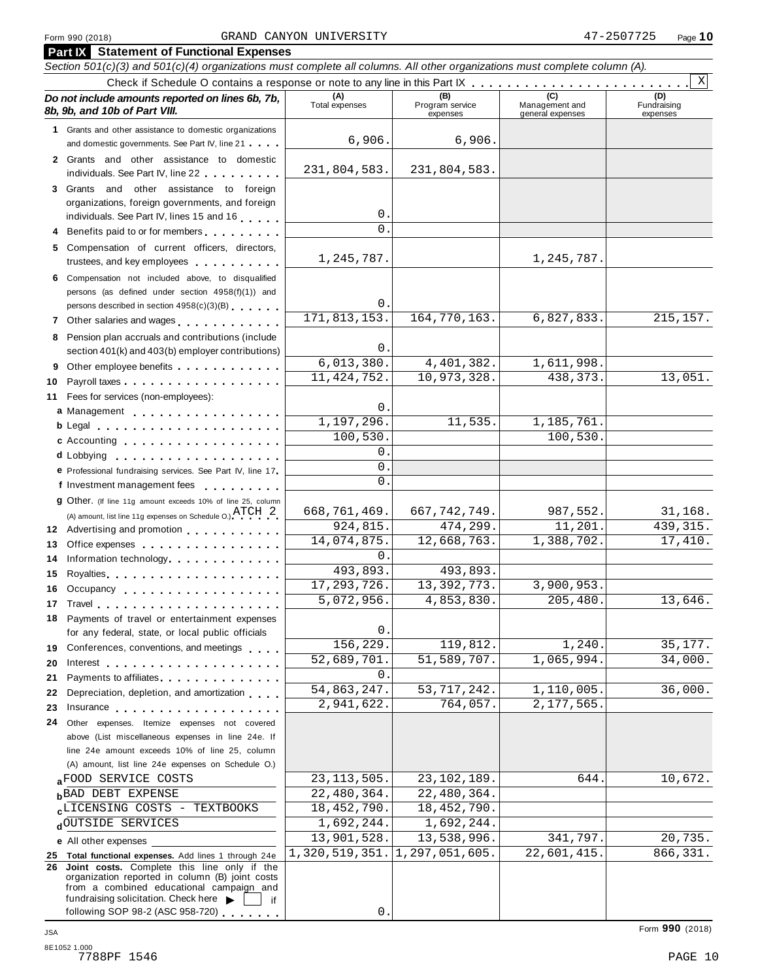#### Form <sup>990</sup> (2018) Page **10** GRAND CANYON UNIVERSITY 47-2507725

|     | <b>Part IX Statement of Functional Expenses</b>                                                                                                                                                                                |                             |                                    |                                    |                                |  |  |  |  |  |  |
|-----|--------------------------------------------------------------------------------------------------------------------------------------------------------------------------------------------------------------------------------|-----------------------------|------------------------------------|------------------------------------|--------------------------------|--|--|--|--|--|--|
|     | Section 501(c)(3) and 501(c)(4) organizations must complete all columns. All other organizations must complete column (A).                                                                                                     |                             |                                    |                                    |                                |  |  |  |  |  |  |
| X   |                                                                                                                                                                                                                                |                             |                                    |                                    |                                |  |  |  |  |  |  |
|     | Do not include amounts reported on lines 6b, 7b,<br>8b, 9b, and 10b of Part VIII.                                                                                                                                              | (A)<br>Total expenses       | (B)<br>Program service<br>expenses | Management and<br>general expenses | (D)<br>Fundraising<br>expenses |  |  |  |  |  |  |
|     | 1 Grants and other assistance to domestic organizations                                                                                                                                                                        |                             |                                    |                                    |                                |  |  |  |  |  |  |
|     | and domestic governments. See Part IV, line 21                                                                                                                                                                                 | 6,906.                      | 6,906.                             |                                    |                                |  |  |  |  |  |  |
|     | 2 Grants and other assistance to domestic                                                                                                                                                                                      |                             |                                    |                                    |                                |  |  |  |  |  |  |
|     |                                                                                                                                                                                                                                | 231,804,583.                | 231,804,583.                       |                                    |                                |  |  |  |  |  |  |
|     | 3 Grants and other assistance to foreign                                                                                                                                                                                       |                             |                                    |                                    |                                |  |  |  |  |  |  |
|     | organizations, foreign governments, and foreign                                                                                                                                                                                |                             |                                    |                                    |                                |  |  |  |  |  |  |
|     | individuals. See Part IV, lines 15 and 16                                                                                                                                                                                      | 0.                          |                                    |                                    |                                |  |  |  |  |  |  |
|     | 4 Benefits paid to or for members                                                                                                                                                                                              | $\Omega$ .                  |                                    |                                    |                                |  |  |  |  |  |  |
|     | 5 Compensation of current officers, directors,                                                                                                                                                                                 |                             |                                    |                                    |                                |  |  |  |  |  |  |
|     | trustees, and key employees                                                                                                                                                                                                    | 1,245,787.                  |                                    | 1,245,787.                         |                                |  |  |  |  |  |  |
|     | 6 Compensation not included above, to disqualified                                                                                                                                                                             |                             |                                    |                                    |                                |  |  |  |  |  |  |
|     | persons (as defined under section 4958(f)(1)) and                                                                                                                                                                              |                             |                                    |                                    |                                |  |  |  |  |  |  |
|     | persons described in section 4958(c)(3)(B)                                                                                                                                                                                     | 0.<br>171,813,153.          | 164, 770, 163.                     | 6,827,833.                         | 215, 157.                      |  |  |  |  |  |  |
|     |                                                                                                                                                                                                                                |                             |                                    |                                    |                                |  |  |  |  |  |  |
|     | 8 Pension plan accruals and contributions (include                                                                                                                                                                             | 0.                          |                                    |                                    |                                |  |  |  |  |  |  |
|     | section 401(k) and 403(b) employer contributions)                                                                                                                                                                              | 6,013,380.                  | 4, 401, 382.                       | 1,611,998.                         |                                |  |  |  |  |  |  |
|     | 9 Other employee benefits                                                                                                                                                                                                      | 11, 424, 752.               | 10,973,328.                        | 438,373.                           | 13,051.                        |  |  |  |  |  |  |
| 10  |                                                                                                                                                                                                                                |                             |                                    |                                    |                                |  |  |  |  |  |  |
| 11  | Fees for services (non-employees):                                                                                                                                                                                             | 0.                          |                                    |                                    |                                |  |  |  |  |  |  |
|     | a Management                                                                                                                                                                                                                   | 1,197,296.                  | 11,535.                            | 1,185,761.                         |                                |  |  |  |  |  |  |
|     | $b$ Legal $\ldots$ , $\ldots$ , $\ldots$ , $\ldots$ , $\ldots$ , $\ldots$                                                                                                                                                      | 100,530.                    |                                    | 100,530.                           |                                |  |  |  |  |  |  |
|     | c Accounting                                                                                                                                                                                                                   | $0$ .                       |                                    |                                    |                                |  |  |  |  |  |  |
|     | <b>d</b> Lobbying<br>.                                                                                                                                                                                                         | 0                           |                                    |                                    |                                |  |  |  |  |  |  |
|     | e Professional fundraising services. See Part IV, line 17                                                                                                                                                                      | $\Omega$ .                  |                                    |                                    |                                |  |  |  |  |  |  |
|     | f Investment management fees                                                                                                                                                                                                   |                             |                                    |                                    |                                |  |  |  |  |  |  |
|     | 9 Other. (If line 11g amount exceeds 10% of line 25, column                                                                                                                                                                    | 668, 761, 469.              | 667, 742, 749.                     | 987,552.                           | 31,168.                        |  |  |  |  |  |  |
|     | (A) amount, list line 11g expenses on Schedule O.) $\text{ATCH} \quad 2$                                                                                                                                                       | 924,815.                    | 474,299.                           | 11,201.                            | 439, 315.                      |  |  |  |  |  |  |
|     | 12 Advertising and promotion                                                                                                                                                                                                   | 14,074,875.                 | 12,668,763.                        | 1,388,702.                         | 17,410.                        |  |  |  |  |  |  |
| 13  | Office expenses                                                                                                                                                                                                                | 0.                          |                                    |                                    |                                |  |  |  |  |  |  |
| 14  | Information technology.                                                                                                                                                                                                        | 493,893.                    | 493,893.                           |                                    |                                |  |  |  |  |  |  |
| 15  |                                                                                                                                                                                                                                | 17, 293, 726.               | 13, 392, 773.                      | 3,900,953.                         |                                |  |  |  |  |  |  |
| 16. | Occupancy                                                                                                                                                                                                                      | $\overline{5,072,956}$ .    | 4,853,830.                         | 205,480                            | 13,646.                        |  |  |  |  |  |  |
|     | 17 Travel the contract of the contract of the contract of the contract of the contract of the contract of the                                                                                                                  |                             |                                    |                                    |                                |  |  |  |  |  |  |
|     | 18 Payments of travel or entertainment expenses<br>for any federal, state, or local public officials                                                                                                                           | 0.                          |                                    |                                    |                                |  |  |  |  |  |  |
|     | 19 Conferences, conventions, and meetings                                                                                                                                                                                      | 156,229.                    | 119,812.                           | 1,240.                             | 35,177.                        |  |  |  |  |  |  |
| 20  | Interest                                                                                                                                                                                                                       | 52,689,701.                 | 51,589,707.                        | 1,065,994.                         | 34,000.                        |  |  |  |  |  |  |
| 21  | Payments to affiliates experience and the set of the set of the set of the set of the set of the set of the set of the set of the set of the set of the set of the set of the set of the set of the set of the set of the set  | 0.                          |                                    |                                    |                                |  |  |  |  |  |  |
| 22  | Depreciation, depletion, and amortization                                                                                                                                                                                      | 54,863,247.                 | 53, 717, 242.                      | 1,110,005.                         | 36,000.                        |  |  |  |  |  |  |
| 23  | Insurance in the contract of the contract of the contract of the contract of the contract of the contract of the contract of the contract of the contract of the contract of the contract of the contract of the contract of t | 2,941,622.                  | 764,057.                           | 2,177,565.                         |                                |  |  |  |  |  |  |
| 24  | Other expenses. Itemize expenses not covered                                                                                                                                                                                   |                             |                                    |                                    |                                |  |  |  |  |  |  |
|     | above (List miscellaneous expenses in line 24e. If                                                                                                                                                                             |                             |                                    |                                    |                                |  |  |  |  |  |  |
|     | line 24e amount exceeds 10% of line 25, column                                                                                                                                                                                 |                             |                                    |                                    |                                |  |  |  |  |  |  |
|     | (A) amount, list line 24e expenses on Schedule O.)                                                                                                                                                                             |                             |                                    |                                    |                                |  |  |  |  |  |  |
|     | aFOOD SERVICE COSTS                                                                                                                                                                                                            | 23, 113, 505.               | 23, 102, 189.                      | 644.                               | 10,672.                        |  |  |  |  |  |  |
|     | <b>BAD DEBT EXPENSE</b>                                                                                                                                                                                                        | 22,480,364.                 | 22,480,364.                        |                                    |                                |  |  |  |  |  |  |
|     | CLICENSING COSTS - TEXTBOOKS                                                                                                                                                                                                   | 18, 452, 790.               | 18, 452, 790.                      |                                    |                                |  |  |  |  |  |  |
|     | dOUTSIDE SERVICES                                                                                                                                                                                                              | $\overline{1}$ , 692, 244.  | 1,692,244.                         |                                    |                                |  |  |  |  |  |  |
|     | e All other expenses                                                                                                                                                                                                           | $\overline{13}$ , 901, 528. | 13,538,996.                        | 341,797.                           | 20,735.                        |  |  |  |  |  |  |
|     | 25 Total functional expenses. Add lines 1 through 24e                                                                                                                                                                          | 1,320,519,351.              | 1, 297, 051, 605.                  | 22,601,415.                        | 866,331.                       |  |  |  |  |  |  |
|     | 26 Joint costs. Complete this line only if the                                                                                                                                                                                 |                             |                                    |                                    |                                |  |  |  |  |  |  |
|     | organization reported in column (B) joint costs<br>from a combined educational campaign and                                                                                                                                    |                             |                                    |                                    |                                |  |  |  |  |  |  |
|     | fundraising solicitation. Check here<br>if                                                                                                                                                                                     |                             |                                    |                                    |                                |  |  |  |  |  |  |

 $\overline{0}$  .

following SOP 98-2 (ASC 958-720)  $\overline{\cdots}$  .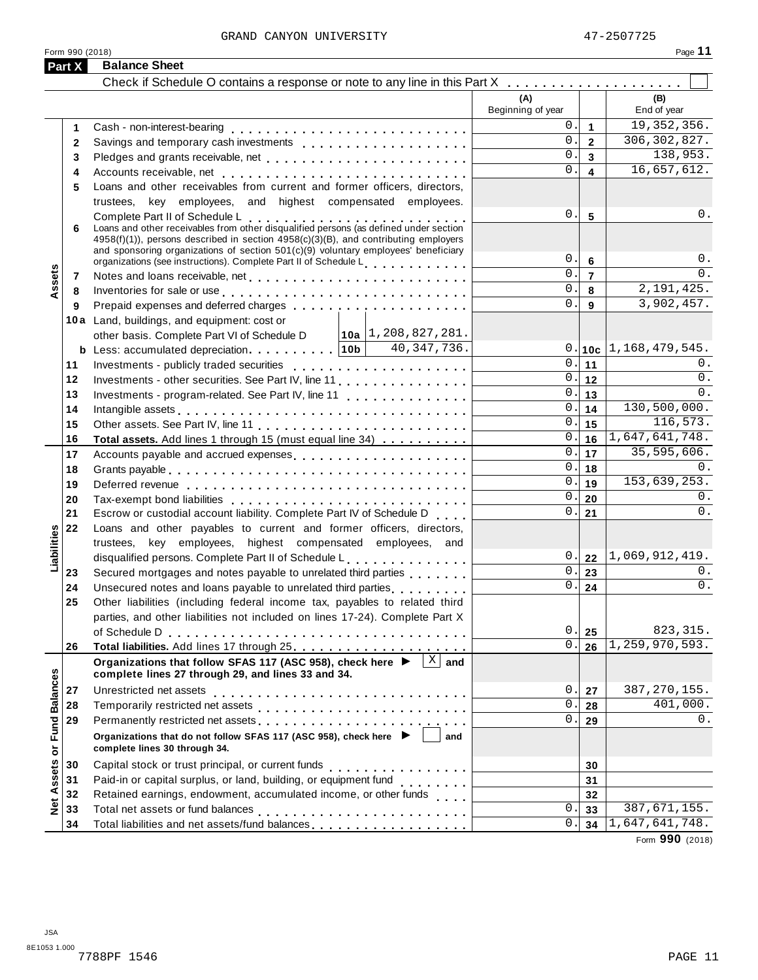Form <sup>990</sup> (2018) Page **11**

|                             | <b>Part X</b> | <b>Balance Sheet</b>                                                                                                                                                                                                                                                                                   |                          |                         |                             |
|-----------------------------|---------------|--------------------------------------------------------------------------------------------------------------------------------------------------------------------------------------------------------------------------------------------------------------------------------------------------------|--------------------------|-------------------------|-----------------------------|
|                             |               | Check if Schedule O contains a response or note to any line in this Part X                                                                                                                                                                                                                             |                          |                         |                             |
|                             |               |                                                                                                                                                                                                                                                                                                        | (A)<br>Beginning of year |                         | (B)<br>End of year          |
|                             | 1             |                                                                                                                                                                                                                                                                                                        | 0.                       | $\mathbf{1}$            | 19, 352, 356.               |
|                             | $\mathbf{2}$  | Savings and temporary cash investments                                                                                                                                                                                                                                                                 | $0$ .                    | $\overline{\mathbf{2}}$ | 306, 302, 827.              |
|                             | 3             |                                                                                                                                                                                                                                                                                                        | $0$ .                    | $\overline{3}$          | 138,953.                    |
|                             | 4             |                                                                                                                                                                                                                                                                                                        | 0.                       | $\overline{\mathbf{4}}$ | 16,657,612.                 |
|                             | 5             | Loans and other receivables from current and former officers, directors,                                                                                                                                                                                                                               |                          |                         |                             |
|                             |               | trustees, key employees, and highest compensated employees.                                                                                                                                                                                                                                            |                          |                         |                             |
|                             | 6             | Complete Part II of Schedule L<br>Loans and other receivables from other disqualified persons (as defined under section<br>4958(f)(1)), persons described in section 4958(c)(3)(B), and contributing employers<br>and sponsoring organizations of section $501(c)(9)$ voluntary employees' beneficiary | 0.                       | 5                       | $0$ .                       |
|                             |               | organizations (see instructions). Complete Part II of Schedule L.                                                                                                                                                                                                                                      | 0.                       | 6                       | 0.                          |
| Assets                      | 7             |                                                                                                                                                                                                                                                                                                        | $0$ .                    | $\overline{7}$          | $0$ .                       |
|                             | 8             | Inventories for sale or use enterpreteral resources in the sale or use of the series of the series of the series of the series of the series of the series of the series of the series of the series of the series of the seri                                                                         | $0$ .<br>0.              | 8                       | 2, 191, 425.                |
|                             | 9             |                                                                                                                                                                                                                                                                                                        |                          | 9                       | 3,902,457.                  |
|                             |               | 10a Land, buildings, and equipment: cost or                                                                                                                                                                                                                                                            |                          |                         |                             |
|                             |               | other basis. Complete Part VI of Schedule D   10a   1, 208, 827, 281.<br>40,347,736.                                                                                                                                                                                                                   |                          |                         | $0.10c$   1, 168, 479, 545. |
|                             | 11            | <b>b</b> Less: accumulated depreciation $\ldots \ldots \ldots$   10b                                                                                                                                                                                                                                   | $0$ .                    | 11                      | 0.                          |
|                             | 12            | Investments - other securities. See Part IV, line 11                                                                                                                                                                                                                                                   | 0.                       | 12                      | 0.                          |
|                             | 13            | Investments - program-related. See Part IV, line 11                                                                                                                                                                                                                                                    | 0.                       | 13                      | 0.                          |
|                             | 14            |                                                                                                                                                                                                                                                                                                        | $0$ .                    | 14                      | 130,500,000.                |
|                             | 15            |                                                                                                                                                                                                                                                                                                        | 0.                       | 15                      | 116,573.                    |
|                             | 16            | Total assets. Add lines 1 through 15 (must equal line 34)                                                                                                                                                                                                                                              | 0.                       | 16                      | 1,647,641,748.              |
|                             | 17            | Accounts payable and accrued expenses entitled and accrue and accrued expenses                                                                                                                                                                                                                         | 0.                       | 17                      | 35,595,606.                 |
|                             | 18            |                                                                                                                                                                                                                                                                                                        | 0.                       | 18                      | 0.                          |
|                             | 19            |                                                                                                                                                                                                                                                                                                        | 0.                       | 19                      | 153,639,253.                |
|                             | 20            |                                                                                                                                                                                                                                                                                                        | 0.                       | 20                      | 0.                          |
|                             | 21            | Escrow or custodial account liability. Complete Part IV of Schedule D                                                                                                                                                                                                                                  | 0.1                      | 21                      | 0.                          |
|                             | 22            | Loans and other payables to current and former officers, directors,                                                                                                                                                                                                                                    |                          |                         |                             |
| Liabilities                 |               | trustees, key employees, highest compensated employees, and                                                                                                                                                                                                                                            |                          |                         |                             |
|                             |               | disqualified persons. Complete Part II of Schedule L.                                                                                                                                                                                                                                                  | 0.1                      | 22                      | 1,069,912,419.              |
|                             | 23            | Secured mortgages and notes payable to unrelated third parties                                                                                                                                                                                                                                         | 0.                       | 23                      | 0.                          |
|                             | 24            | Unsecured notes and loans payable to unrelated third parties<br>                                                                                                                                                                                                                                       | $\overline{0}$ .         | 24                      | $0$ .                       |
|                             | 25            | Other liabilities (including federal income tax, payables to related third                                                                                                                                                                                                                             |                          |                         |                             |
|                             |               | parties, and other liabilities not included on lines 17-24). Complete Part X                                                                                                                                                                                                                           |                          |                         |                             |
|                             |               |                                                                                                                                                                                                                                                                                                        | 0.                       | 25                      | 823, 315.                   |
|                             | 26            |                                                                                                                                                                                                                                                                                                        | 0.                       | 26                      | 1,259,970,593.              |
|                             |               | Organizations that follow SFAS 117 (ASC 958), check here $\blacktriangleright \begin{bmatrix} \mathbb{X} & \mathbb{X} \end{bmatrix}$ and<br>complete lines 27 through 29, and lines 33 and 34.                                                                                                         |                          |                         |                             |
|                             | 27            | Unrestricted net assets                                                                                                                                                                                                                                                                                | 0.                       | 27                      | 387, 270, 155.              |
|                             | 28            |                                                                                                                                                                                                                                                                                                        | $0$ .                    | 28                      | 401,000.                    |
|                             | 29            | Permanently restricted net assets entertainment of the set of the set of the set of the set of the set of the set of the set of the set of the set of the set of the set of the set of the set of the set of the set of the se                                                                         | 0.                       | 29                      | 0.                          |
| Net Assets or Fund Balances |               | Organizations that do not follow SFAS 117 (ASC 958), check here $\blacktriangleright$<br>and<br>complete lines 30 through 34.                                                                                                                                                                          |                          |                         |                             |
|                             | 30            | Capital stock or trust principal, or current funds<br>. <b>.</b> .                                                                                                                                                                                                                                     |                          | 30                      |                             |
|                             | 31            | Paid-in or capital surplus, or land, building, or equipment fund                                                                                                                                                                                                                                       |                          | 31                      |                             |
|                             | 32            | Retained earnings, endowment, accumulated income, or other funds                                                                                                                                                                                                                                       |                          | 32                      |                             |
|                             | 33            |                                                                                                                                                                                                                                                                                                        | 0.                       | 33                      | 387, 671, 155.              |
|                             | 34            | Total liabilities and net assets/fund balances                                                                                                                                                                                                                                                         | Ο.                       | 34                      | 1,647,641,748.              |

Form **990** (2018)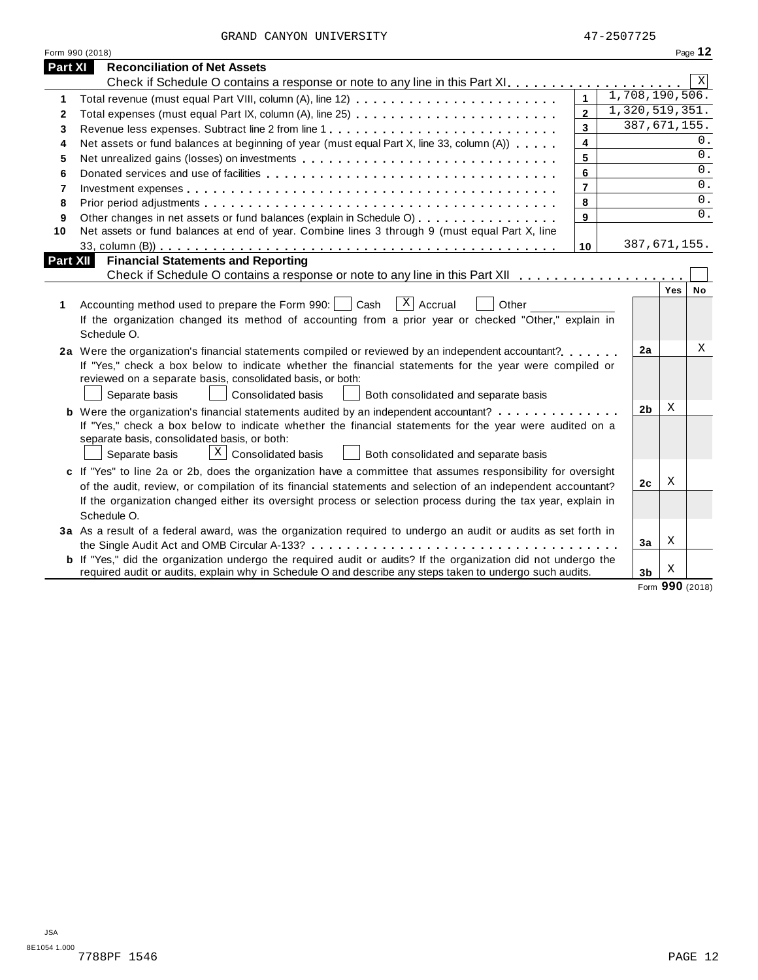GRAND CANYON UNIVERSITY 47-2507725

|          | Form 990 (2018)                                                                                                       |                         |                |              | Page 12     |  |
|----------|-----------------------------------------------------------------------------------------------------------------------|-------------------------|----------------|--------------|-------------|--|
| Part XI  | <b>Reconciliation of Net Assets</b>                                                                                   |                         |                |              |             |  |
|          |                                                                                                                       |                         |                |              | $\mathbf X$ |  |
| 1        | Total revenue (must equal Part VIII, column (A), line 12)                                                             | $\mathbf{1}$            | 1,708,190,506. |              |             |  |
| 2        | Total expenses (must equal Part IX, column (A), line 25)                                                              | $\overline{2}$          | 1,320,519,351. |              |             |  |
| 3        |                                                                                                                       | $\overline{\mathbf{3}}$ |                | 387,671,155. |             |  |
| 4        | Net assets or fund balances at beginning of year (must equal Part X, line 33, column (A))                             | $\overline{\mathbf{4}}$ |                |              | 0.          |  |
| 5        |                                                                                                                       | 5                       |                |              | 0.          |  |
| 6        |                                                                                                                       | 6                       |                |              | 0.          |  |
| 7        |                                                                                                                       | $\overline{7}$          |                |              | 0.          |  |
| 8        |                                                                                                                       | 8                       |                |              | 0.          |  |
| 9        | Other changes in net assets or fund balances (explain in Schedule O)                                                  | 9                       |                |              | 0.          |  |
| 10       | Net assets or fund balances at end of year. Combine lines 3 through 9 (must equal Part X, line                        |                         |                |              |             |  |
|          |                                                                                                                       | 10                      | 387,671,155.   |              |             |  |
| Part XII | <b>Financial Statements and Reporting</b>                                                                             |                         |                |              |             |  |
|          |                                                                                                                       |                         |                |              |             |  |
|          |                                                                                                                       |                         |                | Yes          | No          |  |
| 1        | $X$ Accrual<br>Accounting method used to prepare the Form 990:<br>Cash<br>Other                                       |                         |                |              |             |  |
|          | If the organization changed its method of accounting from a prior year or checked "Other," explain in                 |                         |                |              |             |  |
|          | Schedule O.                                                                                                           |                         |                |              |             |  |
|          | 2a Were the organization's financial statements compiled or reviewed by an independent accountant?                    |                         | 2a             |              | X           |  |
|          | If "Yes," check a box below to indicate whether the financial statements for the year were compiled or                |                         |                |              |             |  |
|          | reviewed on a separate basis, consolidated basis, or both:                                                            |                         |                |              |             |  |
|          | Consolidated basis<br>Separate basis<br>Both consolidated and separate basis                                          |                         |                |              |             |  |
|          | <b>b</b> Were the organization's financial statements audited by an independent accountant?                           |                         | 2b             | X            |             |  |
|          | If "Yes," check a box below to indicate whether the financial statements for the year were audited on a               |                         |                |              |             |  |
|          | separate basis, consolidated basis, or both:                                                                          |                         |                |              |             |  |
|          | $X \mid$ Consolidated basis<br>Separate basis<br>Both consolidated and separate basis                                 |                         |                |              |             |  |
|          | c If "Yes" to line 2a or 2b, does the organization have a committee that assumes responsibility for oversight         |                         |                |              |             |  |
|          | of the audit, review, or compilation of its financial statements and selection of an independent accountant?          |                         | 2 <sub>c</sub> | Х            |             |  |
|          | If the organization changed either its oversight process or selection process during the tax year, explain in         |                         |                |              |             |  |
|          | Schedule O.                                                                                                           |                         |                |              |             |  |
|          | 3a As a result of a federal award, was the organization required to undergo an audit or audits as set forth in        |                         |                |              |             |  |
|          |                                                                                                                       |                         | 3a             | Χ            |             |  |
|          | <b>b</b> If "Yes," did the organization undergo the required audit or audits? If the organization did not undergo the |                         |                |              |             |  |
|          | required audit or audits, explain why in Schedule O and describe any steps taken to undergo such audits.              |                         | 3 <sub>b</sub> | Χ            |             |  |

Form **990** (2018)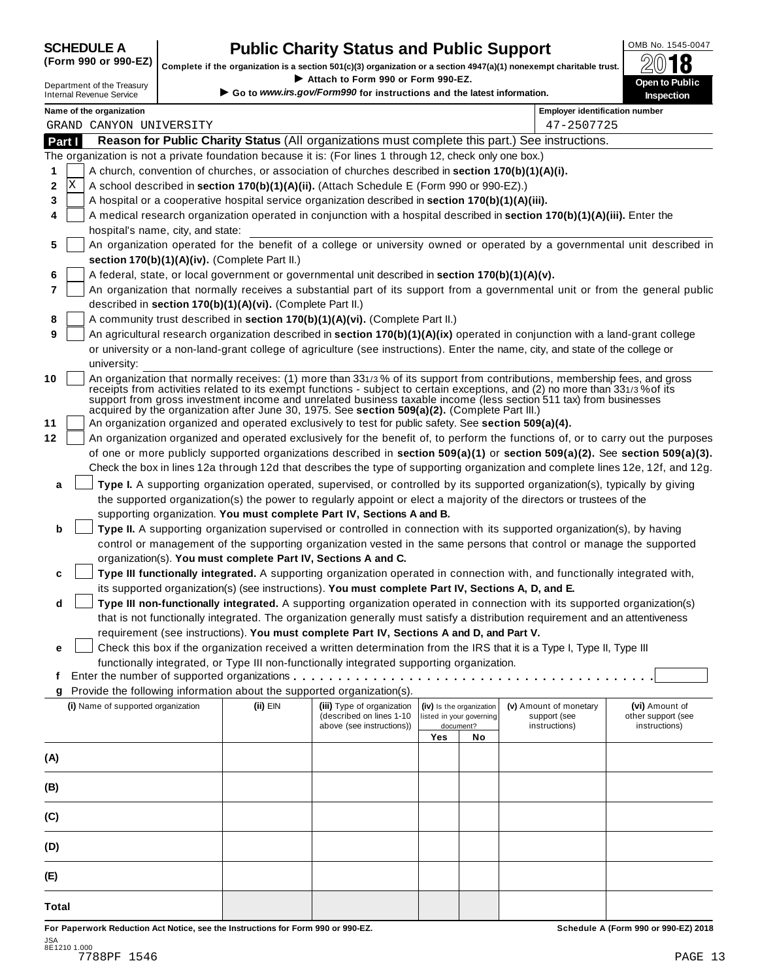## **CHEDULE A Public Charity Status and Public Support**  $\frac{\text{OMB No. 1545-0047}}{\text{OMB}}$

(Form 990 or 990-EZ) complete if the organization is a section 501(c)(3) organization or a section 4947(a)(1) nonexempt charitable trust.  $2018$ 

|              |                                                               |                                                            |                                                                                                              |     |                          | Complete if the organization is a section 501(c)(3) organization or a section 4947(a)(1) nonexempt charitable trust.             | ZW IO                        |
|--------------|---------------------------------------------------------------|------------------------------------------------------------|--------------------------------------------------------------------------------------------------------------|-----|--------------------------|----------------------------------------------------------------------------------------------------------------------------------|------------------------------|
|              | Department of the Treasury<br><b>Internal Revenue Service</b> |                                                            | Attach to Form 990 or Form 990-EZ.<br>Go to www.irs.gov/Form990 for instructions and the latest information. |     |                          |                                                                                                                                  | Open to Public<br>Inspection |
|              | Name of the organization                                      |                                                            |                                                                                                              |     |                          | <b>Employer identification number</b>                                                                                            |                              |
|              | GRAND CANYON UNIVERSITY                                       |                                                            |                                                                                                              |     |                          | 47-2507725                                                                                                                       |                              |
| Part I       |                                                               |                                                            |                                                                                                              |     |                          | Reason for Public Charity Status (All organizations must complete this part.) See instructions.                                  |                              |
|              |                                                               |                                                            | The organization is not a private foundation because it is: (For lines 1 through 12, check only one box.)    |     |                          |                                                                                                                                  |                              |
| 1            |                                                               |                                                            | A church, convention of churches, or association of churches described in section 170(b)(1)(A)(i).           |     |                          |                                                                                                                                  |                              |
| X<br>2       |                                                               |                                                            | A school described in section 170(b)(1)(A)(ii). (Attach Schedule E (Form 990 or 990-EZ).)                    |     |                          |                                                                                                                                  |                              |
| 3            |                                                               |                                                            | A hospital or a cooperative hospital service organization described in section 170(b)(1)(A)(iii).            |     |                          |                                                                                                                                  |                              |
| 4            | hospital's name, city, and state:                             |                                                            |                                                                                                              |     |                          | A medical research organization operated in conjunction with a hospital described in section 170(b)(1)(A)(iii). Enter the        |                              |
| 5            |                                                               |                                                            |                                                                                                              |     |                          | An organization operated for the benefit of a college or university owned or operated by a governmental unit described in        |                              |
|              |                                                               | section 170(b)(1)(A)(iv). (Complete Part II.)              |                                                                                                              |     |                          |                                                                                                                                  |                              |
| 6            |                                                               |                                                            | A federal, state, or local government or governmental unit described in section 170(b)(1)(A)(v).             |     |                          |                                                                                                                                  |                              |
| 7            |                                                               |                                                            |                                                                                                              |     |                          | An organization that normally receives a substantial part of its support from a governmental unit or from the general public     |                              |
|              |                                                               | described in section 170(b)(1)(A)(vi). (Complete Part II.) |                                                                                                              |     |                          |                                                                                                                                  |                              |
| 8            |                                                               |                                                            | A community trust described in section 170(b)(1)(A)(vi). (Complete Part II.)                                 |     |                          |                                                                                                                                  |                              |
| 9            |                                                               |                                                            |                                                                                                              |     |                          | An agricultural research organization described in section 170(b)(1)(A)(ix) operated in conjunction with a land-grant college    |                              |
|              | university:                                                   |                                                            |                                                                                                              |     |                          | or university or a non-land-grant college of agriculture (see instructions). Enter the name, city, and state of the college or   |                              |
| 10           |                                                               |                                                            |                                                                                                              |     |                          | An organization that normally receives: (1) more than 331/3% of its support from contributions, membership fees, and gross       |                              |
|              |                                                               |                                                            |                                                                                                              |     |                          | receipts from activities related to its exempt functions - subject to certain exceptions, and (2) no more than 331/3% of its     |                              |
|              |                                                               |                                                            | acquired by the organization after June 30, 1975. See section 509(a)(2). (Complete Part III.)                |     |                          | support from gross investment income and unrelated business taxable income (less section 511 tax) from businesses                |                              |
| 11           |                                                               |                                                            | An organization organized and operated exclusively to test for public safety. See section 509(a)(4).         |     |                          |                                                                                                                                  |                              |
| 12           |                                                               |                                                            |                                                                                                              |     |                          | An organization organized and operated exclusively for the benefit of, to perform the functions of, or to carry out the purposes |                              |
|              |                                                               |                                                            |                                                                                                              |     |                          | of one or more publicly supported organizations described in section 509(a)(1) or section 509(a)(2). See section 509(a)(3).      |                              |
|              |                                                               |                                                            |                                                                                                              |     |                          | Check the box in lines 12a through 12d that describes the type of supporting organization and complete lines 12e, 12f, and 12g.  |                              |
| а            |                                                               |                                                            |                                                                                                              |     |                          | Type I. A supporting organization operated, supervised, or controlled by its supported organization(s), typically by giving      |                              |
|              |                                                               |                                                            |                                                                                                              |     |                          | the supported organization(s) the power to regularly appoint or elect a majority of the directors or trustees of the             |                              |
|              |                                                               |                                                            | supporting organization. You must complete Part IV, Sections A and B.                                        |     |                          |                                                                                                                                  |                              |
| b            |                                                               |                                                            |                                                                                                              |     |                          | Type II. A supporting organization supervised or controlled in connection with its supported organization(s), by having          |                              |
|              |                                                               |                                                            |                                                                                                              |     |                          | control or management of the supporting organization vested in the same persons that control or manage the supported             |                              |
|              |                                                               |                                                            | organization(s). You must complete Part IV, Sections A and C.                                                |     |                          |                                                                                                                                  |                              |
| c            |                                                               |                                                            |                                                                                                              |     |                          | Type III functionally integrated. A supporting organization operated in connection with, and functionally integrated with,       |                              |
|              |                                                               |                                                            | its supported organization(s) (see instructions). You must complete Part IV, Sections A, D, and E.           |     |                          |                                                                                                                                  |                              |
| d            |                                                               |                                                            |                                                                                                              |     |                          | Type III non-functionally integrated. A supporting organization operated in connection with its supported organization(s)        |                              |
|              |                                                               |                                                            |                                                                                                              |     |                          | that is not functionally integrated. The organization generally must satisfy a distribution requirement and an attentiveness     |                              |
|              |                                                               |                                                            | requirement (see instructions). You must complete Part IV, Sections A and D, and Part V.                     |     |                          |                                                                                                                                  |                              |
| е            |                                                               |                                                            |                                                                                                              |     |                          | Check this box if the organization received a written determination from the IRS that it is a Type I, Type II, Type III          |                              |
|              |                                                               |                                                            | functionally integrated, or Type III non-functionally integrated supporting organization.                    |     |                          |                                                                                                                                  |                              |
| f            |                                                               |                                                            |                                                                                                              |     |                          |                                                                                                                                  |                              |
| g            |                                                               |                                                            | Provide the following information about the supported organization(s).                                       |     |                          |                                                                                                                                  |                              |
|              | (i) Name of supported organization                            | $(ii)$ EIN                                                 | (iii) Type of organization                                                                                   |     | (iv) Is the organization | (v) Amount of monetary                                                                                                           | (vi) Amount of               |
|              |                                                               |                                                            | (described on lines 1-10                                                                                     |     | listed in your governing | support (see                                                                                                                     | other support (see           |
|              |                                                               |                                                            | above (see instructions))                                                                                    | Yes | document?<br>No          | instructions)                                                                                                                    | instructions)                |
|              |                                                               |                                                            |                                                                                                              |     |                          |                                                                                                                                  |                              |
| (A)          |                                                               |                                                            |                                                                                                              |     |                          |                                                                                                                                  |                              |
|              |                                                               |                                                            |                                                                                                              |     |                          |                                                                                                                                  |                              |
| (B)          |                                                               |                                                            |                                                                                                              |     |                          |                                                                                                                                  |                              |
| (C)          |                                                               |                                                            |                                                                                                              |     |                          |                                                                                                                                  |                              |
| (D)          |                                                               |                                                            |                                                                                                              |     |                          |                                                                                                                                  |                              |
| (E)          |                                                               |                                                            |                                                                                                              |     |                          |                                                                                                                                  |                              |
| <b>Total</b> |                                                               |                                                            |                                                                                                              |     |                          |                                                                                                                                  |                              |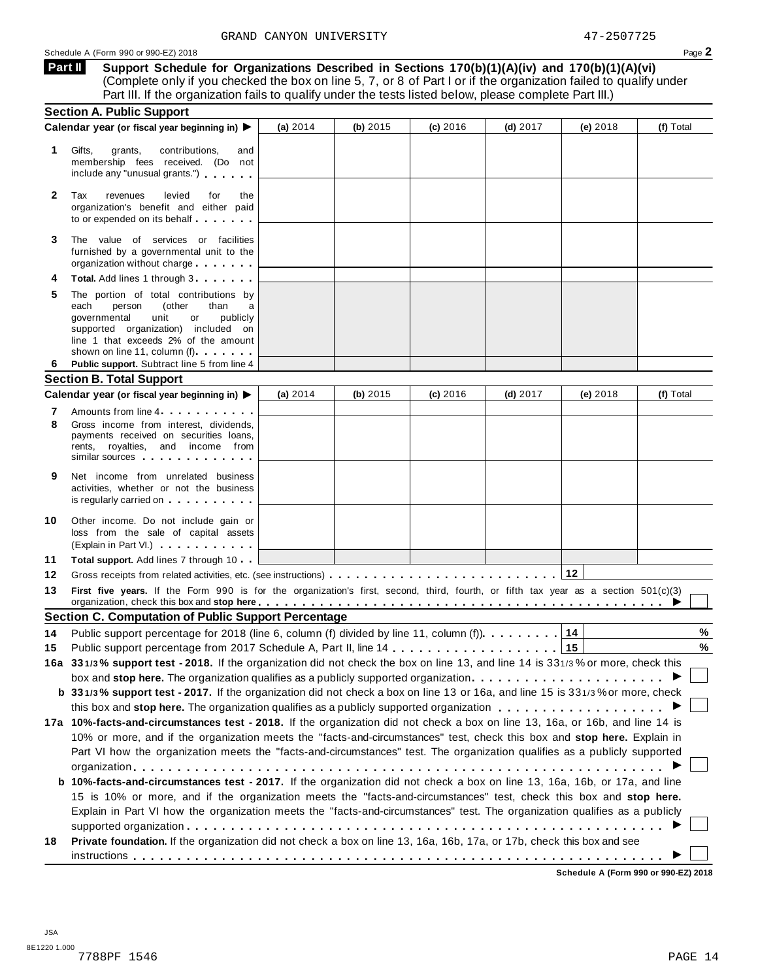**Support Schedule for Organizations Described in Sections 170(b)(1)(A)(iv) and 170(b)(1)(A)(vi)** (Complete only if you checked the box on line 5, 7, or 8 of Part I or if the organization failed to qualify under Part III. If the organization fails to qualify under the tests listed below, please complete Part III.) **Part II**

|    | <b>Section A. Public Support</b>                                                                                                                                                                                                                                                                                |            |            |            |            |          |           |
|----|-----------------------------------------------------------------------------------------------------------------------------------------------------------------------------------------------------------------------------------------------------------------------------------------------------------------|------------|------------|------------|------------|----------|-----------|
|    | Calendar year (or fiscal year beginning in) ▶                                                                                                                                                                                                                                                                   | (a) 2014   | (b) $2015$ | $(c)$ 2016 | $(d)$ 2017 | (e) 2018 | (f) Total |
| 1. | Gifts,<br>grants,<br>contributions,<br>and<br>membership fees received. (Do not<br>include any "unusual grants.")                                                                                                                                                                                               |            |            |            |            |          |           |
| 2  | levied<br>Tax<br>revenues<br>for<br>the<br>organization's benefit and either paid<br>to or expended on its behalf                                                                                                                                                                                               |            |            |            |            |          |           |
| 3  | The value of services or facilities<br>furnished by a governmental unit to the<br>organization without charge                                                                                                                                                                                                   |            |            |            |            |          |           |
|    | Total. Add lines 1 through 3.                                                                                                                                                                                                                                                                                   |            |            |            |            |          |           |
| 5  | The portion of total contributions by<br>each<br>person<br>(other<br>than<br>a<br>governmental<br>unit<br>or<br>publicly<br>supported organization) included on<br>line 1 that exceeds 2% of the amount<br>shown on line 11, column (f)                                                                         |            |            |            |            |          |           |
| 6  | Public support. Subtract line 5 from line 4                                                                                                                                                                                                                                                                     |            |            |            |            |          |           |
|    | <b>Section B. Total Support</b>                                                                                                                                                                                                                                                                                 |            |            |            |            |          |           |
|    | Calendar year (or fiscal year beginning in) ▶                                                                                                                                                                                                                                                                   | (a) $2014$ | (b) $2015$ | $(c)$ 2016 | $(d)$ 2017 | (e) 2018 | (f) Total |
| 7  | Amounts from line 4                                                                                                                                                                                                                                                                                             |            |            |            |            |          |           |
| 8  | Gross income from interest, dividends,<br>payments received on securities loans,<br>rents, royalties, and income from<br>similar sources experiences                                                                                                                                                            |            |            |            |            |          |           |
| 9  | Net income from unrelated business<br>activities, whether or not the business<br>is regularly carried on the control of the control of the control of the control of the control of the control of the control of the control of the control of the control of the control of the control of the control of the |            |            |            |            |          |           |
| 10 | Other income. Do not include gain or<br>loss from the sale of capital assets<br>(Explain in Part VI.)                                                                                                                                                                                                           |            |            |            |            |          |           |
| 11 | <b>Total support.</b> Add lines 7 through 10                                                                                                                                                                                                                                                                    |            |            |            |            |          |           |
| 12 |                                                                                                                                                                                                                                                                                                                 |            |            |            |            |          |           |
| 13 | First five years. If the Form 990 is for the organization's first, second, third, fourth, or fifth tax year as a section 501(c)(3)<br>organization, check this box and stop here entirely and state of the state of the state of the state of the state of $\blacktriangleright$                                |            |            |            |            |          |           |
|    | <b>Section C. Computation of Public Support Percentage</b>                                                                                                                                                                                                                                                      |            |            |            |            |          |           |
| 14 | Public support percentage for 2018 (line 6, column (f) divided by line 11, column (f) $\ldots \ldots \ldots$                                                                                                                                                                                                    |            |            |            |            | 14       | %         |
| 15 |                                                                                                                                                                                                                                                                                                                 |            |            |            |            |          | $\%$      |
|    | 16a 331/3% support test - 2018. If the organization did not check the box on line 13, and line 14 is 331/3% or more, check this                                                                                                                                                                                 |            |            |            |            |          |           |
|    |                                                                                                                                                                                                                                                                                                                 |            |            |            |            |          |           |
|    | b 331/3% support test - 2017. If the organization did not check a box on line 13 or 16a, and line 15 is 331/3% or more, check                                                                                                                                                                                   |            |            |            |            |          |           |
|    |                                                                                                                                                                                                                                                                                                                 |            |            |            |            |          |           |
|    | 17a 10%-facts-and-circumstances test - 2018. If the organization did not check a box on line 13, 16a, or 16b, and line 14 is                                                                                                                                                                                    |            |            |            |            |          |           |
|    | 10% or more, and if the organization meets the "facts-and-circumstances" test, check this box and stop here. Explain in                                                                                                                                                                                         |            |            |            |            |          |           |
|    | Part VI how the organization meets the "facts-and-circumstances" test. The organization qualifies as a publicly supported                                                                                                                                                                                       |            |            |            |            |          |           |
|    |                                                                                                                                                                                                                                                                                                                 |            |            |            |            |          |           |
|    | b 10%-facts-and-circumstances test - 2017. If the organization did not check a box on line 13, 16a, 16b, or 17a, and line                                                                                                                                                                                       |            |            |            |            |          |           |
|    | 15 is 10% or more, and if the organization meets the "facts-and-circumstances" test, check this box and stop here.                                                                                                                                                                                              |            |            |            |            |          |           |
|    | Explain in Part VI how the organization meets the "facts-and-circumstances" test. The organization qualifies as a publicly                                                                                                                                                                                      |            |            |            |            |          |           |
|    |                                                                                                                                                                                                                                                                                                                 |            |            |            |            |          |           |
| 18 | Private foundation. If the organization did not check a box on line 13, 16a, 16b, 17a, or 17b, check this box and see                                                                                                                                                                                           |            |            |            |            |          |           |
|    |                                                                                                                                                                                                                                                                                                                 |            |            |            |            |          |           |

**Schedule A (Form 990 or 990-EZ) 2018**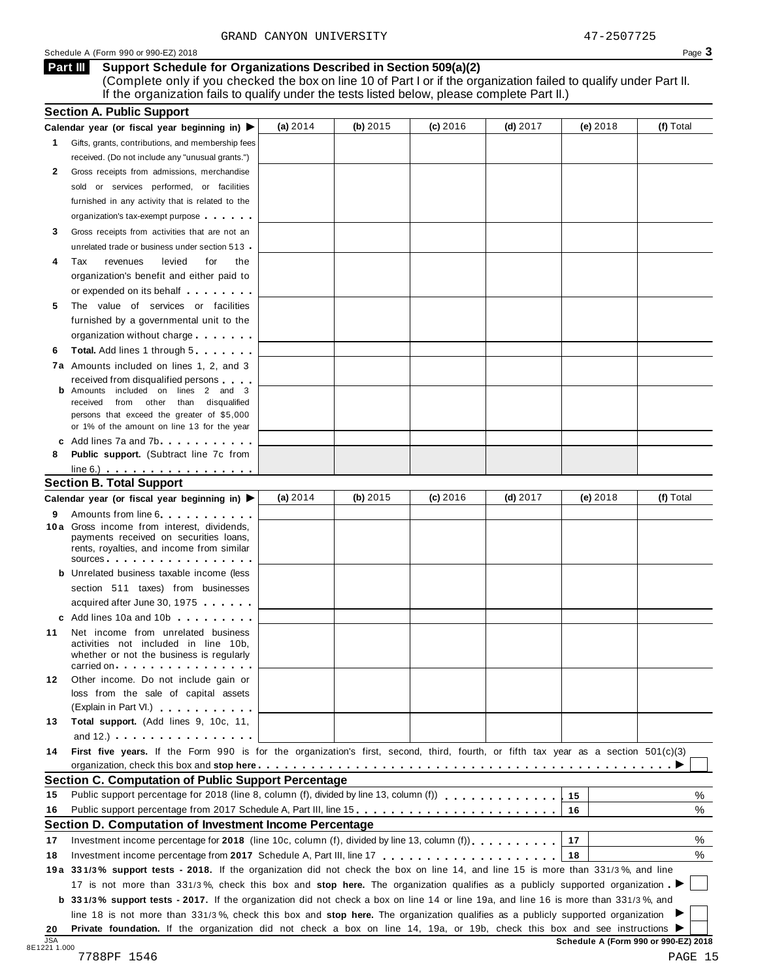#### **Support Schedule for Organizations Described in Section 509(a)(2) Part III**

(Complete only if you checked the box on line 10 of Part I or if the organization failed to qualify under Part II. If the organization fails to qualify under the tests listed below, please complete Part II.)

|    | Calendar year (or fiscal year beginning in) $\blacktriangleright$                                                                                                                                                                                                            | (a) 2014   | (b) $2015$ | (c) 2016   | $(d)$ 2017 | $(e)$ 2018 | (f) Total |
|----|------------------------------------------------------------------------------------------------------------------------------------------------------------------------------------------------------------------------------------------------------------------------------|------------|------------|------------|------------|------------|-----------|
|    | 1 Gifts, grants, contributions, and membership fees                                                                                                                                                                                                                          |            |            |            |            |            |           |
|    | received. (Do not include any "unusual grants.")                                                                                                                                                                                                                             |            |            |            |            |            |           |
| 2  | Gross receipts from admissions, merchandise                                                                                                                                                                                                                                  |            |            |            |            |            |           |
|    | sold or services performed, or facilities                                                                                                                                                                                                                                    |            |            |            |            |            |           |
|    | furnished in any activity that is related to the                                                                                                                                                                                                                             |            |            |            |            |            |           |
|    | organization's tax-exempt purpose                                                                                                                                                                                                                                            |            |            |            |            |            |           |
| 3  | Gross receipts from activities that are not an                                                                                                                                                                                                                               |            |            |            |            |            |           |
|    | unrelated trade or business under section 513 -                                                                                                                                                                                                                              |            |            |            |            |            |           |
| 4  | Tax<br>revenues<br>levied<br>for<br>the                                                                                                                                                                                                                                      |            |            |            |            |            |           |
|    | organization's benefit and either paid to                                                                                                                                                                                                                                    |            |            |            |            |            |           |
|    | or expended on its behalf <b>contained</b> by the set of the set of the set of the set of the set of the set of the set of the set of the set of the set of the set of the set of the set of the set of the set of the set of the s                                          |            |            |            |            |            |           |
| 5  | The value of services or facilities                                                                                                                                                                                                                                          |            |            |            |            |            |           |
|    | furnished by a governmental unit to the                                                                                                                                                                                                                                      |            |            |            |            |            |           |
|    | organization without charge                                                                                                                                                                                                                                                  |            |            |            |            |            |           |
| 6  | <b>Total.</b> Add lines 1 through 5                                                                                                                                                                                                                                          |            |            |            |            |            |           |
|    | 7a Amounts included on lines 1, 2, and 3                                                                                                                                                                                                                                     |            |            |            |            |            |           |
|    | received from disqualified persons                                                                                                                                                                                                                                           |            |            |            |            |            |           |
|    | Amounts included on lines 2 and 3<br>received from other than disqualified                                                                                                                                                                                                   |            |            |            |            |            |           |
|    | persons that exceed the greater of \$5,000                                                                                                                                                                                                                                   |            |            |            |            |            |           |
|    | or 1% of the amount on line 13 for the year                                                                                                                                                                                                                                  |            |            |            |            |            |           |
|    | c Add lines $7a$ and $7b$                                                                                                                                                                                                                                                    |            |            |            |            |            |           |
| 8  | <b>Public support.</b> (Subtract line 7c from                                                                                                                                                                                                                                |            |            |            |            |            |           |
|    | $line 6.)$ $\ldots$ $\ldots$ $\ldots$ $\ldots$ $\ldots$                                                                                                                                                                                                                      |            |            |            |            |            |           |
|    | <b>Section B. Total Support</b>                                                                                                                                                                                                                                              |            |            |            |            |            |           |
|    | Calendar year (or fiscal year beginning in) ▶                                                                                                                                                                                                                                | (a) $2014$ | (b) 2015   | $(c)$ 2016 | (d) $2017$ | $(e)$ 2018 | (f) Total |
| 9  | Amounts from line 6.<br>10a Gross income from interest, dividends,                                                                                                                                                                                                           |            |            |            |            |            |           |
|    | payments received on securities loans,<br>rents, royalties, and income from similar<br>$sources$                                                                                                                                                                             |            |            |            |            |            |           |
|    | <b>b</b> Unrelated business taxable income (less                                                                                                                                                                                                                             |            |            |            |            |            |           |
|    | section 511 taxes) from businesses                                                                                                                                                                                                                                           |            |            |            |            |            |           |
|    | acquired after June 30, 1975                                                                                                                                                                                                                                                 |            |            |            |            |            |           |
|    | c Add lines 10a and 10b                                                                                                                                                                                                                                                      |            |            |            |            |            |           |
| 11 | Net income from unrelated business                                                                                                                                                                                                                                           |            |            |            |            |            |           |
|    | activities not included in line 10b,<br>whether or not the business is regularly                                                                                                                                                                                             |            |            |            |            |            |           |
|    | carried on each contract to the carried on                                                                                                                                                                                                                                   |            |            |            |            |            |           |
| 12 | Other income. Do not include gain or<br>loss from the sale of capital assets                                                                                                                                                                                                 |            |            |            |            |            |           |
|    | (Explain in Part VI.) <b>All Accords</b>                                                                                                                                                                                                                                     |            |            |            |            |            |           |
| 13 | Total support. (Add lines 9, 10c, 11,                                                                                                                                                                                                                                        |            |            |            |            |            |           |
|    | and $12.$ ) $\cdots$ $\cdots$ $\cdots$ $\cdots$ $\cdots$                                                                                                                                                                                                                     |            |            |            |            |            |           |
| 14 | First five years. If the Form 990 is for the organization's first, second, third, fourth, or fifth tax year as a section 501(c)(3)                                                                                                                                           |            |            |            |            |            |           |
|    |                                                                                                                                                                                                                                                                              |            |            |            |            |            |           |
|    | <b>Section C. Computation of Public Support Percentage</b>                                                                                                                                                                                                                   |            |            |            |            |            |           |
| 15 | Public support percentage for 2018 (line 8, column (f), divided by line 13, column (f) [1] [1] [1] Public support percentage for 2018 (line 8, column (f), divided by line 13, column (f)                                                                                    |            |            |            |            | 15         | %         |
| 16 | Public support percentage from 2017 Schedule A, Part III, line 15.                                                                                                                                                                                                           |            |            |            |            | 16         | %         |
|    | Section D. Computation of Investment Income Percentage                                                                                                                                                                                                                       |            |            |            |            |            |           |
| 17 | Investment income percentage for 2018 (line 10c, column (f), divided by line 13, column (f)), $\ldots$ , , , , , , ,                                                                                                                                                         |            |            |            |            | 17         | %         |
| 18 |                                                                                                                                                                                                                                                                              |            |            |            |            | 18         | %         |
|    | 19a 331/3% support tests - 2018. If the organization did not check the box on line 14, and line 15 is more than 331/3%, and line                                                                                                                                             |            |            |            |            |            |           |
|    |                                                                                                                                                                                                                                                                              |            |            |            |            |            |           |
|    |                                                                                                                                                                                                                                                                              |            |            |            |            |            |           |
|    | 17 is not more than 331/3%, check this box and stop here. The organization qualifies as a publicly supported organization                                                                                                                                                    |            |            |            |            |            |           |
|    | <b>b</b> 331/3% support tests - 2017. If the organization did not check a box on line 14 or line 19a, and line 16 is more than 331/3%, and<br>line 18 is not more than 331/3%, check this box and stop here. The organization qualifies as a publicly supported organization |            |            |            |            |            |           |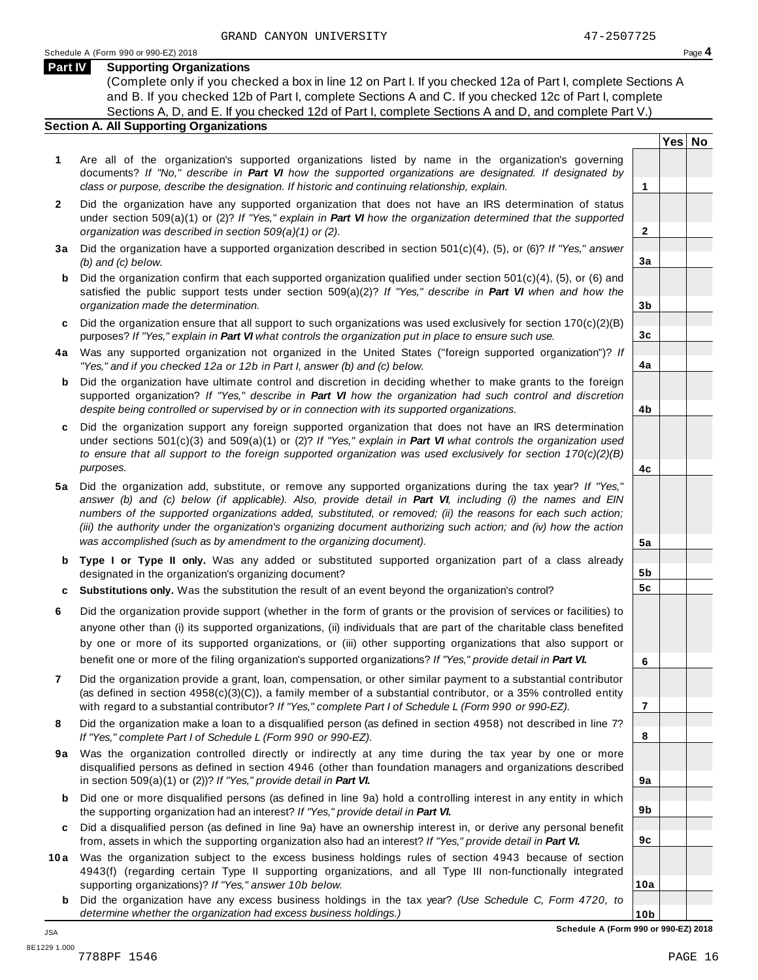**Yes No**

**2**

**3a**

**3b**

**3c**

**4a**

**4b**

**4c**

**5a**

**5b 5c**

**6**

**7**

**8**

**9a**

**9b**

**9c**

**10a**

#### **Part IV Supporting Organizations**

(Complete only if you checked a box in line 12 on Part I. If you checked 12a of Part I, complete Sections A and B. If you checked 12b of Part I, complete Sections A and C. If you checked 12c of Part I, complete Sections A, D, and E. If you checked 12d of Part I, complete Sections A and D, and complete Part V.)

#### **Section A. All Supporting Organizations**

- **1** Are all of the organization's supported organizations listed by name in the organization's governing documents? *If "No," describe in Part VI how the supported organizations are designated. If designated by class or purpose, describe the designation. If historic and continuing relationship, explain.* **1**
- **2** Did the organization have any supported organization that does not have an IRS determination of status under section 509(a)(1) or (2)? *If"Yes," explain in Part VI how the organization determined that the supported organization was described in section 509(a)(1) or (2).*
- **3 a** Did the organization have a supported organization described in section 501(c)(4), (5), or (6)? *If "Yes," answer (b) and (c) below.*
- **b** Did the organization confirm that each supported organization qualified under section 501(c)(4), (5), or (6) and | satisfied the public support tests under section 509(a)(2)? *If "Yes," describe in Part VI when and how the organization made the determination.*
- **c** Did the organization ensure that all support to such organizations was used exclusively for section 170(c)(2)(B) purposes? *If"Yes," explain in Part VI what controls the organization put in place to ensure such use.*
- **4 a** Was any supported organization not organized in the United States ("foreign supported organization")? *If "Yes," and if you checked 12a or 12b in Part I, answer (b) and (c) below.*
- **b** Did the organization have ultimate control and discretion in deciding whether to make grants to the foreign | supported organization? *If "Yes," describe in Part VI how the organization had such control and discretion despite being controlled or supervised by or in connection with its supported organizations.*
- **c** Did the organization support any foreign supported organization that does not have an IRS determination under sections 501(c)(3) and 509(a)(1) or (2)? *If "Yes," explain in Part VI what controls the organization used to ensure that all support to the foreign supported organization was used exclusively for section 170(c)(2)(B) purposes.*
- **5 a** Did the organization add, substitute, or remove any supported organizations during the tax year? *If "Yes,"* answer (b) and (c) below (if applicable). Also, provide detail in Part VI, including (i) the names and EIN *numbers of the supported organizations added, substituted, or removed; (ii) the reasons for each such action;* (iii) the authority under the organization's organizing document authorizing such action; and (iv) how the action *was accomplished (such as by amendment to the organizing document).*
- **b Type I or Type II only.** Was any added or substituted supported organization part of a class already designated in the organization's organizing document?
- **c Substitutions only.** Was the substitution the result of an event beyond the organization's control?
- **6** Did the organization provide support (whether in the form of grants or the provision of services or facilities) to anyone other than (i) its supported organizations, (ii) individuals that are part of the charitable class benefited by one or more of its supported organizations, or (iii) other supporting organizations that also support or benefit one or more of the filing organization's supported organizations? *If"Yes," provide detail in Part VI.*
- **7** Did the organization provide a grant, loan, compensation, or other similar payment to a substantial contributor (as defined in section 4958(c)(3)(C)), a family member of a substantial contributor, or a 35% controlled entity with regard to a substantial contributor? *If"Yes," complete Part I of Schedule L (Form 990 or 990-EZ).*
- **8** Did the organization make a loan to a disqualified person (as defined in section 4958) not described in line 7? *If "Yes," complete Part I of Schedule L (Form 990 or 990-EZ).*
- **9a** Was the organization controlled directly or indirectly at any time during the tax year by one or more | disqualified persons as defined in section 4946 (other than foundation managers and organizations described in section 509(a)(1) or (2))? *If"Yes," provide detail in Part VI.*
- **b** Did one or more disqualified persons (as defined in line 9a) hold a controlling interest in any entity in which | the supporting organization had an interest? *If"Yes," provide detail in Part VI.*
- **c** Did a disqualified person (as defined in line 9a) have an ownership interest in, or derive any personal benefit from, assets in which the supporting organization also had an interest? *If"Yes," provide detail in Part VI.*
- **10a** Was the organization subject to the excess business holdings rules of section 4943 because of section | 4943(f) (regarding certain Type II supporting organizations, and all Type III non-functionally integrated supporting organizations)? *If"Yes," answer 10b below.*
	- **b** Did the organization have any excess business holdings in the tax year? *(Use Schedule C, Form 4720, to determine whether the organization had excess business holdings.)*

**10b Schedule A (Form 990 or 990-EZ) 2018**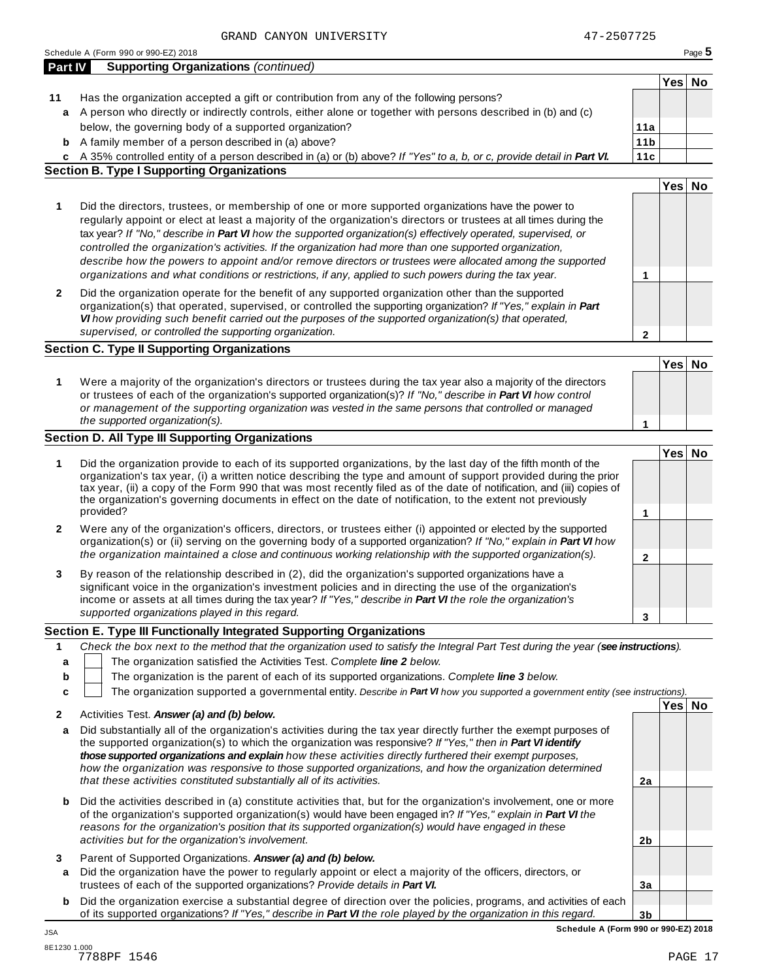|              | Schedule A (Form 990 or 990-EZ) 2018                                                                                                                                                                                                                                                                                                                                                                                                                                                                                                                                                                                                                                         |                 |        | Page 5 |
|--------------|------------------------------------------------------------------------------------------------------------------------------------------------------------------------------------------------------------------------------------------------------------------------------------------------------------------------------------------------------------------------------------------------------------------------------------------------------------------------------------------------------------------------------------------------------------------------------------------------------------------------------------------------------------------------------|-----------------|--------|--------|
| Part IV      | <b>Supporting Organizations (continued)</b>                                                                                                                                                                                                                                                                                                                                                                                                                                                                                                                                                                                                                                  |                 |        |        |
|              |                                                                                                                                                                                                                                                                                                                                                                                                                                                                                                                                                                                                                                                                              |                 | Yes No |        |
| 11           | Has the organization accepted a gift or contribution from any of the following persons?                                                                                                                                                                                                                                                                                                                                                                                                                                                                                                                                                                                      |                 |        |        |
|              | a A person who directly or indirectly controls, either alone or together with persons described in (b) and (c)                                                                                                                                                                                                                                                                                                                                                                                                                                                                                                                                                               |                 |        |        |
|              | below, the governing body of a supported organization?                                                                                                                                                                                                                                                                                                                                                                                                                                                                                                                                                                                                                       | 11a             |        |        |
| b            | A family member of a person described in (a) above?                                                                                                                                                                                                                                                                                                                                                                                                                                                                                                                                                                                                                          | 11 <sub>b</sub> |        |        |
|              | c A 35% controlled entity of a person described in (a) or (b) above? If "Yes" to a, b, or c, provide detail in Part VI.                                                                                                                                                                                                                                                                                                                                                                                                                                                                                                                                                      | 11c             |        |        |
|              | <b>Section B. Type I Supporting Organizations</b>                                                                                                                                                                                                                                                                                                                                                                                                                                                                                                                                                                                                                            |                 |        |        |
|              |                                                                                                                                                                                                                                                                                                                                                                                                                                                                                                                                                                                                                                                                              |                 | Yes No |        |
| 1            | Did the directors, trustees, or membership of one or more supported organizations have the power to<br>regularly appoint or elect at least a majority of the organization's directors or trustees at all times during the<br>tax year? If "No," describe in Part VI how the supported organization(s) effectively operated, supervised, or<br>controlled the organization's activities. If the organization had more than one supported organization,<br>describe how the powers to appoint and/or remove directors or trustees were allocated among the supported<br>organizations and what conditions or restrictions, if any, applied to such powers during the tax year. | 1               |        |        |
| 2            | Did the organization operate for the benefit of any supported organization other than the supported<br>organization(s) that operated, supervised, or controlled the supporting organization? If "Yes," explain in Part<br>VI how providing such benefit carried out the purposes of the supported organization(s) that operated,<br>supervised, or controlled the supporting organization.                                                                                                                                                                                                                                                                                   | $\mathbf{2}$    |        |        |
|              | <b>Section C. Type II Supporting Organizations</b>                                                                                                                                                                                                                                                                                                                                                                                                                                                                                                                                                                                                                           |                 |        |        |
|              |                                                                                                                                                                                                                                                                                                                                                                                                                                                                                                                                                                                                                                                                              |                 | Yes No |        |
| 1            | Were a majority of the organization's directors or trustees during the tax year also a majority of the directors<br>or trustees of each of the organization's supported organization(s)? If "No," describe in Part VI how control<br>or management of the supporting organization was vested in the same persons that controlled or managed                                                                                                                                                                                                                                                                                                                                  |                 |        |        |
|              | the supported organization(s).                                                                                                                                                                                                                                                                                                                                                                                                                                                                                                                                                                                                                                               | 1               |        |        |
|              | <b>Section D. All Type III Supporting Organizations</b>                                                                                                                                                                                                                                                                                                                                                                                                                                                                                                                                                                                                                      |                 |        |        |
| 1            | Did the organization provide to each of its supported organizations, by the last day of the fifth month of the<br>organization's tax year, (i) a written notice describing the type and amount of support provided during the prior<br>tax year, (ii) a copy of the Form 990 that was most recently filed as of the date of notification, and (iii) copies of<br>the organization's governing documents in effect on the date of notification, to the extent not previously<br>provided?                                                                                                                                                                                     | 1               | Yes No |        |
|              |                                                                                                                                                                                                                                                                                                                                                                                                                                                                                                                                                                                                                                                                              |                 |        |        |
| 2            | Were any of the organization's officers, directors, or trustees either (i) appointed or elected by the supported<br>organization(s) or (ii) serving on the governing body of a supported organization? If "No," explain in Part VI how<br>the organization maintained a close and continuous working relationship with the supported organization(s).                                                                                                                                                                                                                                                                                                                        | $\mathbf{2}$    |        |        |
| 3            | By reason of the relationship described in (2), did the organization's supported organizations have a<br>significant voice in the organization's investment policies and in directing the use of the organization's<br>income or assets at all times during the tax year? If "Yes," describe in Part VI the role the organization's<br>supported organizations played in this regard.                                                                                                                                                                                                                                                                                        | 3               |        |        |
|              | Section E. Type III Functionally Integrated Supporting Organizations                                                                                                                                                                                                                                                                                                                                                                                                                                                                                                                                                                                                         |                 |        |        |
| 1            | Check the box next to the method that the organization used to satisfy the Integral Part Test during the year (see instructions).                                                                                                                                                                                                                                                                                                                                                                                                                                                                                                                                            |                 |        |        |
| a            | The organization satisfied the Activities Test. Complete line 2 below.                                                                                                                                                                                                                                                                                                                                                                                                                                                                                                                                                                                                       |                 |        |        |
| b            | The organization is the parent of each of its supported organizations. Complete line 3 below.                                                                                                                                                                                                                                                                                                                                                                                                                                                                                                                                                                                |                 |        |        |
| c            | The organization supported a governmental entity. Describe in Part VI how you supported a government entity (see instructions).                                                                                                                                                                                                                                                                                                                                                                                                                                                                                                                                              |                 |        |        |
|              |                                                                                                                                                                                                                                                                                                                                                                                                                                                                                                                                                                                                                                                                              |                 | Yes No |        |
| $\mathbf{2}$ | Activities Test. Answer (a) and (b) below.                                                                                                                                                                                                                                                                                                                                                                                                                                                                                                                                                                                                                                   |                 |        |        |
| a            | Did substantially all of the organization's activities during the tax year directly further the exempt purposes of<br>the supported organization(s) to which the organization was responsive? If "Yes," then in Part VI identify<br>those supported organizations and explain how these activities directly furthered their exempt purposes,<br>how the organization was responsive to those supported organizations, and how the organization determined                                                                                                                                                                                                                    |                 |        |        |
|              | that these activities constituted substantially all of its activities.                                                                                                                                                                                                                                                                                                                                                                                                                                                                                                                                                                                                       | 2a              |        |        |
| b            | Did the activities described in (a) constitute activities that, but for the organization's involvement, one or more<br>of the organization's supported organization(s) would have been engaged in? If "Yes," explain in Part VI the<br>reasons for the organization's position that its supported organization(s) would have engaged in these<br>activities but for the organization's involvement.                                                                                                                                                                                                                                                                          | 2b              |        |        |
|              | Parent of Supported Organizations. Answer (a) and (b) below.                                                                                                                                                                                                                                                                                                                                                                                                                                                                                                                                                                                                                 |                 |        |        |
| 3<br>а       | Did the organization have the power to regularly appoint or elect a majority of the officers, directors, or<br>trustees of each of the supported organizations? Provide details in Part VI.                                                                                                                                                                                                                                                                                                                                                                                                                                                                                  | 3a              |        |        |
|              |                                                                                                                                                                                                                                                                                                                                                                                                                                                                                                                                                                                                                                                                              |                 |        |        |

**b** Did the organization exercise a substantial degree of direction over the policies, programs, and activities of each of its supported organizations? *If"Yes," describe in Part VI the role played by the organization in this regard.*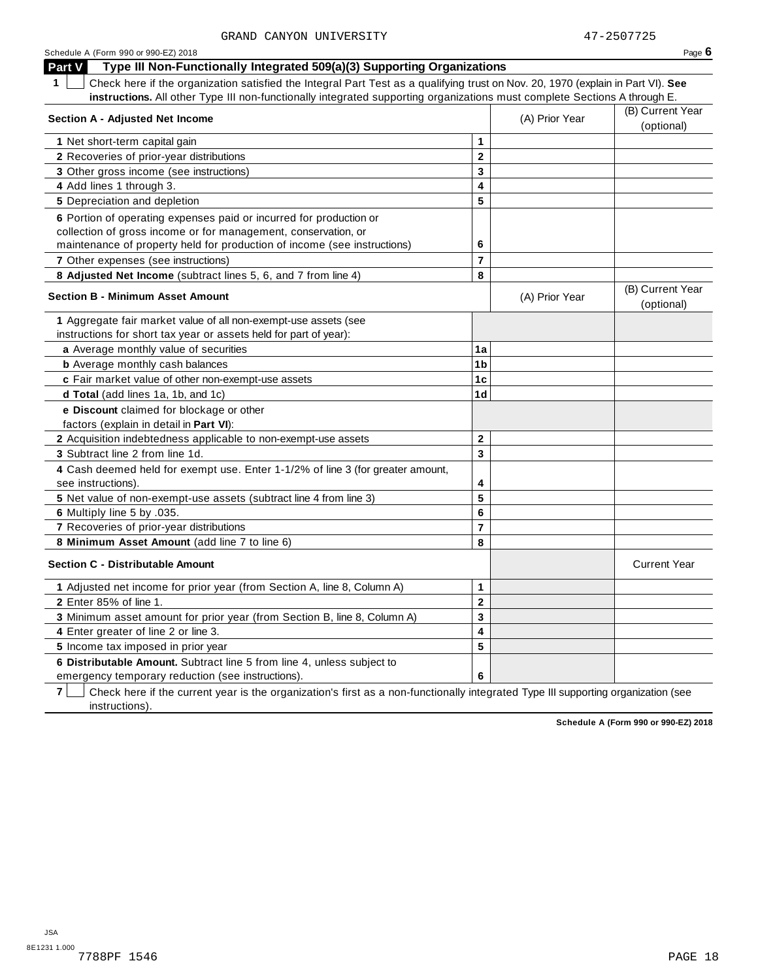| Schedule A (Form 990 or 990-EZ) 2018                                                                                                                                                                                                                                         |                         |                | Page $6$                       |
|------------------------------------------------------------------------------------------------------------------------------------------------------------------------------------------------------------------------------------------------------------------------------|-------------------------|----------------|--------------------------------|
| Type III Non-Functionally Integrated 509(a)(3) Supporting Organizations<br>Part V                                                                                                                                                                                            |                         |                |                                |
| Check here if the organization satisfied the Integral Part Test as a qualifying trust on Nov. 20, 1970 (explain in Part VI). See<br>$\mathbf 1$<br>instructions. All other Type III non-functionally integrated supporting organizations must complete Sections A through E. |                         |                |                                |
| <b>Section A - Adjusted Net Income</b>                                                                                                                                                                                                                                       |                         | (A) Prior Year | (B) Current Year<br>(optional) |
| 1 Net short-term capital gain                                                                                                                                                                                                                                                | 1                       |                |                                |
| <b>2</b> Recoveries of prior-year distributions                                                                                                                                                                                                                              | $\mathbf{2}$            |                |                                |
| 3 Other gross income (see instructions)                                                                                                                                                                                                                                      | 3                       |                |                                |
| 4 Add lines 1 through 3.                                                                                                                                                                                                                                                     | 4                       |                |                                |
| 5 Depreciation and depletion                                                                                                                                                                                                                                                 | 5                       |                |                                |
| 6 Portion of operating expenses paid or incurred for production or<br>collection of gross income or for management, conservation, or<br>maintenance of property held for production of income (see instructions)                                                             | 6                       |                |                                |
| 7 Other expenses (see instructions)                                                                                                                                                                                                                                          | $\overline{7}$          |                |                                |
| 8 Adjusted Net Income (subtract lines 5, 6, and 7 from line 4)                                                                                                                                                                                                               | 8                       |                |                                |
| <b>Section B - Minimum Asset Amount</b>                                                                                                                                                                                                                                      |                         | (A) Prior Year | (B) Current Year<br>(optional) |
| 1 Aggregate fair market value of all non-exempt-use assets (see<br>instructions for short tax year or assets held for part of year):                                                                                                                                         |                         |                |                                |
|                                                                                                                                                                                                                                                                              | 1a                      |                |                                |
| a Average monthly value of securities<br><b>b</b> Average monthly cash balances                                                                                                                                                                                              | 1 <sub>b</sub>          |                |                                |
| c Fair market value of other non-exempt-use assets                                                                                                                                                                                                                           | 1c                      |                |                                |
| d Total (add lines 1a, 1b, and 1c)                                                                                                                                                                                                                                           | 1 <sub>d</sub>          |                |                                |
| e Discount claimed for blockage or other<br>factors (explain in detail in Part VI):                                                                                                                                                                                          |                         |                |                                |
| 2 Acquisition indebtedness applicable to non-exempt-use assets                                                                                                                                                                                                               | $\mathbf{2}$            |                |                                |
| 3 Subtract line 2 from line 1d.                                                                                                                                                                                                                                              | $\mathbf{3}$            |                |                                |
| 4 Cash deemed held for exempt use. Enter 1-1/2% of line 3 (for greater amount,<br>see instructions).                                                                                                                                                                         | 4                       |                |                                |
| 5 Net value of non-exempt-use assets (subtract line 4 from line 3)                                                                                                                                                                                                           | 5                       |                |                                |
| 6 Multiply line 5 by .035.                                                                                                                                                                                                                                                   | 6                       |                |                                |
| 7 Recoveries of prior-year distributions                                                                                                                                                                                                                                     | $\overline{7}$          |                |                                |
| 8 Minimum Asset Amount (add line 7 to line 6)                                                                                                                                                                                                                                | 8                       |                |                                |
| <b>Section C - Distributable Amount</b>                                                                                                                                                                                                                                      |                         |                | <b>Current Year</b>            |
| 1 Adjusted net income for prior year (from Section A, line 8, Column A)                                                                                                                                                                                                      | 1                       |                |                                |
| <b>2</b> Enter 85% of line 1.                                                                                                                                                                                                                                                | $\overline{\mathbf{2}}$ |                |                                |
| 3 Minimum asset amount for prior year (from Section B, line 8, Column A)                                                                                                                                                                                                     | 3                       |                |                                |
| 4 Enter greater of line 2 or line 3.                                                                                                                                                                                                                                         | 4                       |                |                                |
| 5 Income tax imposed in prior year                                                                                                                                                                                                                                           | 5                       |                |                                |
| 6 Distributable Amount. Subtract line 5 from line 4, unless subject to                                                                                                                                                                                                       |                         |                |                                |
| emergency temporary reduction (see instructions).                                                                                                                                                                                                                            | 6                       |                |                                |

**7** | Check here if the current year is the organization's first as a non-functionally integrated Type III supporting organization (see instructions).

**Schedule A (Form 990 or 990-EZ) 2018**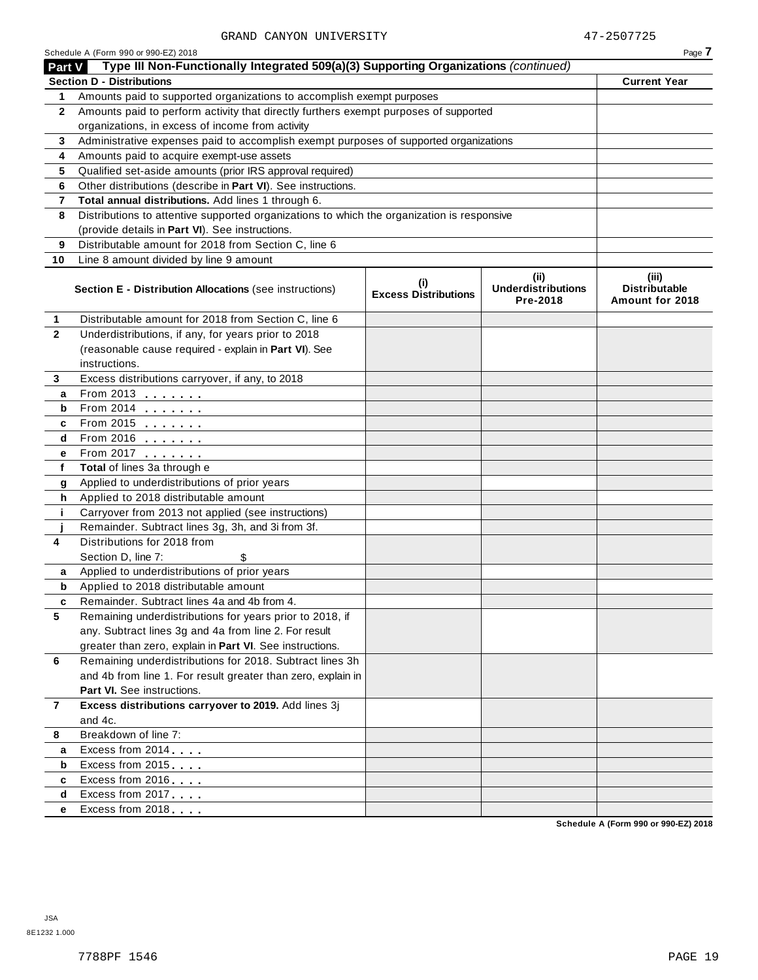|               | Schedule A (Form 990 or 990-EZ) 2018                                                       |                                    |                                                | Page 7                                           |
|---------------|--------------------------------------------------------------------------------------------|------------------------------------|------------------------------------------------|--------------------------------------------------|
| <b>Part V</b> | Type III Non-Functionally Integrated 509(a)(3) Supporting Organizations (continued)        |                                    |                                                |                                                  |
|               | <b>Section D - Distributions</b>                                                           |                                    |                                                | <b>Current Year</b>                              |
| 1.            | Amounts paid to supported organizations to accomplish exempt purposes                      |                                    |                                                |                                                  |
| $\mathbf{2}$  | Amounts paid to perform activity that directly furthers exempt purposes of supported       |                                    |                                                |                                                  |
|               | organizations, in excess of income from activity                                           |                                    |                                                |                                                  |
| 3             | Administrative expenses paid to accomplish exempt purposes of supported organizations      |                                    |                                                |                                                  |
| 4             | Amounts paid to acquire exempt-use assets                                                  |                                    |                                                |                                                  |
| 5             | Qualified set-aside amounts (prior IRS approval required)                                  |                                    |                                                |                                                  |
| 6             | Other distributions (describe in Part VI). See instructions.                               |                                    |                                                |                                                  |
| 7             | Total annual distributions. Add lines 1 through 6.                                         |                                    |                                                |                                                  |
| 8             | Distributions to attentive supported organizations to which the organization is responsive |                                    |                                                |                                                  |
|               | (provide details in Part VI). See instructions.                                            |                                    |                                                |                                                  |
| 9             | Distributable amount for 2018 from Section C, line 6                                       |                                    |                                                |                                                  |
| 10            | Line 8 amount divided by line 9 amount                                                     |                                    |                                                |                                                  |
|               | <b>Section E - Distribution Allocations (see instructions)</b>                             | (i)<br><b>Excess Distributions</b> | (iii)<br><b>Underdistributions</b><br>Pre-2018 | (iii)<br><b>Distributable</b><br>Amount for 2018 |
| 1             | Distributable amount for 2018 from Section C, line 6                                       |                                    |                                                |                                                  |
| $\mathbf{2}$  | Underdistributions, if any, for years prior to 2018                                        |                                    |                                                |                                                  |
|               | (reasonable cause required - explain in Part VI). See                                      |                                    |                                                |                                                  |
|               | instructions.                                                                              |                                    |                                                |                                                  |
| 3             | Excess distributions carryover, if any, to 2018                                            |                                    |                                                |                                                  |
| a             | From 2013                                                                                  |                                    |                                                |                                                  |
| b             | From 2014 $\frac{1}{\sqrt{2}}$                                                             |                                    |                                                |                                                  |
| c             | From 2015 $\frac{1}{2}$                                                                    |                                    |                                                |                                                  |
| d             | From 2016                                                                                  |                                    |                                                |                                                  |
| е             | From 2017 <b>Canadian Prompt 2017</b>                                                      |                                    |                                                |                                                  |
| f             | Total of lines 3a through e                                                                |                                    |                                                |                                                  |
| g             | Applied to underdistributions of prior years                                               |                                    |                                                |                                                  |
| h             | Applied to 2018 distributable amount                                                       |                                    |                                                |                                                  |
| j.            | Carryover from 2013 not applied (see instructions)                                         |                                    |                                                |                                                  |
|               | Remainder. Subtract lines 3g, 3h, and 3i from 3f.                                          |                                    |                                                |                                                  |
| 4             | Distributions for 2018 from                                                                |                                    |                                                |                                                  |
|               | Section D, line 7:<br>\$                                                                   |                                    |                                                |                                                  |
| a             | Applied to underdistributions of prior years                                               |                                    |                                                |                                                  |
| b             | Applied to 2018 distributable amount                                                       |                                    |                                                |                                                  |
| c             | Remainder. Subtract lines 4a and 4b from 4.                                                |                                    |                                                |                                                  |
| 5             | Remaining underdistributions for years prior to 2018, if                                   |                                    |                                                |                                                  |
|               | any. Subtract lines 3g and 4a from line 2. For result                                      |                                    |                                                |                                                  |
|               | greater than zero, explain in Part VI. See instructions.                                   |                                    |                                                |                                                  |
| 6             | Remaining underdistributions for 2018. Subtract lines 3h                                   |                                    |                                                |                                                  |
|               | and 4b from line 1. For result greater than zero, explain in                               |                                    |                                                |                                                  |
|               | Part VI. See instructions.                                                                 |                                    |                                                |                                                  |
| 7             | Excess distributions carryover to 2019. Add lines 3j                                       |                                    |                                                |                                                  |
|               | and 4c.                                                                                    |                                    |                                                |                                                  |
| 8             | Breakdown of line 7:                                                                       |                                    |                                                |                                                  |
| a             | Excess from 2014                                                                           |                                    |                                                |                                                  |
| b             | Excess from 2015                                                                           |                                    |                                                |                                                  |
| c             | Excess from 2016                                                                           |                                    |                                                |                                                  |
| d             | Excess from 2017                                                                           |                                    |                                                |                                                  |
| е             | Excess from 2018                                                                           |                                    |                                                |                                                  |

**Schedule A (Form 990 or 990-EZ) 2018**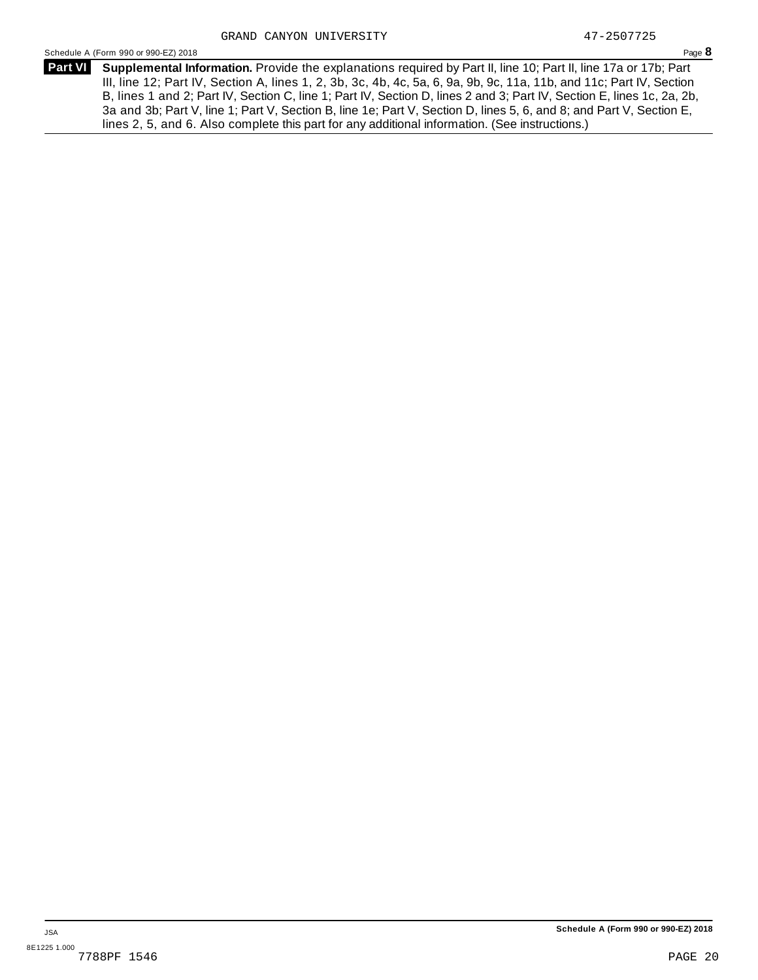Schedule <sup>A</sup> (Form <sup>990</sup> or 990-EZ) <sup>2018</sup> Page **8**

**Supplemental Information.** Provide the explanations required by Part II, line 10; Part II, line 17a or 17b; Part **Part VI** III, line 12; Part IV, Section A, lines 1, 2, 3b, 3c, 4b, 4c, 5a, 6, 9a, 9b, 9c, 11a, 11b, and 11c; Part IV, Section B, lines 1 and 2; Part IV, Section C, line 1; Part IV, Section D, lines 2 and 3; Part IV, Section E, lines 1c, 2a, 2b, 3a and 3b; Part V, line 1; Part V, Section B, line 1e; Part V, Section D, lines 5, 6, and 8; and Part V, Section E, lines 2, 5, and 6. Also complete this part for any additional information. (See instructions.)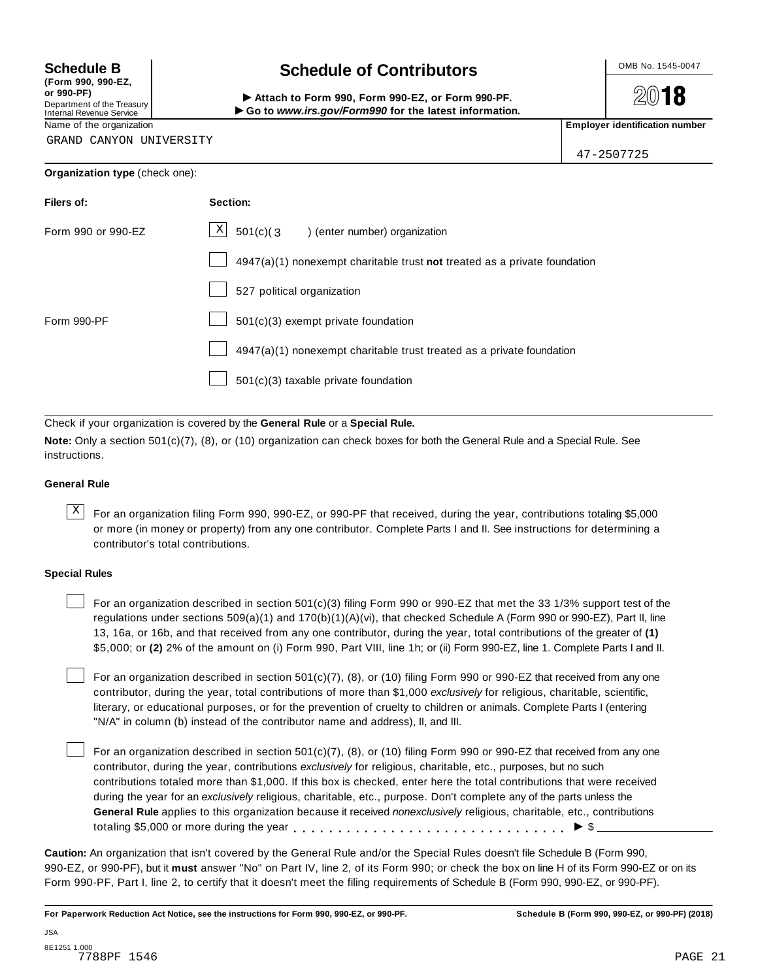**(Form 990, 990-EZ, or 990-PF)** Department of the Treasury<br>Internal Revenue Service

## **Schedule B chedule of Contributors**

(Point issue, sub-EZ,<br>Department of the Treasury internal Revenue Service<br>Department of the Treasury internal Revenue Service internal Revenue Service internal Revenue Service internal<br>Name of the organization internal Re

**2018** 

47-2507725

GRAND CANYON UNIVERSITY

| Filers of:         | Section:                                                                  |
|--------------------|---------------------------------------------------------------------------|
| Form 990 or 990-EZ | $X$ 501(c)(3) (enter number) organization                                 |
|                    | 4947(a)(1) nonexempt charitable trust not treated as a private foundation |
|                    | 527 political organization                                                |
| Form 990-PF        | 501(c)(3) exempt private foundation                                       |
|                    | 4947(a)(1) nonexempt charitable trust treated as a private foundation     |
|                    | 501(c)(3) taxable private foundation                                      |

Check if your organization is covered by the **General Rule** or a **Special Rule.**

**Note:** Only a section 501(c)(7), (8), or (10) organization can check boxes for both the General Rule and a Special Rule. See instructions.

#### **General Rule**

 $\overline{X}$  For an organization filing Form 990, 990-EZ, or 990-PF that received, during the year, contributions totaling \$5,000 or more (in money or property) from any one contributor. Complete Parts I and II. See instructions for determining a contributor's total contributions.

#### **Special Rules**

For an organization described in section 501(c)(3) filing Form 990 or 990-EZ that met the 33 1/3% support test of the regulations under sections 509(a)(1) and 170(b)(1)(A)(vi), that checked Schedule A (Form 990 or 990-EZ), Part II, line 13, 16a, or 16b, and that received from any one contributor, during the year, total contributions of the greater of **(1)** \$5,000; or **(2)** 2% of the amount on (i) Form 990, Part VIII, line 1h; or (ii) Form 990-EZ, line 1. Complete Parts I and II.

For an organization described in section 501(c)(7), (8), or (10) filing Form 990 or 990-EZ that received from any one contributor, during the year, total contributions of more than \$1,000 *exclusively* for religious, charitable, scientific, literary, or educational purposes, or for the prevention of cruelty to children or animals. Complete Parts I (entering "N/A" in column (b) instead of the contributor name and address), II, and III.

For an organization described in section 501(c)(7), (8), or (10) filing Form 990 or 990-EZ that received from any one contributor, during the year, contributions *exclusively* for religious, charitable, etc., purposes, but no such contributions totaled more than \$1,000. If this box is checked, enter here the total contributions that were received during the year for an *exclusively* religious, charitable, etc., purpose. Don't complete any of the parts unless the **General Rule** applies to this organization because it received *nonexclusively* religious, charitable, etc., contributions totaling \$5,000 or more during the year  $\ldots \ldots \ldots \ldots \ldots \ldots \ldots \ldots \ldots \vdots \vdots$ 

**Caution:** An organization that isn't covered by the General Rule and/or the Special Rules doesn't file Schedule B (Form 990, 990-EZ, or 990-PF), but it **must** answer "No" on Part IV, line 2, of its Form 990; or check the box on line H of its Form 990-EZ or on its Form 990-PF, Part I, line 2, to certify that it doesn't meet the filing requirements of Schedule B (Form 990, 990-EZ, or 990-PF).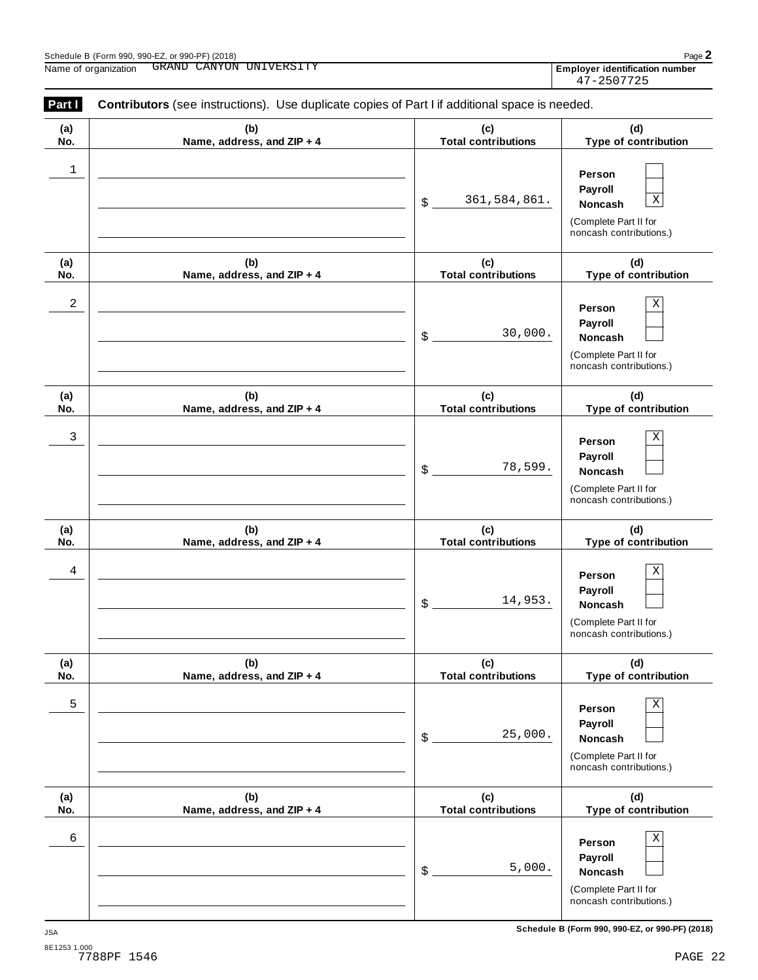$\overline{\phantom{0}}$ 

| (a)<br>No. | (b)<br>Name, address, and ZIP + 4 | (c)<br><b>Total contributions</b> | (d)<br>Type of contribution                                                                     |
|------------|-----------------------------------|-----------------------------------|-------------------------------------------------------------------------------------------------|
| 1          |                                   | 361,584,861.<br>$\frac{1}{2}$     | Person<br>Payroll<br>$\mathbf X$<br>Noncash<br>(Complete Part II for<br>noncash contributions.) |
| (a)<br>No. | (b)<br>Name, address, and ZIP + 4 | (c)<br><b>Total contributions</b> | (d)<br>Type of contribution                                                                     |
| 2          |                                   | 30,000.<br>$\mathcal{S}$ .        | Χ<br>Person<br>Payroll<br>Noncash<br>(Complete Part II for<br>noncash contributions.)           |
| (a)<br>No. | (b)<br>Name, address, and ZIP + 4 | (c)<br><b>Total contributions</b> | (d)<br>Type of contribution                                                                     |
| 3          |                                   | 78,599.<br>$\frac{1}{2}$          | Х<br>Person<br>Payroll<br>Noncash<br>(Complete Part II for<br>noncash contributions.)           |
| (a)<br>No. | (b)<br>Name, address, and ZIP + 4 | (c)<br><b>Total contributions</b> | (d)<br>Type of contribution                                                                     |
| 4          |                                   | 14,953.<br>\$                     | Χ<br>Person<br>Payroll<br>Noncash<br>(Complete Part II for<br>noncash contributions.)           |
| (a)<br>No. | (b)<br>Name, address, and ZIP + 4 | (c)<br><b>Total contributions</b> | (d)<br>Type of contribution                                                                     |
| 5          |                                   | 25,000.<br>\$                     | Χ<br>Person<br>Payroll<br><b>Noncash</b><br>(Complete Part II for<br>noncash contributions.)    |
| (a)<br>No. | (b)<br>Name, address, and ZIP + 4 | (c)<br><b>Total contributions</b> | (d)<br>Type of contribution                                                                     |
| 6          |                                   | 5,000.<br>\$                      | Χ<br>Person<br>Payroll<br>Noncash<br>(Complete Part II for<br>noncash contributions.)           |

Employer identification number<br>47-2507725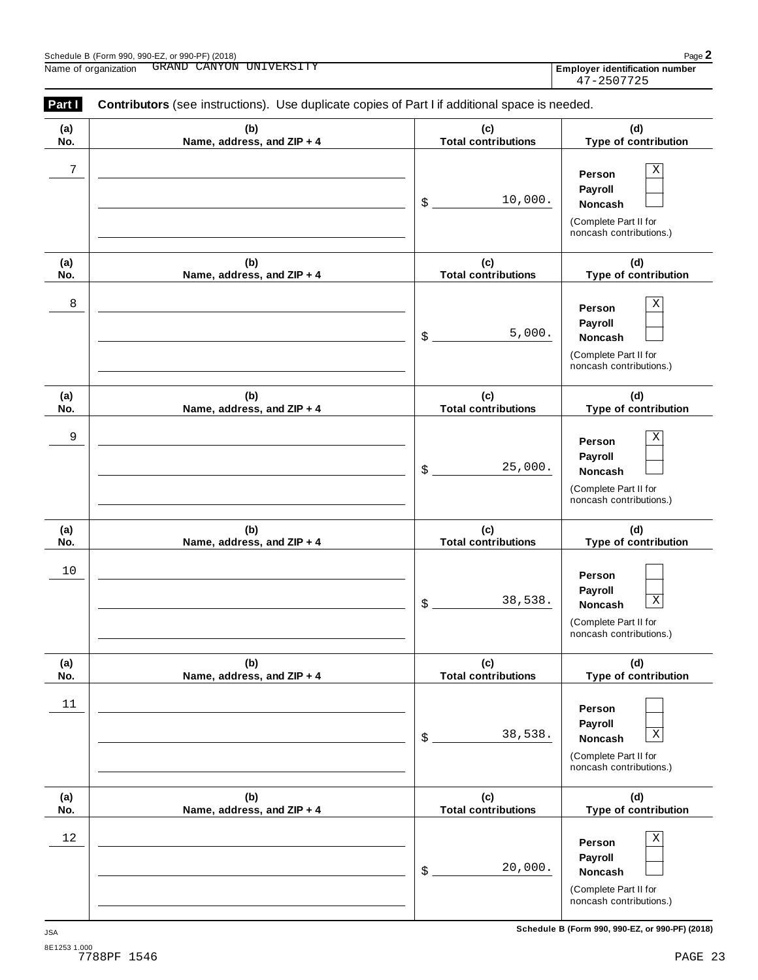| Schedule B (Form 990, 990-EZ, or 990-PF) (2018) |                         | Page $\angle$                         |
|-------------------------------------------------|-------------------------|---------------------------------------|
| Name of organization                            | GRAND CANYON UNIVERSITY | <b>Employer identification number</b> |
|                                                 |                         | 47-2507725                            |

| Part I     | Contributors (see instructions). Use duplicate copies of Part I if additional space is needed. |                                   |                                                                                                 |  |  |  |
|------------|------------------------------------------------------------------------------------------------|-----------------------------------|-------------------------------------------------------------------------------------------------|--|--|--|
| (a)<br>No. | (b)<br>Name, address, and ZIP + 4                                                              | (c)<br><b>Total contributions</b> | (d)<br>Type of contribution                                                                     |  |  |  |
| 7          |                                                                                                | 10,000.<br>\$                     | X<br>Person<br>Payroll<br>Noncash<br>(Complete Part II for<br>noncash contributions.)           |  |  |  |
| (a)<br>No. | (b)<br>Name, address, and ZIP + 4                                                              | (c)<br><b>Total contributions</b> | (d)<br>Type of contribution                                                                     |  |  |  |
| 8          |                                                                                                | 5,000.<br>\$                      | X<br>Person<br>Payroll<br>Noncash<br>(Complete Part II for<br>noncash contributions.)           |  |  |  |
| (a)<br>No. | (b)<br>Name, address, and ZIP + 4                                                              | (c)<br><b>Total contributions</b> | (d)<br>Type of contribution                                                                     |  |  |  |
| 9          |                                                                                                | 25,000.<br>\$                     | X<br>Person<br>Payroll<br>Noncash<br>(Complete Part II for<br>noncash contributions.)           |  |  |  |
| (a)<br>No. | (b)<br>Name, address, and ZIP + 4                                                              | (c)<br><b>Total contributions</b> | (d)<br>Type of contribution                                                                     |  |  |  |
| 10         |                                                                                                | 38,538.<br>\$                     | Person<br>Payroll<br>$\mathbf X$<br>Noncash<br>(Complete Part II for<br>noncash contributions.) |  |  |  |
| (a)<br>No. | (b)<br>Name, address, and ZIP + 4                                                              | (c)<br><b>Total contributions</b> | (d)<br>Type of contribution                                                                     |  |  |  |
| $11\,$     |                                                                                                | 38,538.<br>\$                     | Person<br>Payroll<br>$\mathbf X$<br>Noncash<br>(Complete Part II for<br>noncash contributions.) |  |  |  |
| (a)<br>No. | (b)<br>Name, address, and ZIP + 4                                                              | (c)<br><b>Total contributions</b> | (d)<br>Type of contribution                                                                     |  |  |  |
| 12         |                                                                                                | 20,000.<br>\$                     | Χ<br>Person<br>Payroll<br>Noncash<br>(Complete Part II for<br>noncash contributions.)           |  |  |  |

**Schedule B (Form 990, 990-EZ, or 990-PF) (2018)** JSA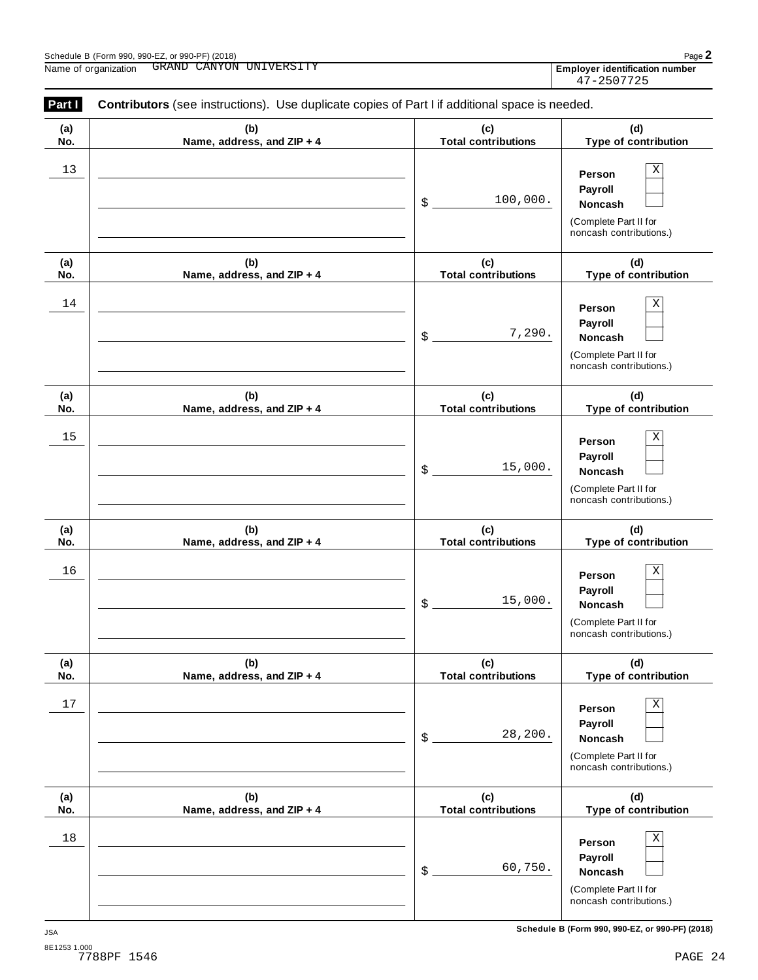| (a)        | (b)                               | (c)                                  | (d)                                                                                                    |
|------------|-----------------------------------|--------------------------------------|--------------------------------------------------------------------------------------------------------|
| No.        | Name, address, and ZIP + 4        | <b>Total contributions</b>           | Type of contribution                                                                                   |
| 13         |                                   | 100,000.<br>$\$\$                    | $\mathbf X$<br>Person<br>Payroll<br>Noncash<br>(Complete Part II for<br>noncash contributions.)        |
| (a)<br>No. | (b)<br>Name, address, and ZIP + 4 | (c)<br><b>Total contributions</b>    | (d)<br>Type of contribution                                                                            |
| 14         |                                   | 7,290.<br>$\mathsf{\$}$              | $\mathbf X$<br>Person<br>Payroll<br>Noncash<br>(Complete Part II for<br>noncash contributions.)        |
| (a)<br>No. | (b)<br>Name, address, and ZIP + 4 | (c)<br><b>Total contributions</b>    | (d)<br>Type of contribution                                                                            |
| 15         |                                   | 15,000.<br>$\boldsymbol{\mathsf{S}}$ | $\mathbf X$<br>Person<br>Payroll<br>Noncash<br>(Complete Part II for<br>noncash contributions.)        |
| (a)<br>No. | (b)<br>Name, address, and ZIP + 4 | (c)<br><b>Total contributions</b>    | (d)<br>Type of contribution                                                                            |
| 16         |                                   | 15,000.<br>$\$\$                     | $\mathbf X$<br>Person<br>Payroll<br>Noncash<br>(Complete Part II for<br>noncash contributions.)        |
| (a)<br>No. | (b)<br>Name, address, and ZIP + 4 | (c)<br><b>Total contributions</b>    | (d)<br>Type of contribution                                                                            |
| $17$       |                                   | 28,200.<br>\$                        | $\mathbf X$<br>Person<br>Payroll<br><b>Noncash</b><br>(Complete Part II for<br>noncash contributions.) |
| (a)<br>No. | (b)<br>Name, address, and ZIP + 4 | (c)<br><b>Total contributions</b>    | (d)<br>Type of contribution                                                                            |
| $18$       |                                   | 60,750.<br>\$                        | Χ<br>Person<br>Payroll<br>Noncash<br>(Complete Part II for<br>noncash contributions.)                  |

**Part <b>I** Contributors (see instructions). Use duplicate copies of Part I if additional space is needed.

**Schedule B (Form 990, 990-EZ, or 990-PF) (2018)** JSA 8E1253 1.000 7788PF 1546 PAGE 24

| <b>Employer identification re-</b> |  |
|------------------------------------|--|
| 47-2507725                         |  |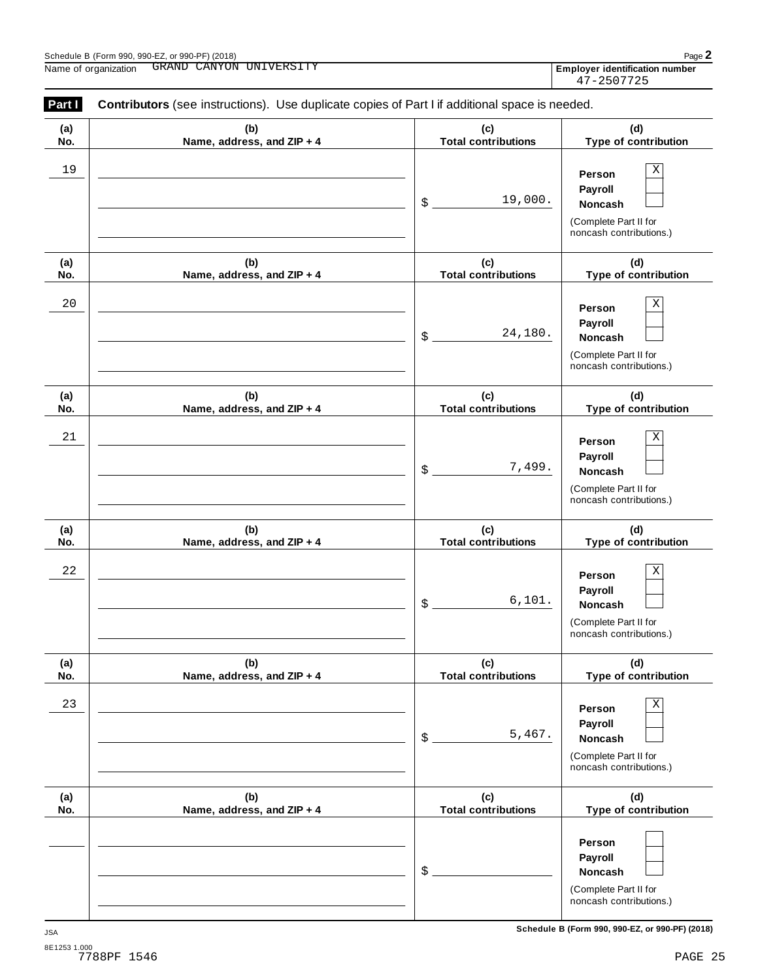| (a)  | (b)                        | (c)                          | (d)                                                                                   |
|------|----------------------------|------------------------------|---------------------------------------------------------------------------------------|
| No.  | Name, address, and ZIP + 4 | <b>Total contributions</b>   | Type of contribution                                                                  |
| 19   |                            | 19,000.<br>$\boldsymbol{\$}$ | Χ<br>Person<br>Payroll<br>Noncash<br>(Complete Part II for<br>noncash contributions.) |
| (a)  | (b)                        | (c)                          | (d)                                                                                   |
| No.  | Name, address, and ZIP + 4 | <b>Total contributions</b>   | Type of contribution                                                                  |
| $20$ |                            | 24,180.<br>$\boldsymbol{\$}$ | Χ<br>Person<br>Payroll<br>Noncash<br>(Complete Part II for<br>noncash contributions.) |
| (a)  | (b)                        | (c)                          | (d)                                                                                   |
| No.  | Name, address, and ZIP + 4 | <b>Total contributions</b>   | Type of contribution                                                                  |
| 21   |                            | 7,499.<br>\$                 | Χ<br>Person<br>Payroll<br>Noncash<br>(Complete Part II for<br>noncash contributions.) |
| (a)  | (b)                        | (c)                          | (d)                                                                                   |
| No.  | Name, address, and ZIP + 4 | <b>Total contributions</b>   | Type of contribution                                                                  |
| 22   |                            | 6,101.<br>\$                 | Χ<br>Person<br>Payroll<br>Noncash<br>(Complete Part II for<br>noncash contributions.) |
| (a)  | (b)                        | (c)                          | (d)                                                                                   |
| No.  | Name, address, and ZIP + 4 | <b>Total contributions</b>   | Type of contribution                                                                  |
| 23   |                            | 5,467.<br>\$                 | Χ<br>Person<br>Payroll<br>Noncash<br>(Complete Part II for<br>noncash contributions.) |
| (a)  | (b)                        | (c)                          | (d)                                                                                   |
| No.  | Name, address, and ZIP + 4 | <b>Total contributions</b>   | Type of contribution                                                                  |
|      |                            | \$                           | Person<br>Payroll<br>Noncash<br>(Complete Part II for<br>noncash contributions.)      |

Employer identification number<br>47-2507725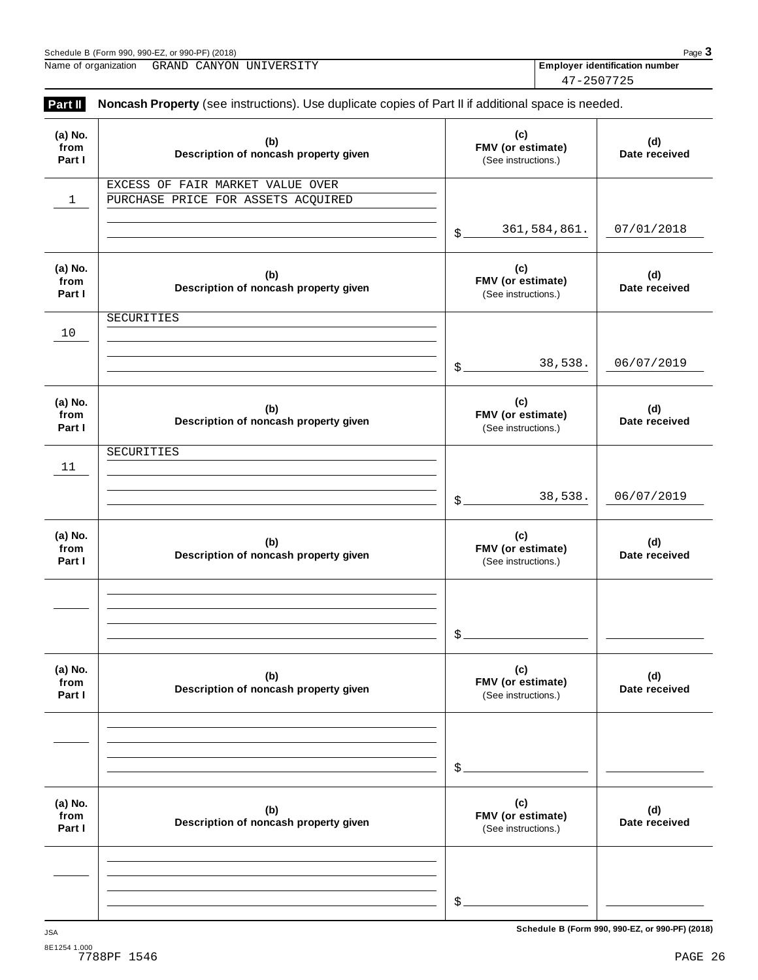| (2018)<br>$-$ or 990-PF.<br>Schedule<br>$.990-F$<br>.990.<br>'Form |  |  | Pag |   |  |  |
|--------------------------------------------------------------------|--|--|-----|---|--|--|
| . .<br>___________________________<br>_____                        |  |  |     | . |  |  |

Name of organization **Employer identification number** GRAND CANYON UNIVERSITY 47-2507725

| (a) No.<br>from<br>Part I | (b)<br>Description of noncash property given                           |                   | (c)<br>FMV (or estimate)<br>(See instructions.) | (d)<br>Date received |
|---------------------------|------------------------------------------------------------------------|-------------------|-------------------------------------------------|----------------------|
| $\mathbf{1}$              | EXCESS OF FAIR MARKET VALUE OVER<br>PURCHASE PRICE FOR ASSETS ACQUIRED |                   |                                                 |                      |
|                           |                                                                        | \$                | 361,584,861.                                    | 07/01/2018           |
| (a) No.<br>from<br>Part I | (b)<br>Description of noncash property given                           |                   | (c)<br>FMV (or estimate)<br>(See instructions.) | (d)<br>Date received |
| 10                        | SECURITIES                                                             |                   |                                                 |                      |
|                           |                                                                        | $\mathcal{S}_{-}$ | 38,538.                                         | 06/07/2019           |
| (a) No.<br>from<br>Part I | (b)<br>Description of noncash property given                           |                   | (c)<br>FMV (or estimate)<br>(See instructions.) | (d)<br>Date received |
| 11                        | SECURITIES                                                             |                   |                                                 |                      |
|                           |                                                                        | $\mathcal{L}$     | 38,538.                                         | 06/07/2019           |
| (a) No.<br>from<br>Part I | (b)<br>Description of noncash property given                           |                   | (c)<br>FMV (or estimate)<br>(See instructions.) | (d)<br>Date received |
|                           |                                                                        |                   |                                                 |                      |
|                           |                                                                        | \$                |                                                 |                      |
| (a) No.<br>from<br>Part I | (b)<br>Description of noncash property given                           |                   | (c)<br>FMV (or estimate)<br>(See instructions.) | (d)<br>Date received |
|                           |                                                                        |                   |                                                 |                      |
|                           |                                                                        | \$                |                                                 |                      |
| (a) No.<br>from<br>Part I | (b)<br>Description of noncash property given                           |                   | (c)<br>FMV (or estimate)<br>(See instructions.) | (d)<br>Date received |
|                           |                                                                        |                   |                                                 |                      |
|                           |                                                                        | \$                |                                                 |                      |

**Schedule B (Form 990, 990-EZ, or 990-PF) (2018)** JSA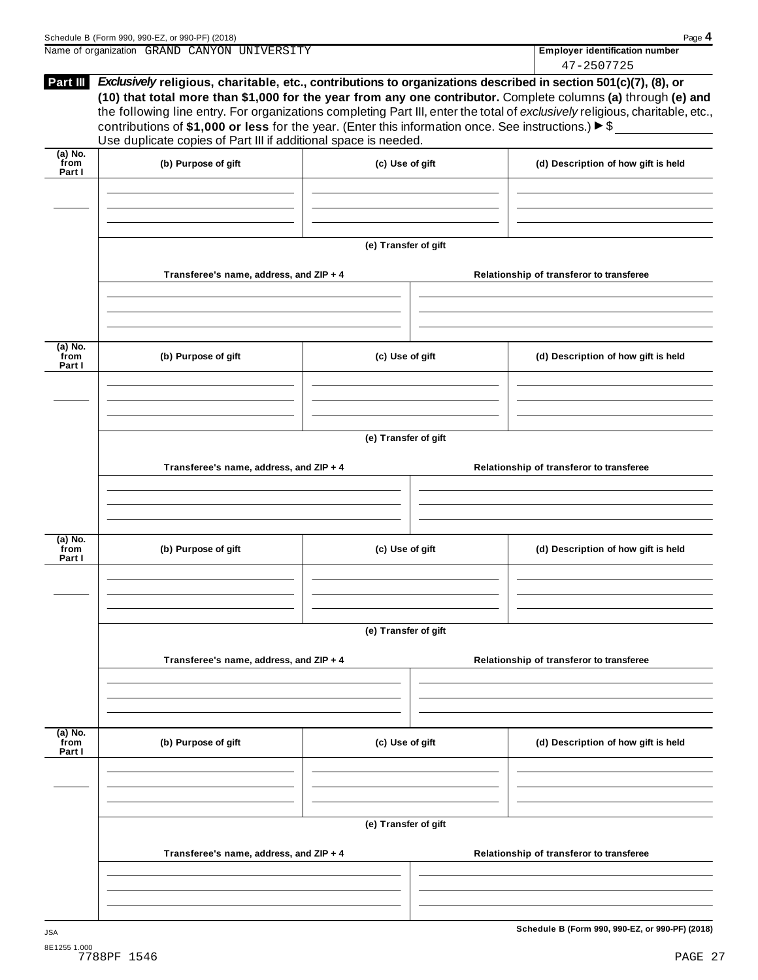| Schedule B (Form 990, 990-EZ, or 990-PF) (2018)                                                                               | Page 4                                |
|-------------------------------------------------------------------------------------------------------------------------------|---------------------------------------|
| Name of organization GRAND CANYON UNIVERSITY                                                                                  | <b>Employer identification number</b> |
|                                                                                                                               | 47-2507725                            |
| <b>Example 1.1</b> Exclusively religious charitable etc. contributions to organizations described in section 501(c)(7) (8) or |                                       |

| Part III                    | Use duplicate copies of Part III if additional space is needed. | Exclusively religious, charitable, etc., contributions to organizations described in section 501(c)(7), (8), or<br>(10) that total more than \$1,000 for the year from any one contributor. Complete columns (a) through (e) and<br>the following line entry. For organizations completing Part III, enter the total of exclusively religious, charitable, etc.,<br>contributions of \$1,000 or less for the year. (Enter this information once. See instructions.) $\blacktriangleright$ \$ |  |                                                 |  |
|-----------------------------|-----------------------------------------------------------------|----------------------------------------------------------------------------------------------------------------------------------------------------------------------------------------------------------------------------------------------------------------------------------------------------------------------------------------------------------------------------------------------------------------------------------------------------------------------------------------------|--|-------------------------------------------------|--|
| $(a)$ No.<br>from<br>Part I | (b) Purpose of gift                                             | (c) Use of gift                                                                                                                                                                                                                                                                                                                                                                                                                                                                              |  | (d) Description of how gift is held             |  |
|                             |                                                                 | (e) Transfer of gift                                                                                                                                                                                                                                                                                                                                                                                                                                                                         |  |                                                 |  |
|                             | Transferee's name, address, and ZIP + 4                         |                                                                                                                                                                                                                                                                                                                                                                                                                                                                                              |  | Relationship of transferor to transferee        |  |
| $(a)$ No.<br>from<br>Part I | (b) Purpose of gift                                             | (c) Use of gift                                                                                                                                                                                                                                                                                                                                                                                                                                                                              |  | (d) Description of how gift is held             |  |
|                             | Transferee's name, address, and ZIP + 4                         | (e) Transfer of gift                                                                                                                                                                                                                                                                                                                                                                                                                                                                         |  | Relationship of transferor to transferee        |  |
| $(a)$ No.<br>from<br>Part I | (b) Purpose of gift                                             | (c) Use of gift                                                                                                                                                                                                                                                                                                                                                                                                                                                                              |  | (d) Description of how gift is held             |  |
|                             | Transferee's name, address, and ZIP + 4                         | (e) Transfer of gift                                                                                                                                                                                                                                                                                                                                                                                                                                                                         |  | Relationship of transferor to transferee        |  |
| (a) No.<br>from             | (b) Purpose of gift                                             | (c) Use of gift                                                                                                                                                                                                                                                                                                                                                                                                                                                                              |  | (d) Description of how gift is held             |  |
| Part I                      |                                                                 |                                                                                                                                                                                                                                                                                                                                                                                                                                                                                              |  |                                                 |  |
|                             |                                                                 | (e) Transfer of gift                                                                                                                                                                                                                                                                                                                                                                                                                                                                         |  |                                                 |  |
|                             | Transferee's name, address, and ZIP + 4                         |                                                                                                                                                                                                                                                                                                                                                                                                                                                                                              |  | Relationship of transferor to transferee        |  |
| <b>JSA</b>                  |                                                                 |                                                                                                                                                                                                                                                                                                                                                                                                                                                                                              |  | Schedule B (Form 990, 990-EZ, or 990-PF) (2018) |  |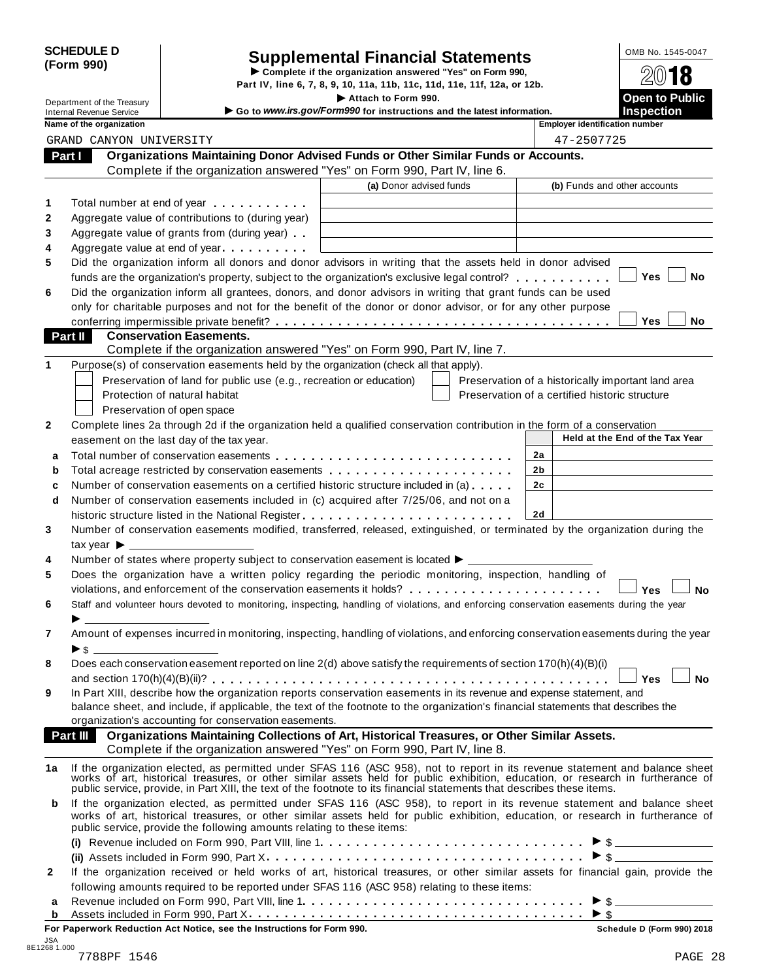| <b>SCHEDULE D</b> |  |
|-------------------|--|
| (Form 990)        |  |

# SCHEDULE D<br>
Supplemental Financial Statements<br>
Form 990)<br>
Part IV, line 6, 7, 8, 9, 10, 11a, 11b, 11c, 11d, 11e, 11f, 12a, or 12b.<br>
Part IV, line 6, 7, 8, 9, 10, 11a, 11b, 11c, 11d, 11e, 11f, 12a, or 12b.

Department of the Treasury **I Attach 1990.** The S. 7, 8, 9, 10, 11a, 11b, 11c, 11d, 11e, 11f, 12a, or 12b.<br> **Department of the Treasury Inches Containery Containery Containery Containery Containery Containery** 

**Department of the Treasury**<br>Internal Revenue Service **inclusion** → Go to *www.irs.gov/Form990* for instructions and the latest information. **Inspection** 

| Name of the organization |  |
|--------------------------|--|
|                          |  |

|    | Name of the organization                                                                                                                                                                                                       |                         | <b>Employer identification number</b>              |
|----|--------------------------------------------------------------------------------------------------------------------------------------------------------------------------------------------------------------------------------|-------------------------|----------------------------------------------------|
|    | GRAND CANYON UNIVERSITY                                                                                                                                                                                                        |                         | 47-2507725                                         |
|    | Organizations Maintaining Donor Advised Funds or Other Similar Funds or Accounts.<br>Part I                                                                                                                                    |                         |                                                    |
|    | Complete if the organization answered "Yes" on Form 990, Part IV, line 6.                                                                                                                                                      |                         |                                                    |
|    |                                                                                                                                                                                                                                | (a) Donor advised funds | (b) Funds and other accounts                       |
| 1  | Total number at end of year                                                                                                                                                                                                    |                         |                                                    |
| 2  | Aggregate value of contributions to (during year)                                                                                                                                                                              |                         |                                                    |
|    |                                                                                                                                                                                                                                |                         |                                                    |
| 3  | Aggregate value of grants from (during year)                                                                                                                                                                                   |                         |                                                    |
| 4  | Aggregate value at end of year                                                                                                                                                                                                 |                         |                                                    |
| 5  | Did the organization inform all donors and donor advisors in writing that the assets held in donor advised                                                                                                                     |                         | <b>Yes</b><br>No                                   |
|    | funds are the organization's property, subject to the organization's exclusive legal control?                                                                                                                                  |                         |                                                    |
| 6  | Did the organization inform all grantees, donors, and donor advisors in writing that grant funds can be used                                                                                                                   |                         |                                                    |
|    | only for charitable purposes and not for the benefit of the donor or donor advisor, or for any other purpose                                                                                                                   |                         |                                                    |
|    |                                                                                                                                                                                                                                |                         | <b>Yes</b><br>No                                   |
|    | Part II<br><b>Conservation Easements.</b>                                                                                                                                                                                      |                         |                                                    |
|    | Complete if the organization answered "Yes" on Form 990, Part IV, line 7.                                                                                                                                                      |                         |                                                    |
| 1  | Purpose(s) of conservation easements held by the organization (check all that apply).                                                                                                                                          |                         |                                                    |
|    | Preservation of land for public use (e.g., recreation or education)                                                                                                                                                            |                         | Preservation of a historically important land area |
|    | Protection of natural habitat                                                                                                                                                                                                  |                         | Preservation of a certified historic structure     |
|    | Preservation of open space                                                                                                                                                                                                     |                         |                                                    |
| 2  | Complete lines 2a through 2d if the organization held a qualified conservation contribution in the form of a conservation                                                                                                      |                         |                                                    |
|    | easement on the last day of the tax year.                                                                                                                                                                                      |                         | Held at the End of the Tax Year                    |
| a  |                                                                                                                                                                                                                                |                         | 2a                                                 |
| b  | Total acreage restricted by conservation easements                                                                                                                                                                             |                         | 2b                                                 |
| с  | Number of conservation easements on a certified historic structure included in (a)                                                                                                                                             |                         | 2с                                                 |
| d  | Number of conservation easements included in (c) acquired after 7/25/06, and not on a                                                                                                                                          |                         |                                                    |
|    |                                                                                                                                                                                                                                |                         | 2d                                                 |
| 3  | Number of conservation easements modified, transferred, released, extinguished, or terminated by the organization during the                                                                                                   |                         |                                                    |
|    | tax year $\blacktriangleright$ ____                                                                                                                                                                                            |                         |                                                    |
| 4  | Number of states where property subject to conservation easement is located ▶ _____                                                                                                                                            |                         |                                                    |
| 5  | Does the organization have a written policy regarding the periodic monitoring, inspection, handling of                                                                                                                         |                         |                                                    |
|    |                                                                                                                                                                                                                                |                         | Yes<br>No                                          |
| 6  | Staff and volunteer hours devoted to monitoring, inspecting, handling of violations, and enforcing conservation easements during the year                                                                                      |                         |                                                    |
|    |                                                                                                                                                                                                                                |                         |                                                    |
| 7  | Amount of expenses incurred in monitoring, inspecting, handling of violations, and enforcing conservation easements during the year                                                                                            |                         |                                                    |
|    | ▶s                                                                                                                                                                                                                             |                         |                                                    |
| 8  | Does each conservation easement reported on line 2(d) above satisfy the requirements of section 170(h)(4)(B)(i)                                                                                                                |                         |                                                    |
|    |                                                                                                                                                                                                                                |                         |                                                    |
| 9  | In Part XIII, describe how the organization reports conservation easements in its revenue and expense statement, and                                                                                                           |                         |                                                    |
|    | balance sheet, and include, if applicable, the text of the footnote to the organization's financial statements that describes the                                                                                              |                         |                                                    |
|    | organization's accounting for conservation easements.                                                                                                                                                                          |                         |                                                    |
|    | Organizations Maintaining Collections of Art, Historical Treasures, or Other Similar Assets.<br>Part III                                                                                                                       |                         |                                                    |
|    | Complete if the organization answered "Yes" on Form 990, Part IV, line 8.                                                                                                                                                      |                         |                                                    |
| 1a |                                                                                                                                                                                                                                |                         |                                                    |
|    | If the organization elected, as permitted under SFAS 116 (ASC 958), not to report in its revenue statement and balance sheet works of art, historical treasures, or other similar assets held for public exhibition, education |                         |                                                    |
|    |                                                                                                                                                                                                                                |                         |                                                    |
| b  | If the organization elected, as permitted under SFAS 116 (ASC 958), to report in its revenue statement and balance sheet                                                                                                       |                         |                                                    |
|    | works of art, historical treasures, or other similar assets held for public exhibition, education, or research in furtherance of<br>public service, provide the following amounts relating to these items:                     |                         |                                                    |
|    |                                                                                                                                                                                                                                |                         |                                                    |
|    |                                                                                                                                                                                                                                |                         |                                                    |
|    |                                                                                                                                                                                                                                |                         |                                                    |
| 2  | If the organization received or held works of art, historical treasures, or other similar assets for financial gain, provide the                                                                                               |                         |                                                    |
|    | following amounts required to be reported under SFAS 116 (ASC 958) relating to these items:                                                                                                                                    |                         |                                                    |
| а  |                                                                                                                                                                                                                                |                         |                                                    |
| b  |                                                                                                                                                                                                                                |                         |                                                    |

**For Paperwork Reduction Act Notice, see the Instructions for Form 990. Schedule D (Form 990) 2018**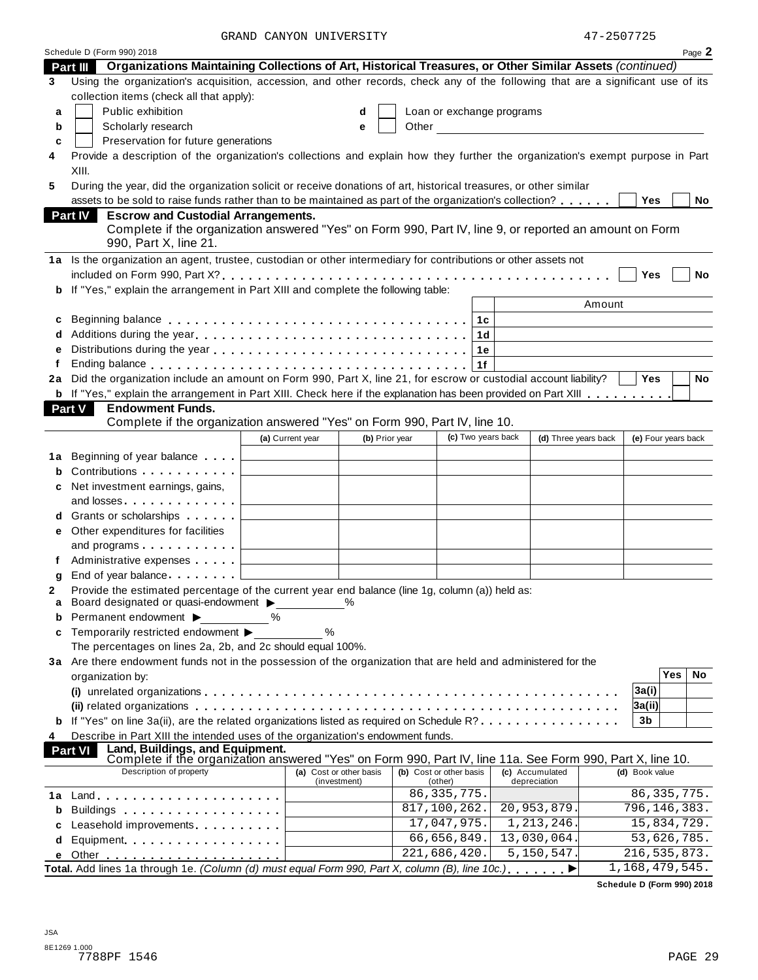GRAND CANYON UNIVERSITY 47-2507725

|    | Schedule D (Form 990) 2018                                                                                                                                                                                                          |                  |                                         |                                    |                    |                                                                                                                                                                                                                                      |                   |                     | Page 2 |
|----|-------------------------------------------------------------------------------------------------------------------------------------------------------------------------------------------------------------------------------------|------------------|-----------------------------------------|------------------------------------|--------------------|--------------------------------------------------------------------------------------------------------------------------------------------------------------------------------------------------------------------------------------|-------------------|---------------------|--------|
|    | Organizations Maintaining Collections of Art, Historical Treasures, or Other Similar Assets (continued)<br><b>Part III</b>                                                                                                          |                  |                                         |                                    |                    |                                                                                                                                                                                                                                      |                   |                     |        |
| 3  | Using the organization's acquisition, accession, and other records, check any of the following that are a significant use of its                                                                                                    |                  |                                         |                                    |                    |                                                                                                                                                                                                                                      |                   |                     |        |
|    | collection items (check all that apply):                                                                                                                                                                                            |                  |                                         |                                    |                    |                                                                                                                                                                                                                                      |                   |                     |        |
| a  | Public exhibition                                                                                                                                                                                                                   |                  | d                                       | Loan or exchange programs          |                    |                                                                                                                                                                                                                                      |                   |                     |        |
| b  | Scholarly research                                                                                                                                                                                                                  |                  | е                                       |                                    |                    | Other <u>the contract of the contract of the contract of the contract of the contract of the contract of the contract of the contract of the contract of the contract of the contract of the contract of the contract of the con</u> |                   |                     |        |
| c  | Preservation for future generations                                                                                                                                                                                                 |                  |                                         |                                    |                    |                                                                                                                                                                                                                                      |                   |                     |        |
|    | Provide a description of the organization's collections and explain how they further the organization's exempt purpose in Part                                                                                                      |                  |                                         |                                    |                    |                                                                                                                                                                                                                                      |                   |                     |        |
|    | XIII.                                                                                                                                                                                                                               |                  |                                         |                                    |                    |                                                                                                                                                                                                                                      |                   |                     |        |
| 5  | During the year, did the organization solicit or receive donations of art, historical treasures, or other similar                                                                                                                   |                  |                                         |                                    |                    |                                                                                                                                                                                                                                      |                   |                     |        |
|    | assets to be sold to raise funds rather than to be maintained as part of the organization's collection?                                                                                                                             |                  |                                         |                                    |                    |                                                                                                                                                                                                                                      | <b>Yes</b>        |                     | No     |
|    | <b>Escrow and Custodial Arrangements.</b><br><b>Part IV</b>                                                                                                                                                                         |                  |                                         |                                    |                    |                                                                                                                                                                                                                                      |                   |                     |        |
|    | Complete if the organization answered "Yes" on Form 990, Part IV, line 9, or reported an amount on Form                                                                                                                             |                  |                                         |                                    |                    |                                                                                                                                                                                                                                      |                   |                     |        |
|    | 990, Part X, line 21.                                                                                                                                                                                                               |                  |                                         |                                    |                    |                                                                                                                                                                                                                                      |                   |                     |        |
|    | 1a Is the organization an agent, trustee, custodian or other intermediary for contributions or other assets not                                                                                                                     |                  |                                         |                                    |                    |                                                                                                                                                                                                                                      |                   |                     |        |
|    |                                                                                                                                                                                                                                     |                  |                                         |                                    |                    |                                                                                                                                                                                                                                      | Yes               |                     | No     |
| b  | If "Yes," explain the arrangement in Part XIII and complete the following table:                                                                                                                                                    |                  |                                         |                                    |                    |                                                                                                                                                                                                                                      |                   |                     |        |
|    |                                                                                                                                                                                                                                     |                  |                                         |                                    |                    |                                                                                                                                                                                                                                      | Amount            |                     |        |
|    |                                                                                                                                                                                                                                     |                  |                                         |                                    |                    |                                                                                                                                                                                                                                      |                   |                     |        |
| c  |                                                                                                                                                                                                                                     |                  |                                         | 1c                                 |                    |                                                                                                                                                                                                                                      |                   |                     |        |
|    |                                                                                                                                                                                                                                     |                  |                                         |                                    | 1d                 |                                                                                                                                                                                                                                      |                   |                     |        |
| е  |                                                                                                                                                                                                                                     |                  |                                         |                                    | 1е                 |                                                                                                                                                                                                                                      |                   |                     |        |
|    |                                                                                                                                                                                                                                     |                  |                                         | 1f                                 |                    |                                                                                                                                                                                                                                      |                   |                     |        |
| 2a | Did the organization include an amount on Form 990, Part X, line 21, for escrow or custodial account liability?                                                                                                                     |                  |                                         |                                    |                    |                                                                                                                                                                                                                                      | <b>Yes</b>        |                     | No     |
|    | b If "Yes," explain the arrangement in Part XIII. Check here if the explanation has been provided on Part XIII                                                                                                                      |                  |                                         |                                    |                    |                                                                                                                                                                                                                                      |                   |                     |        |
|    | <b>Part V</b><br><b>Endowment Funds.</b>                                                                                                                                                                                            |                  |                                         |                                    |                    |                                                                                                                                                                                                                                      |                   |                     |        |
|    | Complete if the organization answered "Yes" on Form 990, Part IV, line 10.                                                                                                                                                          |                  |                                         |                                    |                    |                                                                                                                                                                                                                                      |                   |                     |        |
|    |                                                                                                                                                                                                                                     | (a) Current year | (b) Prior year                          |                                    | (c) Two years back | (d) Three years back                                                                                                                                                                                                                 |                   | (e) Four years back |        |
| 1а | Beginning of year balance                                                                                                                                                                                                           |                  |                                         |                                    |                    |                                                                                                                                                                                                                                      |                   |                     |        |
| b  | Contributions <b>Contributions</b>                                                                                                                                                                                                  |                  |                                         |                                    |                    |                                                                                                                                                                                                                                      |                   |                     |        |
| c  | Net investment earnings, gains,                                                                                                                                                                                                     |                  |                                         |                                    |                    |                                                                                                                                                                                                                                      |                   |                     |        |
|    | and losses and the set of the set of the set of the set of the set of the set of the set of the set of the set of the set of the set of the set of the set of the set of the set of the set of the set of the set of the set o      |                  |                                         |                                    |                    |                                                                                                                                                                                                                                      |                   |                     |        |
| d  | Grants or scholarships                                                                                                                                                                                                              |                  |                                         |                                    |                    |                                                                                                                                                                                                                                      |                   |                     |        |
| е  | Other expenditures for facilities                                                                                                                                                                                                   |                  |                                         |                                    |                    |                                                                                                                                                                                                                                      |                   |                     |        |
|    | and programs $\ldots$ $\ldots$ $\ldots$ $\ldots$                                                                                                                                                                                    |                  |                                         |                                    |                    |                                                                                                                                                                                                                                      |                   |                     |        |
| f  | Administrative expenses                                                                                                                                                                                                             |                  |                                         |                                    |                    |                                                                                                                                                                                                                                      |                   |                     |        |
| g  | End of year balance                                                                                                                                                                                                                 |                  |                                         |                                    |                    |                                                                                                                                                                                                                                      |                   |                     |        |
| 2  | Provide the estimated percentage of the current year end balance (line 1g, column (a)) held as:                                                                                                                                     |                  |                                         |                                    |                    |                                                                                                                                                                                                                                      |                   |                     |        |
| а  | Board designated or quasi-endowment $\blacktriangleright$                                                                                                                                                                           |                  | ℅                                       |                                    |                    |                                                                                                                                                                                                                                      |                   |                     |        |
| b  | Permanent endowment $\blacktriangleright$                                                                                                                                                                                           | ℅                |                                         |                                    |                    |                                                                                                                                                                                                                                      |                   |                     |        |
| c  | Temporarily restricted endowment ▶                                                                                                                                                                                                  | %                |                                         |                                    |                    |                                                                                                                                                                                                                                      |                   |                     |        |
|    | The percentages on lines 2a, 2b, and 2c should equal 100%.                                                                                                                                                                          |                  |                                         |                                    |                    |                                                                                                                                                                                                                                      |                   |                     |        |
|    | 3a Are there endowment funds not in the possession of the organization that are held and administered for the                                                                                                                       |                  |                                         |                                    |                    |                                                                                                                                                                                                                                      |                   |                     |        |
|    | organization by:                                                                                                                                                                                                                    |                  |                                         |                                    |                    |                                                                                                                                                                                                                                      |                   | Yes                 | No     |
|    |                                                                                                                                                                                                                                     |                  |                                         |                                    |                    |                                                                                                                                                                                                                                      | 3a(i)             |                     |        |
|    |                                                                                                                                                                                                                                     |                  |                                         |                                    |                    |                                                                                                                                                                                                                                      | 3a(ii)            |                     |        |
| b  | If "Yes" on line 3a(ii), are the related organizations listed as required on Schedule R?                                                                                                                                            |                  |                                         |                                    |                    |                                                                                                                                                                                                                                      | 3b                |                     |        |
| 4  | Describe in Part XIII the intended uses of the organization's endowment funds.                                                                                                                                                      |                  |                                         |                                    |                    |                                                                                                                                                                                                                                      |                   |                     |        |
|    | Land, Buildings, and Equipment.<br>Complete if the organization answered "Yes" on Form 990, Part IV, line 11a. See Form 990, Part X, line 10.<br><b>Part VI</b>                                                                     |                  |                                         |                                    |                    |                                                                                                                                                                                                                                      |                   |                     |        |
|    |                                                                                                                                                                                                                                     |                  |                                         |                                    |                    |                                                                                                                                                                                                                                      |                   |                     |        |
|    | Description of property                                                                                                                                                                                                             |                  | (a) Cost or other basis<br>(investment) | (b) Cost or other basis<br>(other) |                    | (c) Accumulated<br>depreciation                                                                                                                                                                                                      | (d) Book value    |                     |        |
| 1a | $Land.$                                                                                                                                                                                                                             |                  |                                         | 86, 335, 775.                      |                    |                                                                                                                                                                                                                                      |                   | 86, 335, 775.       |        |
| b  | Buildings <b>Example 20</b> Suite 1 and 20 Suite 1 and 20 Suite 20 Suite 20 Suite 20 Suite 20 Suite 20 Suite 20 Suite 20 Suite 20 Suite 20 Suite 20 Suite 20 Suite 20 Suite 20 Suite 20 Suite 20 Suite 20 Suite 20 Suite 20 Suite 2 |                  |                                         | 817,100,262.                       |                    | 20,953,879.                                                                                                                                                                                                                          | 796,146,383.      |                     |        |
| c  | Leasehold improvements [19]                                                                                                                                                                                                         |                  |                                         | 17,047,975.                        |                    | 1, 213, 246.                                                                                                                                                                                                                         |                   | 15,834,729.         |        |
| d  | Equipment                                                                                                                                                                                                                           |                  |                                         | 66,656,849.                        |                    | 13,030,064.                                                                                                                                                                                                                          |                   | 53,626,785.         |        |
|    |                                                                                                                                                                                                                                     |                  |                                         | $\overline{221}$ , 686, 420.       |                    | 5,150,547.                                                                                                                                                                                                                           | 216, 535, 873.    |                     |        |
|    | Total. Add lines 1a through 1e. (Column (d) must equal Form 990, Part X, column (B), line 10c.).                                                                                                                                    |                  |                                         |                                    |                    |                                                                                                                                                                                                                                      | 1, 168, 479, 545. |                     |        |
|    |                                                                                                                                                                                                                                     |                  |                                         |                                    |                    | ▶                                                                                                                                                                                                                                    |                   |                     |        |

**Schedule D (Form 990) 2018**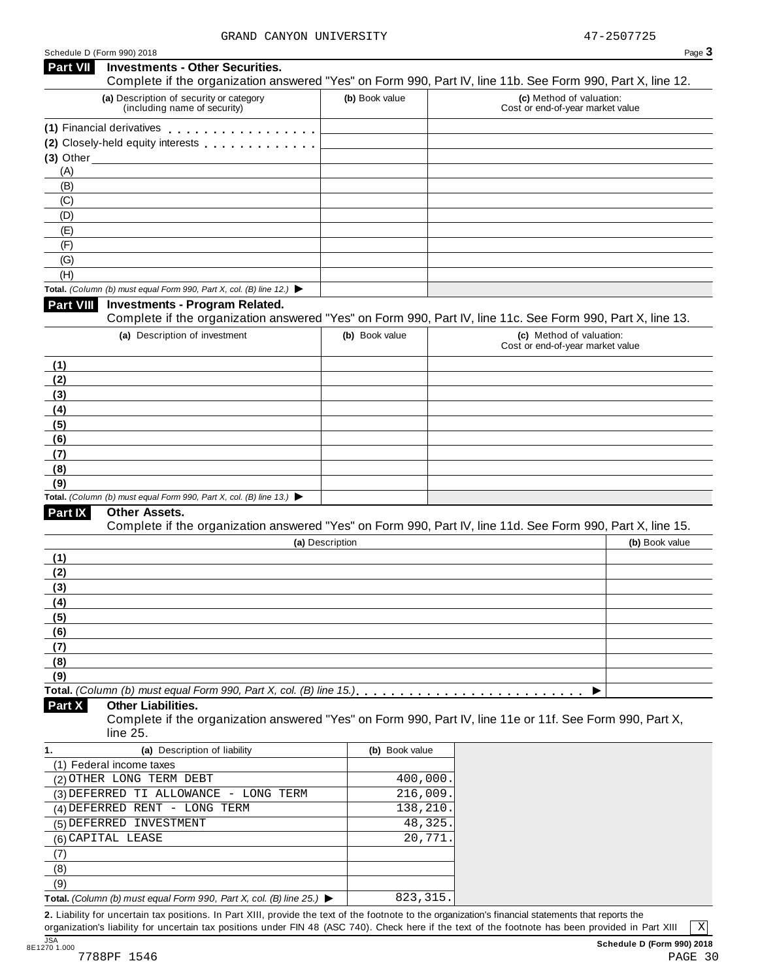| Schedule D (Form 990) 2018 |                                                                                                                                                      |                 |         | Page 3                                                       |
|----------------------------|------------------------------------------------------------------------------------------------------------------------------------------------------|-----------------|---------|--------------------------------------------------------------|
| <b>Part VII</b>            | <b>Investments - Other Securities.</b><br>Complete if the organization answered "Yes" on Form 990, Part IV, line 11b. See Form 990, Part X, line 12. |                 |         |                                                              |
|                            | (a) Description of security or category<br>(including name of security)                                                                              | (b) Book value  |         | (c) Method of valuation:<br>Cost or end-of-year market value |
|                            | (1) Financial derivatives                                                                                                                            |                 |         |                                                              |
|                            | (2) Closely-held equity interests                                                                                                                    |                 |         |                                                              |
|                            | $(3)$ Other                                                                                                                                          |                 |         |                                                              |
| (A)                        |                                                                                                                                                      |                 |         |                                                              |
| (B)                        |                                                                                                                                                      |                 |         |                                                              |
| (C)                        |                                                                                                                                                      |                 |         |                                                              |
| (D)                        |                                                                                                                                                      |                 |         |                                                              |
| (E)                        |                                                                                                                                                      |                 |         |                                                              |
| (F)                        |                                                                                                                                                      |                 |         |                                                              |
| (G)                        |                                                                                                                                                      |                 |         |                                                              |
| (H)                        |                                                                                                                                                      |                 |         |                                                              |
|                            | Total. (Column (b) must equal Form 990, Part X, col. (B) line 12.) $\blacktriangleright$                                                             |                 |         |                                                              |
| Part VIII                  | <b>Investments - Program Related.</b>                                                                                                                |                 |         |                                                              |
|                            | Complete if the organization answered "Yes" on Form 990, Part IV, line 11c. See Form 990, Part X, line 13.                                           |                 |         |                                                              |
|                            | (a) Description of investment                                                                                                                        | (b) Book value  |         | (c) Method of valuation:<br>Cost or end-of-year market value |
| (1)                        |                                                                                                                                                      |                 |         |                                                              |
| (2)                        |                                                                                                                                                      |                 |         |                                                              |
| (3)                        |                                                                                                                                                      |                 |         |                                                              |
| (4)                        |                                                                                                                                                      |                 |         |                                                              |
| (5)                        |                                                                                                                                                      |                 |         |                                                              |
| (6)                        |                                                                                                                                                      |                 |         |                                                              |
| (7)                        |                                                                                                                                                      |                 |         |                                                              |
| (8)<br>(9)                 |                                                                                                                                                      |                 |         |                                                              |
|                            | Total. (Column (b) must equal Form 990, Part X, col. (B) line 13.) $\blacktriangleright$                                                             |                 |         |                                                              |
| Part IX                    | Other Assets.                                                                                                                                        |                 |         |                                                              |
|                            | Complete if the organization answered "Yes" on Form 990, Part IV, line 11d. See Form 990, Part X, line 15.                                           |                 |         |                                                              |
|                            |                                                                                                                                                      | (a) Description |         | (b) Book value                                               |
| (1)                        |                                                                                                                                                      |                 |         |                                                              |
| (2)                        |                                                                                                                                                      |                 |         |                                                              |
| (3)                        |                                                                                                                                                      |                 |         |                                                              |
| (4)                        |                                                                                                                                                      |                 |         |                                                              |
| (5)                        |                                                                                                                                                      |                 |         |                                                              |
| (6)                        |                                                                                                                                                      |                 |         |                                                              |
| (7)                        |                                                                                                                                                      |                 |         |                                                              |
| (8)                        |                                                                                                                                                      |                 |         |                                                              |
| (9)                        |                                                                                                                                                      |                 |         |                                                              |
|                            |                                                                                                                                                      |                 |         |                                                              |
| Part X                     | <b>Other Liabilities.</b><br>Complete if the organization answered "Yes" on Form 990, Part IV, line 11e or 11f. See Form 990, Part X,<br>line 25.    |                 |         |                                                              |
| 1.                         | (a) Description of liability                                                                                                                         | (b) Book value  |         |                                                              |
|                            | (1) Federal income taxes                                                                                                                             |                 |         |                                                              |
|                            | (2) OTHER LONG TERM DEBT                                                                                                                             | 400,000         |         |                                                              |
|                            | (3) DEFERRED TI ALLOWANCE - LONG TERM                                                                                                                | 216,009.        |         |                                                              |
|                            | (4) DEFERRED RENT - LONG TERM                                                                                                                        | 138,210.        |         |                                                              |
|                            | (5) DEFERRED INVESTMENT                                                                                                                              |                 | 48,325. |                                                              |
|                            | (6) CAPITAL LEASE                                                                                                                                    |                 | 20,771  |                                                              |
| (7)                        |                                                                                                                                                      |                 |         |                                                              |
| (8)                        |                                                                                                                                                      |                 |         |                                                              |
| (9)                        |                                                                                                                                                      |                 |         |                                                              |
|                            | Total. (Column (b) must equal Form 990, Part X, col. (B) line 25.) $\blacktriangleright$                                                             | 823, 315.       |         |                                                              |
|                            |                                                                                                                                                      |                 |         |                                                              |

**2.** Liability for uncertain tax positions. In Part XIII, provide the text of the footnote to the organization's financial statements that reports the organization's liability for uncertain tax positions under FIN 48 (ASC 740). Check here ifthe text of the footnote has been provided in Part XIII

 $\boxed{\text{X}}$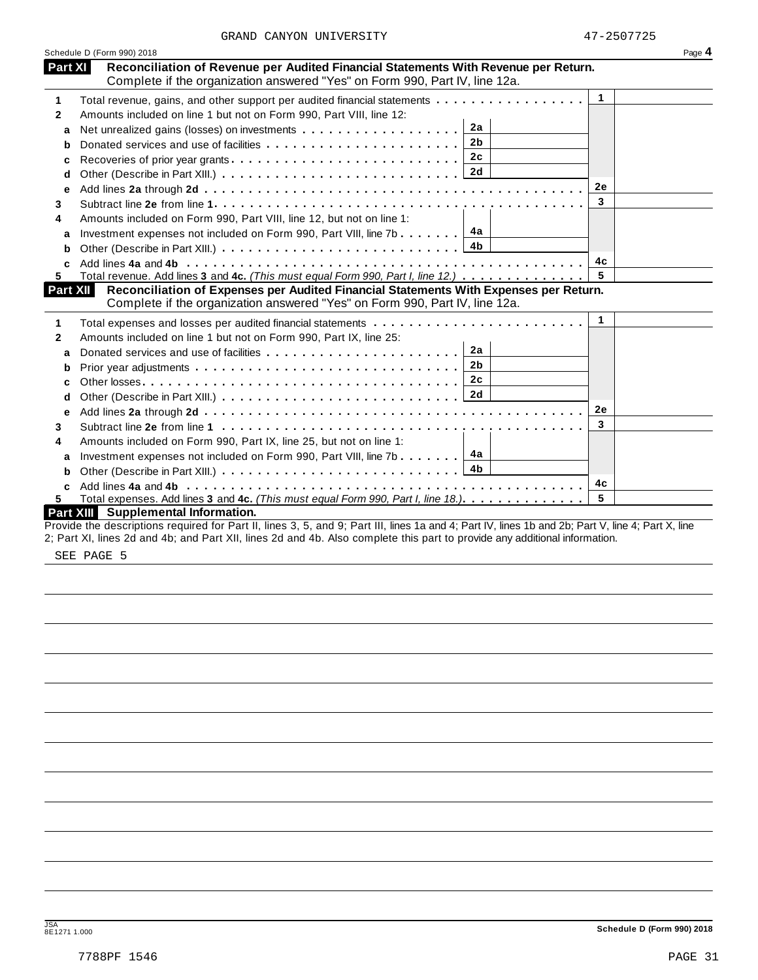|  | GRAND CANYON UNIVERSITY | 47-2507725 |
|--|-------------------------|------------|
|  |                         |            |

|              | Schedule D (Form 990) 2018                                                                                                                                                    |              | Page 4 |
|--------------|-------------------------------------------------------------------------------------------------------------------------------------------------------------------------------|--------------|--------|
|              | Part XI<br>Reconciliation of Revenue per Audited Financial Statements With Revenue per Return.<br>Complete if the organization answered "Yes" on Form 990, Part IV, line 12a. |              |        |
| 1            | Total revenue, gains, and other support per audited financial statements                                                                                                      | $\mathbf{1}$ |        |
| $\mathbf{2}$ | Amounts included on line 1 but not on Form 990, Part VIII, line 12:                                                                                                           |              |        |
| a            | 2a                                                                                                                                                                            |              |        |
| b            | 2 <sub>b</sub>                                                                                                                                                                |              |        |
| c            | 2c<br>Recoveries of prior year grants                                                                                                                                         |              |        |
| d            |                                                                                                                                                                               |              |        |
| е            |                                                                                                                                                                               | <b>2e</b>    |        |
|              |                                                                                                                                                                               | 3            |        |
|              | Amounts included on Form 990, Part VIII, line 12, but not on line 1:                                                                                                          |              |        |
| a            | 4а<br>Investment expenses not included on Form 990, Part VIII, line 7b                                                                                                        |              |        |
| b            |                                                                                                                                                                               |              |        |
| c            |                                                                                                                                                                               | 4с           |        |
|              | Total revenue. Add lines 3 and 4c. (This must equal Form 990, Part I, line 12.)                                                                                               | 5            |        |
|              | Reconciliation of Expenses per Audited Financial Statements With Expenses per Return.<br><b>Part XII</b>                                                                      |              |        |
|              | Complete if the organization answered "Yes" on Form 990, Part IV, line 12a.                                                                                                   |              |        |
|              |                                                                                                                                                                               | $\mathbf{1}$ |        |
|              | Amounts included on line 1 but not on Form 990, Part IX, line 25:                                                                                                             |              |        |
| a            | 2a                                                                                                                                                                            |              |        |
| b            | 2 <sub>b</sub>                                                                                                                                                                |              |        |
| C            | 2c                                                                                                                                                                            |              |        |
| d            |                                                                                                                                                                               |              |        |
| е            |                                                                                                                                                                               | 2e           |        |
|              |                                                                                                                                                                               | 3            |        |
|              | Amounts included on Form 990, Part IX, line 25, but not on line 1:                                                                                                            |              |        |
|              | 4a<br>Investment expenses not included on Form 990, Part VIII, line 7b                                                                                                        |              |        |
| a            |                                                                                                                                                                               |              |        |
| b            |                                                                                                                                                                               | 4c           |        |
|              |                                                                                                                                                                               |              |        |
| C.<br>5.     | Total expenses. Add lines 3 and 4c. (This must equal Form 990, Part I, line 18.).                                                                                             | 5            |        |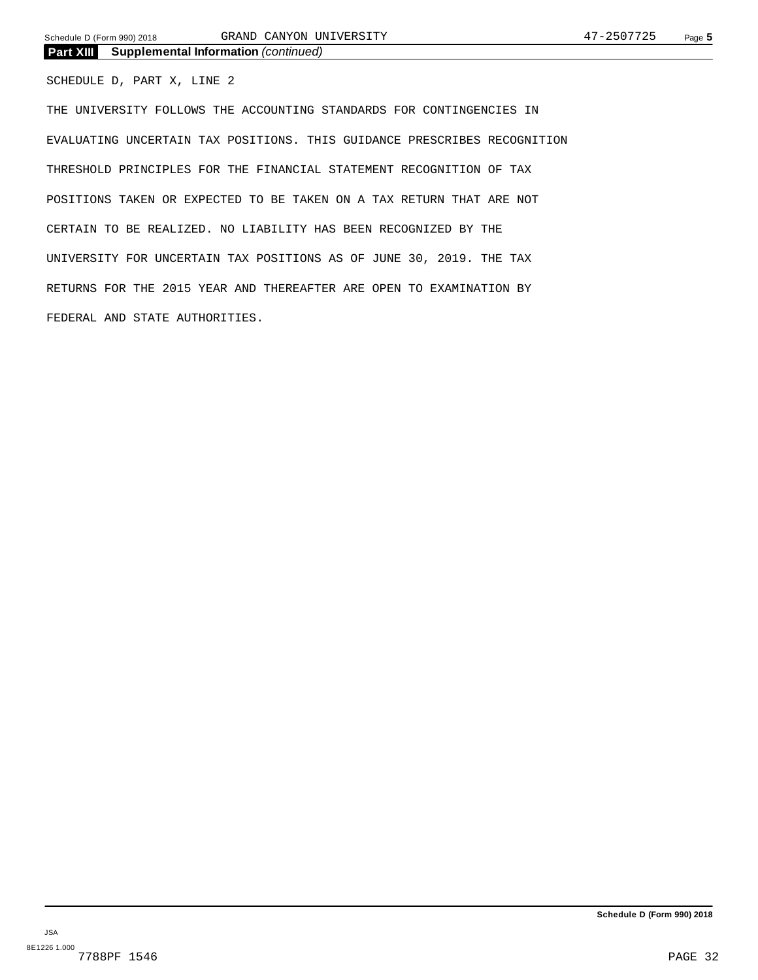SCHEDULE D, PART X, LINE 2

THE UNIVERSITY FOLLOWS THE ACCOUNTING STANDARDS FOR CONTINGENCIES IN EVALUATING UNCERTAIN TAX POSITIONS. THIS GUIDANCE PRESCRIBES RECOGNITION THRESHOLD PRINCIPLES FOR THE FINANCIAL STATEMENT RECOGNITION OF TAX POSITIONS TAKEN OR EXPECTED TO BE TAKEN ON A TAX RETURN THAT ARE NOT CERTAIN TO BE REALIZED. NO LIABILITY HAS BEEN RECOGNIZED BY THE UNIVERSITY FOR UNCERTAIN TAX POSITIONS AS OF JUNE 30, 2019. THE TAX RETURNS FOR THE 2015 YEAR AND THEREAFTER ARE OPEN TO EXAMINATION BY FEDERAL AND STATE AUTHORITIES.

**Schedule D (Form 990) 2018**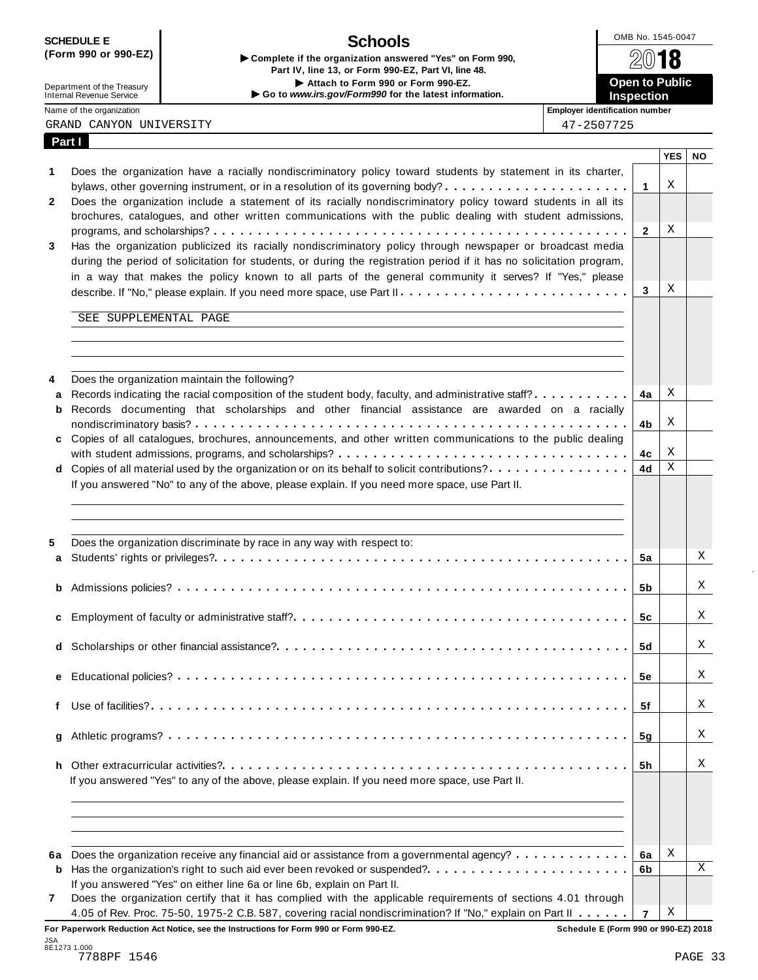## **Schools**

| <b>UVIILDVLL L</b>         | <b>JUNUUS</b><br>Complete if the organization answered "Yes" on Form 990,<br>Part IV, line 13, or Form 990-EZ, Part VI, line 48. | 2018                  |
|----------------------------|----------------------------------------------------------------------------------------------------------------------------------|-----------------------|
| Department of the Treasury | Attach to Form 990 or Form 990-EZ.                                                                                               | <b>Open to Public</b> |
| Internal Revenue Service   | Go to www.irs.gov/Form990 for the latest information.                                                                            | <b>Inspection</b>     |



Department of the Treasury<br>Internal Revenue Service Name of the organization **intervalse of the organization intervalse of the organization number intervalse of the organization intervalse of the organization intervalse of the organization intervalse of the organi** 

**Part I**

|  | GRAND CANYON UNIVERSITY | 47-2507725 |
|--|-------------------------|------------|
|  |                         |            |

|  | 47-2507725 |  |  |  |  |
|--|------------|--|--|--|--|
|  |            |  |  |  |  |

|              |                                                                                                                               |                | YES   NO |   |
|--------------|-------------------------------------------------------------------------------------------------------------------------------|----------------|----------|---|
| 1            | Does the organization have a racially nondiscriminatory policy toward students by statement in its charter,                   |                |          |   |
|              |                                                                                                                               | 1              | Χ        |   |
| $\mathbf{2}$ | Does the organization include a statement of its racially nondiscriminatory policy toward students in all its                 |                |          |   |
|              | brochures, catalogues, and other written communications with the public dealing with student admissions,                      |                |          |   |
|              |                                                                                                                               | $\mathbf{2}$   | Χ        |   |
| 3            | Has the organization publicized its racially nondiscriminatory policy through newspaper or broadcast media                    |                |          |   |
|              | during the period of solicitation for students, or during the registration period if it has no solicitation program,          |                |          |   |
|              | in a way that makes the policy known to all parts of the general community it serves? If "Yes," please                        |                |          |   |
|              |                                                                                                                               | 3              | Χ        |   |
|              |                                                                                                                               |                |          |   |
|              | SEE SUPPLEMENTAL PAGE                                                                                                         |                |          |   |
|              |                                                                                                                               |                |          |   |
|              |                                                                                                                               |                |          |   |
|              |                                                                                                                               |                |          |   |
|              |                                                                                                                               |                |          |   |
| 4            | Does the organization maintain the following?                                                                                 |                |          |   |
| a            | Records indicating the racial composition of the student body, faculty, and administrative staff?                             | 4a             | Χ        |   |
| b            | Records documenting that scholarships and other financial assistance are awarded on a racially                                |                |          |   |
|              |                                                                                                                               | 4b             | Х        |   |
|              | c Copies of all catalogues, brochures, announcements, and other written communications to the public dealing                  |                |          |   |
|              |                                                                                                                               | 4с             | Χ        |   |
|              | d Copies of all material used by the organization or on its behalf to solicit contributions?                                  | 4d             | Χ        |   |
|              | If you answered "No" to any of the above, please explain. If you need more space, use Part II.                                |                |          |   |
|              |                                                                                                                               |                |          |   |
|              |                                                                                                                               |                |          |   |
|              |                                                                                                                               |                |          |   |
| 5            | Does the organization discriminate by race in any way with respect to:                                                        |                |          |   |
| a            |                                                                                                                               | 5а             |          | Χ |
|              |                                                                                                                               |                |          |   |
|              |                                                                                                                               |                |          | Χ |
| b            |                                                                                                                               | 5b             |          |   |
|              |                                                                                                                               |                |          |   |
| c            |                                                                                                                               | 5с             |          | Χ |
|              |                                                                                                                               |                |          |   |
| d            |                                                                                                                               | 5d             |          | Χ |
|              |                                                                                                                               |                |          |   |
|              |                                                                                                                               | 5е             |          | Χ |
|              |                                                                                                                               |                |          |   |
|              |                                                                                                                               | 5f             |          | Χ |
|              |                                                                                                                               |                |          |   |
| g            |                                                                                                                               | 5g             |          | Χ |
|              |                                                                                                                               |                |          |   |
|              |                                                                                                                               | 5h             |          | Χ |
|              | If you answered "Yes" to any of the above, please explain. If you need more space, use Part II.                               |                |          |   |
|              |                                                                                                                               |                |          |   |
|              |                                                                                                                               |                |          |   |
|              |                                                                                                                               |                |          |   |
|              |                                                                                                                               |                |          |   |
|              |                                                                                                                               |                |          |   |
| 6а           | Does the organization receive any financial aid or assistance from a governmental agency?                                     | 6a             | Χ        |   |
| b            |                                                                                                                               | 6b             |          | X |
|              | If you answered "Yes" on either line 6a or line 6b, explain on Part II.                                                       |                |          |   |
| 7            | Does the organization certify that it has complied with the applicable requirements of sections 4.01 through                  |                |          |   |
|              | 4.05 of Rev. Proc. 75-50, 1975-2 C.B. 587, covering racial nondiscrimination? If "No," explain on Part II                     | $\overline{7}$ | Χ        |   |
|              | For Paperwork Reduction Act Notice, see the Instructions for Form 990 or Form 990-EZ.<br>Schedule E (Form 990 or 990-EZ) 2018 |                |          |   |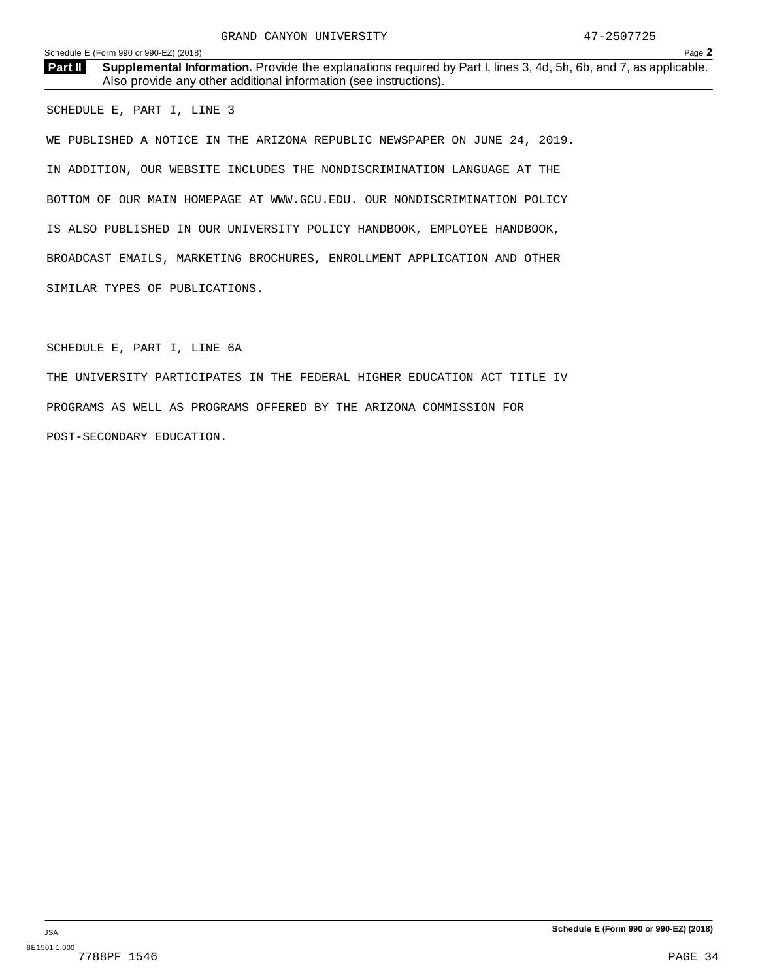**Supplemental Information.** Provide the explanations required by Part I, lines 3, 4d, 5h, 6b, and 7, as applicable. **Part II** Supplemental Information. Provide the explanations required Maso provide any other additional information (see instructions).

SCHEDULE E, PART I, LINE 3

WE PUBLISHED A NOTICE IN THE ARIZONA REPUBLIC NEWSPAPER ON JUNE 24, 2019. IN ADDITION, OUR WEBSITE INCLUDES THE NONDISCRIMINATION LANGUAGE AT THE BOTTOM OF OUR MAIN HOMEPAGE AT WWW.GCU.EDU. OUR NONDISCRIMINATION POLICY IS ALSO PUBLISHED IN OUR UNIVERSITY POLICY HANDBOOK, EMPLOYEE HANDBOOK, BROADCAST EMAILS, MARKETING BROCHURES, ENROLLMENT APPLICATION AND OTHER SIMILAR TYPES OF PUBLICATIONS.

SCHEDULE E, PART I, LINE 6A

THE UNIVERSITY PARTICIPATES IN THE FEDERAL HIGHER EDUCATION ACT TITLE IV PROGRAMS AS WELL AS PROGRAMS OFFERED BY THE ARIZONA COMMISSION FOR POST-SECONDARY EDUCATION.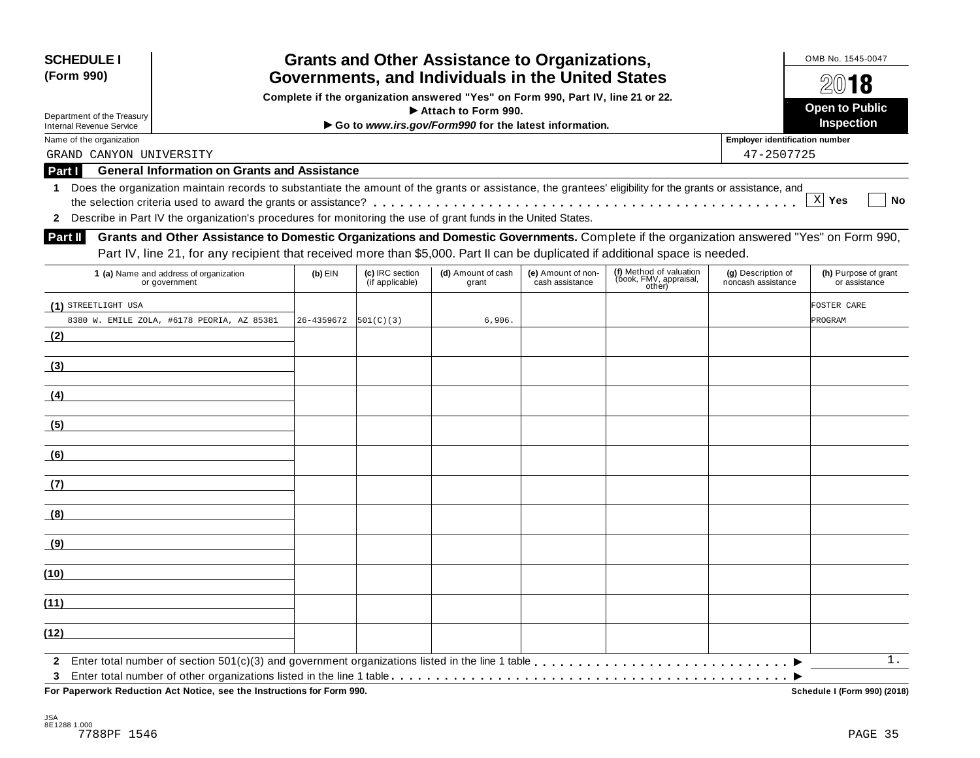| <b>SCHEDULE I</b><br>(Form 990) |                                                                                                                                                            |            |                                    | <b>Grants and Other Assistance to Organizations,</b><br>Governments, and Individuals in the United States |                                       |                                                             |                                          | OMB No. 1545-0047<br>2018             |
|---------------------------------|------------------------------------------------------------------------------------------------------------------------------------------------------------|------------|------------------------------------|-----------------------------------------------------------------------------------------------------------|---------------------------------------|-------------------------------------------------------------|------------------------------------------|---------------------------------------|
|                                 |                                                                                                                                                            |            |                                    | Complete if the organization answered "Yes" on Form 990, Part IV, line 21 or 22.                          |                                       |                                                             |                                          |                                       |
| Department of the Treasury      |                                                                                                                                                            |            |                                    | Attach to Form 990.                                                                                       |                                       |                                                             |                                          | <b>Open to Public</b>                 |
| <b>Internal Revenue Service</b> |                                                                                                                                                            |            |                                    | Go to www.irs.gov/Form990 for the latest information.                                                     |                                       |                                                             |                                          | Inspection                            |
| Name of the organization        |                                                                                                                                                            |            |                                    |                                                                                                           |                                       |                                                             | <b>Employer identification number</b>    |                                       |
| GRAND CANYON UNIVERSITY         |                                                                                                                                                            |            |                                    |                                                                                                           |                                       |                                                             | 47-2507725                               |                                       |
| Part I                          | <b>General Information on Grants and Assistance</b>                                                                                                        |            |                                    |                                                                                                           |                                       |                                                             |                                          |                                       |
| 1                               | Does the organization maintain records to substantiate the amount of the grants or assistance, the grantees' eligibility for the grants or assistance, and |            |                                    |                                                                                                           |                                       |                                                             |                                          | X Yes<br><b>No</b>                    |
|                                 |                                                                                                                                                            |            |                                    |                                                                                                           |                                       |                                                             |                                          |                                       |
|                                 | 2 Describe in Part IV the organization's procedures for monitoring the use of grant funds in the United States.                                            |            |                                    |                                                                                                           |                                       |                                                             |                                          |                                       |
| <b>Part II</b>                  | Grants and Other Assistance to Domestic Organizations and Domestic Governments. Complete if the organization answered "Yes" on Form 990,                   |            |                                    |                                                                                                           |                                       |                                                             |                                          |                                       |
|                                 | Part IV, line 21, for any recipient that received more than \$5,000. Part II can be duplicated if additional space is needed.                              |            |                                    |                                                                                                           |                                       |                                                             |                                          |                                       |
|                                 | 1 (a) Name and address of organization<br>or government                                                                                                    | $(b)$ EIN  | (c) IRC section<br>(if applicable) | (d) Amount of cash<br>grant                                                                               | (e) Amount of non-<br>cash assistance | (f) Method of valuation<br>(book, FMV, appraisal,<br>other) | (g) Description of<br>noncash assistance | (h) Purpose of grant<br>or assistance |
| (1) STREETLIGHT USA             |                                                                                                                                                            |            |                                    |                                                                                                           |                                       |                                                             |                                          | FOSTER CARE                           |
|                                 | 8380 W. EMILE ZOLA, #6178 PEORIA, AZ 85381                                                                                                                 | 26-4359672 | 501(C)(3)                          | 6,906.                                                                                                    |                                       |                                                             |                                          | PROGRAM                               |
| (2)                             |                                                                                                                                                            |            |                                    |                                                                                                           |                                       |                                                             |                                          |                                       |
|                                 |                                                                                                                                                            |            |                                    |                                                                                                           |                                       |                                                             |                                          |                                       |
| (3)                             |                                                                                                                                                            |            |                                    |                                                                                                           |                                       |                                                             |                                          |                                       |
|                                 |                                                                                                                                                            |            |                                    |                                                                                                           |                                       |                                                             |                                          |                                       |
| (4)                             |                                                                                                                                                            |            |                                    |                                                                                                           |                                       |                                                             |                                          |                                       |
| (5)                             |                                                                                                                                                            |            |                                    |                                                                                                           |                                       |                                                             |                                          |                                       |
| (6)                             |                                                                                                                                                            |            |                                    |                                                                                                           |                                       |                                                             |                                          |                                       |
| (7)                             |                                                                                                                                                            |            |                                    |                                                                                                           |                                       |                                                             |                                          |                                       |
| (8)                             |                                                                                                                                                            |            |                                    |                                                                                                           |                                       |                                                             |                                          |                                       |
| (9)                             |                                                                                                                                                            |            |                                    |                                                                                                           |                                       |                                                             |                                          |                                       |
| (10)                            |                                                                                                                                                            |            |                                    |                                                                                                           |                                       |                                                             |                                          |                                       |
| (11)                            |                                                                                                                                                            |            |                                    |                                                                                                           |                                       |                                                             |                                          |                                       |
| (12)                            |                                                                                                                                                            |            |                                    |                                                                                                           |                                       |                                                             |                                          |                                       |
| 3                               |                                                                                                                                                            |            |                                    |                                                                                                           |                                       |                                                             |                                          | $1$ .                                 |

 $\overline{P}$  **For Paperwork Reduction Act Notice, see the Instructions for Form 990.** 

Schedule I (Form 990) (2018)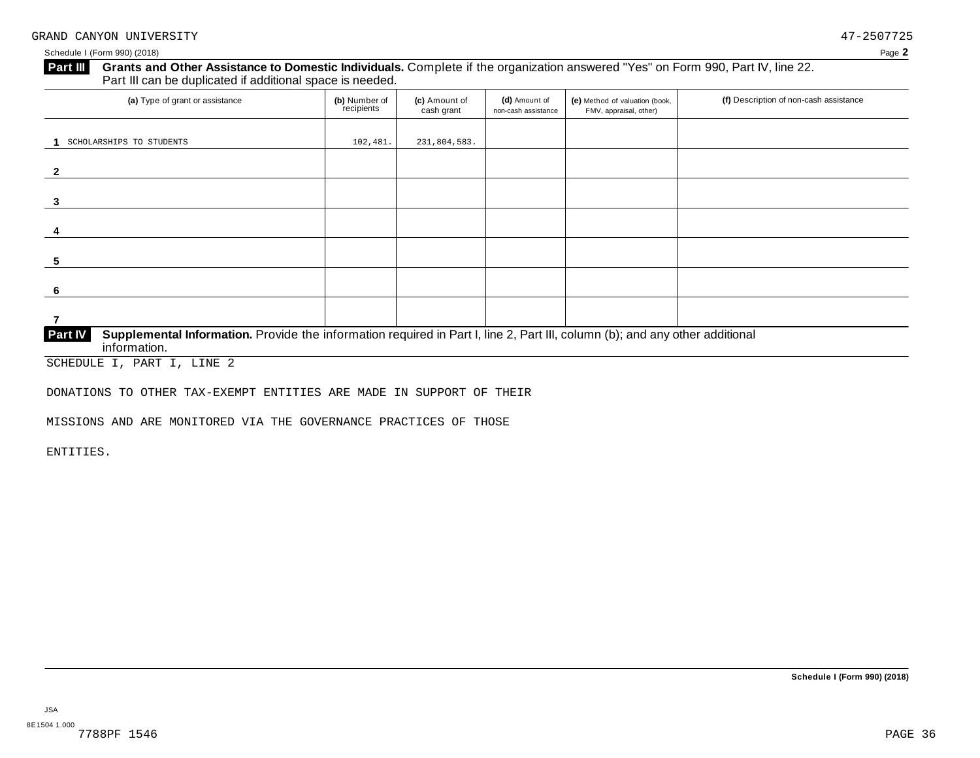#### **Grants and Other Assistance to Domestic Individuals.** Complete ifthe organization answered "Yes" on Form 990, Part IV, line 22. **Part III** Grants and Other Assistance to Domestic Individuals<br>Part III can be duplicated if additional space is needed.

| (a) Type of grant or assistance                                                                                                                                | (b) Number of<br>recipients | (c) Amount of<br>cash grant | (d) Amount of<br>non-cash assistance | (e) Method of valuation (book,<br>FMV, appraisal, other) | (f) Description of non-cash assistance |
|----------------------------------------------------------------------------------------------------------------------------------------------------------------|-----------------------------|-----------------------------|--------------------------------------|----------------------------------------------------------|----------------------------------------|
| SCHOLARSHIPS TO STUDENTS                                                                                                                                       | 102,481.                    | 231,804,583.                |                                      |                                                          |                                        |
|                                                                                                                                                                |                             |                             |                                      |                                                          |                                        |
|                                                                                                                                                                |                             |                             |                                      |                                                          |                                        |
| 3                                                                                                                                                              |                             |                             |                                      |                                                          |                                        |
| 4                                                                                                                                                              |                             |                             |                                      |                                                          |                                        |
| 5                                                                                                                                                              |                             |                             |                                      |                                                          |                                        |
| 6                                                                                                                                                              |                             |                             |                                      |                                                          |                                        |
|                                                                                                                                                                |                             |                             |                                      |                                                          |                                        |
| Supplemental Information. Provide the information required in Part I, line 2, Part III, column (b); and any other additional<br><b>Part IV</b><br>information. |                             |                             |                                      |                                                          |                                        |

SCHEDULE I, PART I, LINE 2

DONATIONS TO OTHER TAX-EXEMPT ENTITIES ARE MADE IN SUPPORT OF THEIR

MISSIONS AND ARE MONITORED VIA THE GOVERNANCE PRACTICES OF THOSE

ENTITIES.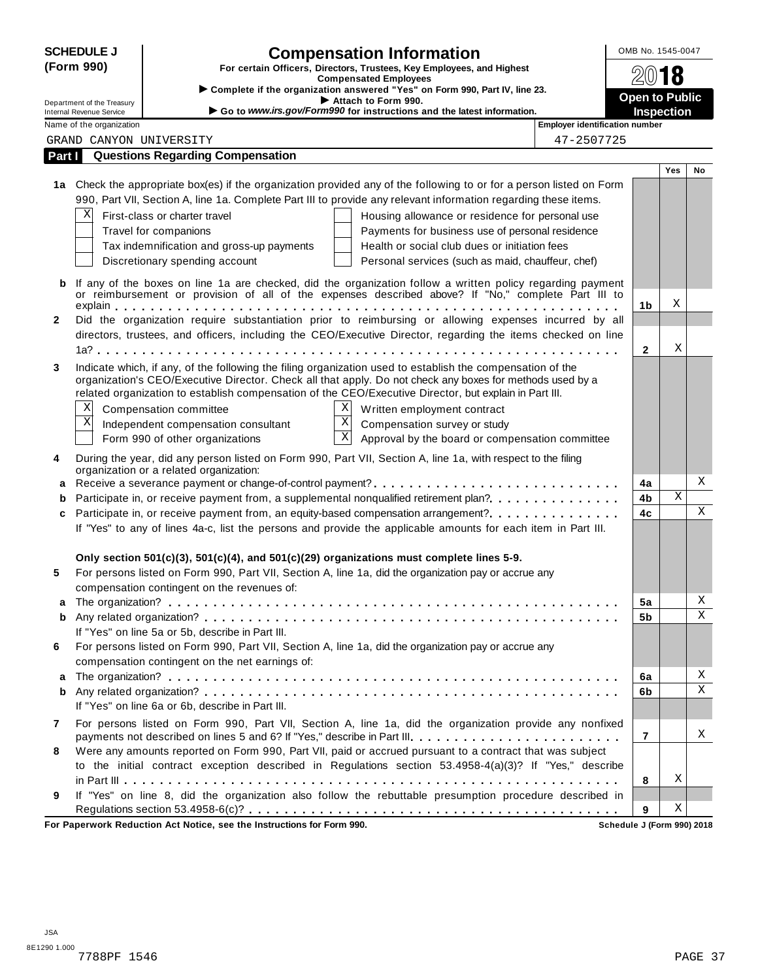|              | <b>SCHEDULE J</b>                                    | <b>Compensation Information</b>                                                                                                                                                                                         | OMB No. 1545-0047     |                   |    |
|--------------|------------------------------------------------------|-------------------------------------------------------------------------------------------------------------------------------------------------------------------------------------------------------------------------|-----------------------|-------------------|----|
|              | (Form 990)                                           | For certain Officers, Directors, Trustees, Key Employees, and Highest                                                                                                                                                   |                       | 18                |    |
|              |                                                      | <b>Compensated Employees</b><br>Complete if the organization answered "Yes" on Form 990, Part IV, line 23.                                                                                                              |                       |                   |    |
|              | Department of the Treasury                           | Attach to Form 990.                                                                                                                                                                                                     | <b>Open to Public</b> |                   |    |
|              | Internal Revenue Service<br>Name of the organization | Go to www.irs.gov/Form990 for instructions and the latest information.<br><b>Employer identification number</b>                                                                                                         |                       | <b>Inspection</b> |    |
|              | GRAND CANYON UNIVERSITY                              | 47-2507725                                                                                                                                                                                                              |                       |                   |    |
| Part I       |                                                      | <b>Questions Regarding Compensation</b>                                                                                                                                                                                 |                       |                   |    |
|              |                                                      |                                                                                                                                                                                                                         |                       | <b>Yes</b>        | No |
|              |                                                      | 1a Check the appropriate box(es) if the organization provided any of the following to or for a person listed on Form                                                                                                    |                       |                   |    |
|              |                                                      | 990, Part VII, Section A, line 1a. Complete Part III to provide any relevant information regarding these items.                                                                                                         |                       |                   |    |
|              | Χ                                                    | First-class or charter travel<br>Housing allowance or residence for personal use                                                                                                                                        |                       |                   |    |
|              |                                                      | Payments for business use of personal residence<br>Travel for companions                                                                                                                                                |                       |                   |    |
|              |                                                      | Tax indemnification and gross-up payments<br>Health or social club dues or initiation fees                                                                                                                              |                       |                   |    |
|              |                                                      | Discretionary spending account<br>Personal services (such as maid, chauffeur, chef)                                                                                                                                     |                       |                   |    |
| b            |                                                      | If any of the boxes on line 1a are checked, did the organization follow a written policy regarding payment                                                                                                              |                       |                   |    |
|              |                                                      | or reimbursement or provision of all of the expenses described above? If "No," complete Part III to                                                                                                                     |                       |                   |    |
|              |                                                      |                                                                                                                                                                                                                         | 1 <sub>b</sub>        | Χ                 |    |
| $\mathbf{2}$ |                                                      | Did the organization require substantiation prior to reimbursing or allowing expenses incurred by all                                                                                                                   |                       |                   |    |
|              |                                                      | directors, trustees, and officers, including the CEO/Executive Director, regarding the items checked on line                                                                                                            |                       | Χ                 |    |
|              |                                                      |                                                                                                                                                                                                                         | $\mathbf{2}$          |                   |    |
| 3            |                                                      | Indicate which, if any, of the following the filing organization used to establish the compensation of the<br>organization's CEO/Executive Director. Check all that apply. Do not check any boxes for methods used by a |                       |                   |    |
|              |                                                      | related organization to establish compensation of the CEO/Executive Director, but explain in Part III.                                                                                                                  |                       |                   |    |
|              | Χ                                                    | $X \vert$<br>Compensation committee<br>Written employment contract                                                                                                                                                      |                       |                   |    |
|              | Χ                                                    | $\overline{\mathbf{x}}$<br>Independent compensation consultant<br>Compensation survey or study                                                                                                                          |                       |                   |    |
|              |                                                      | $\overline{\mathbf{x}}$<br>Form 990 of other organizations<br>Approval by the board or compensation committee                                                                                                           |                       |                   |    |
| 4            |                                                      | During the year, did any person listed on Form 990, Part VII, Section A, line 1a, with respect to the filing                                                                                                            |                       |                   |    |
|              |                                                      | organization or a related organization:                                                                                                                                                                                 |                       |                   |    |
| а            |                                                      |                                                                                                                                                                                                                         | 4a                    |                   | X  |
| b            |                                                      | Participate in, or receive payment from, a supplemental nonqualified retirement plan?.                                                                                                                                  | 4b                    | Χ                 |    |
| c            |                                                      | Participate in, or receive payment from, an equity-based compensation arrangement?.                                                                                                                                     | 4c                    |                   | X  |
|              |                                                      | If "Yes" to any of lines 4a-c, list the persons and provide the applicable amounts for each item in Part III.                                                                                                           |                       |                   |    |
|              |                                                      |                                                                                                                                                                                                                         |                       |                   |    |
|              |                                                      | Only section $501(c)(3)$ , $501(c)(4)$ , and $501(c)(29)$ organizations must complete lines 5-9.                                                                                                                        |                       |                   |    |
| 5            |                                                      | For persons listed on Form 990, Part VII, Section A, line 1a, did the organization pay or accrue any                                                                                                                    |                       |                   |    |
|              |                                                      | compensation contingent on the revenues of:                                                                                                                                                                             |                       |                   | Χ  |
| а<br>b       |                                                      |                                                                                                                                                                                                                         | 5a<br>5b              |                   | Χ  |
|              |                                                      | If "Yes" on line 5a or 5b, describe in Part III.                                                                                                                                                                        |                       |                   |    |
| 6            |                                                      | For persons listed on Form 990, Part VII, Section A, line 1a, did the organization pay or accrue any                                                                                                                    |                       |                   |    |
|              |                                                      | compensation contingent on the net earnings of:                                                                                                                                                                         |                       |                   |    |
| а            |                                                      |                                                                                                                                                                                                                         | 6a                    |                   | Χ  |
| b            |                                                      |                                                                                                                                                                                                                         | 6b                    |                   | X  |
|              |                                                      | If "Yes" on line 6a or 6b, describe in Part III.                                                                                                                                                                        |                       |                   |    |
| 7            |                                                      | For persons listed on Form 990, Part VII, Section A, line 1a, did the organization provide any nonfixed                                                                                                                 |                       |                   |    |
|              |                                                      | payments not described on lines 5 and 6? If "Yes," describe in Part III.                                                                                                                                                | $\overline{7}$        |                   | Χ  |
| 8            |                                                      | Were any amounts reported on Form 990, Part VII, paid or accrued pursuant to a contract that was subject                                                                                                                |                       |                   |    |
|              |                                                      | to the initial contract exception described in Regulations section 53.4958-4(a)(3)? If "Yes," describe                                                                                                                  |                       |                   |    |
|              |                                                      |                                                                                                                                                                                                                         | 8                     | Χ                 |    |
| 9            |                                                      | If "Yes" on line 8, did the organization also follow the rebuttable presumption procedure described in                                                                                                                  |                       |                   |    |
|              |                                                      |                                                                                                                                                                                                                         | 9                     | Χ                 |    |

**For Paperwork Reduction Act Notice, see the Instructions for Form 990. Schedule J (Form 990) 2018**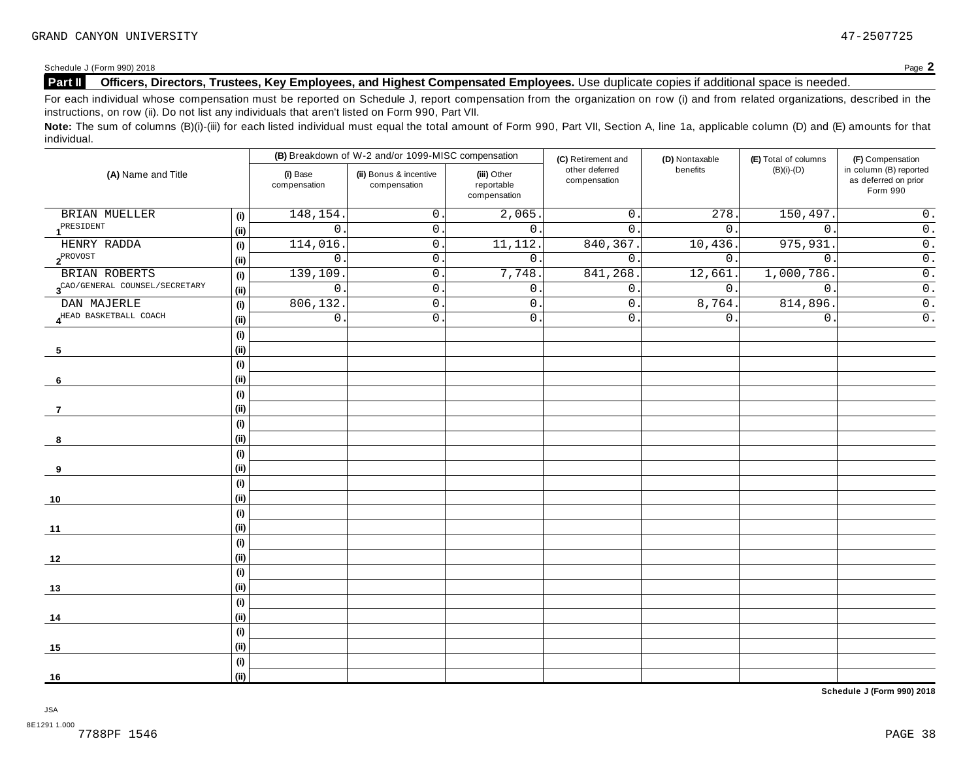### **Part II Officers, Directors, Trustees, Key Employees, and Highest Compensated Employees.** Use duplicate copies ifadditional space is needed.

For each individual whose compensation must be reported on Schedule J, report compensation from the organization on row (i) and from related organizations, described in the instructions, on row (ii). Do not list any individuals that aren't listed on Form 990, Part VII.

Note: The sum of columns (B)(i)-(iii) for each listed individual must equal the total amount of Form 990, Part VII, Section A, line 1a, applicable column (D) and (E) amounts for that individual.

|                                                                       |      |                          | (B) Breakdown of W-2 and/or 1099-MISC compensation |                                           | (C) Retirement and             | (D) Nontaxable   | (E) Total of columns | (F) Compensation                                           |  |
|-----------------------------------------------------------------------|------|--------------------------|----------------------------------------------------|-------------------------------------------|--------------------------------|------------------|----------------------|------------------------------------------------------------|--|
| (A) Name and Title                                                    |      | (i) Base<br>compensation | (ii) Bonus & incentive<br>compensation             | (iii) Other<br>reportable<br>compensation | other deferred<br>compensation | benefits         | $(B)(i)-(D)$         | in column (B) reported<br>as deferred on prior<br>Form 990 |  |
| BRIAN MUELLER                                                         | (i)  | 148, 154                 | $\mathsf{O}$ .                                     | 2,065                                     | $\mathsf{O}$ .                 | 278.             | 150,497.             | $\overline{0}$ .                                           |  |
| PRESIDENT                                                             | (i)  | $\mathbf 0$              | $\mathbf 0$ .                                      | $\mathbf{0}$ .                            | $\mathbf{0}$ .                 | $\overline{0}$ . | $\mathbf{0}$ .       | $\overline{\overline{\mathfrak{o}}\hspace{0.5pt}}$ .       |  |
| HENRY RADDA                                                           | (i)  | 114,016                  | $\mathbf 0$ .                                      | 11, 112.                                  | 840,367                        | 10,436.          | 975,931              | $\overline{0}$ .                                           |  |
| $2^{PROVOST}$                                                         | (i)  | $\mathsf{O}$             | $0\,$ .                                            | $\overline{0}$ .                          | $0$ .                          | $0$ .            | $\mathbf 0$          | $\overline{0}$ .                                           |  |
| BRIAN ROBERTS                                                         | (i)  | 139,109                  | $\mathsf{O}$ .                                     | 7,748.                                    | 841,268                        | 12,661           | 1,000,786.           | $\overline{0}$ .                                           |  |
| $\boldsymbol{3}^{\text{CAO/GENERAL}~\text{COUNTEL}/\text{SECRETARY}}$ | (i)  | $\mathsf{O}$             | $\mathsf{O}$ .                                     | 0.                                        | $\mathsf{O}$ .                 | $\overline{0}$ . | $\mathsf{O}$ .       | $\overline{0}$ .                                           |  |
| DAN MAJERLE                                                           | (i)  | 806, 132.                | $\mathsf{O}$ .                                     | $0$ .                                     | $0$ .                          | 8,764.           | 814,896              | $\overline{0}$ .                                           |  |
| 4HEAD BASKETBALL COACH                                                | (i)  | $\mathsf{O}$             | $\mathsf{O}$ .                                     | $0$ .                                     | $0$ .                          | 0.               | $\mathsf{O}$ .       | $\overline{0}$ .                                           |  |
|                                                                       | (i)  |                          |                                                    |                                           |                                |                  |                      |                                                            |  |
| 5                                                                     | (i)  |                          |                                                    |                                           |                                |                  |                      |                                                            |  |
|                                                                       | (i)  |                          |                                                    |                                           |                                |                  |                      |                                                            |  |
| 6                                                                     | (i)  |                          |                                                    |                                           |                                |                  |                      |                                                            |  |
|                                                                       | (i)  |                          |                                                    |                                           |                                |                  |                      |                                                            |  |
| $\overline{7}$                                                        | (i)  |                          |                                                    |                                           |                                |                  |                      |                                                            |  |
|                                                                       | (i)  |                          |                                                    |                                           |                                |                  |                      |                                                            |  |
| 8                                                                     | (i)  |                          |                                                    |                                           |                                |                  |                      |                                                            |  |
|                                                                       | (i)  |                          |                                                    |                                           |                                |                  |                      |                                                            |  |
| 9                                                                     | (i)  |                          |                                                    |                                           |                                |                  |                      |                                                            |  |
|                                                                       | (i)  |                          |                                                    |                                           |                                |                  |                      |                                                            |  |
| 10                                                                    | (i)  |                          |                                                    |                                           |                                |                  |                      |                                                            |  |
|                                                                       | (i)  |                          |                                                    |                                           |                                |                  |                      |                                                            |  |
| 11                                                                    | (i)  |                          |                                                    |                                           |                                |                  |                      |                                                            |  |
|                                                                       | (i)  |                          |                                                    |                                           |                                |                  |                      |                                                            |  |
| 12                                                                    | (i)  |                          |                                                    |                                           |                                |                  |                      |                                                            |  |
|                                                                       | (i)  |                          |                                                    |                                           |                                |                  |                      |                                                            |  |
| 13                                                                    | (i)  |                          |                                                    |                                           |                                |                  |                      |                                                            |  |
|                                                                       | (i)  |                          |                                                    |                                           |                                |                  |                      |                                                            |  |
| 14                                                                    | (i)  |                          |                                                    |                                           |                                |                  |                      |                                                            |  |
|                                                                       | (i)  |                          |                                                    |                                           |                                |                  |                      |                                                            |  |
| 15                                                                    | (i)  |                          |                                                    |                                           |                                |                  |                      |                                                            |  |
|                                                                       | (i)  |                          |                                                    |                                           |                                |                  |                      |                                                            |  |
| 16                                                                    | (ii) |                          |                                                    |                                           |                                |                  |                      |                                                            |  |

**Schedule J (Form 990) 2018**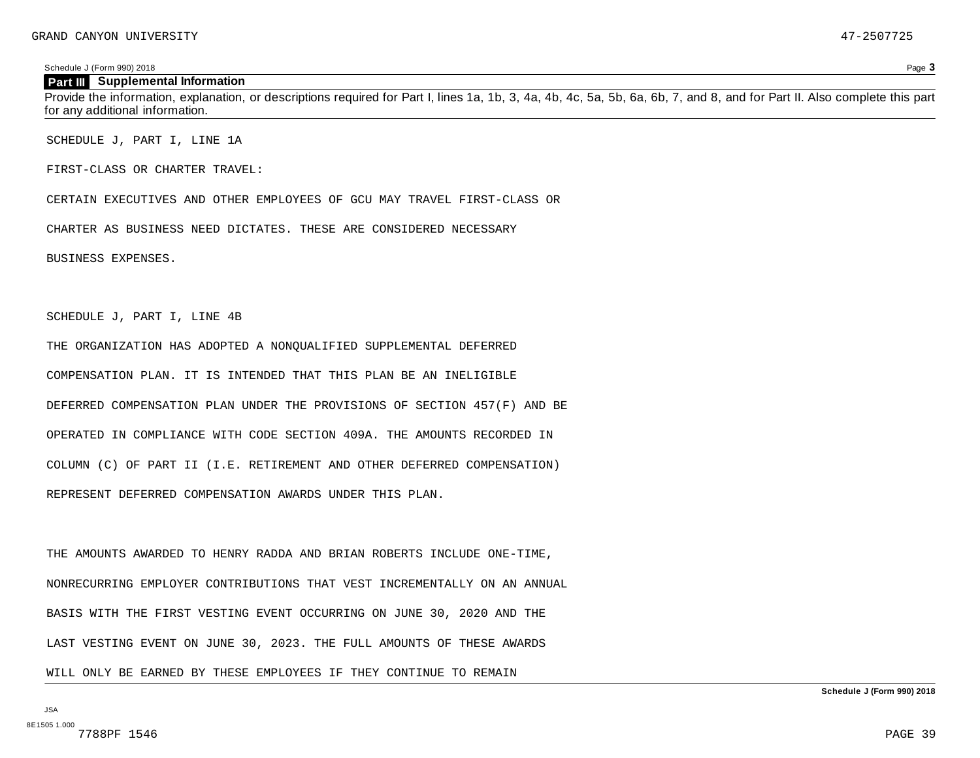#### **Part III Supplemental Information**

Provide the information, explanation, or descriptions required for Part I, lines 1a, 1b, 3, 4a, 4b, 4c, 5a, 5b, 6a, 6b, 7, and 8, and for Part II. Also complete this part for any additional information.

SCHEDULE J, PART I, LINE 1A

FIRST-CLASS OR CHARTER TRAVEL:

CERTAIN EXECUTIVES AND OTHER EMPLOYEES OF GCU MAY TRAVEL FIRST-CLASS OR

CHARTER AS BUSINESS NEED DICTATES. THESE ARE CONSIDERED NECESSARY

BUSINESS EXPENSES.

SCHEDULE J, PART I, LINE 4B

THE ORGANIZATION HAS ADOPTED A NONQUALIFIED SUPPLEMENTAL DEFERRED COMPENSATION PLAN. IT IS INTENDED THAT THIS PLAN BE AN INELIGIBLE DEFERRED COMPENSATION PLAN UNDER THE PROVISIONS OF SECTION 457(F) AND BE OPERATED IN COMPLIANCE WITH CODE SECTION 409A. THE AMOUNTS RECORDED IN

COLUMN (C) OF PART II (I.E. RETIREMENT AND OTHER DEFERRED COMPENSATION)

REPRESENT DEFERRED COMPENSATION AWARDS UNDER THIS PLAN.

THE AMOUNTS AWARDED TO HENRY RADDA AND BRIAN ROBERTS INCLUDE ONE-TIME, NONRECURRING EMPLOYER CONTRIBUTIONS THAT VEST INCREMENTALLY ON AN ANNUAL BASIS WITH THE FIRST VESTING EVENT OCCURRING ON JUNE 30, 2020 AND THE LAST VESTING EVENT ON JUNE 30, 2023. THE FULL AMOUNTS OF THESE AWARDS

WILL ONLY BE EARNED BY THESE EMPLOYEES IF THEY CONTINUE TO REMAIN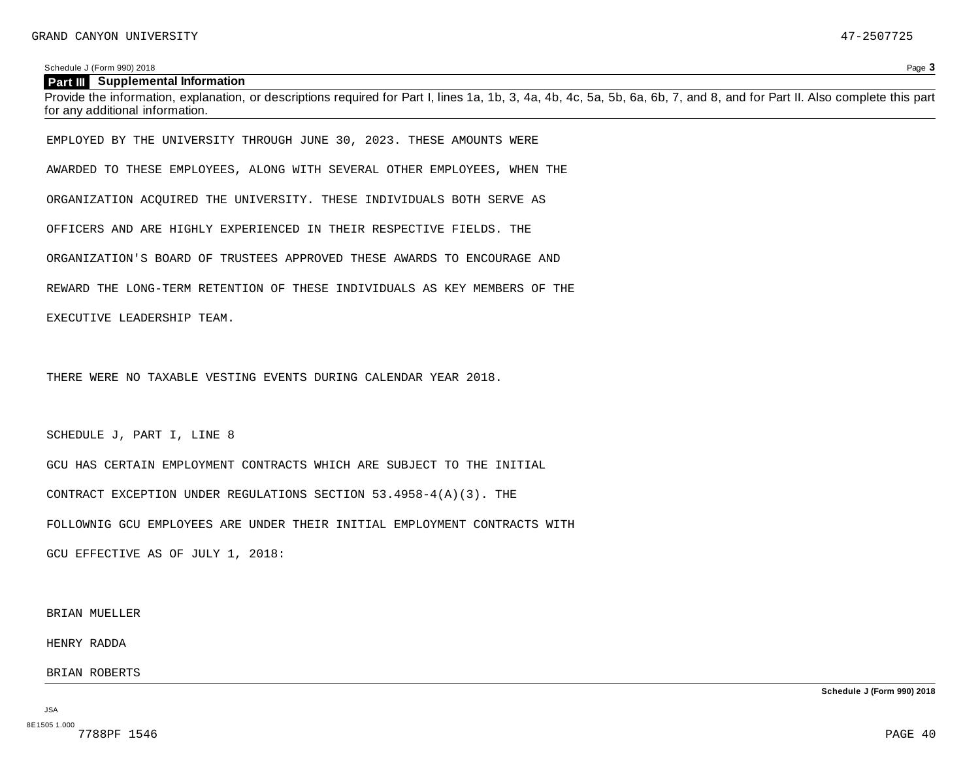#### **Part III Supplemental Information**

Provide the information, explanation, or descriptions required for Part I, lines 1a, 1b, 3, 4a, 4b, 4c, 5a, 5b, 6a, 6b, 7, and 8, and for Part II. Also complete this part for any additional information.

EMPLOYED BY THE UNIVERSITY THROUGH JUNE 30, 2023. THESE AMOUNTS WERE

AWARDED TO THESE EMPLOYEES, ALONG WITH SEVERAL OTHER EMPLOYEES, WHEN THE

ORGANIZATION ACQUIRED THE UNIVERSITY. THESE INDIVIDUALS BOTH SERVE AS

OFFICERS AND ARE HIGHLY EXPERIENCED IN THEIR RESPECTIVE FIELDS. THE

ORGANIZATION'S BOARD OF TRUSTEES APPROVED THESE AWARDS TO ENCOURAGE AND

REWARD THE LONG-TERM RETENTION OF THESE INDIVIDUALS AS KEY MEMBERS OF THE

EXECUTIVE LEADERSHIP TEAM.

THERE WERE NO TAXABLE VESTING EVENTS DURING CALENDAR YEAR 2018.

SCHEDULE J, PART I, LINE 8

GCU HAS CERTAIN EMPLOYMENT CONTRACTS WHICH ARE SUBJECT TO THE INITIAL CONTRACT EXCEPTION UNDER REGULATIONS SECTION 53.4958-4(A)(3). THE FOLLOWNIG GCU EMPLOYEES ARE UNDER THEIR INITIAL EMPLOYMENT CONTRACTS WITH

GCU EFFECTIVE AS OF JULY 1, 2018:

BRIAN MUELLER

HENRY RADDA

BRIAN ROBERTS

JSA 8E1505 1.000<br>7788PF 1546 **Schedule J (Form 990) 2018**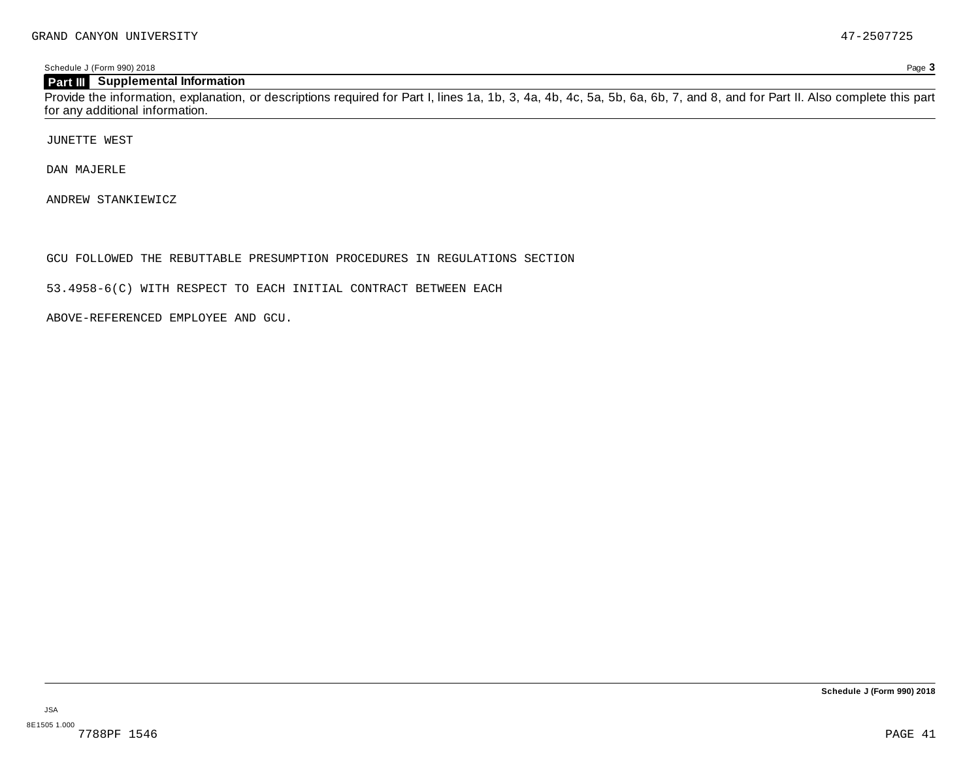### **Part III Supplemental Information**

Provide the information, explanation, or descriptions required for Part I, lines 1a, 1b, 3, 4a, 4b, 4c, 5a, 5b, 6a, 6b, 7, and 8, and for Part II. Also complete this part for any additional information.

JUNETTE WEST

DAN MAJERLE

ANDREW STANKIEWICZ

GCU FOLLOWED THE REBUTTABLE PRESUMPTION PROCEDURES IN REGULATIONS SECTION

53.4958-6(C) WITH RESPECT TO EACH INITIAL CONTRACT BETWEEN EACH

ABOVE-REFERENCED EMPLOYEE AND GCU.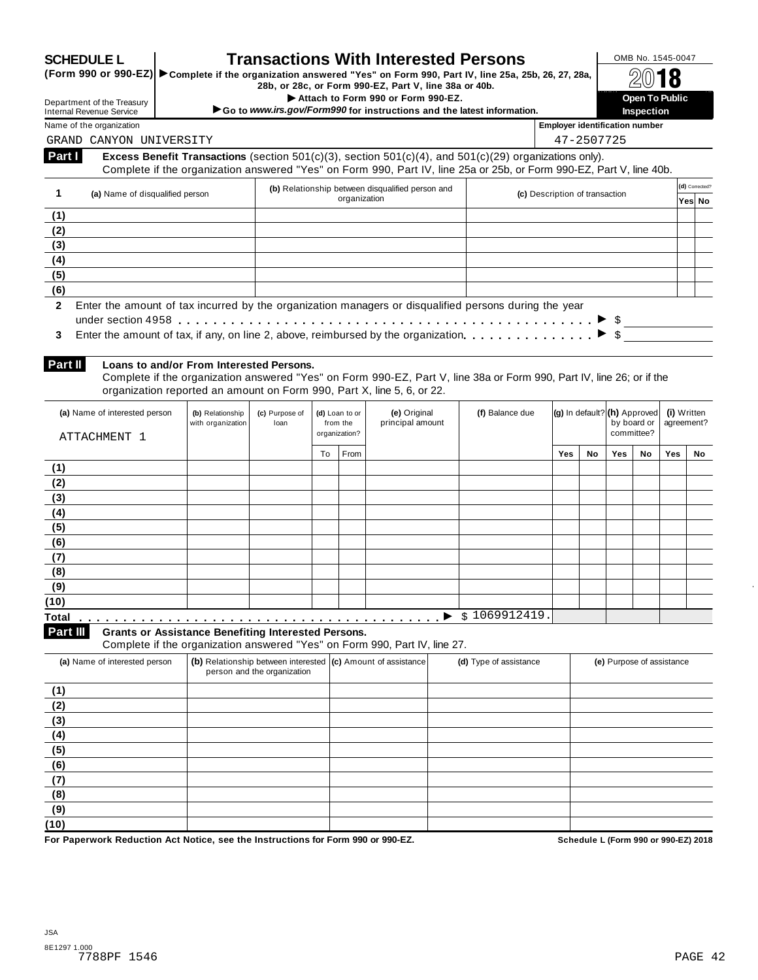|                                                      |                                                                                                                   |                                       |                             |                            | (Form 990 or 990-EZ) > Complete if the organization answered "Yes" on Form 990, Part IV, line 25a, 25b, 26, 27, 28a,<br>28b, or 28c, or Form 990-EZ, Part V, line 38a or 40b.<br>Attach to Form 990 or Form 990-EZ. |                        |                                       |                              |             | Open To Public            |                           |                |
|------------------------------------------------------|-------------------------------------------------------------------------------------------------------------------|---------------------------------------|-----------------------------|----------------------------|---------------------------------------------------------------------------------------------------------------------------------------------------------------------------------------------------------------------|------------------------|---------------------------------------|------------------------------|-------------|---------------------------|---------------------------|----------------|
|                                                      | Department of the Treasury<br><b>Internal Revenue Service</b>                                                     |                                       |                             |                            | Go to www.irs.gov/Form990 for instructions and the latest information.                                                                                                                                              |                        |                                       |                              |             | Inspection                |                           |                |
|                                                      | Name of the organization                                                                                          |                                       |                             |                            |                                                                                                                                                                                                                     |                        | <b>Employer identification number</b> |                              |             |                           |                           |                |
|                                                      | GRAND CANYON UNIVERSITY                                                                                           |                                       |                             |                            |                                                                                                                                                                                                                     |                        |                                       | 47-2507725                   |             |                           |                           |                |
| Part I                                               |                                                                                                                   |                                       |                             |                            | Excess Benefit Transactions (section $501(c)(3)$ , section $501(c)(4)$ , and $501(c)(29)$ organizations only).                                                                                                      |                        |                                       |                              |             |                           |                           |                |
|                                                      |                                                                                                                   |                                       |                             |                            | Complete if the organization answered "Yes" on Form 990, Part IV, line 25a or 25b, or Form 990-EZ, Part V, line 40b.                                                                                                |                        |                                       |                              |             |                           |                           |                |
| $\mathbf{1}$                                         |                                                                                                                   |                                       |                             |                            | (b) Relationship between disqualified person and                                                                                                                                                                    |                        |                                       |                              |             |                           |                           | (d) Corrected? |
|                                                      | (a) Name of disqualified person                                                                                   |                                       |                             | organization               |                                                                                                                                                                                                                     |                        | (c) Description of transaction        |                              |             |                           |                           | Yes  No        |
| (1)                                                  |                                                                                                                   |                                       |                             |                            |                                                                                                                                                                                                                     |                        |                                       |                              |             |                           |                           |                |
| (2)                                                  |                                                                                                                   |                                       |                             |                            |                                                                                                                                                                                                                     |                        |                                       |                              |             |                           |                           |                |
| (3)                                                  |                                                                                                                   |                                       |                             |                            |                                                                                                                                                                                                                     |                        |                                       |                              |             |                           |                           |                |
| (4)                                                  |                                                                                                                   |                                       |                             |                            |                                                                                                                                                                                                                     |                        |                                       |                              |             |                           |                           |                |
| (5)                                                  |                                                                                                                   |                                       |                             |                            |                                                                                                                                                                                                                     |                        |                                       |                              |             |                           |                           |                |
| (6)<br>$\overline{2}$                                | Enter the amount of tax incurred by the organization managers or disqualified persons during the year             |                                       |                             |                            |                                                                                                                                                                                                                     |                        |                                       |                              |             |                           |                           |                |
|                                                      |                                                                                                                   |                                       |                             |                            |                                                                                                                                                                                                                     |                        |                                       |                              |             |                           |                           |                |
| 3                                                    | Enter the amount of tax, if any, on line 2, above, reimbursed by the organization. $\ldots$ , $\ldots$ , $\ldots$ |                                       |                             |                            |                                                                                                                                                                                                                     |                        |                                       |                              |             |                           |                           |                |
|                                                      |                                                                                                                   |                                       |                             |                            |                                                                                                                                                                                                                     |                        |                                       |                              |             |                           |                           |                |
| Part II                                              |                                                                                                                   |                                       |                             |                            |                                                                                                                                                                                                                     |                        |                                       |                              |             |                           |                           |                |
|                                                      | Loans to and/or From Interested Persons.                                                                          |                                       |                             |                            | Complete if the organization answered "Yes" on Form 990-EZ, Part V, line 38a or Form 990, Part IV, line 26; or if the                                                                                               |                        |                                       |                              |             |                           |                           |                |
|                                                      | organization reported an amount on Form 990, Part X, line 5, 6, or 22.                                            |                                       |                             |                            |                                                                                                                                                                                                                     |                        |                                       |                              |             |                           |                           |                |
|                                                      |                                                                                                                   |                                       |                             |                            |                                                                                                                                                                                                                     |                        |                                       |                              |             |                           |                           |                |
|                                                      | (a) Name of interested person                                                                                     | (b) Relationship<br>with organization | (c) Purpose of<br>loan      | (d) Loan to or<br>from the | (e) Original<br>principal amount                                                                                                                                                                                    | (f) Balance due        |                                       | (g) In default? (h) Approved | by board or |                           | (i) Written<br>agreement? |                |
|                                                      | ATTACHMENT 1                                                                                                      |                                       |                             | organization?              |                                                                                                                                                                                                                     |                        |                                       |                              | committee?  |                           |                           |                |
|                                                      |                                                                                                                   |                                       |                             | To<br>From                 |                                                                                                                                                                                                                     |                        | <b>Yes</b>                            | No                           | Yes         | No                        | <b>Yes</b>                | No             |
|                                                      |                                                                                                                   |                                       |                             |                            |                                                                                                                                                                                                                     |                        |                                       |                              |             |                           |                           |                |
|                                                      |                                                                                                                   |                                       |                             |                            |                                                                                                                                                                                                                     |                        |                                       |                              |             |                           |                           |                |
|                                                      |                                                                                                                   |                                       |                             |                            |                                                                                                                                                                                                                     |                        |                                       |                              |             |                           |                           |                |
|                                                      |                                                                                                                   |                                       |                             |                            |                                                                                                                                                                                                                     |                        |                                       |                              |             |                           |                           |                |
|                                                      |                                                                                                                   |                                       |                             |                            |                                                                                                                                                                                                                     |                        |                                       |                              |             |                           |                           |                |
|                                                      |                                                                                                                   |                                       |                             |                            |                                                                                                                                                                                                                     |                        |                                       |                              |             |                           |                           |                |
|                                                      |                                                                                                                   |                                       |                             |                            |                                                                                                                                                                                                                     |                        |                                       |                              |             |                           |                           |                |
|                                                      |                                                                                                                   |                                       |                             |                            |                                                                                                                                                                                                                     |                        |                                       |                              |             |                           |                           |                |
| (1)<br>(2)<br>(3)<br>(4)<br>(5)<br>(6)<br>(7)<br>(8) |                                                                                                                   |                                       |                             |                            |                                                                                                                                                                                                                     |                        |                                       |                              |             |                           |                           |                |
|                                                      |                                                                                                                   |                                       |                             |                            |                                                                                                                                                                                                                     |                        |                                       |                              |             |                           |                           |                |
|                                                      |                                                                                                                   |                                       |                             |                            |                                                                                                                                                                                                                     |                        |                                       |                              |             |                           |                           |                |
|                                                      |                                                                                                                   |                                       | .                           |                            | ▶                                                                                                                                                                                                                   | \$1069912419           |                                       |                              |             |                           |                           |                |
|                                                      | <b>Grants or Assistance Benefiting Interested Persons.</b>                                                        |                                       |                             |                            |                                                                                                                                                                                                                     |                        |                                       |                              |             |                           |                           |                |
| (9)<br>(10)<br><b>Total</b><br>Part III              |                                                                                                                   |                                       |                             |                            | Complete if the organization answered "Yes" on Form 990, Part IV, line 27.                                                                                                                                          |                        |                                       |                              |             |                           |                           |                |
|                                                      | (a) Name of interested person                                                                                     |                                       | person and the organization |                            | (b) Relationship between interested $ $ (c) Amount of assistance                                                                                                                                                    | (d) Type of assistance |                                       |                              |             | (e) Purpose of assistance |                           |                |
|                                                      |                                                                                                                   |                                       |                             |                            |                                                                                                                                                                                                                     |                        |                                       |                              |             |                           |                           |                |
|                                                      |                                                                                                                   |                                       |                             |                            |                                                                                                                                                                                                                     |                        |                                       |                              |             |                           |                           |                |
|                                                      |                                                                                                                   |                                       |                             |                            |                                                                                                                                                                                                                     |                        |                                       |                              |             |                           |                           |                |
|                                                      |                                                                                                                   |                                       |                             |                            |                                                                                                                                                                                                                     |                        |                                       |                              |             |                           |                           |                |
|                                                      |                                                                                                                   |                                       |                             |                            |                                                                                                                                                                                                                     |                        |                                       |                              |             |                           |                           |                |
| (1)<br>(2)<br>(3)<br>(4)<br>(5)                      |                                                                                                                   |                                       |                             |                            |                                                                                                                                                                                                                     |                        |                                       |                              |             |                           |                           |                |
| (6)<br>(7)                                           |                                                                                                                   |                                       |                             |                            |                                                                                                                                                                                                                     |                        |                                       |                              |             |                           |                           |                |
|                                                      |                                                                                                                   |                                       |                             |                            |                                                                                                                                                                                                                     |                        |                                       |                              |             |                           |                           |                |
| (8)<br>(9)                                           |                                                                                                                   |                                       |                             |                            |                                                                                                                                                                                                                     |                        |                                       |                              |             |                           |                           |                |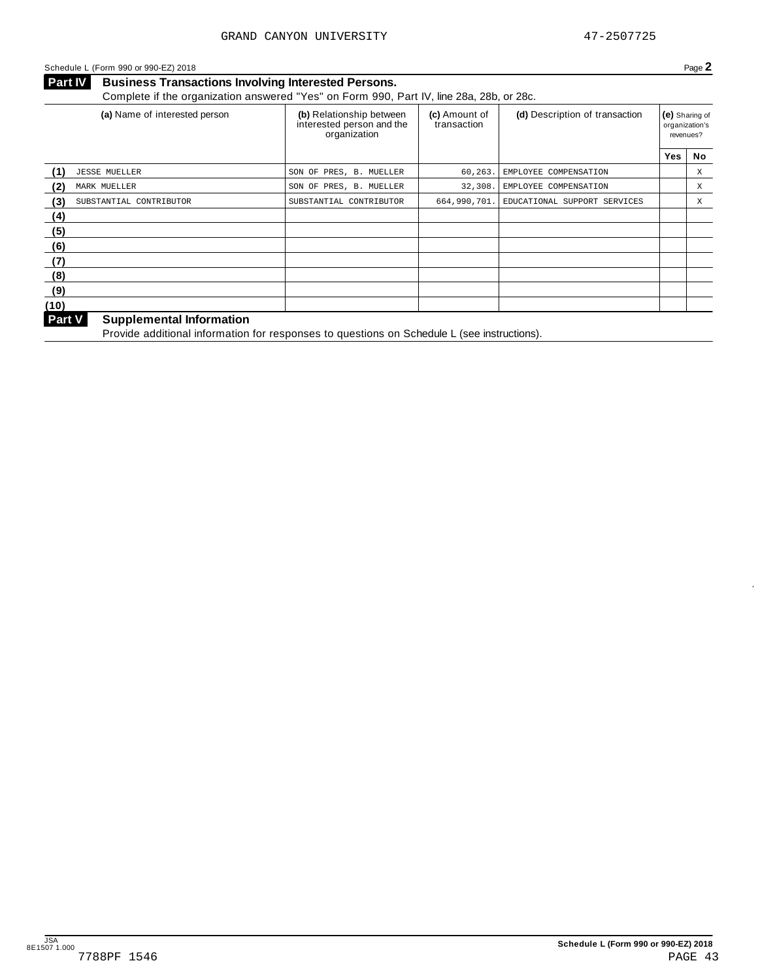#### Schedule <sup>L</sup> (Form <sup>990</sup> or 990-EZ) <sup>2018</sup> Page **2**

**Business Transactions Involving Interested Persons. Part IV** Business Transactions Involving Interested Persons.<br>Complete if the organization answered "Yes" on Form 990, Part IV, line 28a, 28b, or 28c.

|                                | (a) Name of interested person | (b) Relationship between<br>interested person and the<br>organization | (c) Amount of<br>transaction | (d) Description of transaction | (e) Sharing of<br>organization's<br>revenues? |             |
|--------------------------------|-------------------------------|-----------------------------------------------------------------------|------------------------------|--------------------------------|-----------------------------------------------|-------------|
|                                |                               |                                                                       |                              |                                | <b>Yes</b>                                    | No          |
| (1)<br><b>JESSE MUELLER</b>    |                               | SON OF PRES, B. MUELLER                                               | 60, 263.                     | EMPLOYEE COMPENSATION          |                                               | Χ           |
| (2)<br>MARK MUELLER            |                               | SON OF PRES, B. MUELLER                                               | 32,308.                      | EMPLOYEE COMPENSATION          |                                               | Χ           |
| (3)<br>SUBSTANTIAL CONTRIBUTOR |                               | SUBSTANTIAL CONTRIBUTOR                                               | 664,990,701.                 | EDUCATIONAL SUPPORT SERVICES   |                                               | $\mathbf X$ |
| (4)                            |                               |                                                                       |                              |                                |                                               |             |
| (5)                            |                               |                                                                       |                              |                                |                                               |             |
| (6)                            |                               |                                                                       |                              |                                |                                               |             |
| (7)                            |                               |                                                                       |                              |                                |                                               |             |
| (8)                            |                               |                                                                       |                              |                                |                                               |             |
| (9)                            |                               |                                                                       |                              |                                |                                               |             |
| (10)                           |                               |                                                                       |                              |                                |                                               |             |
| $D_{out}M$                     | Curantamental Information     |                                                                       |                              |                                |                                               |             |

#### **Supplemental Information**

**Part V** Supplemental information<br>Provide additional information for responses to questions on Schedule L (see instructions).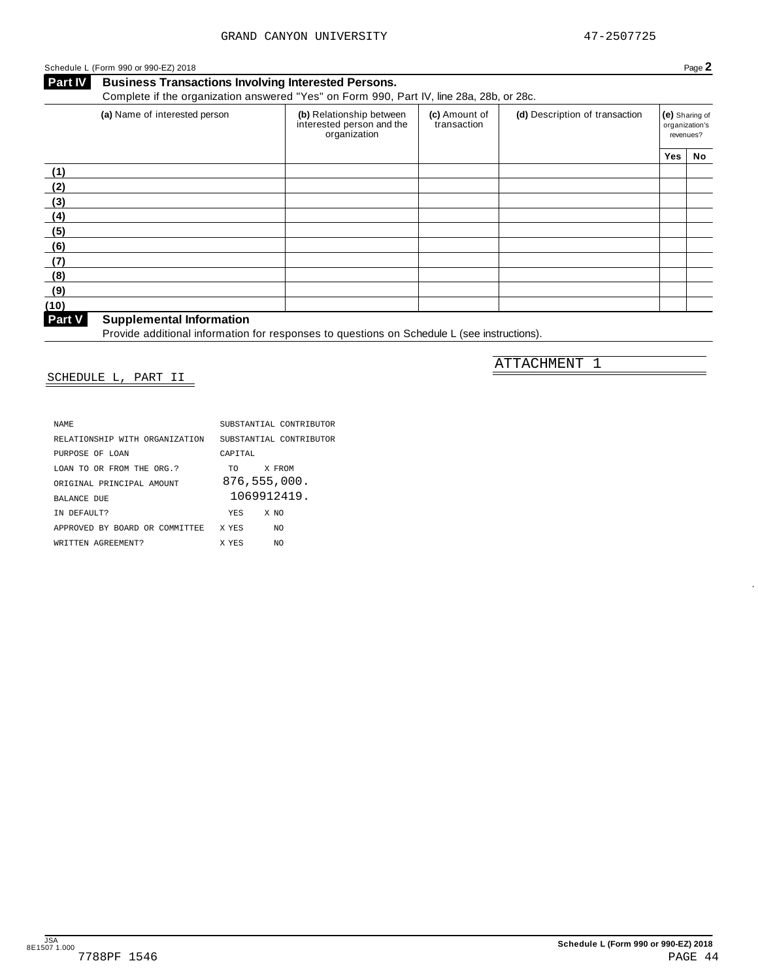ATTACHMENT 1

### Schedule <sup>L</sup> (Form <sup>990</sup> or 990-EZ) <sup>2018</sup> Page **2**

**Business Transactions Involving Interested Persons. Part IV** Business Transactions Involving Interested Persons.<br>Complete if the organization answered "Yes" on Form 990, Part IV, line 28a, 28b, or 28c.

| (b) Relationship between<br>interested person and the<br>organization | (c) Amount of<br>transaction | (d) Description of transaction |     | (e) Sharing of<br>organization's<br>revenues? |
|-----------------------------------------------------------------------|------------------------------|--------------------------------|-----|-----------------------------------------------|
|                                                                       |                              |                                | Yes | No                                            |
|                                                                       |                              |                                |     |                                               |
|                                                                       |                              |                                |     |                                               |
|                                                                       |                              |                                |     |                                               |
|                                                                       |                              |                                |     |                                               |
|                                                                       |                              |                                |     |                                               |
|                                                                       |                              |                                |     |                                               |
|                                                                       |                              |                                |     |                                               |
|                                                                       |                              |                                |     |                                               |
|                                                                       |                              |                                |     |                                               |
|                                                                       |                              |                                |     |                                               |
|                                                                       |                              |                                |     |                                               |

**Supplemental Information**

Provide additional information<br>Provide additional information for responses to questions on Schedule L (see instructions).

### SCHEDULE L, PART II

| <b>NAME</b>                    | SUBSTANTIAL CONTRIBUTOR |
|--------------------------------|-------------------------|
| RELATIONSHIP WITH ORGANIZATION | SUBSTANTIAL CONTRIBUTOR |
| PURPOSE OF LOAN                | CAPTTAL                 |
| LOAN TO OR FROM THE ORG.?      | X FROM<br>TO .          |
| ORIGINAL PRINCIPAL AMOUNT      | 876,555,000.            |
| <b>BALANCE DUE</b>             | 1069912419.             |
| IN DEFAULT?                    | <b>YES</b><br>X NO      |
| APPROVED BY BOARD OR COMMITTEE | X YES<br>NO.            |
| WRITTEN AGREEMENT?             | X YES<br>NO.            |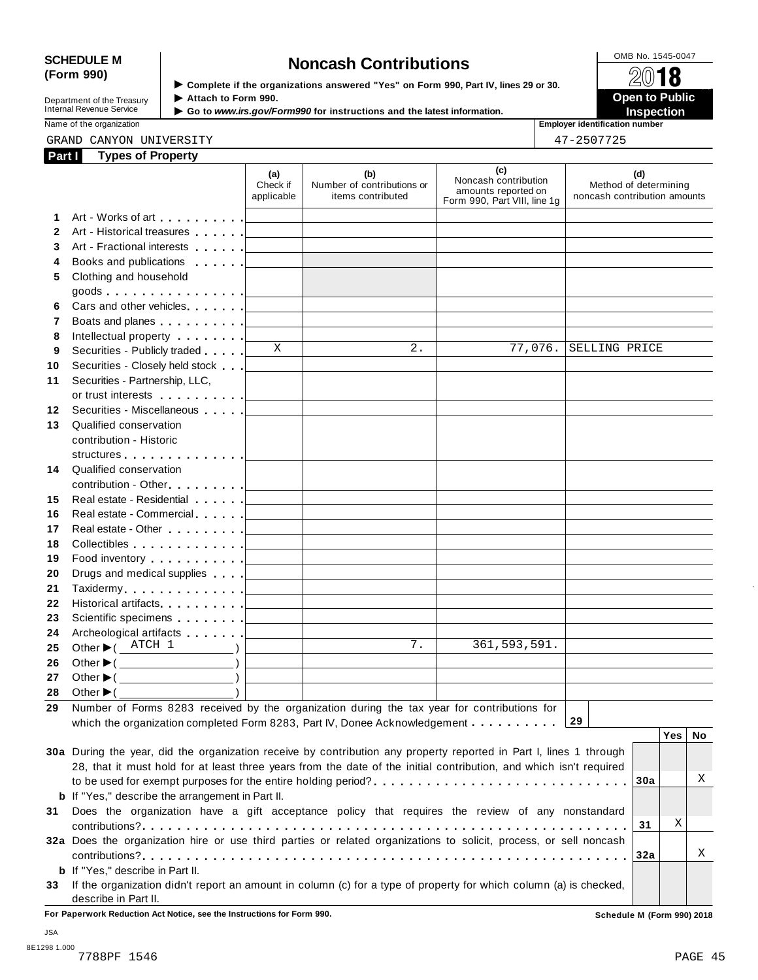# SCHEDULE M<br>
(Form 990) **Some Lightness of the organizations answered "Yes" on Form 990 Part IV lines 29 or 30<br>
<b>Some Lightness Contributions**

**Department of the Treasury<br>Internal Revenue Service** 

**Examplete** if the organizations answered "Yes" on Form 990, Part Ⅳ, lines 29 or 30. 
<br>● Attach to Form 990. **Department of the Treasury ▶ Attach to Form 990.**<br>Internal Revenue Service ▶ Go to *www.irs.gov/Form990* for instructions and the latest information.<br>Nome of the organization aumhor

Name of the organization **Employer identification number**

#### GRAND CANYON UNIVERSITY 47-2507725

| 17 OENTTOE |  |
|------------|--|

| Part I       | <b>Types of Property</b>                                                                                                                                                                                                       |                               |                                                        |                                                                                    |                                                              |
|--------------|--------------------------------------------------------------------------------------------------------------------------------------------------------------------------------------------------------------------------------|-------------------------------|--------------------------------------------------------|------------------------------------------------------------------------------------|--------------------------------------------------------------|
|              |                                                                                                                                                                                                                                | (a)<br>Check if<br>applicable | (b)<br>Number of contributions or<br>items contributed | (c)<br>Noncash contribution<br>amounts reported on<br>Form 990, Part VIII, line 1g | (d)<br>Method of determining<br>noncash contribution amounts |
| 1            |                                                                                                                                                                                                                                |                               |                                                        |                                                                                    |                                                              |
| $\mathbf{2}$ |                                                                                                                                                                                                                                |                               |                                                        |                                                                                    |                                                              |
| 3            | Art - Fractional interests [100]                                                                                                                                                                                               |                               |                                                        |                                                                                    |                                                              |
| 4            | Books and publications <b>Exercise 2</b>                                                                                                                                                                                       |                               |                                                        |                                                                                    |                                                              |
| 5            | Clothing and household                                                                                                                                                                                                         |                               |                                                        |                                                                                    |                                                              |
|              | goods <u>  _ _ _ _ _</u>                                                                                                                                                                                                       |                               |                                                        |                                                                                    |                                                              |
| 6            |                                                                                                                                                                                                                                |                               |                                                        |                                                                                    |                                                              |
| 7            | Boats and planes entertainment and planes and planes are all the set of the set of the set of the set of the set of the set of the set of the set of the set of the set of the set of the set of the set of the set of the set |                               |                                                        |                                                                                    |                                                              |
| 8            |                                                                                                                                                                                                                                |                               |                                                        |                                                                                    |                                                              |
| 9            | Securities - Publicly traded                                                                                                                                                                                                   | $\mathbf{X}$                  | $\overline{2}$ .                                       | 77,076.                                                                            | SELLING PRICE                                                |
| 10           |                                                                                                                                                                                                                                |                               |                                                        |                                                                                    |                                                              |
| 11           | Securities - Partnership, LLC,                                                                                                                                                                                                 |                               |                                                        |                                                                                    |                                                              |
|              |                                                                                                                                                                                                                                |                               |                                                        |                                                                                    |                                                              |
| 12           | Securities - Miscellaneous                                                                                                                                                                                                     |                               |                                                        |                                                                                    |                                                              |
| 13           | Qualified conservation                                                                                                                                                                                                         |                               |                                                        |                                                                                    |                                                              |
|              | contribution - Historic                                                                                                                                                                                                        |                               |                                                        |                                                                                    |                                                              |
|              | structures [19]                                                                                                                                                                                                                |                               |                                                        |                                                                                    |                                                              |
| 14           | Qualified conservation                                                                                                                                                                                                         |                               |                                                        |                                                                                    |                                                              |
|              |                                                                                                                                                                                                                                |                               |                                                        |                                                                                    |                                                              |
| 15           |                                                                                                                                                                                                                                |                               |                                                        |                                                                                    |                                                              |
| 16           |                                                                                                                                                                                                                                |                               |                                                        |                                                                                    |                                                              |
| 17           |                                                                                                                                                                                                                                |                               |                                                        |                                                                                    |                                                              |
| 18           |                                                                                                                                                                                                                                |                               |                                                        |                                                                                    |                                                              |
| 19           |                                                                                                                                                                                                                                |                               |                                                        |                                                                                    |                                                              |
| 20           | Drugs and medical supplies entertainment of the state of the state of the state of the state of the state of the state of the state of the state of the state of the state of the state of the state of the state of the state |                               |                                                        |                                                                                    |                                                              |
| 21           |                                                                                                                                                                                                                                |                               |                                                        |                                                                                    |                                                              |
| 22           |                                                                                                                                                                                                                                |                               |                                                        |                                                                                    |                                                              |
| 23           |                                                                                                                                                                                                                                |                               |                                                        |                                                                                    |                                                              |
| 24           |                                                                                                                                                                                                                                |                               |                                                        |                                                                                    |                                                              |
| 25           | Other $\blacktriangleright$ ( $\overline{\text{ATCH}}$ 1 )                                                                                                                                                                     |                               | 7.                                                     | 361,593,591.                                                                       |                                                              |
| 26           | Other $\blacktriangleright$ ( $\_\_\_\_\_\_\_\_$ )                                                                                                                                                                             |                               |                                                        |                                                                                    |                                                              |
| 27           | Other $\blacktriangleright$ ( $\qquad \qquad$                                                                                                                                                                                  |                               |                                                        |                                                                                    |                                                              |
|              |                                                                                                                                                                                                                                |                               |                                                        |                                                                                    |                                                              |
| 29           | Number of Forms 8283 received by the organization during the tax year for contributions for                                                                                                                                    |                               |                                                        |                                                                                    |                                                              |
|              | which the organization completed Form 8283, Part IV, Donee Acknowledgement                                                                                                                                                     |                               |                                                        |                                                                                    | 29                                                           |
|              |                                                                                                                                                                                                                                |                               |                                                        |                                                                                    | Yes  <br>No                                                  |
|              | 30a During the year, did the organization receive by contribution any property reported in Part I, lines 1 through                                                                                                             |                               |                                                        |                                                                                    |                                                              |
|              | 28, that it must hold for at least three years from the date of the initial contribution, and which isn't required                                                                                                             |                               |                                                        |                                                                                    |                                                              |
|              |                                                                                                                                                                                                                                |                               |                                                        |                                                                                    | Χ<br>30a                                                     |
|              | <b>b</b> If "Yes," describe the arrangement in Part II.                                                                                                                                                                        |                               |                                                        |                                                                                    |                                                              |
| 31           | Does the organization have a gift acceptance policy that requires the review of any nonstandard                                                                                                                                |                               |                                                        |                                                                                    |                                                              |
|              |                                                                                                                                                                                                                                |                               |                                                        |                                                                                    | Χ<br>31                                                      |
|              | 32a Does the organization hire or use third parties or related organizations to solicit, process, or sell noncash                                                                                                              |                               |                                                        |                                                                                    |                                                              |
|              |                                                                                                                                                                                                                                |                               |                                                        |                                                                                    | Χ<br>32a                                                     |
|              | <b>b</b> If "Yes," describe in Part II.                                                                                                                                                                                        |                               |                                                        |                                                                                    |                                                              |
|              | 33 If the organization didn't report an amount in column (c) for a type of property for which column (a) is checked,                                                                                                           |                               |                                                        |                                                                                    |                                                              |

describe in Part II.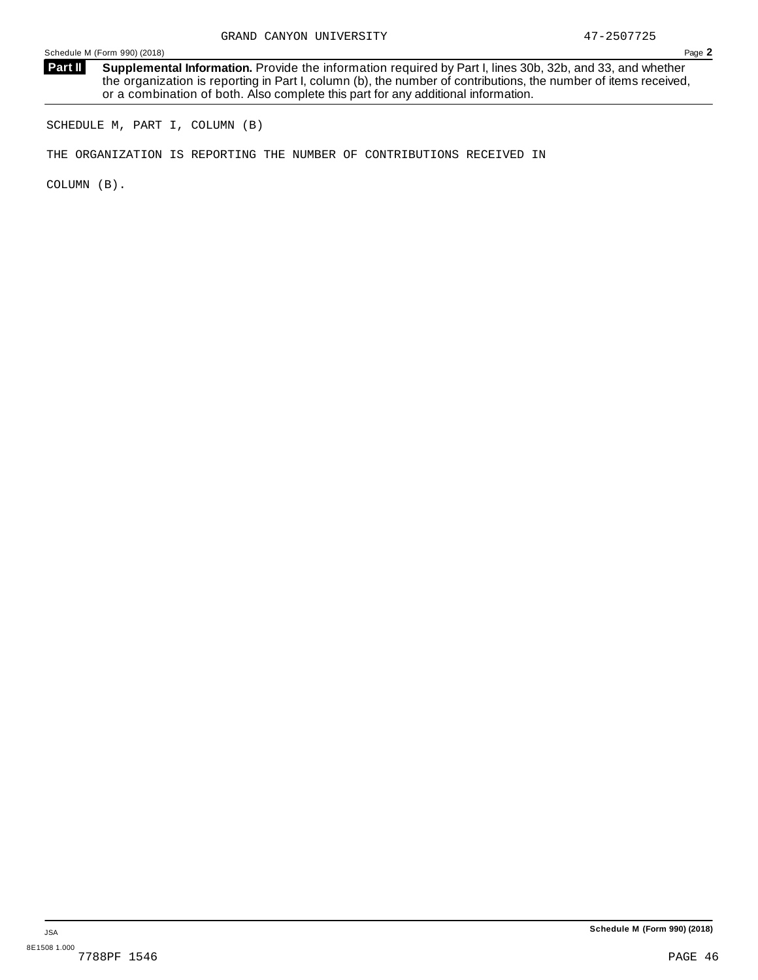**Supplemental Information.** Provide the information required by Part I, lines 30b, 32b, and 33, and whether the organization is reporting in Part I, column (b), the number of contributions, the number of items received, or a combination of both. Also complete this part for any additional information. **Part II**

SCHEDULE M, PART I, COLUMN (B)

THE ORGANIZATION IS REPORTING THE NUMBER OF CONTRIBUTIONS RECEIVED IN

COLUMN (B).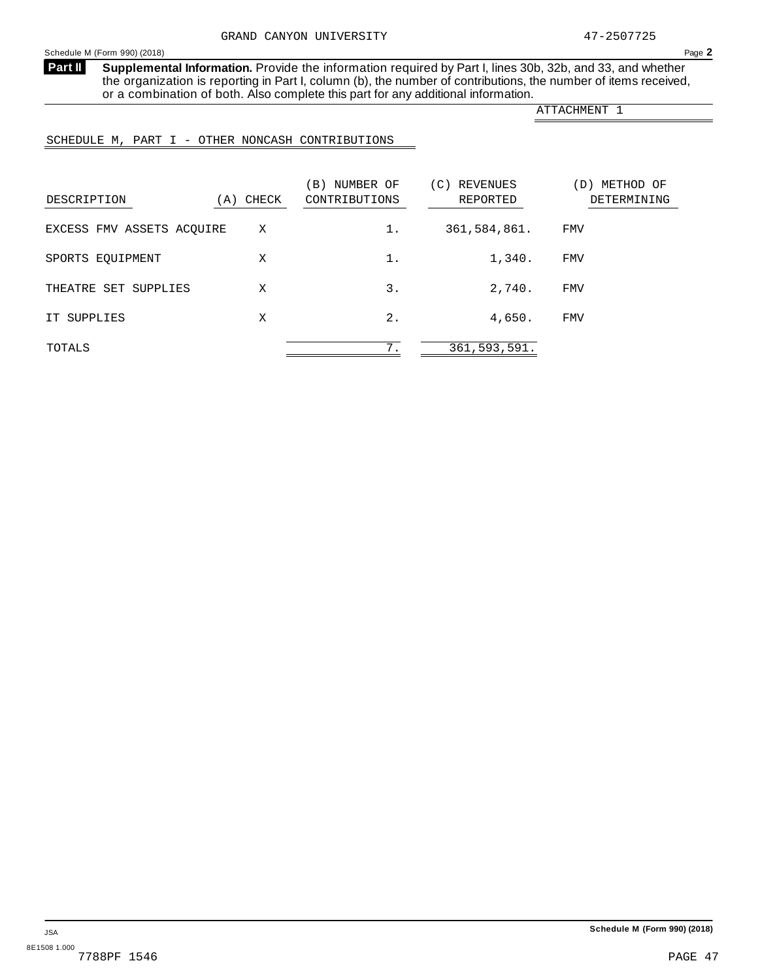**Supplemental Information.** Provide the information required by Part I, lines 30b, 32b, and 33, and whether the organization is reporting in Part I, column (b), the number of contributions, the number of items received, or a combination of both. Also complete this part for any additional information. **Part II**

ATTACHMENT 1

## SCHEDULE M, PART I - OTHER NONCASH CONTRIBUTIONS

| DESCRIPTION               | (A) CHECK | NUMBER OF<br>$\vert B \rangle$<br>CONTRIBUTIONS | (C)<br>REVENUES<br>REPORTED | METHOD OF<br>(D)<br>DETERMINING |
|---------------------------|-----------|-------------------------------------------------|-----------------------------|---------------------------------|
| EXCESS FMV ASSETS ACQUIRE | Χ         | 1.                                              | 361,584,861.                | FMV                             |
| SPORTS EOUIPMENT          | Χ         | 1.                                              | 1,340.                      | <b>FMV</b>                      |
| THEATRE SET SUPPLIES      | Χ         | 3.                                              | 2,740.                      | <b>FMV</b>                      |
| IT SUPPLIES               | X         | $2$ .                                           | 4,650.                      | <b>FMV</b>                      |
| TOTALS                    |           | 7.                                              | 361, 593, 591.              |                                 |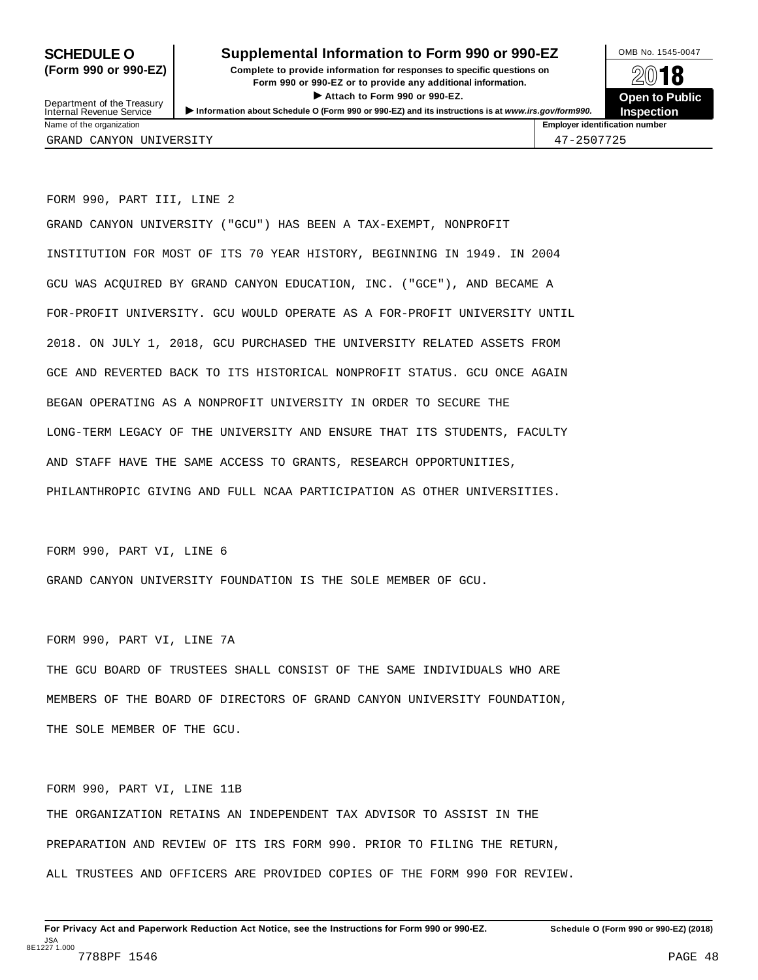### **SCHEDULE O** Supplemental Information to Form 990 or 990-EZ DMB No. 1545-0047

**(Form 990 or 990-EZ) Complete to provide information for responses to specific questions on** plete to provide information for responses to specific questions on  $\mathbb{Z}^{0}$  **18 EV I O**<br>
■ Attach to Form 990 or 990-EZ. Depen to Public<br>
■ Public Public Public Department of the Treasury <br>Depen to Public<br>Name of the organization<br>Name of the organization<br>Name of the organization<br>Name of the organization<br>Inspection



Department of the Treasury<br>Internal Revenue Service GRAND CANYON UNIVERSITY 47-2507725

FORM 990, PART III, LINE 2

GRAND CANYON UNIVERSITY ("GCU") HAS BEEN A TAX-EXEMPT, NONPROFIT INSTITUTION FOR MOST OF ITS 70 YEAR HISTORY, BEGINNING IN 1949. IN 2004 GCU WAS ACQUIRED BY GRAND CANYON EDUCATION, INC. ("GCE"), AND BECAME A FOR-PROFIT UNIVERSITY. GCU WOULD OPERATE AS A FOR-PROFIT UNIVERSITY UNTIL 2018. ON JULY 1, 2018, GCU PURCHASED THE UNIVERSITY RELATED ASSETS FROM GCE AND REVERTED BACK TO ITS HISTORICAL NONPROFIT STATUS. GCU ONCE AGAIN BEGAN OPERATING AS A NONPROFIT UNIVERSITY IN ORDER TO SECURE THE LONG-TERM LEGACY OF THE UNIVERSITY AND ENSURE THAT ITS STUDENTS, FACULTY AND STAFF HAVE THE SAME ACCESS TO GRANTS, RESEARCH OPPORTUNITIES, PHILANTHROPIC GIVING AND FULL NCAA PARTICIPATION AS OTHER UNIVERSITIES.

FORM 990, PART VI, LINE 6

GRAND CANYON UNIVERSITY FOUNDATION IS THE SOLE MEMBER OF GCU.

FORM 990, PART VI, LINE 7A

THE GCU BOARD OF TRUSTEES SHALL CONSIST OF THE SAME INDIVIDUALS WHO ARE MEMBERS OF THE BOARD OF DIRECTORS OF GRAND CANYON UNIVERSITY FOUNDATION, THE SOLE MEMBER OF THE GCU.

FORM 990, PART VI, LINE 11B THE ORGANIZATION RETAINS AN INDEPENDENT TAX ADVISOR TO ASSIST IN THE PREPARATION AND REVIEW OF ITS IRS FORM 990. PRIOR TO FILING THE RETURN, ALL TRUSTEES AND OFFICERS ARE PROVIDED COPIES OF THE FORM 990 FOR REVIEW.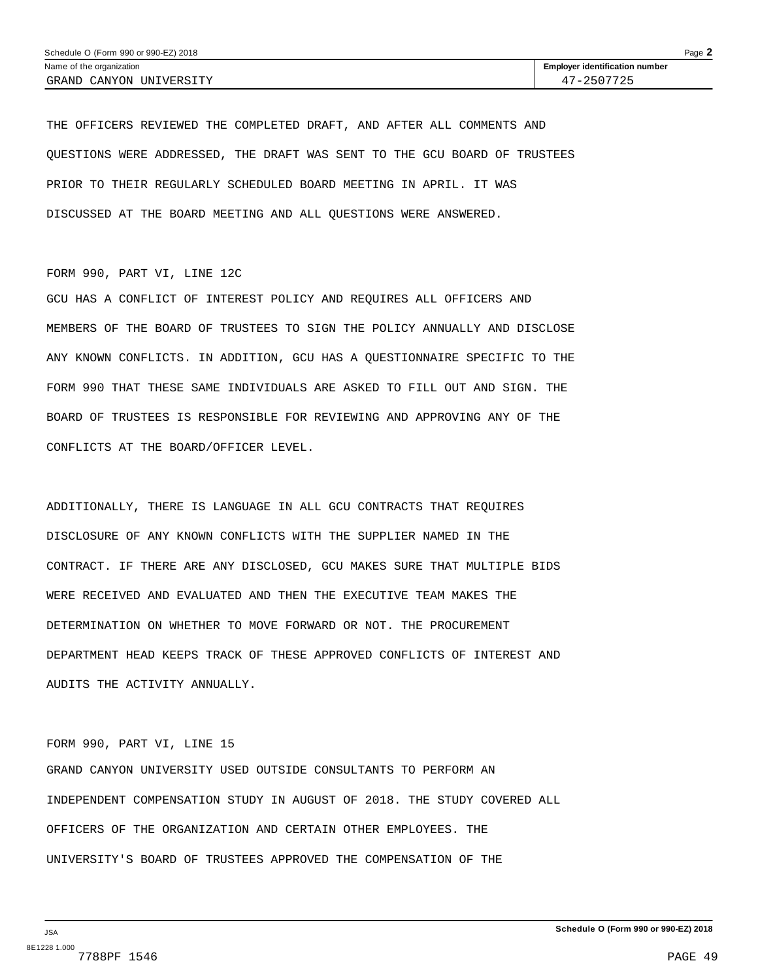THE OFFICERS REVIEWED THE COMPLETED DRAFT, AND AFTER ALL COMMENTS AND QUESTIONS WERE ADDRESSED, THE DRAFT WAS SENT TO THE GCU BOARD OF TRUSTEES PRIOR TO THEIR REGULARLY SCHEDULED BOARD MEETING IN APRIL. IT WAS DISCUSSED AT THE BOARD MEETING AND ALL QUESTIONS WERE ANSWERED.

#### FORM 990, PART VI, LINE 12C

GCU HAS A CONFLICT OF INTEREST POLICY AND REQUIRES ALL OFFICERS AND MEMBERS OF THE BOARD OF TRUSTEES TO SIGN THE POLICY ANNUALLY AND DISCLOSE ANY KNOWN CONFLICTS. IN ADDITION, GCU HAS A QUESTIONNAIRE SPECIFIC TO THE FORM 990 THAT THESE SAME INDIVIDUALS ARE ASKED TO FILL OUT AND SIGN. THE BOARD OF TRUSTEES IS RESPONSIBLE FOR REVIEWING AND APPROVING ANY OF THE CONFLICTS AT THE BOARD/OFFICER LEVEL.

ADDITIONALLY, THERE IS LANGUAGE IN ALL GCU CONTRACTS THAT REQUIRES DISCLOSURE OF ANY KNOWN CONFLICTS WITH THE SUPPLIER NAMED IN THE CONTRACT. IF THERE ARE ANY DISCLOSED, GCU MAKES SURE THAT MULTIPLE BIDS WERE RECEIVED AND EVALUATED AND THEN THE EXECUTIVE TEAM MAKES THE DETERMINATION ON WHETHER TO MOVE FORWARD OR NOT. THE PROCUREMENT DEPARTMENT HEAD KEEPS TRACK OF THESE APPROVED CONFLICTS OF INTEREST AND AUDITS THE ACTIVITY ANNUALLY.

#### FORM 990, PART VI, LINE 15

GRAND CANYON UNIVERSITY USED OUTSIDE CONSULTANTS TO PERFORM AN INDEPENDENT COMPENSATION STUDY IN AUGUST OF 2018. THE STUDY COVERED ALL OFFICERS OF THE ORGANIZATION AND CERTAIN OTHER EMPLOYEES. THE UNIVERSITY'S BOARD OF TRUSTEES APPROVED THE COMPENSATION OF THE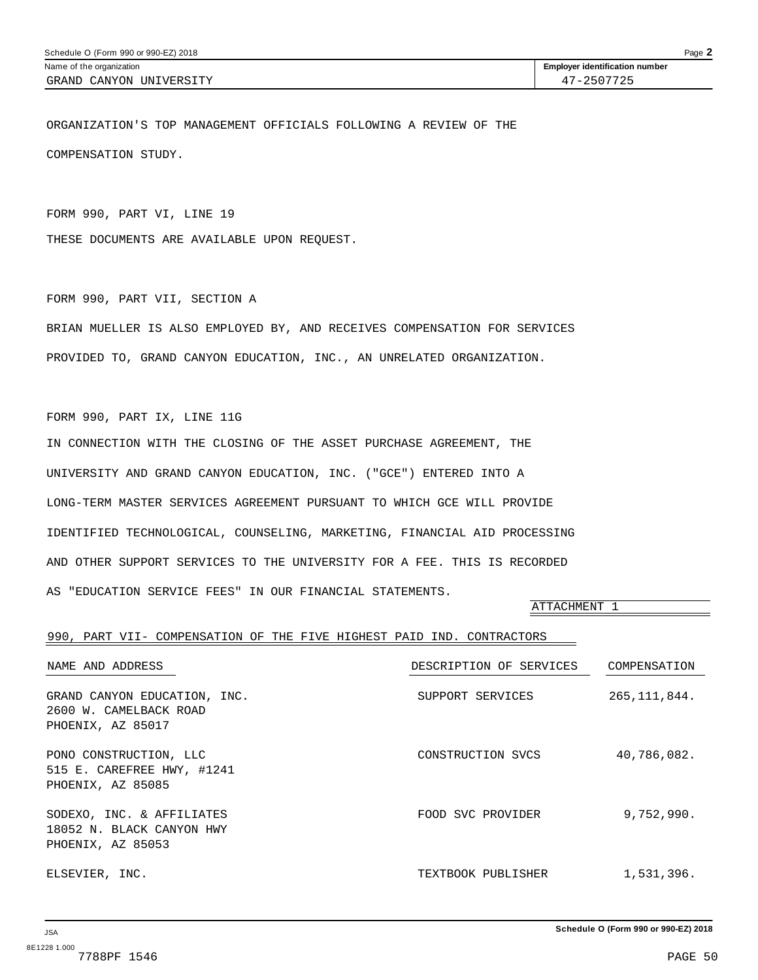ORGANIZATION'S TOP MANAGEMENT OFFICIALS FOLLOWING A REVIEW OF THE COMPENSATION STUDY.

FORM 990, PART VI, LINE 19

THESE DOCUMENTS ARE AVAILABLE UPON REQUEST.

FORM 990, PART VII, SECTION A BRIAN MUELLER IS ALSO EMPLOYED BY, AND RECEIVES COMPENSATION FOR SERVICES

PROVIDED TO, GRAND CANYON EDUCATION, INC., AN UNRELATED ORGANIZATION.

FORM 990, PART IX, LINE 11G

IN CONNECTION WITH THE CLOSING OF THE ASSET PURCHASE AGREEMENT, THE UNIVERSITY AND GRAND CANYON EDUCATION, INC. ("GCE") ENTERED INTO A LONG-TERM MASTER SERVICES AGREEMENT PURSUANT TO WHICH GCE WILL PROVIDE IDENTIFIED TECHNOLOGICAL, COUNSELING, MARKETING, FINANCIAL AID PROCESSING AND OTHER SUPPORT SERVICES TO THE UNIVERSITY FOR A FEE. THIS IS RECORDED AS "EDUCATION SERVICE FEES" IN OUR FINANCIAL STATEMENTS.

ATTACHMENT 1

#### 990, PART VII- COMPENSATION OF THE FIVE HIGHEST PAID IND. CONTRACTORS

| NAME AND ADDRESS                                                            | DESCRIPTION OF SERVICES | COMPENSATION   |
|-----------------------------------------------------------------------------|-------------------------|----------------|
| GRAND CANYON EDUCATION, INC.<br>2600 W. CAMELBACK ROAD<br>PHOENIX, AZ 85017 | SUPPORT SERVICES        | 265, 111, 844. |
| PONO CONSTRUCTION, LLC<br>515 E. CAREFREE HWY, #1241<br>PHOENIX, AZ 85085   | CONSTRUCTION SVCS       | 40,786,082.    |
| SODEXO, INC. & AFFILIATES<br>18052 N. BLACK CANYON HWY<br>PHOENIX, AZ 85053 | FOOD SVC PROVIDER       | 9,752,990.     |
| ELSEVIER, INC.                                                              | TEXTBOOK PUBLISHER      | 1,531,396.     |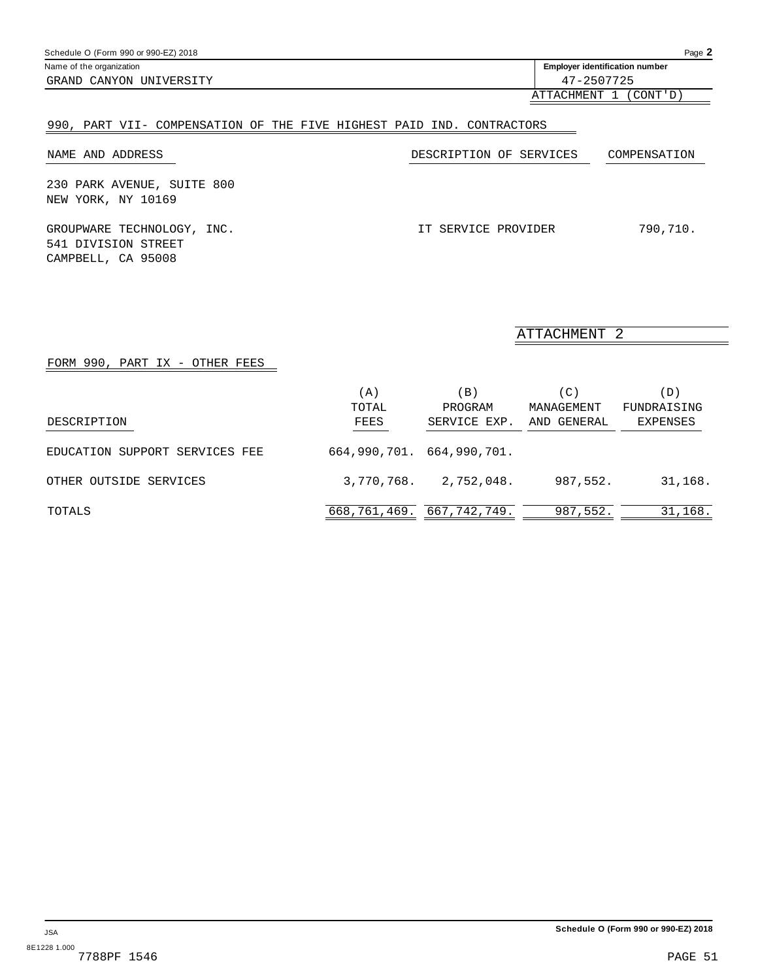Schedule O (Form 990 or 990-EZ) 2018 Name of the organization **identification is a structure of the original of the original of the original of the original of the original of the original of the original of the original of the original of the original of t** GRAND CANYON UNIVERSITY 47-2507725

ATTACHMENT 1 (CONT'D)

## 990, PART VII- COMPENSATION OF THE FIVE HIGHEST PAID IND. CONTRACTORS

| NAME AND ADDRESS                                                        | DESCRIPTION OF SERVICES | COMPENSATION |
|-------------------------------------------------------------------------|-------------------------|--------------|
| 230 PARK AVENUE, SUITE 800<br>NEW YORK, NY 10169                        |                         |              |
| GROUPWARE TECHNOLOGY, INC.<br>541 DIVISION STREET<br>CAMPBELL, CA 95008 | IT SERVICE PROVIDER     | 790,710.     |

ATTACHMENT 2

#### FORM 990, PART IX - OTHER FEES

|                                | (A)<br>TOTAL                  | $\Box$<br>PROGRAM | (C)<br>MANAGEMENT | (D)<br>FUNDRAISING |
|--------------------------------|-------------------------------|-------------------|-------------------|--------------------|
| DESCRIPTION                    | FEES                          | SERVICE EXP.      | AND GENERAL       | EXPENSES           |
| EDUCATION SUPPORT SERVICES FEE | 664,990,701. 664,990,701.     |                   |                   |                    |
| OTHER OUTSIDE SERVICES         | 3,770,768.                    | 2,752,048.        | 987,552.          | 31,168.            |
| TOTALS                         | 668, 761, 469. 667, 742, 749. |                   | 987,552.          | 31,168.            |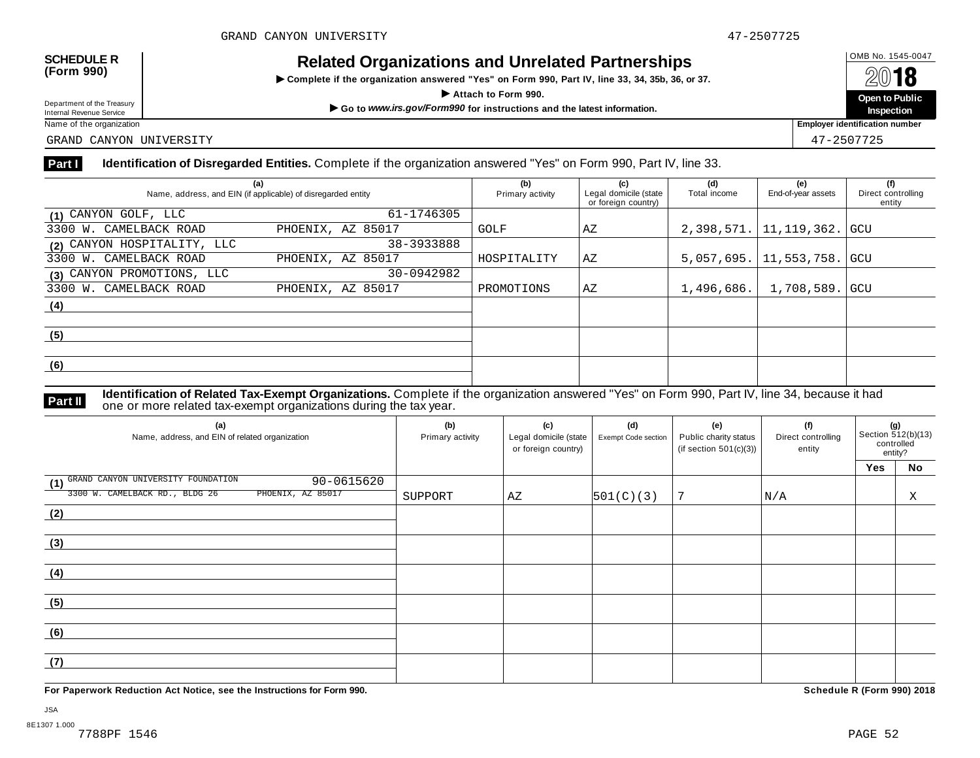## OMB No. 1545-0047 **SCHEDULE R (Form 990) Related Organizations and Unrelated Partnerships**

 $\triangleright$  Complete if the organization answered "Yes" on Form 990, Part IV, line 33, 34, 35b, 36, or 37.



Department of the Treasury<br>Internal Revenue Service

GRAND CANYON UNIVERSITY 47-2507725

#### **Part I Identification of Disregarded Entities.** Complete if the organization answered "Yes" on Form 990, Part IV, line 33.

| (a)<br>Name, address, and EIN (if applicable) of disregarded entity | (b)<br>Primary activity | (c)<br>Legal domicile (state<br>or foreign country) | (d)<br>Total income | (e)<br>End-of-year assets | (f)<br>Direct controlling<br>entity |     |
|---------------------------------------------------------------------|-------------------------|-----------------------------------------------------|---------------------|---------------------------|-------------------------------------|-----|
| (1) CANYON GOLF, LLC                                                | 61-1746305              |                                                     |                     |                           |                                     |     |
| 3300 W. CAMELBACK ROAD                                              | PHOENIX, AZ 85017       | GOLF                                                | AZ                  | 2,398,571.                | 11, 119, 362.                       | GCU |
| (2) CANYON HOSPITALITY, LLC                                         | 38-3933888              |                                                     |                     |                           |                                     |     |
| 3300 W. CAMELBACK ROAD                                              | PHOENIX, AZ 85017       | HOSPITALITY                                         | AZ                  | 5,057,695.                | 11,553,758.   GCU                   |     |
| (3) CANYON PROMOTIONS, LLC                                          | 30-0942982              |                                                     |                     |                           |                                     |     |
| 3300 W. CAMELBACK ROAD                                              | PHOENIX, AZ 85017       | PROMOTIONS                                          | AZ                  | 1,496,686.                | 1,708,589. GCU                      |     |
| (4)                                                                 |                         |                                                     |                     |                           |                                     |     |
| (5)                                                                 |                         |                                                     |                     |                           |                                     |     |
|                                                                     |                         |                                                     |                     |                           |                                     |     |
| (6)                                                                 |                         |                                                     |                     |                           |                                     |     |
|                                                                     |                         |                                                     |                     |                           |                                     |     |

**Identification of Related Tax-Exempt Organizations.** Complete if the organization answered "Yes" on Form 990, Part IV, line 34, because it had **Part II** one or more related tax-exempt organizations during the tax year.

| (a)<br>Name, address, and EIN of related organization | (b)<br>Primary activity | (c)<br>Legal domicile (state<br>or foreign country) | (d)<br>Exempt Code section | (e)<br>Public charity status<br>(if section $501(c)(3)$ ) | (f)<br>Direct controlling<br>entity | $\Big  \text{Section 512(b)(13)}$<br>controlled<br>entity? |    |
|-------------------------------------------------------|-------------------------|-----------------------------------------------------|----------------------------|-----------------------------------------------------------|-------------------------------------|------------------------------------------------------------|----|
|                                                       |                         |                                                     |                            |                                                           |                                     | Yes                                                        | No |
| (1) GRAND CANYON UNIVERSITY FOUNDATION<br>90-0615620  |                         |                                                     |                            |                                                           |                                     |                                                            |    |
| 3300 W. CAMELBACK RD., BLDG 26<br>PHOENIX, AZ 85017   | SUPPORT                 | ΑZ                                                  | 501(C)(3)                  | 7                                                         | N/A                                 |                                                            | Χ  |
| (2)                                                   |                         |                                                     |                            |                                                           |                                     |                                                            |    |
|                                                       |                         |                                                     |                            |                                                           |                                     |                                                            |    |
| (3)                                                   |                         |                                                     |                            |                                                           |                                     |                                                            |    |
|                                                       |                         |                                                     |                            |                                                           |                                     |                                                            |    |
| (4)                                                   |                         |                                                     |                            |                                                           |                                     |                                                            |    |
|                                                       |                         |                                                     |                            |                                                           |                                     |                                                            |    |
| (5)                                                   |                         |                                                     |                            |                                                           |                                     |                                                            |    |
|                                                       |                         |                                                     |                            |                                                           |                                     |                                                            |    |
| (6)                                                   |                         |                                                     |                            |                                                           |                                     |                                                            |    |
|                                                       |                         |                                                     |                            |                                                           |                                     |                                                            |    |
| (7)                                                   |                         |                                                     |                            |                                                           |                                     |                                                            |    |
|                                                       |                         |                                                     |                            |                                                           |                                     |                                                            |    |

**For Paperwork Reduction Act Notice, see the Instructions for Form 990. Schedule R (Form 990) 2018**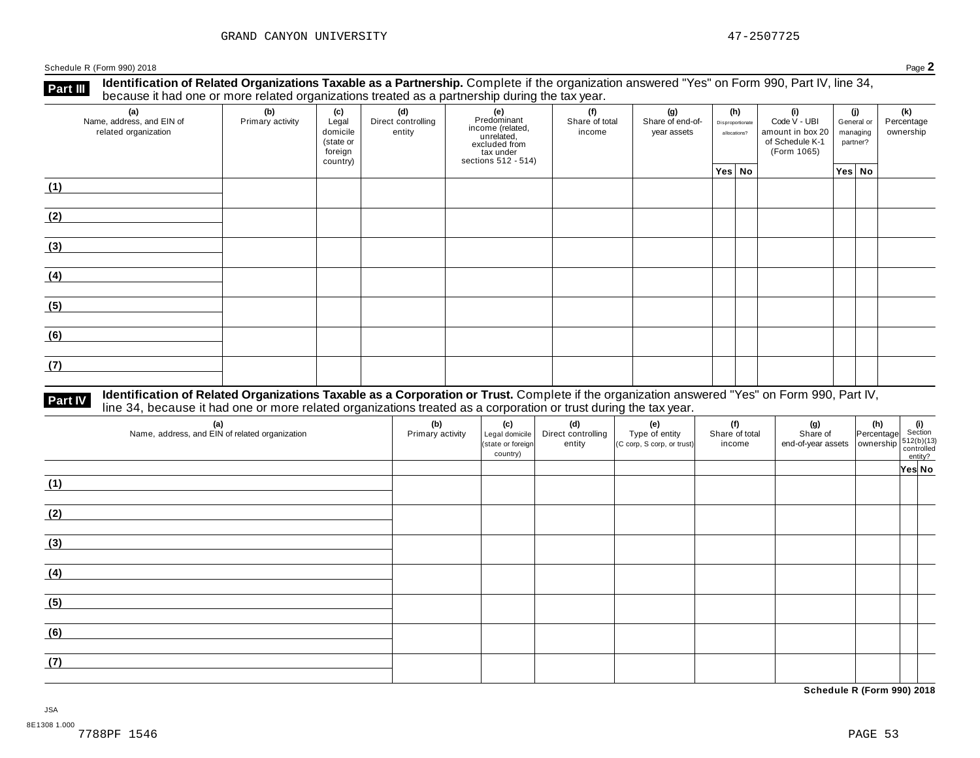**Identification of Related Organizations Taxable as a Partnership.** Complete if the organization answered "Yes" on Form 990, Part IV, line 34, **because it had one or more related organizations Taxable as a Partnership.** Complete if the organization of Related organizations treated as a partnership during the tax year.

| (a)<br>Name, address, and EIN of<br>related organization | ັ<br>(b)<br>Primary activity | (c)<br>Legal<br>domicile<br>(state or<br>foreign<br>country) | .<br>(d)<br>Direct controlling<br>entity | ັ<br>(e)<br>Predominant<br>Frecomman<br>income (related,<br>unrelated,<br>excluded from<br>sections 512 - 514) | (f)<br>Share of total<br>income | (g)<br>Share of end-of-<br>year assets | (h)<br>Disproportionate<br>allocations? |  | (i)<br>Code V - UBI<br>amount in box 20<br>of Schedule K-1<br>(Form 1065) | (i)<br>General or<br>managing<br>partner? |        | (k)<br>Percentage<br>ownership |
|----------------------------------------------------------|------------------------------|--------------------------------------------------------------|------------------------------------------|----------------------------------------------------------------------------------------------------------------|---------------------------------|----------------------------------------|-----------------------------------------|--|---------------------------------------------------------------------------|-------------------------------------------|--------|--------------------------------|
|                                                          |                              |                                                              |                                          |                                                                                                                |                                 |                                        | Yes No                                  |  |                                                                           |                                           | Yes No |                                |
| (1)                                                      |                              |                                                              |                                          |                                                                                                                |                                 |                                        |                                         |  |                                                                           |                                           |        |                                |
| (2)                                                      |                              |                                                              |                                          |                                                                                                                |                                 |                                        |                                         |  |                                                                           |                                           |        |                                |
| (3)                                                      |                              |                                                              |                                          |                                                                                                                |                                 |                                        |                                         |  |                                                                           |                                           |        |                                |
| (4)                                                      |                              |                                                              |                                          |                                                                                                                |                                 |                                        |                                         |  |                                                                           |                                           |        |                                |
| (5)                                                      |                              |                                                              |                                          |                                                                                                                |                                 |                                        |                                         |  |                                                                           |                                           |        |                                |
| (6)                                                      |                              |                                                              |                                          |                                                                                                                |                                 |                                        |                                         |  |                                                                           |                                           |        |                                |
| (7)                                                      |                              |                                                              |                                          |                                                                                                                |                                 |                                        |                                         |  |                                                                           |                                           |        |                                |

# **Part IV** Identification of Related Organizations Taxable as a Corporation or Trust. Complete if the organization answered "Yes" on Form 990, Part IV,<br>line 34, because it had one or more related organizations treated as a

| (a)<br>Name, address, and EIN of related organization | (b)<br>Primary activity | (c)<br>Legal domicile<br>(state or foreign<br>country) | (d)<br>Direct controlling<br>entity | (e)<br>Type of entity<br>(C corp, S corp, or trust) | (f)<br>Share of total<br>income | (g)<br>Share of<br>$\left  \begin{array}{c} \text{or} \\ \text{end-of-year assets} \end{array} \right  \left  \begin{array}{c} \text{or} \\ \text{overship} \end{array} \right  \left  \begin{array}{c} 512(b)(13) \\ \text{controlled} \end{array} \right $ | (h) (i)<br>Percentage Section | entity? |  |
|-------------------------------------------------------|-------------------------|--------------------------------------------------------|-------------------------------------|-----------------------------------------------------|---------------------------------|--------------------------------------------------------------------------------------------------------------------------------------------------------------------------------------------------------------------------------------------------------------|-------------------------------|---------|--|
|                                                       |                         |                                                        |                                     |                                                     |                                 |                                                                                                                                                                                                                                                              |                               | Yes No  |  |
| (1)                                                   |                         |                                                        |                                     |                                                     |                                 |                                                                                                                                                                                                                                                              |                               |         |  |
| (2)                                                   |                         |                                                        |                                     |                                                     |                                 |                                                                                                                                                                                                                                                              |                               |         |  |
| (3)                                                   |                         |                                                        |                                     |                                                     |                                 |                                                                                                                                                                                                                                                              |                               |         |  |
| (4)                                                   |                         |                                                        |                                     |                                                     |                                 |                                                                                                                                                                                                                                                              |                               |         |  |
| (5)                                                   |                         |                                                        |                                     |                                                     |                                 |                                                                                                                                                                                                                                                              |                               |         |  |
| (6)                                                   |                         |                                                        |                                     |                                                     |                                 |                                                                                                                                                                                                                                                              |                               |         |  |
| (7)                                                   |                         |                                                        |                                     |                                                     |                                 |                                                                                                                                                                                                                                                              |                               |         |  |

**Schedule R (Form 990) 2018**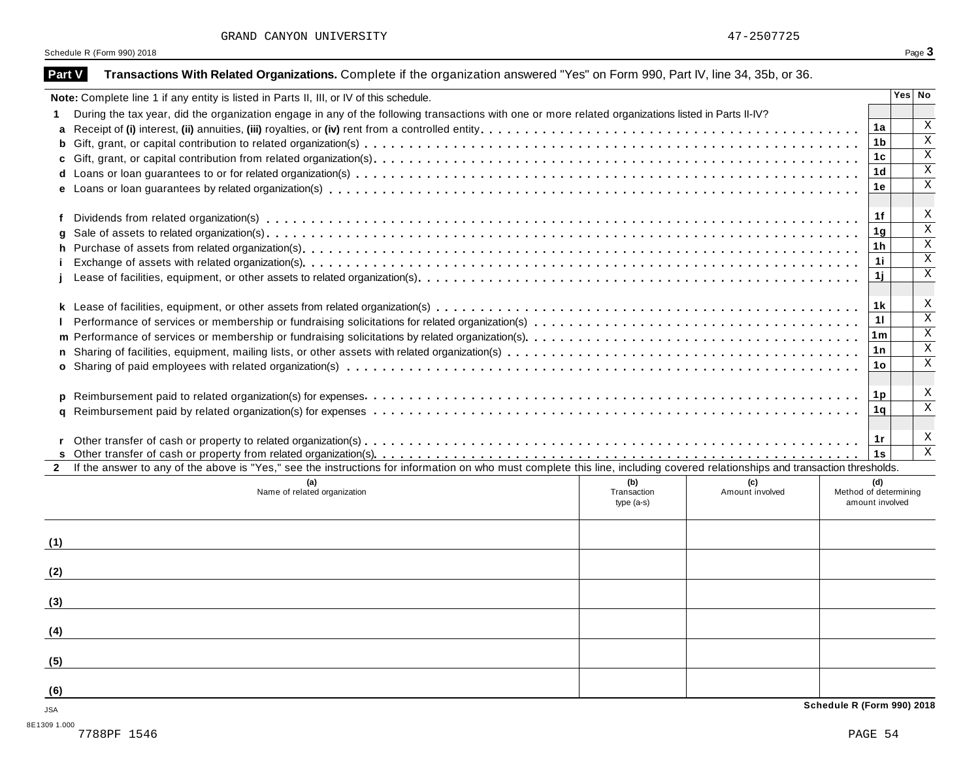| GRAND CANYON UNIVERSITY |  |
|-------------------------|--|
|-------------------------|--|

| Note: Complete line 1 if any entity is listed in Parts II, III, or IV of this schedule.                                                                                      |             |                 |                                          | Yes   No                  |
|------------------------------------------------------------------------------------------------------------------------------------------------------------------------------|-------------|-----------------|------------------------------------------|---------------------------|
| During the tax year, did the organization engage in any of the following transactions with one or more related organizations listed in Parts II-IV?                          |             |                 |                                          |                           |
|                                                                                                                                                                              |             |                 | 1a                                       | X                         |
|                                                                                                                                                                              |             |                 | 1 <sub>b</sub>                           | $\boldsymbol{\mathrm{X}}$ |
|                                                                                                                                                                              |             |                 | 1 <sub>c</sub>                           | $\boldsymbol{\mathrm{X}}$ |
|                                                                                                                                                                              |             |                 | 1 <sub>d</sub>                           | $\boldsymbol{\mathrm{X}}$ |
|                                                                                                                                                                              |             |                 | 1e                                       | $\mathbf X$               |
|                                                                                                                                                                              |             |                 |                                          |                           |
|                                                                                                                                                                              |             |                 | 1f                                       | X                         |
| g                                                                                                                                                                            |             |                 | 1 <sub>g</sub>                           | $\overline{X}$            |
|                                                                                                                                                                              |             |                 | 1 <sub>h</sub>                           | $\mathbf X$               |
|                                                                                                                                                                              |             |                 | 11                                       | $\mathbf X$               |
|                                                                                                                                                                              |             |                 | 1j                                       | $\overline{X}$            |
|                                                                                                                                                                              |             |                 |                                          |                           |
|                                                                                                                                                                              |             |                 | 1 k                                      | X                         |
|                                                                                                                                                                              |             |                 | 11                                       | $\overline{X}$            |
|                                                                                                                                                                              |             |                 | 1 <sub>m</sub>                           | $\mathbf X$               |
|                                                                                                                                                                              |             |                 | 1n                                       | $\overline{X}$            |
|                                                                                                                                                                              |             |                 | 1 <sub>o</sub>                           | $\boldsymbol{\mathrm{X}}$ |
|                                                                                                                                                                              |             |                 |                                          |                           |
|                                                                                                                                                                              |             |                 | 1 <sub>p</sub>                           | X                         |
|                                                                                                                                                                              |             |                 | 1q                                       | $\overline{X}$            |
|                                                                                                                                                                              |             |                 |                                          |                           |
|                                                                                                                                                                              |             |                 | 1r                                       | X                         |
|                                                                                                                                                                              |             |                 | 1s                                       | $\mathbf{X}$              |
|                                                                                                                                                                              |             |                 |                                          |                           |
| If the answer to any of the above is "Yes," see the instructions for information on who must complete this line, including covered relationships and transaction thresholds. |             |                 |                                          |                           |
| (a)                                                                                                                                                                          | (b)         | (c)             | (d)                                      |                           |
| Name of related organization                                                                                                                                                 | Transaction | Amount involved | Method of determining<br>amount involved |                           |
|                                                                                                                                                                              | type (a-s)  |                 |                                          |                           |
|                                                                                                                                                                              |             |                 |                                          |                           |
|                                                                                                                                                                              |             |                 |                                          |                           |
|                                                                                                                                                                              |             |                 |                                          |                           |
|                                                                                                                                                                              |             |                 |                                          |                           |
|                                                                                                                                                                              |             |                 |                                          |                           |
| (1)<br>(2)<br>(3)<br>(4)                                                                                                                                                     |             |                 |                                          |                           |
|                                                                                                                                                                              |             |                 |                                          |                           |
|                                                                                                                                                                              |             |                 |                                          |                           |
| (5)<br>(6)<br><b>JSA</b>                                                                                                                                                     |             |                 | Schedule R (Form 990) 2018               |                           |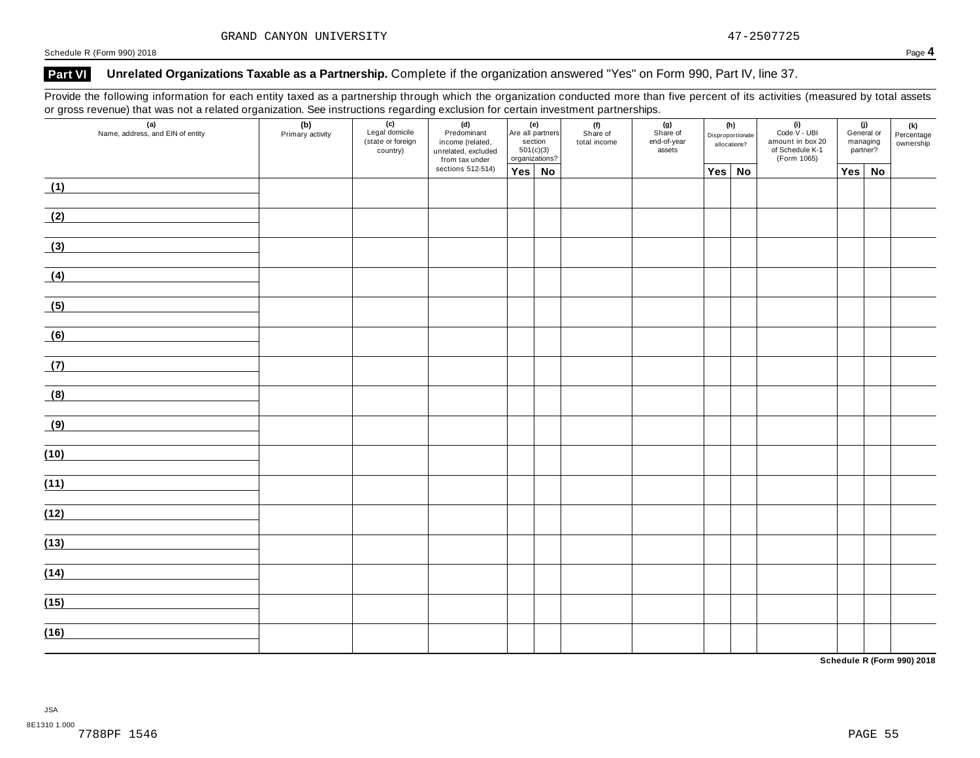### **Part VI Unrelated Organizations Taxable as a Partnership.** Complete if the organization answered "Yes" on Form 990, Part IV, line 37.

Provide the following information for each entity taxed as a partnership through which the organization conducted more than five percent of its activities (measured by total assets or gross revenue) that was not a related organization. See instructions regarding exclusion for certain investment partnerships.

| $\overline{\phantom{0}}$ | $\overline{\phantom{a}}$<br>$\tilde{}$<br>(a)<br>Name, address, and EIN of entity | (b)<br>Primary activity | $\overline{\phantom{a}}$<br>(c)<br>Legal domicile<br>(state or foreign<br>country) | (d)<br>Predominant<br>income (related,<br>unrelated, excluded<br>from tax under | (e)    |  | Are all partners<br>section<br>501(c)(3)<br>organizations? |  | . .<br>(f)<br>Share of<br>total income | (g)<br>Share of<br>end-of-year<br>assets |  |     |    | (h)<br>Disproportionate<br>allocations? | (i)<br>Code V - UBI<br>amount in box 20<br>of Schedule K-1<br>(Form 1065) | managing<br>partner? | (j)<br>General or | (k)<br>Percentage<br>ownership |
|--------------------------|-----------------------------------------------------------------------------------|-------------------------|------------------------------------------------------------------------------------|---------------------------------------------------------------------------------|--------|--|------------------------------------------------------------|--|----------------------------------------|------------------------------------------|--|-----|----|-----------------------------------------|---------------------------------------------------------------------------|----------------------|-------------------|--------------------------------|
|                          |                                                                                   |                         |                                                                                    | sections 512-514)                                                               | Yes No |  |                                                            |  | Yes No                                 |                                          |  | Yes | No |                                         |                                                                           |                      |                   |                                |
| (1)                      |                                                                                   |                         |                                                                                    |                                                                                 |        |  |                                                            |  |                                        |                                          |  |     |    |                                         |                                                                           |                      |                   |                                |
| (2)                      |                                                                                   |                         |                                                                                    |                                                                                 |        |  |                                                            |  |                                        |                                          |  |     |    |                                         |                                                                           |                      |                   |                                |
| (3)                      |                                                                                   |                         |                                                                                    |                                                                                 |        |  |                                                            |  |                                        |                                          |  |     |    |                                         |                                                                           |                      |                   |                                |
| (4)                      |                                                                                   |                         |                                                                                    |                                                                                 |        |  |                                                            |  |                                        |                                          |  |     |    |                                         |                                                                           |                      |                   |                                |
| (5)                      |                                                                                   |                         |                                                                                    |                                                                                 |        |  |                                                            |  |                                        |                                          |  |     |    |                                         |                                                                           |                      |                   |                                |
| (6)                      |                                                                                   |                         |                                                                                    |                                                                                 |        |  |                                                            |  |                                        |                                          |  |     |    |                                         |                                                                           |                      |                   |                                |
| (7)                      |                                                                                   |                         |                                                                                    |                                                                                 |        |  |                                                            |  |                                        |                                          |  |     |    |                                         |                                                                           |                      |                   |                                |
| (8)                      |                                                                                   |                         |                                                                                    |                                                                                 |        |  |                                                            |  |                                        |                                          |  |     |    |                                         |                                                                           |                      |                   |                                |
| (9)                      |                                                                                   |                         |                                                                                    |                                                                                 |        |  |                                                            |  |                                        |                                          |  |     |    |                                         |                                                                           |                      |                   |                                |
| (10)                     |                                                                                   |                         |                                                                                    |                                                                                 |        |  |                                                            |  |                                        |                                          |  |     |    |                                         |                                                                           |                      |                   |                                |
| (11)                     |                                                                                   |                         |                                                                                    |                                                                                 |        |  |                                                            |  |                                        |                                          |  |     |    |                                         |                                                                           |                      |                   |                                |
| (12)                     |                                                                                   |                         |                                                                                    |                                                                                 |        |  |                                                            |  |                                        |                                          |  |     |    |                                         |                                                                           |                      |                   |                                |
| (13)                     |                                                                                   |                         |                                                                                    |                                                                                 |        |  |                                                            |  |                                        |                                          |  |     |    |                                         |                                                                           |                      |                   |                                |
| (14)                     |                                                                                   |                         |                                                                                    |                                                                                 |        |  |                                                            |  |                                        |                                          |  |     |    |                                         |                                                                           |                      |                   |                                |
|                          |                                                                                   |                         |                                                                                    |                                                                                 |        |  |                                                            |  |                                        |                                          |  |     |    |                                         |                                                                           |                      |                   |                                |
| (15)                     |                                                                                   |                         |                                                                                    |                                                                                 |        |  |                                                            |  |                                        |                                          |  |     |    |                                         |                                                                           |                      |                   |                                |
| (16)                     |                                                                                   |                         |                                                                                    |                                                                                 |        |  |                                                            |  |                                        |                                          |  |     |    |                                         |                                                                           |                      |                   |                                |

**Schedule R (Form 990) 2018**